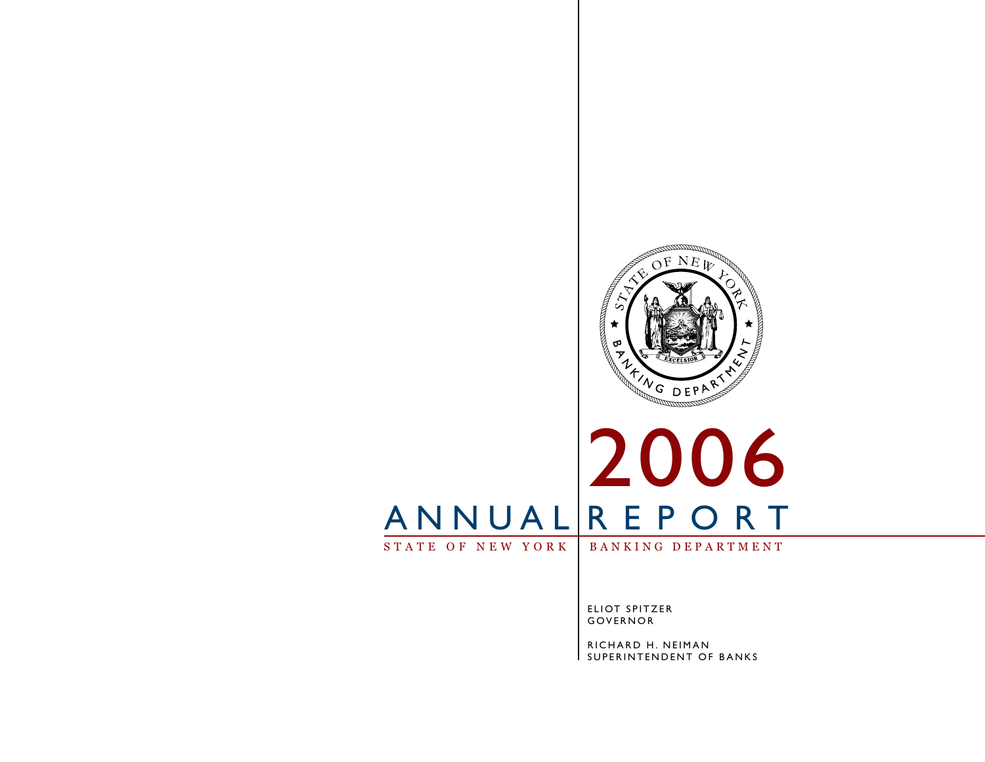

# STATE OF NEW YORK | BANKING DEPARTMENT 2006 A N N U A L R E P O R T

ELIOT SPITZER GOVERNOR

RICHARD H. NEIMAN I SUPERINTENDENT OF BANKS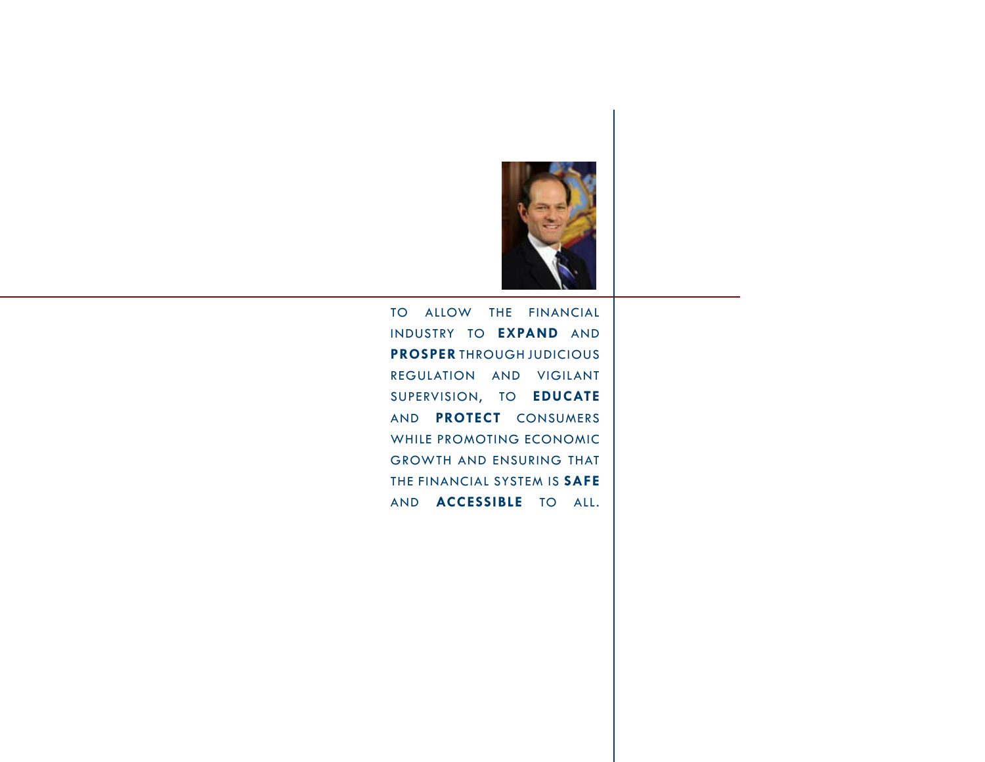

To allow the financial industry to **EXPAND** and **PROSPER** through judicious regulation and vigilant supervision, to **EDUCATE** and **PROTECT** consumers while promoting economic growth and ensuring that the financial system is **SAFE** and **ACCESSIBLE** to all.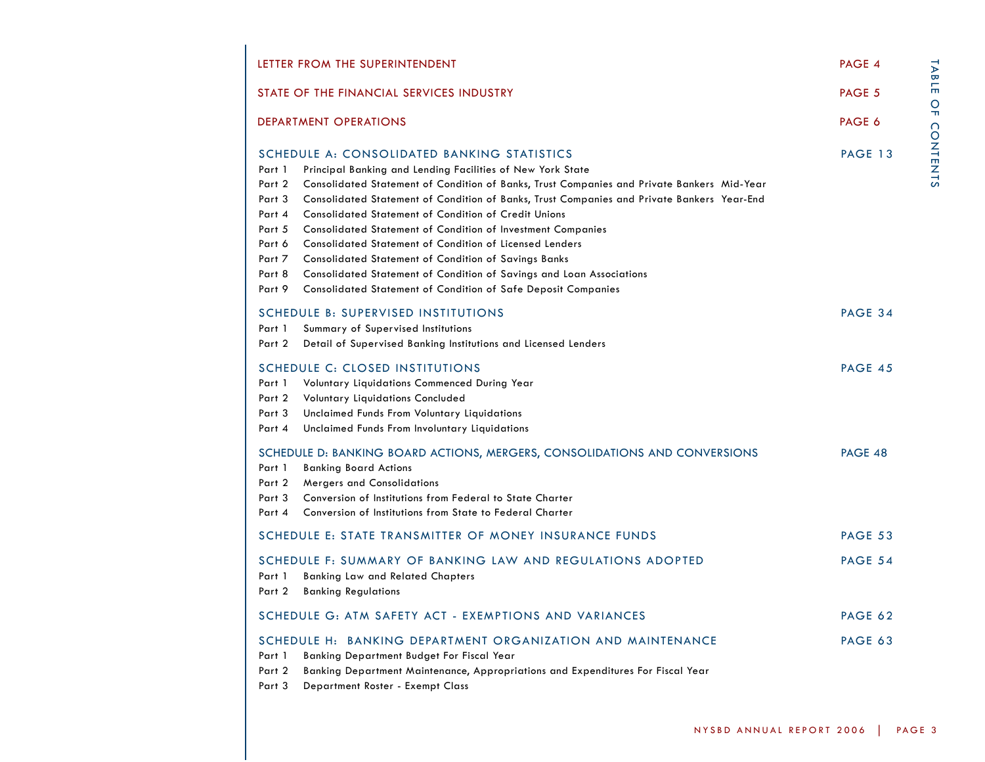| LETTER FROM THE SUPERINTENDENT                                                                                                                                                                                                                                                                                                                                                                                                                                                                                                                                                                                                                                                                                                                                                                                                                                                                                                                                                                                                                                                                                                                                                                                                                                                                                                                                                     | PAGE 4         |
|------------------------------------------------------------------------------------------------------------------------------------------------------------------------------------------------------------------------------------------------------------------------------------------------------------------------------------------------------------------------------------------------------------------------------------------------------------------------------------------------------------------------------------------------------------------------------------------------------------------------------------------------------------------------------------------------------------------------------------------------------------------------------------------------------------------------------------------------------------------------------------------------------------------------------------------------------------------------------------------------------------------------------------------------------------------------------------------------------------------------------------------------------------------------------------------------------------------------------------------------------------------------------------------------------------------------------------------------------------------------------------|----------------|
| STATE OF THE FINANCIAL SERVICES INDUSTRY                                                                                                                                                                                                                                                                                                                                                                                                                                                                                                                                                                                                                                                                                                                                                                                                                                                                                                                                                                                                                                                                                                                                                                                                                                                                                                                                           | PAGE 5         |
| <b>DEPARTMENT OPERATIONS</b><br>Principal Banking and Lending Facilities of New York State<br>Consolidated Statement of Condition of Banks, Trust Companies and Private Bankers Mid-Year<br>Consolidated Statement of Condition of Banks, Trust Companies and Private Bankers Year-End<br><b>Consolidated Statement of Condition of Credit Unions</b><br>Consolidated Statement of Condition of Investment Companies<br>Consolidated Statement of Condition of Licensed Lenders<br><b>Consolidated Statement of Condition of Savings Banks</b><br>Consolidated Statement of Condition of Savings and Loan Associations<br>Consolidated Statement of Condition of Safe Deposit Companies<br>Summary of Supervised Institutions<br>Detail of Supervised Banking Institutions and Licensed Lenders<br>Voluntary Liquidations Commenced During Year<br>Voluntary Liquidations Concluded<br>Unclaimed Funds From Voluntary Liquidations<br>Unclaimed Funds From Involuntary Liquidations<br><b>Banking Board Actions</b><br>Mergers and Consolidations<br>Conversion of Institutions from Federal to State Charter<br>Conversion of Institutions from State to Federal Charter<br><b>Banking Law and Related Chapters</b><br><b>Banking Regulations</b><br>Banking Department Budget For Fiscal Year<br>Banking Department Maintenance, Appropriations and Expenditures For Fiscal Year |                |
| SCHEDULE A: CONSOLIDATED BANKING STATISTICS                                                                                                                                                                                                                                                                                                                                                                                                                                                                                                                                                                                                                                                                                                                                                                                                                                                                                                                                                                                                                                                                                                                                                                                                                                                                                                                                        | PAGE 13        |
| Part 1                                                                                                                                                                                                                                                                                                                                                                                                                                                                                                                                                                                                                                                                                                                                                                                                                                                                                                                                                                                                                                                                                                                                                                                                                                                                                                                                                                             |                |
| Part 2                                                                                                                                                                                                                                                                                                                                                                                                                                                                                                                                                                                                                                                                                                                                                                                                                                                                                                                                                                                                                                                                                                                                                                                                                                                                                                                                                                             |                |
| Part 3                                                                                                                                                                                                                                                                                                                                                                                                                                                                                                                                                                                                                                                                                                                                                                                                                                                                                                                                                                                                                                                                                                                                                                                                                                                                                                                                                                             |                |
| Part 4                                                                                                                                                                                                                                                                                                                                                                                                                                                                                                                                                                                                                                                                                                                                                                                                                                                                                                                                                                                                                                                                                                                                                                                                                                                                                                                                                                             |                |
| Part 5                                                                                                                                                                                                                                                                                                                                                                                                                                                                                                                                                                                                                                                                                                                                                                                                                                                                                                                                                                                                                                                                                                                                                                                                                                                                                                                                                                             |                |
| Part 6                                                                                                                                                                                                                                                                                                                                                                                                                                                                                                                                                                                                                                                                                                                                                                                                                                                                                                                                                                                                                                                                                                                                                                                                                                                                                                                                                                             |                |
| Part 7                                                                                                                                                                                                                                                                                                                                                                                                                                                                                                                                                                                                                                                                                                                                                                                                                                                                                                                                                                                                                                                                                                                                                                                                                                                                                                                                                                             |                |
| Part 8                                                                                                                                                                                                                                                                                                                                                                                                                                                                                                                                                                                                                                                                                                                                                                                                                                                                                                                                                                                                                                                                                                                                                                                                                                                                                                                                                                             |                |
| Part 9                                                                                                                                                                                                                                                                                                                                                                                                                                                                                                                                                                                                                                                                                                                                                                                                                                                                                                                                                                                                                                                                                                                                                                                                                                                                                                                                                                             |                |
| <b>SCHEDULE B: SUPERVISED INSTITUTIONS</b>                                                                                                                                                                                                                                                                                                                                                                                                                                                                                                                                                                                                                                                                                                                                                                                                                                                                                                                                                                                                                                                                                                                                                                                                                                                                                                                                         | PAGE 34        |
| Part 1                                                                                                                                                                                                                                                                                                                                                                                                                                                                                                                                                                                                                                                                                                                                                                                                                                                                                                                                                                                                                                                                                                                                                                                                                                                                                                                                                                             |                |
| Part 2                                                                                                                                                                                                                                                                                                                                                                                                                                                                                                                                                                                                                                                                                                                                                                                                                                                                                                                                                                                                                                                                                                                                                                                                                                                                                                                                                                             |                |
| SCHEDULE C: CLOSED INSTITUTIONS                                                                                                                                                                                                                                                                                                                                                                                                                                                                                                                                                                                                                                                                                                                                                                                                                                                                                                                                                                                                                                                                                                                                                                                                                                                                                                                                                    | PAGE 45        |
| Part 1                                                                                                                                                                                                                                                                                                                                                                                                                                                                                                                                                                                                                                                                                                                                                                                                                                                                                                                                                                                                                                                                                                                                                                                                                                                                                                                                                                             |                |
| Part 2                                                                                                                                                                                                                                                                                                                                                                                                                                                                                                                                                                                                                                                                                                                                                                                                                                                                                                                                                                                                                                                                                                                                                                                                                                                                                                                                                                             |                |
| Part 3                                                                                                                                                                                                                                                                                                                                                                                                                                                                                                                                                                                                                                                                                                                                                                                                                                                                                                                                                                                                                                                                                                                                                                                                                                                                                                                                                                             |                |
| Part 4                                                                                                                                                                                                                                                                                                                                                                                                                                                                                                                                                                                                                                                                                                                                                                                                                                                                                                                                                                                                                                                                                                                                                                                                                                                                                                                                                                             |                |
| SCHEDULE D: BANKING BOARD ACTIONS, MERGERS, CONSOLIDATIONS AND CONVERSIONS                                                                                                                                                                                                                                                                                                                                                                                                                                                                                                                                                                                                                                                                                                                                                                                                                                                                                                                                                                                                                                                                                                                                                                                                                                                                                                         | PAGE 48        |
| Part 1                                                                                                                                                                                                                                                                                                                                                                                                                                                                                                                                                                                                                                                                                                                                                                                                                                                                                                                                                                                                                                                                                                                                                                                                                                                                                                                                                                             |                |
| Part 2                                                                                                                                                                                                                                                                                                                                                                                                                                                                                                                                                                                                                                                                                                                                                                                                                                                                                                                                                                                                                                                                                                                                                                                                                                                                                                                                                                             |                |
| Part 3                                                                                                                                                                                                                                                                                                                                                                                                                                                                                                                                                                                                                                                                                                                                                                                                                                                                                                                                                                                                                                                                                                                                                                                                                                                                                                                                                                             |                |
| Part 4                                                                                                                                                                                                                                                                                                                                                                                                                                                                                                                                                                                                                                                                                                                                                                                                                                                                                                                                                                                                                                                                                                                                                                                                                                                                                                                                                                             |                |
| SCHEDULE E: STATE TRANSMITTER OF MONEY INSURANCE FUNDS                                                                                                                                                                                                                                                                                                                                                                                                                                                                                                                                                                                                                                                                                                                                                                                                                                                                                                                                                                                                                                                                                                                                                                                                                                                                                                                             | <b>PAGE 53</b> |
| SCHEDULE F: SUMMARY OF BANKING LAW AND REGULATIONS ADOPTED                                                                                                                                                                                                                                                                                                                                                                                                                                                                                                                                                                                                                                                                                                                                                                                                                                                                                                                                                                                                                                                                                                                                                                                                                                                                                                                         | <b>PAGE 54</b> |
| Part 1                                                                                                                                                                                                                                                                                                                                                                                                                                                                                                                                                                                                                                                                                                                                                                                                                                                                                                                                                                                                                                                                                                                                                                                                                                                                                                                                                                             |                |
| Part 2                                                                                                                                                                                                                                                                                                                                                                                                                                                                                                                                                                                                                                                                                                                                                                                                                                                                                                                                                                                                                                                                                                                                                                                                                                                                                                                                                                             |                |
| SCHEDULE G: ATM SAFETY ACT - EXEMPTIONS AND VARIANCES                                                                                                                                                                                                                                                                                                                                                                                                                                                                                                                                                                                                                                                                                                                                                                                                                                                                                                                                                                                                                                                                                                                                                                                                                                                                                                                              | PAGE 62        |
| SCHEDULE H: BANKING DEPARTMENT ORGANIZATION AND MAINTENANCE                                                                                                                                                                                                                                                                                                                                                                                                                                                                                                                                                                                                                                                                                                                                                                                                                                                                                                                                                                                                                                                                                                                                                                                                                                                                                                                        | PAGE 63        |
| Part 1                                                                                                                                                                                                                                                                                                                                                                                                                                                                                                                                                                                                                                                                                                                                                                                                                                                                                                                                                                                                                                                                                                                                                                                                                                                                                                                                                                             |                |
| Part 2                                                                                                                                                                                                                                                                                                                                                                                                                                                                                                                                                                                                                                                                                                                                                                                                                                                                                                                                                                                                                                                                                                                                                                                                                                                                                                                                                                             |                |
| Department Roster - Exempt Class<br>Part 3                                                                                                                                                                                                                                                                                                                                                                                                                                                                                                                                                                                                                                                                                                                                                                                                                                                                                                                                                                                                                                                                                                                                                                                                                                                                                                                                         |                |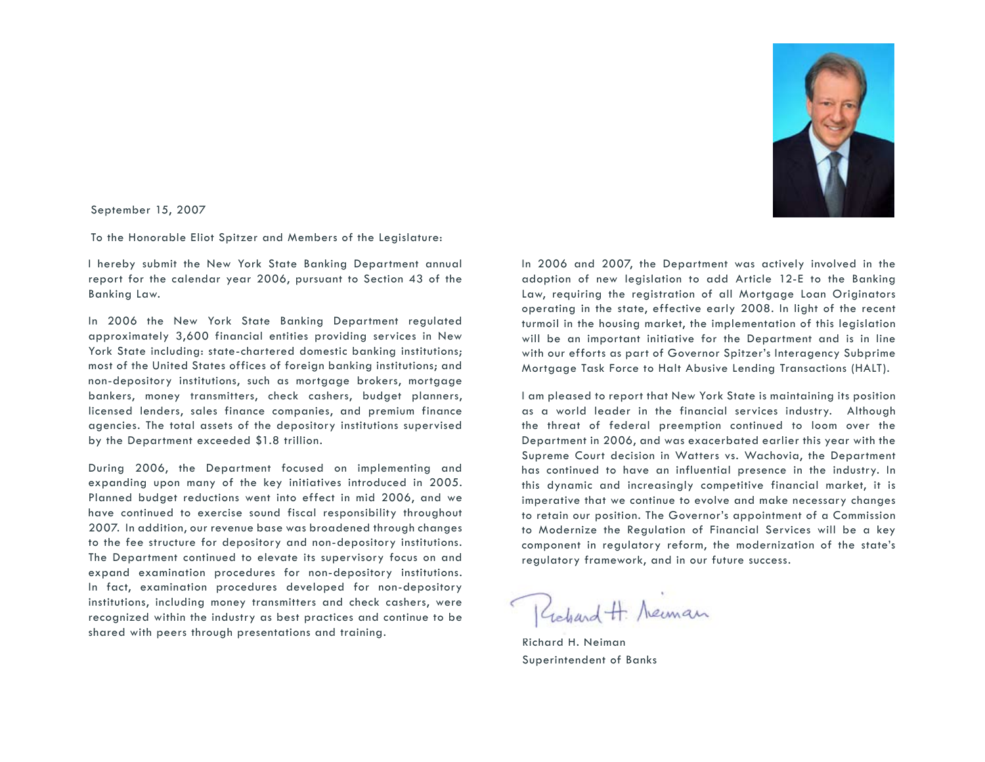

September 15, 2007

To the Honorable Eliot Spitzer and Members of the Legislature:

I hereby submit the New York State Banking Department annual report for the calendar year 2006, pursuant to Section 43 of the Banking Law.

In 2006 the New York State Banking Department regulated approximately 3,600 financial entities providing services in New York State including: state-chartered domestic banking institutions; most of the United States offices of foreign banking institutions; and non-depository institutions, such as mortgage brokers, mortgage bankers, money transmitters, check cashers, budget planners, licensed lenders, sales finance companies, and premium finance agencies. The total assets of the depository institutions supervised by the Department exceeded \$1.8 trillion.

During 2006, the Department focused on implementing and expanding upon many of the key initiatives introduced in 2005. Planned budget reductions went into effect in mid 2006, and we have continued to exercise sound fiscal responsibility throughout 2007. In addition, our revenue base was broadened through changes to the fee structure for depository and non-depository institutions. The Department continued to elevate its supervisory focus on and expand examination procedures for non-depository institutions. In fact, examination procedures developed for non-depository institutions, including money transmitters and check cashers, were recognized within the industry as best practices and continue to be shared with peers through presentations and training.

In 2006 and 2007, the Department was actively involved in the adoption of new legislation to add Article 12-E to the Banking Law, requiring the registration of all Mortgage Loan Originators operating in the state, effective early 2008. In light of the recent turmoil in the housing market, the implementation of this legislation will be an important initiative for the Department and is in line with our efforts as part of Governor Spitzer's Interagency Subprime Mortgage Task Force to Halt Abusive Lending Transactions (HALT).

I am pleased to report that New York State is maintaining its position as a world leader in the financial services industry. Although the threat of federal preemption continued to loom over the Department in 2006, and was exacerbated earlier this year with the Supreme Court decision in Watters vs. Wachovia, the Department has continued to have an influential presence in the industry. In this dynamic and increasingly competitive financial market, it is imperative that we continue to evolve and make necessary changes to retain our position. The Governor's appointment of a Commission to Modernize the Regulation of Financial Services will be a key component in regulatory reform, the modernization of the state's regulatory framework, and in our future success.

Richard H. Neuman

Richard H. Neiman Superintendent of Banks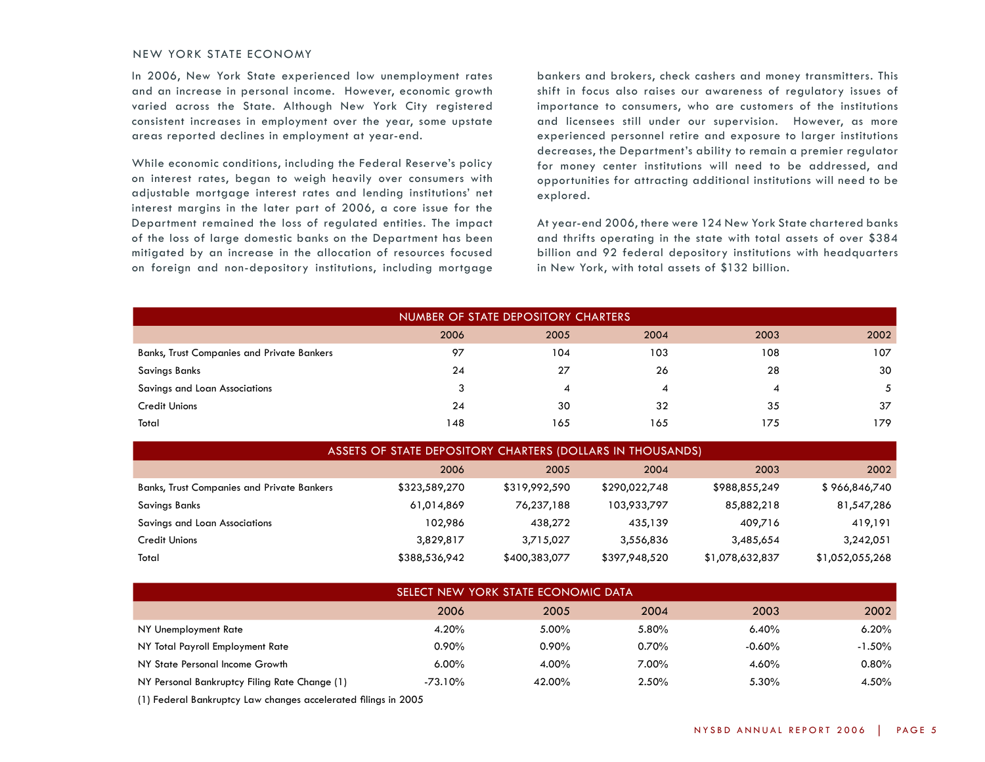## NEW YORK STATE ECONOMY

In 2006, New York State experienced low unemployment rates and an increase in personal income. However, economic growth varied across the State. Although New York City registered consistent increases in employment over the year, some upstate areas reported declines in employment at year-end.

While economic conditions, including the Federal Reserve's policy on interest rates, began to weigh heavily over consumers with adjustable mortgage interest rates and lending institutions' net interest margins in the later part of 2006, a core issue for the Department remained the loss of regulated entities. The impact of the loss of large domestic banks on the Department has been mitigated by an increase in the allocation of resources focused on foreign and non-depository institutions, including mortgage

bankers and brokers, check cashers and money transmitters. This shift in focus also raises our awareness of regulatory issues of importance to consumers, who are customers of the institutions and licensees still under our supervision. However, as more experienced personnel retire and exposure to larger institutions decreases, the Department's ability to remain a premier regulator for money center institutions will need to be addressed, and opportunities for attracting additional institutions will need to be explored.

At year-end 2006, there were 124 New York State chartered banks and thrifts operating in the state with total assets of over \$384 billion and 92 federal depository institutions with headquarters in New York, with total assets of \$132 billion.

| NUMBER OF STATE DEPOSITORY CHARTERS               |      |      |      |      |      |  |  |  |  |  |
|---------------------------------------------------|------|------|------|------|------|--|--|--|--|--|
|                                                   | 2006 | 2005 | 2004 | 2003 | 2002 |  |  |  |  |  |
| <b>Banks, Trust Companies and Private Bankers</b> | 97   | 104  | 103  | 108  | 107  |  |  |  |  |  |
| Savings Banks                                     | 24   | 27   | 26   | 28   | 30   |  |  |  |  |  |
| Savings and Loan Associations                     | 3    | 4    | 4    | 4    | 5    |  |  |  |  |  |
| <b>Credit Unions</b>                              | 24   | 30   | 32   | 35   | 37   |  |  |  |  |  |
| Total                                             | 148  | 165  | 165  | 175  | 179  |  |  |  |  |  |

| ASSETS OF STATE DEPOSITORY CHARTERS (DOLLARS IN THOUSANDS) |               |               |               |                 |                 |  |  |  |  |  |  |
|------------------------------------------------------------|---------------|---------------|---------------|-----------------|-----------------|--|--|--|--|--|--|
|                                                            | 2006          | 2005          | 2004          | 2003            | 2002            |  |  |  |  |  |  |
| <b>Banks, Trust Companies and Private Bankers</b>          | \$323,589,270 | \$319,992,590 | \$290,022,748 | \$988,855,249   | \$966,846,740   |  |  |  |  |  |  |
| Savings Banks                                              | 61,014,869    | 76,237,188    | 103,933,797   | 85,882,218      | 81,547,286      |  |  |  |  |  |  |
| Savings and Loan Associations                              | 102,986       | 438,272       | 435,139       | 409,716         | 419,191         |  |  |  |  |  |  |
| Credit Unions                                              | 3,829,817     | 3,715,027     | 3,556,836     | 3,485,654       | 3,242,051       |  |  |  |  |  |  |
| Total                                                      | \$388,536,942 | \$400,383,077 | \$397,948,520 | \$1,078,632,837 | \$1,052,055,268 |  |  |  |  |  |  |

| SELECT NEW YORK STATE ECONOMIC DATA           |           |          |       |           |           |  |  |  |  |
|-----------------------------------------------|-----------|----------|-------|-----------|-----------|--|--|--|--|
|                                               | 2006      | 2005     | 2004  | 2003      | 2002      |  |  |  |  |
| NY Unemployment Rate                          | 4.20%     | 5.00%    | 5.80% | 6.40%     | $6.20\%$  |  |  |  |  |
| NY Total Payroll Employment Rate              | $0.90\%$  | $0.90\%$ | 0.70% | $-0.60\%$ | $-1.50\%$ |  |  |  |  |
| NY State Personal Income Growth               | $6.00\%$  | 4.00%    | 7.00% | 4.60%     | $0.80\%$  |  |  |  |  |
| NY Personal Bankruptcy Filing Rate Change (1) | $-73.10%$ | 42.00%   | 2.50% | 5.30%     | 4.50%     |  |  |  |  |

(1) Federal Bankruptcy Law changes accelerated filings in 2005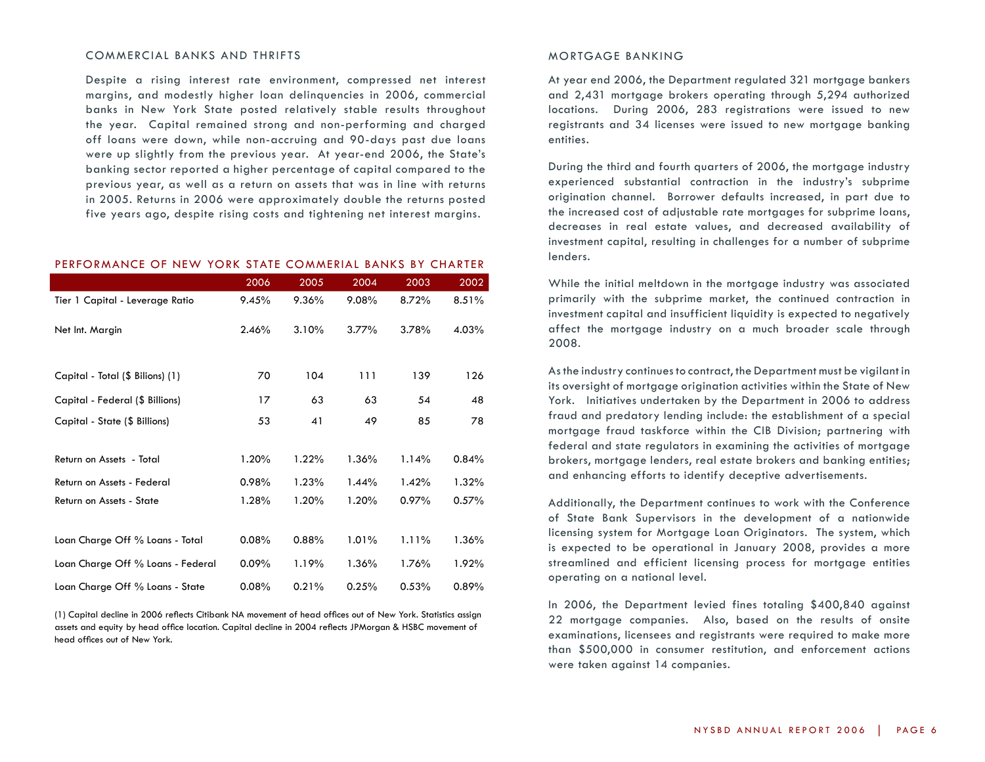#### COMMERCIAL BANKS AND THRIFTS

Despite a rising interest rate environment, compressed net interest margins, and modestly higher loan delinquencies in 2006, commercial banks in New York State posted relatively stable results throughout the year. Capital remained strong and non-performing and charged off loans were down, while non-accruing and 90-days past due loans were up slightly from the previous year. At year-end 2006, the State's banking sector reported a higher percentage of capital compared to the previous year, as well as a return on assets that was in line with returns in 2005. Returns in 2006 were approximately double the returns posted five years ago, despite rising costs and tightening net interest margins.

## Performance of New York State Commerial Banks By Charter

|                                   | 2006  | 2005  | 2004  | 2003  | 2002     |
|-----------------------------------|-------|-------|-------|-------|----------|
| Tier 1 Capital - Leverage Ratio   | 9.45% | 9.36% | 9.08% | 8.72% | 8.51%    |
| Net Int. Margin                   | 2.46% | 3.10% | 3.77% | 3.78% | 4.03%    |
|                                   |       |       |       |       |          |
| Capital - Total (\$ Bilions) (1)  | 70    | 104   | 111   | 139   | 126      |
| Capital - Federal (\$ Billions)   | 17    | 63    | 63    | 54    | 48       |
| Capital - State (\$ Billions)     | 53    | 41    | 49    | 85    | 78       |
|                                   |       |       |       |       |          |
| Return on Assets - Total          | 1.20% | 1.22% | 1.36% | 1.14% | 0.84%    |
| Return on Assets - Federal        | 0.98% | 1.23% | 1.44% | 1.42% | 1.32%    |
| Return on Assets - State          | 1.28% | 1.20% | 1.20% | 0.97% | 0.57%    |
|                                   |       |       |       |       |          |
| Loan Charge Off % Loans - Total   | 0.08% | 0.88% | 1.01% | 1.11% | $1.36\%$ |
| Loan Charge Off % Loans - Federal | 0.09% | 1.19% | 1.36% | 1.76% | 1.92%    |
| Loan Charge Off % Loans - State   | 0.08% | 0.21% | 0.25% | 0.53% | 0.89%    |

(1) Capital decline in 2006 reflects Citibank NA movement of head offices out of New York. Statistics assign assets and equity by head office location. Capital decline in 2004 reflects JPMorgan & HSBC movement of head offices out of New York.

#### mortgage banking

At year end 2006, the Department regulated 321 mortgage bankers and 2,431 mortgage brokers operating through 5,294 authorized locations. During 2006, 283 registrations were issued to new registrants and 34 licenses were issued to new mortgage banking entities.

During the third and fourth quarters of 2006, the mortgage industry experienced substantial contraction in the industry's subprime origination channel. Borrower defaults increased, in part due to the increased cost of adjustable rate mortgages for subprime loans, decreases in real estate values, and decreased availability of investment capital, resulting in challenges for a number of subprime lenders.

While the initial meltdown in the mortgage industry was associated primarily with the subprime market, the continued contraction in investment capital and insufficient liquidity is expected to negatively affect the mortgage industry on a much broader scale through 2008.

As the industry continues to contract, the Department must be vigilant in its oversight of mortgage origination activities within the State of New York. Initiatives undertaken by the Department in 2006 to address fraud and predatory lending include: the establishment of a special mortgage fraud taskforce within the CIB Division; partnering with federal and state regulators in examining the activities of mortgage brokers, mortgage lenders, real estate brokers and banking entities; and enhancing efforts to identify deceptive advertisements.

Additionally, the Department continues to work with the Conference of State Bank Supervisors in the development of a nationwide licensing system for Mortgage Loan Originators. The system, which is expected to be operational in January 2008, provides a more streamlined and efficient licensing process for mortgage entities operating on a national level.

In 2006, the Department levied fines totaling \$400,840 against 22 mortgage companies. Also, based on the results of onsite examinations, licensees and registrants were required to make more than \$500,000 in consumer restitution, and enforcement actions were taken against 14 companies.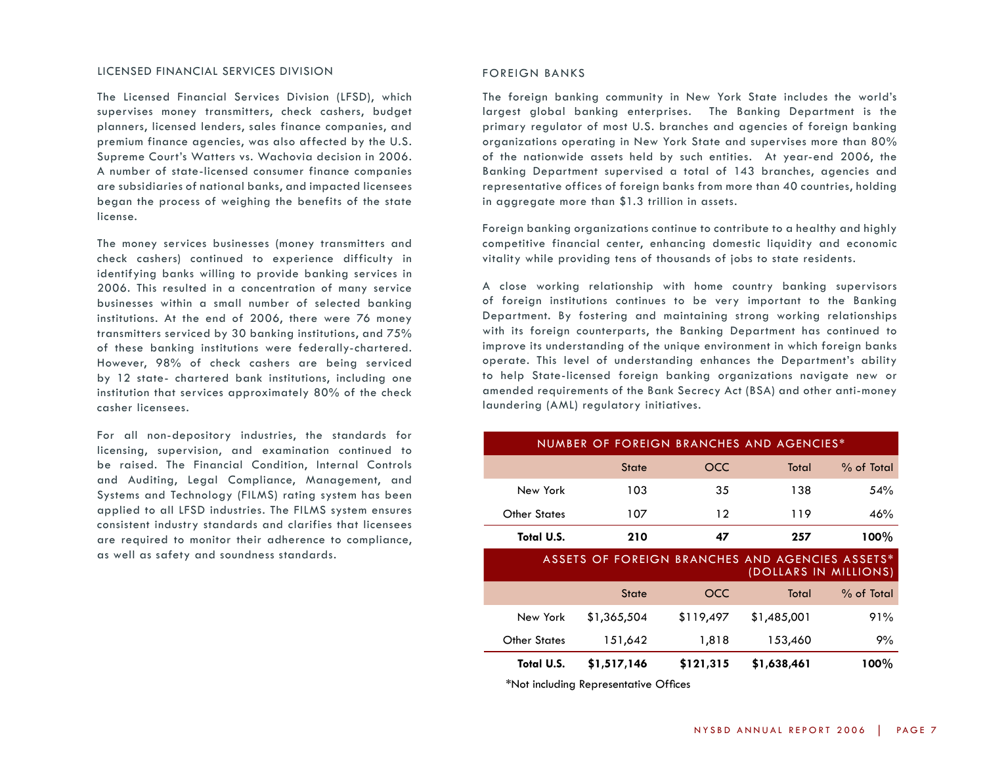#### LICENSED FINANCIAL SERVICES DIVISION

The Licensed Financial Services Division (LFSD), which supervises money transmitters, check cashers, budget planners, licensed lenders, sales finance companies, and premium finance agencies, was also affected by the U.S. Supreme Court's Watters vs. Wachovia decision in 2006. A number of state-licensed consumer finance companies are subsidiaries of national banks, and impacted licensees began the process of weighing the benefits of the state license.

The money services businesses (money transmitters and check cashers) continued to experience difficulty in identifying banks willing to provide banking services in 2006. This resulted in a concentration of many service businesses within a small number of selected banking institutions. At the end of 2006, there were 76 money transmitters serviced by 30 banking institutions, and 75% of these banking institutions were federally-chartered. However, 98% of check cashers are being serviced by 12 state- chartered bank institutions, including one institution that services approximately 80% of the check casher licensees.

For all non-depository industries, the standards for licensing, supervision, and examination continued to be raised. The Financial Condition, Internal Controls and Auditing, Legal Compliance, Management, and Systems and Technology (FILMS) rating system has been applied to all LFSD industries. The FILMS system ensures consistent industry standards and clarifies that licensees are required to monitor their adherence to compliance, as well as safety and soundness standards.

#### FOREIGN BANKS

The foreign banking community in New York State includes the world's largest global banking enterprises. The Banking Department is the primary regulator of most U.S. branches and agencies of foreign banking organizations operating in New York State and supervises more than 80% of the nationwide assets held by such entities. At year-end 2006, the Banking Department supervised a total of 143 branches, agencies and representative offices of foreign banks from more than 40 countries, holding in aggregate more than \$1.3 trillion in assets.

Foreign banking organizations continue to contribute to a healthy and highly competitive financial center, enhancing domestic liquidity and economic vitality while providing tens of thousands of jobs to state residents.

A close working relationship with home country banking supervisors of foreign institutions continues to be very important to the Banking Department. By fostering and maintaining strong working relationships with its foreign counterparts, the Banking Department has continued to improve its understanding of the unique environment in which foreign banks operate. This level of understanding enhances the Department's ability to help State-licensed foreign banking organizations navigate new or amended requirements of the Bank Secrecy Act (BSA) and other anti-money laundering (AML) regulatory initiatives.

| NUMBER OF FOREIGN BRANCHES AND AGENCIES* |              |      |       |              |  |  |  |  |  |
|------------------------------------------|--------------|------|-------|--------------|--|--|--|--|--|
|                                          | <b>State</b> | OCC. | Total | $%$ of Total |  |  |  |  |  |
| New York                                 | 103          | 35   | 138   | 54%          |  |  |  |  |  |
| <b>Other States</b>                      | 107          | 12   | 119   | 46%          |  |  |  |  |  |
| Total U.S.                               | 210          |      | 257   | $100\%$      |  |  |  |  |  |

| ASSETS OF FOREIGN BRANCHES AND AGENCIES ASSETS* |                       |
|-------------------------------------------------|-----------------------|
|                                                 | (DOLLARS IN MILLIONS) |

| Total U.S.          | \$1,517,146  | \$121,315 | \$1,638,461 | $100\%$      |
|---------------------|--------------|-----------|-------------|--------------|
| <b>Other States</b> | 151,642      | 1,818     | 153,460     | 9%           |
| New York            | \$1,365,504  | \$119,497 | \$1,485,001 | 91%          |
|                     | <b>State</b> | OCC.      | Total       | $%$ of Total |

\*Not including Representative Offices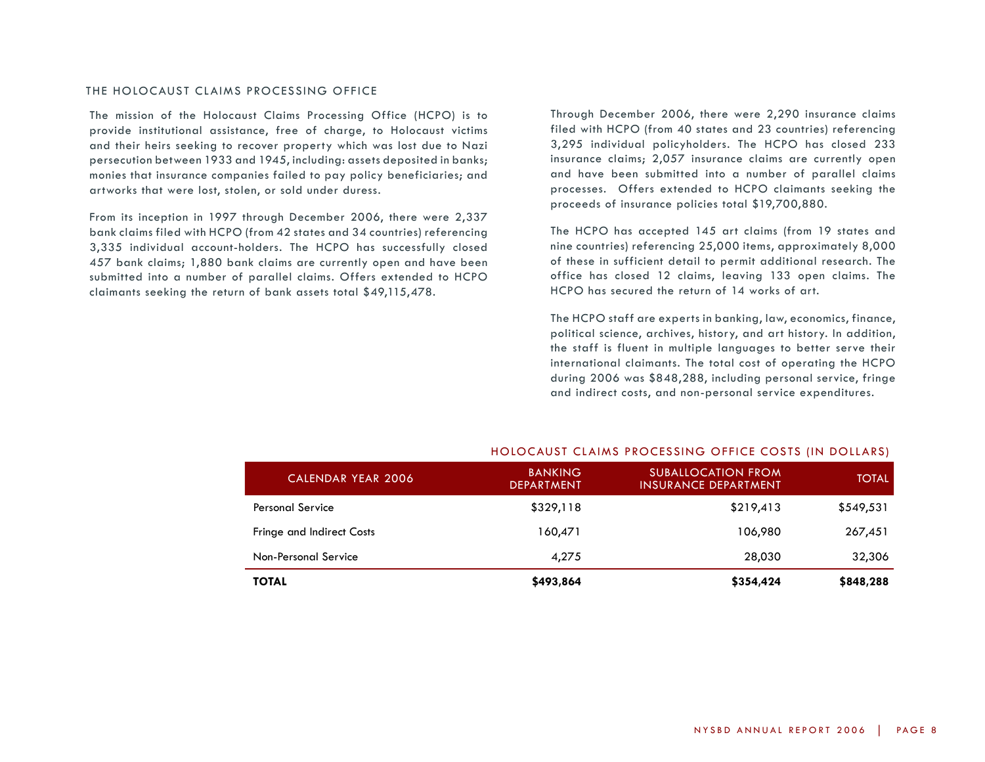#### THE HOLOCAUST CLAIMS PROCESSING OFFICE

The mission of the Holocaust Claims Processing Office (HCPO) is to provide institutional assistance, free of charge, to Holocaust victims and their heirs seeking to recover property which was lost due to Nazi persecution between 1933 and 1945, including: assets deposited in banks; monies that insurance companies failed to pay policy beneficiaries; and artworks that were lost, stolen, or sold under duress.

From its inception in 1997 through December 2006, there were 2,337 bank claims filed with HCPO (from 42 states and 34 countries) referencing 3,335 individual account-holders. The HCPO has successfully closed 457 bank claims; 1,880 bank claims are currently open and have been submitted into a number of parallel claims. Offers extended to HCPO claimants seeking the return of bank assets total \$49,115,478.

Through December 2006, there were 2,290 insurance claims filed with HCPO (from 40 states and 23 countries) referencing 3,295 individual policyholders. The HCPO has closed 233 insurance claims; 2,057 insurance claims are currently open and have been submitted into a number of parallel claims processes. Offers extended to HCPO claimants seeking the proceeds of insurance policies total \$19,700,880.

The HCPO has accepted 145 art claims (from 19 states and nine countries) referencing 25,000 items, approximately 8,000 of these in sufficient detail to permit additional research. The office has closed 12 claims, leaving 133 open claims. The HCPO has secured the return of 14 works of art.

The HCPO staff are experts in banking, law, economics, finance, political science, archives, history, and art history. In addition, the staff is fluent in multiple languages to better serve their international claimants. The total cost of operating the HCPO during 2006 was \$848,288, including personal service, fringe and indirect costs, and non-personal service expenditures.

| <b>CALENDAR YEAR 2006</b>        | <b>BANKING</b><br><b>DEPARTMENT</b> | <b>SUBALLOCATION FROM</b><br><b>INSURANCE DEPARTMENT</b> | <b>TOTAL</b> |
|----------------------------------|-------------------------------------|----------------------------------------------------------|--------------|
| <b>Personal Service</b>          | \$329,118                           | \$219,413                                                | \$549,531    |
| <b>Fringe and Indirect Costs</b> | 160,471                             | 106.980                                                  | 267,451      |
| Non-Personal Service             | 4,275                               | 28,030                                                   | 32,306       |
| <b>TOTAL</b>                     | \$493,864                           | \$354,424                                                | \$848,288    |

#### HOLOCAUST claims processing OFFICE COSTS (in Dollars)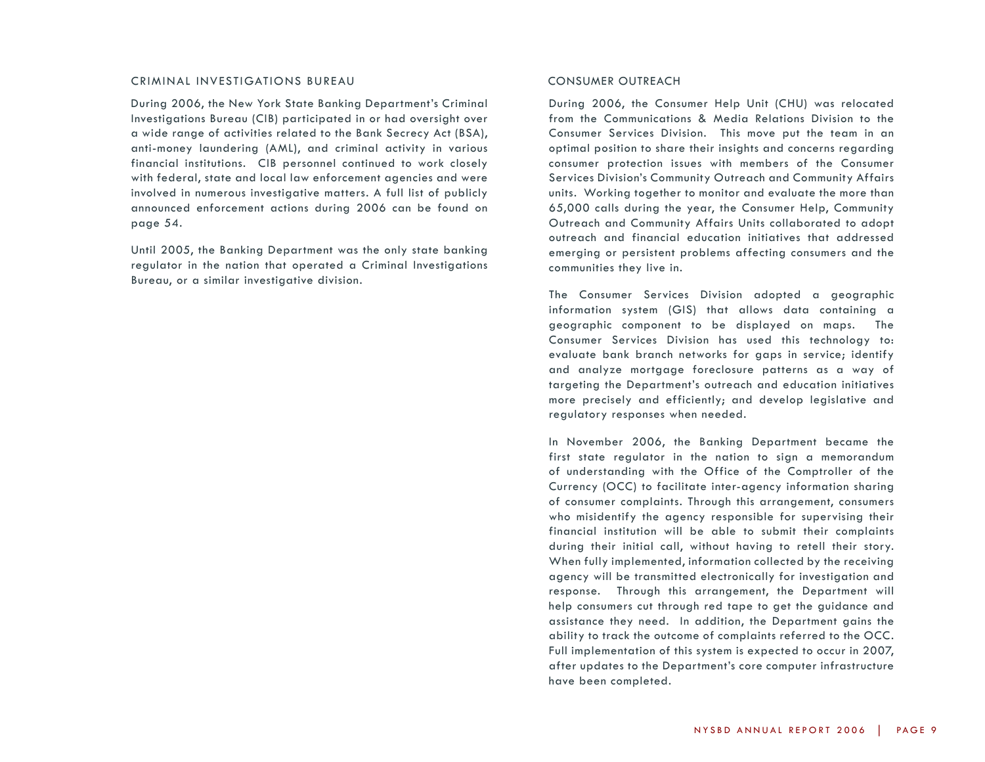#### Criminal Investigations Bureau

During 2006, the New York State Banking Department's Criminal Investigations Bureau (CIB) participated in or had oversight over a wide range of activities related to the Bank Secrecy Act (BSA), anti-money laundering (AML), and criminal activity in various financial institutions. CIB personnel continued to work closely with federal, state and local law enforcement agencies and were involved in numerous investigative matters. A full list of publicly announced enforcement actions during 2006 can be found on page 54.

Until 2005, the Banking Department was the only state banking regulator in the nation that operated a Criminal Investigations Bureau, or a similar investigative division.

#### CONSUMER OUTREACH

During 2006, the Consumer Help Unit (CHU) was relocated from the Communications & Media Relations Division to the Consumer Services Division. This move put the team in an optimal position to share their insights and concerns regarding consumer protection issues with members of the Consumer Services Division's Community Outreach and Community Affairs units. Working together to monitor and evaluate the more than 65,000 calls during the year, the Consumer Help, Community Outreach and Community Affairs Units collaborated to adopt outreach and financial education initiatives that addressed emerging or persistent problems affecting consumers and the communities they live in.

The Consumer Services Division adopted a geographic information system (GIS) that allows data containing a geographic component to be displayed on maps. The Consumer Services Division has used this technology to: evaluate bank branch networks for gaps in service; identify and analyze mortgage foreclosure patterns as a way of targeting the Department's outreach and education initiatives more precisely and efficiently; and develop legislative and regulatory responses when needed.

In November 2006, the Banking Department became the first state regulator in the nation to sign a memorandum of understanding with the Office of the Comptroller of the Currency (OCC) to facilitate inter-agency information sharing of consumer complaints. Through this arrangement, consumers who misidentify the agency responsible for supervising their financial institution will be able to submit their complaints during their initial call, without having to retell their story. When fully implemented, information collected by the receiving agency will be transmitted electronically for investigation and response. Through this arrangement, the Department will help consumers cut through red tape to get the guidance and assistance they need. In addition, the Department gains the ability to track the outcome of complaints referred to the OCC. Full implementation of this system is expected to occur in 2007, after updates to the Department's core computer infrastructure have been completed.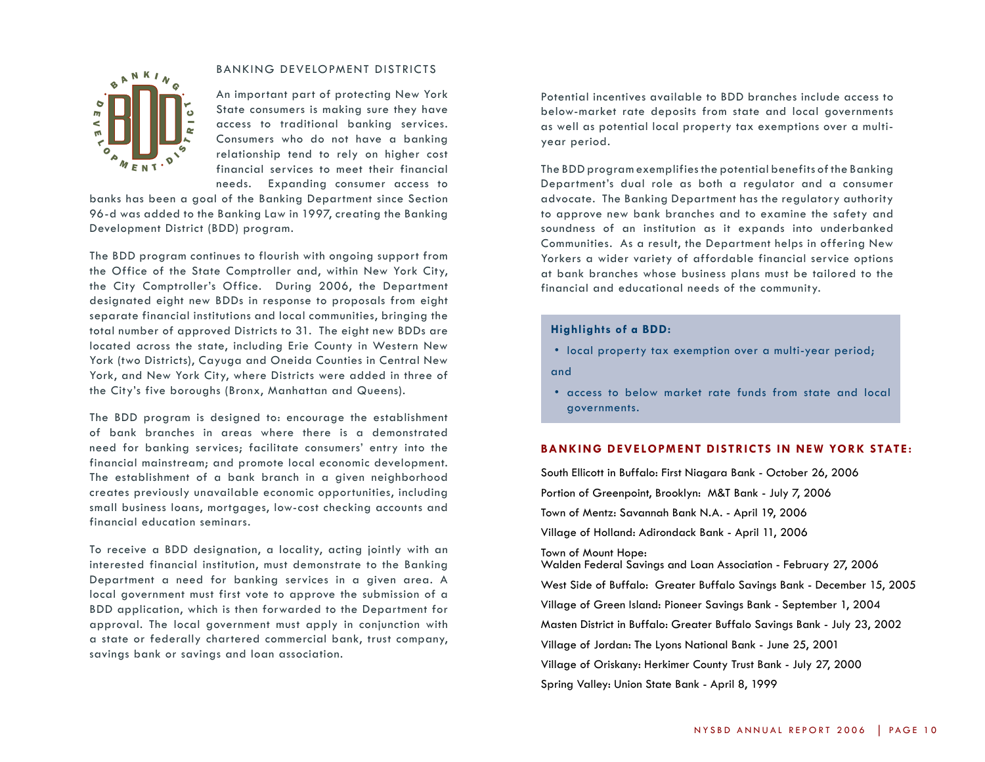#### BANKING DEVELOPMENT DISTRICTS



An important part of protecting New York State consumers is making sure they have access to traditional banking services. Consumers who do not have a banking relationship tend to rely on higher cost financial services to meet their financial needs. Expanding consumer access to

banks has been a goal of the Banking Department since Section 96-d was added to the Banking Law in 1997, creating the Banking Development District (BDD) program.

The BDD program continues to flourish with ongoing support from the Office of the State Comptroller and, within New York City, the City Comptroller's Office. During 2006, the Department designated eight new BDDs in response to proposals from eight separate financial institutions and local communities, bringing the total number of approved Districts to 31. The eight new BDDs are located across the state, including Erie County in Western New York (two Districts), Cayuga and Oneida Counties in Central New York, and New York City, where Districts were added in three of the City's five boroughs (Bronx, Manhattan and Queens).

The BDD program is designed to: encourage the establishment of bank branches in areas where there is a demonstrated need for banking services; facilitate consumers' entry into the financial mainstream; and promote local economic development. The establishment of a bank branch in a given neighborhood creates previously unavailable economic opportunities, including small business loans, mortgages, low-cost checking accounts and financial education seminars.

To receive a BDD designation, a locality, acting jointly with an interested financial institution, must demonstrate to the Banking Department a need for banking services in a given area. A local government must first vote to approve the submission of a BDD application, which is then forwarded to the Department for approval. The local government must apply in conjunction with a state or federally chartered commercial bank, trust company, savings bank or savings and loan association.

Potential incentives available to BDD branches include access to below-market rate deposits from state and local governments as well as potential local property tax exemptions over a multiyear period.

The BDD program exemplifies the potential benefits of the Banking Department's dual role as both a regulator and a consumer advocate. The Banking Department has the regulatory authority to approve new bank branches and to examine the safety and soundness of an institution as it expands into underbanked Communities. As a result, the Department helps in offering New Yorkers a wider variety of affordable financial service options at bank branches whose business plans must be tailored to the financial and educational needs of the community.

## **Highlights of a BDD:**

• local property tax exemption over a multi-year period;

and

• access to below market rate funds from state and local governments.

## **Banking development Districts in New York State :**

South Ellicott in Buffalo: First Niagara Bank - October 26, 2006 Portion of Greenpoint, Brooklyn: M&T Bank - July 7, 2006 Town of Mentz: Savannah Bank N.A. - April 19, 2006 Village of Holland: Adirondack Bank - April 11, 2006 Town of Mount Hope: Walden Federal Savings and Loan Association - February 27, 2006 West Side of Buffalo: Greater Buffalo Savings Bank - December 15, 2005 Village of Green Island: Pioneer Savings Bank - September 1, 2004 Masten District in Buffalo: Greater Buffalo Savings Bank - July 23, 2002 Village of Jordan: The Lyons National Bank - June 25, 2001 Village of Oriskany: Herkimer County Trust Bank - July 27, 2000 Spring Valley: Union State Bank - April 8, 1999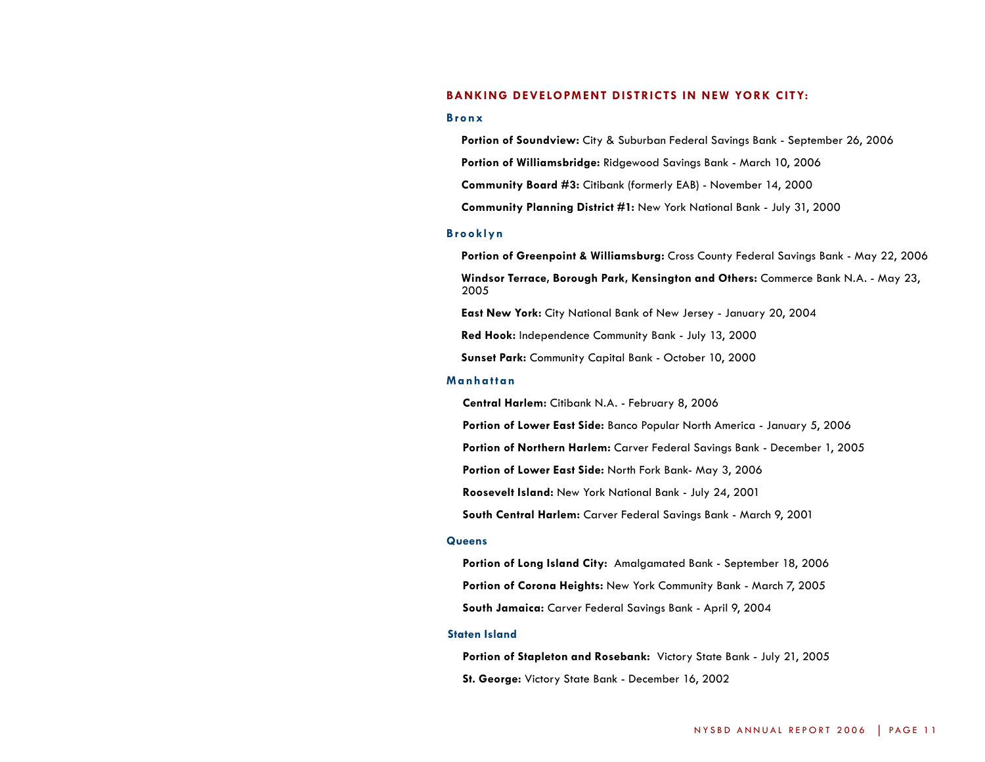#### **Banking development Districts in New York City:**

#### **B ronx**

**Portion of Soundview:** City & Suburban Federal Savings Bank - September 26, 2006 **Portion of Williamsbridge:** Ridgewood Savings Bank - March 10, 2006 **Community Board #3:** Citibank (formerly EAB) - November 14, 2000 **Community Planning District #1:** New York National Bank - July 31, 2000

#### **Brooklyn**

**Portion of Greenpoint & Williamsburg:** Cross County Federal Savings Bank - May 22, 2006 **Windsor Terrace, Borough Park, Kensington and Others:** Commerce Bank N.A. - May 23, 2005

**East New York:** City National Bank of New Jersey - January 20, 2004

**Red Hook:** Independence Community Bank - July 13, 2000

**Sunset Park:** Community Capital Bank - October 10, 2000

#### **Manhattan**

**Central Harlem:** Citibank N.A. - February 8, 2006

**Portion of Lower East Side:** Banco Popular North America - January 5, 2006

**Portion of Northern Harlem:** Carver Federal Savings Bank - December 1, 2005

**Portion of Lower East Side:** North Fork Bank- May 3, 2006

**Roosevelt Island:** New York National Bank - July 24, 2001

**South Central Harlem:** Carver Federal Savings Bank - March 9, 2001

#### **Queens**

**Portion of Long Island City:** Amalgamated Bank - September 18, 2006 **Portion of Corona Heights:** New York Community Bank - March 7, 2005 **South Jamaica:** Carver Federal Savings Bank - April 9, 2004

#### **Staten Island**

**Portion of Stapleton and Rosebank:** Victory State Bank - July 21, 2005 **St. George:** Victory State Bank - December 16, 2002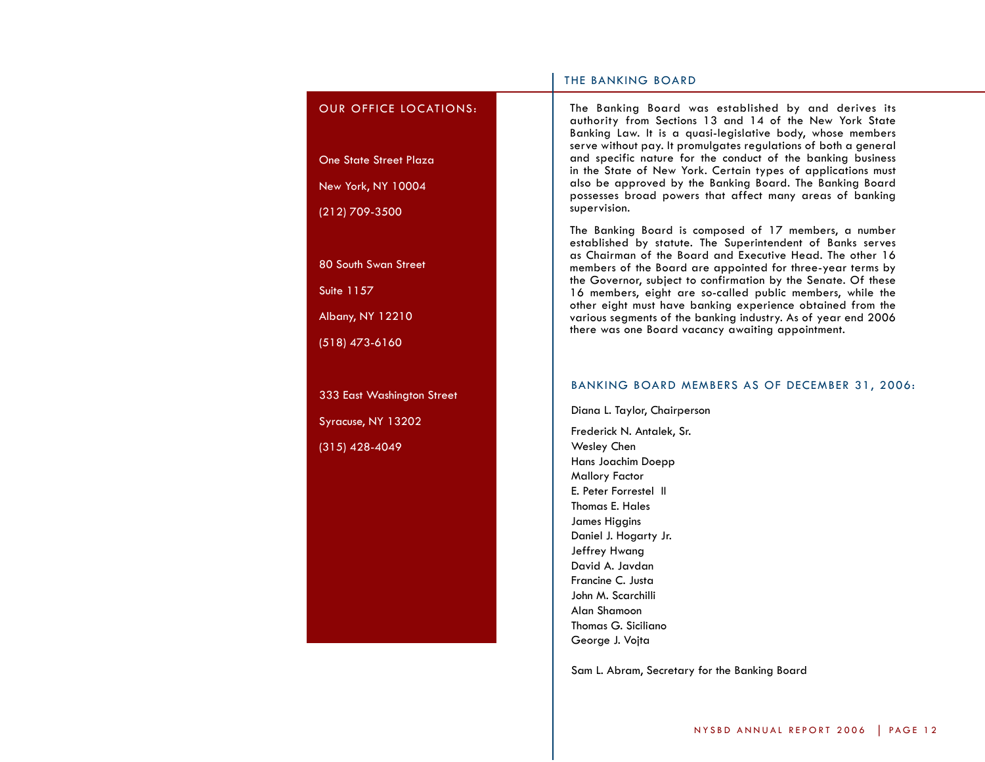## OUR OFFICE LOCATIONS:

One State Street Plaza

New York, NY 10004

(212) 709-3500

80 South Swan Street

Suite 1157

Albany, NY 12210

(518) 473-6160

333 East Washington Street Syracuse, NY 13202 (315) 428-4049

## THE BANKING BOARD

The Banking Board was established by and derives its authority from Sections 13 and 14 of the New York State Banking Law. It is a quasi-legislative body, whose members serve without pay. It promulgates regulations of both a general and specific nature for the conduct of the banking business in the State of New York. Certain types of applications must also be approved by the Banking Board. The Banking Board possesses broad powers that affect many areas of banking supervision.

The Banking Board is composed of 17 members, a number as Chairman of the Board and Executive Head. The other 16 members of the Board are appointed for three-year terms by the Governor, subject to confirmation by the Senate. Of these 16 members, eight are so-called public members, while the other eight must have banking experience obtained from the various segments of the banking industry. As of year end 2006 there was one Board vacancy awaiting appointment.

#### Banking Board Members as of December 31, 2006:

Diana L. Taylor, Chairperson Frederick N. Antalek, Sr. Wesley Chen Hans Joachim Doepp Mallory Factor E. Peter Forrestel II Thomas E. Hales James Higgins Daniel J. Hogarty Jr. Jeffrey Hwang David A. Javdan Francine C. Justa John M. Scarchilli Alan Shamoon Thomas G. Siciliano George J. Vojta

Sam L. Abram, Secretary for the Banking Board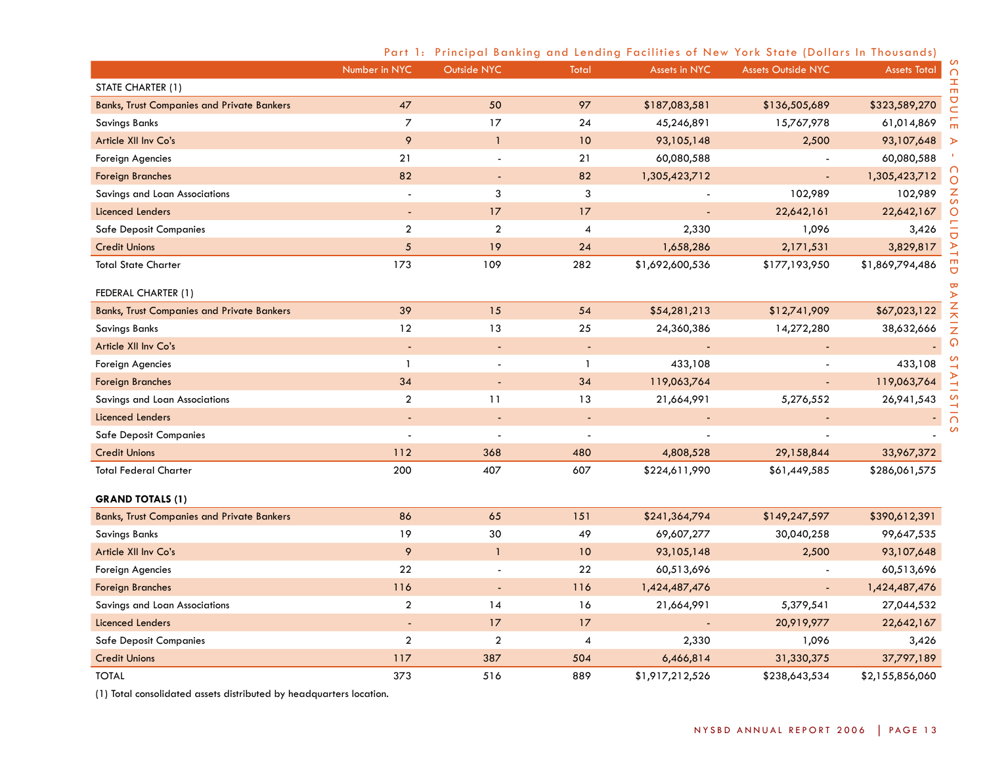|                                                   | Number in NYC    | Outside NYC    | <b>Total</b>             | <b>Assets in NYC</b> | <b>Assets Outside NYC</b> | <b>Assets Total</b> | $\cap$           |
|---------------------------------------------------|------------------|----------------|--------------------------|----------------------|---------------------------|---------------------|------------------|
| STATE CHARTER (1)                                 |                  |                |                          |                      |                           |                     | Ŧ<br>m           |
| <b>Banks, Trust Companies and Private Bankers</b> | 47               | 50             | 97                       | \$187,083,581        | \$136,505,689             | \$323,589,270       | $\overline{C}$   |
| Savings Banks                                     | $\overline{z}$   | 17             | 24                       | 45,246,891           | 15,767,978                | 61,014,869          | m<br>m           |
| Article XII Inv Co's                              | 9                | $\mathbf{1}$   | 10                       | 93,105,148           | 2,500                     | 93,107,648          | $\triangleright$ |
| Foreign Agencies                                  | 21               | $\blacksquare$ | 21                       | 60,080,588           |                           | 60,080,588          |                  |
| <b>Foreign Branches</b>                           | 82               | $\blacksquare$ | 82                       | 1,305,423,712        | $\overline{\phantom{a}}$  | 1,305,423,712       | $\circ$          |
| Savings and Loan Associations                     | $\blacksquare$   | 3              | 3                        |                      | 102,989                   | 102,989             | $\frac{z}{s}$    |
| <b>Licenced Lenders</b>                           |                  | 17             | 17                       |                      | 22,642,161                | 22,642,167          | $\circ$          |
| <b>Safe Deposit Companies</b>                     | $\boldsymbol{2}$ | $\overline{2}$ | 4                        | 2,330                | 1,096                     | 3,426               |                  |
| <b>Credit Unions</b>                              | $5\phantom{.0}$  | 19             | 24                       | 1,658,286            | 2,171,531                 | 3,829,817           | D A              |
| <b>Total State Charter</b>                        | 173              | 109            | 282                      | \$1,692,600,536      | \$177,193,950             | \$1,869,794,486     | J                |
| FEDERAL CHARTER (1)                               |                  |                |                          |                      |                           |                     |                  |
| <b>Banks, Trust Companies and Private Bankers</b> | 39               | 15             | 54                       | \$54,281,213         | \$12,741,909              | \$67,023,122        | <b>BANK</b>      |
| <b>Savings Banks</b>                              | 12               | 13             | 25                       | 24,360,386           | 14,272,280                | 38,632,666          | $\bar{z}$        |
| Article XII Inv Co's                              | $\blacksquare$   | $\blacksquare$ | $\blacksquare$           |                      |                           |                     | $\Omega$         |
| Foreign Agencies                                  | $\mathbf{1}$     |                | $\mathbf{1}$             | 433,108              |                           | 433,108             |                  |
| <b>Foreign Branches</b>                           | 34               |                | 34                       | 119,063,764          |                           | 119,063,764         |                  |
| Savings and Loan Associations                     | $\overline{a}$   | 11             | 13                       | 21,664,991           | 5,276,552                 | 26, 941, 543        | S                |
| Licenced Lenders                                  |                  |                | $\overline{\phantom{a}}$ |                      |                           |                     | <b>TICS</b>      |
| <b>Safe Deposit Companies</b>                     |                  |                |                          |                      |                           |                     |                  |
| <b>Credit Unions</b>                              | 112              | 368            | 480                      | 4,808,528            | 29,158,844                | 33,967,372          |                  |
| <b>Total Federal Charter</b>                      | 200              | 407            | 607                      | \$224,611,990        | \$61,449,585              | \$286,061,575       |                  |
| <b>GRAND TOTALS (1)</b>                           |                  |                |                          |                      |                           |                     |                  |
| <b>Banks, Trust Companies and Private Bankers</b> | 86               | 65             | 151                      | \$241,364,794        | \$149,247,597             | \$390,612,391       |                  |
| <b>Savings Banks</b>                              | 19               | 30             | 49                       | 69,607,277           | 30,040,258                | 99,647,535          |                  |
| Article XII Inv Co's                              | 9                | $\mathbf{1}$   | 10                       | 93,105,148           | 2,500                     | 93,107,648          |                  |
| Foreign Agencies                                  | 22               |                | 22                       | 60,513,696           |                           | 60,513,696          |                  |
| <b>Foreign Branches</b>                           | 116              | $\blacksquare$ | 116                      | 1,424,487,476        | $\blacksquare$            | 1,424,487,476       |                  |
| Savings and Loan Associations                     | $\overline{2}$   | 14             | 16                       | 21,664,991           | 5,379,541                 | 27,044,532          |                  |
| <b>Licenced Lenders</b>                           |                  | 17             | 17                       |                      | 20,919,977                | 22,642,167          |                  |
| <b>Safe Deposit Companies</b>                     | $\boldsymbol{2}$ | $\overline{a}$ | 4                        | 2,330                | 1,096                     | 3,426               |                  |
| <b>Credit Unions</b>                              | 117              | 387            | 504                      | 6,466,814            | 31,330,375                | 37,797,189          |                  |
| <b>TOTAL</b>                                      | 373              | 516            | 889                      | \$1,917,212,526      | \$238,643,534             | \$2,155,856,060     |                  |

# Part 1: Principal Banking and Lending Facilities of New York State (Dollars In Thousands)

(1) Total consolidated assets distributed by headquarters location.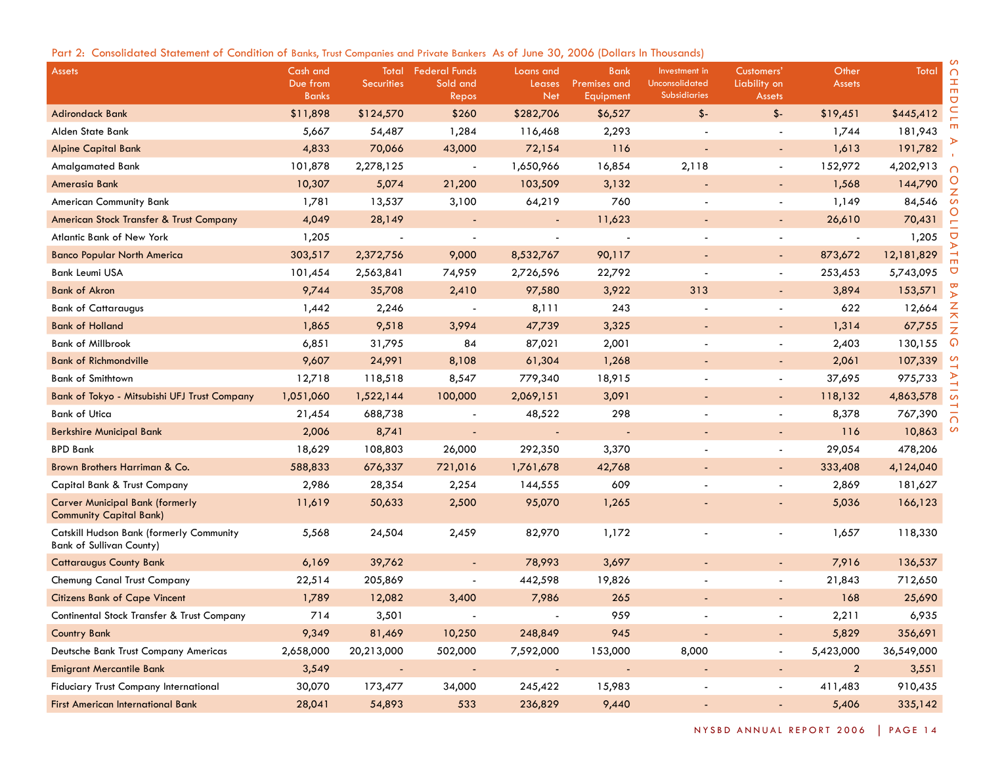|  |  |  |  |  |  | Part 2: Consolidated Statement of Condition of Banks, Trust Companies and Private Bankers As of June 30, 2006 (Dollars In Thousands) |  |  |  |  |  |
|--|--|--|--|--|--|--------------------------------------------------------------------------------------------------------------------------------------|--|--|--|--|--|
|--|--|--|--|--|--|--------------------------------------------------------------------------------------------------------------------------------------|--|--|--|--|--|

| <b>Assets</b>                                                                      | Cash and<br>Due from | Total<br><b>Securities</b> | <b>Federal Funds</b><br>Sold and | Loans and<br>Leases | <b>Bank</b><br>Premises and | Investment in<br><b>Unconsolidated</b> | Customers'<br>Liability on | Other<br><b>Assets</b> | Total      | $\cap$<br>H<br>$\mathbf{m}$ |
|------------------------------------------------------------------------------------|----------------------|----------------------------|----------------------------------|---------------------|-----------------------------|----------------------------------------|----------------------------|------------------------|------------|-----------------------------|
|                                                                                    | <b>Banks</b>         |                            | Repos                            | Net                 | Equipment                   | <b>Subsidiaries</b>                    | <b>Assets</b>              |                        |            | $\bigcirc$                  |
| <b>Adirondack Bank</b>                                                             | \$11,898             | \$124,570                  | \$260                            | \$282,706           | \$6,527                     | $$-$                                   | \$-                        | \$19,451               | \$445,412  |                             |
| Alden State Bank                                                                   | 5,667                | 54,487                     | 1,284                            | 116,468             | 2,293                       |                                        |                            | 1,744                  | 181,943    |                             |
| <b>Alpine Capital Bank</b>                                                         | 4,833                | 70,066                     | 43,000                           | 72,154              | 116                         |                                        | ÷                          | 1,613                  | 191,782    |                             |
| Amalgamated Bank                                                                   | 101,878              | 2,278,125                  | $\overline{\phantom{a}}$         | 1,650,966           | 16,854                      | 2,118                                  | $\blacksquare$             | 152,972                | 4,202,913  |                             |
| Amerasia Bank                                                                      | 10,307               | 5,074                      | 21,200                           | 103,509             | 3,132                       |                                        |                            | 1,568                  | 144,790    |                             |
| <b>American Community Bank</b>                                                     | 1,781                | 13,537                     | 3,100                            | 64,219              | 760                         |                                        | $\overline{\phantom{a}}$   | 1,149                  | 84,546     |                             |
| American Stock Transfer & Trust Company                                            | 4,049                | 28,149                     |                                  |                     | 11,623                      |                                        | $\blacksquare$             | 26,610                 | 70,431     |                             |
| Atlantic Bank of New York                                                          | 1,205                |                            |                                  |                     |                             |                                        |                            |                        | 1,205      | ヮ                           |
| <b>Banco Popular North America</b>                                                 | 303,517              | 2,372,756                  | 9,000                            | 8,532,767           | 90,117                      |                                        | $\blacksquare$             | 873,672                | 12,181,829 |                             |
| <b>Bank Leumi USA</b>                                                              | 101,454              | 2,563,841                  | 74,959                           | 2,726,596           | 22,792                      |                                        | $\overline{\phantom{a}}$   | 253,453                | 5,743,095  | ヮ                           |
| <b>Bank of Akron</b>                                                               | 9,744                | 35,708                     | 2,410                            | 97,580              | 3,922                       | 313                                    | $\overline{\phantom{a}}$   | 3,894                  | 153,571    |                             |
| <b>Bank of Cattaraugus</b>                                                         | 1,442                | 2,246                      |                                  | 8,111               | 243                         |                                        |                            | 622                    | 12,664     | Z                           |
| <b>Bank of Holland</b>                                                             | 1,865                | 9,518                      | 3,994                            | 47,739              | 3,325                       |                                        | $\blacksquare$             | 1,314                  | 67,755     | ᅎ                           |
| <b>Bank of Millbrook</b>                                                           | 6,851                | 31,795                     | 84                               | 87,021              | 2,001                       |                                        | $\overline{\phantom{a}}$   | 2,403                  | 130,155    | ດ                           |
| <b>Bank of Richmondville</b>                                                       | 9,607                | 24,991                     | 8,108                            | 61,304              | 1,268                       |                                        | $\blacksquare$             | 2,061                  | 107,339    |                             |
| <b>Bank of Smithtown</b>                                                           | 12,718               | 118,518                    | 8,547                            | 779,340             | 18,915                      |                                        | $\overline{\phantom{a}}$   | 37,695                 | 975,733    |                             |
| Bank of Tokyo - Mitsubishi UFJ Trust Company                                       | 1,051,060            | 1,522,144                  | 100,000                          | 2,069,151           | 3,091                       |                                        | $\blacksquare$             | 118,132                | 4,863,578  |                             |
| <b>Bank of Utica</b>                                                               | 21,454               | 688,738                    |                                  | 48,522              | 298                         |                                        |                            | 8,378                  | 767,390    |                             |
| <b>Berkshire Municipal Bank</b>                                                    | 2,006                | 8,741                      |                                  |                     |                             |                                        | $\overline{\phantom{0}}$   | 116                    | 10,863     |                             |
| <b>BPD Bank</b>                                                                    | 18,629               | 108,803                    | 26,000                           | 292,350             | 3,370                       |                                        | $\blacksquare$             | 29,054                 | 478,206    |                             |
| Brown Brothers Harriman & Co.                                                      | 588,833              | 676,337                    | 721,016                          | 1,761,678           | 42,768                      |                                        | ٠                          | 333,408                | 4,124,040  |                             |
| Capital Bank & Trust Company                                                       | 2,986                | 28,354                     | 2,254                            | 144,555             | 609                         |                                        | $\overline{\phantom{a}}$   | 2,869                  | 181,627    |                             |
| <b>Carver Municipal Bank (formerly</b><br><b>Community Capital Bank)</b>           | 11,619               | 50,633                     | 2,500                            | 95,070              | 1,265                       |                                        |                            | 5,036                  | 166,123    |                             |
| <b>Catskill Hudson Bank (formerly Community</b><br><b>Bank of Sullivan County)</b> | 5,568                | 24,504                     | 2,459                            | 82,970              | 1,172                       |                                        |                            | 1,657                  | 118,330    |                             |
| <b>Cattaraugus County Bank</b>                                                     | 6,169                | 39,762                     |                                  | 78,993              | 3,697                       |                                        | $\blacksquare$             | 7,916                  | 136,537    |                             |
| Chemung Canal Trust Company                                                        | 22,514               | 205,869                    |                                  | 442,598             | 19,826                      |                                        |                            | 21,843                 | 712,650    |                             |
| <b>Citizens Bank of Cape Vincent</b>                                               | 1,789                | 12,082                     | 3,400                            | 7,986               | 265                         |                                        | ٠                          | 168                    | 25,690     |                             |
| Continental Stock Transfer & Trust Company                                         | 714                  | 3,501                      |                                  |                     | 959                         |                                        |                            | 2,211                  | 6,935      |                             |
| <b>Country Bank</b>                                                                | 9,349                | 81,469                     | 10,250                           | 248,849             | 945                         |                                        | ٠                          | 5,829                  | 356,691    |                             |
| Deutsche Bank Trust Company Americas                                               | 2,658,000            | 20,213,000                 | 502,000                          | 7,592,000           | 153,000                     | 8,000                                  | $\blacksquare$             | 5,423,000              | 36,549,000 |                             |
| <b>Emigrant Mercantile Bank</b>                                                    | 3,549                | $\overline{\phantom{a}}$   | $\overline{\phantom{a}}$         | $\sim$              | $\overline{\phantom{a}}$    |                                        | ◆                          | $\overline{2}$         | 3,551      |                             |
| Fiduciary Trust Company International                                              | 30,070               | 173,477                    | 34,000                           | 245,422             | 15,983                      |                                        | $\blacksquare$             | 411,483                | 910,435    |                             |
| <b>First American International Bank</b>                                           | 28,041               | 54,893                     | 533                              | 236,829             | 9,440                       |                                        | ÷                          | 5,406                  | 335,142    |                             |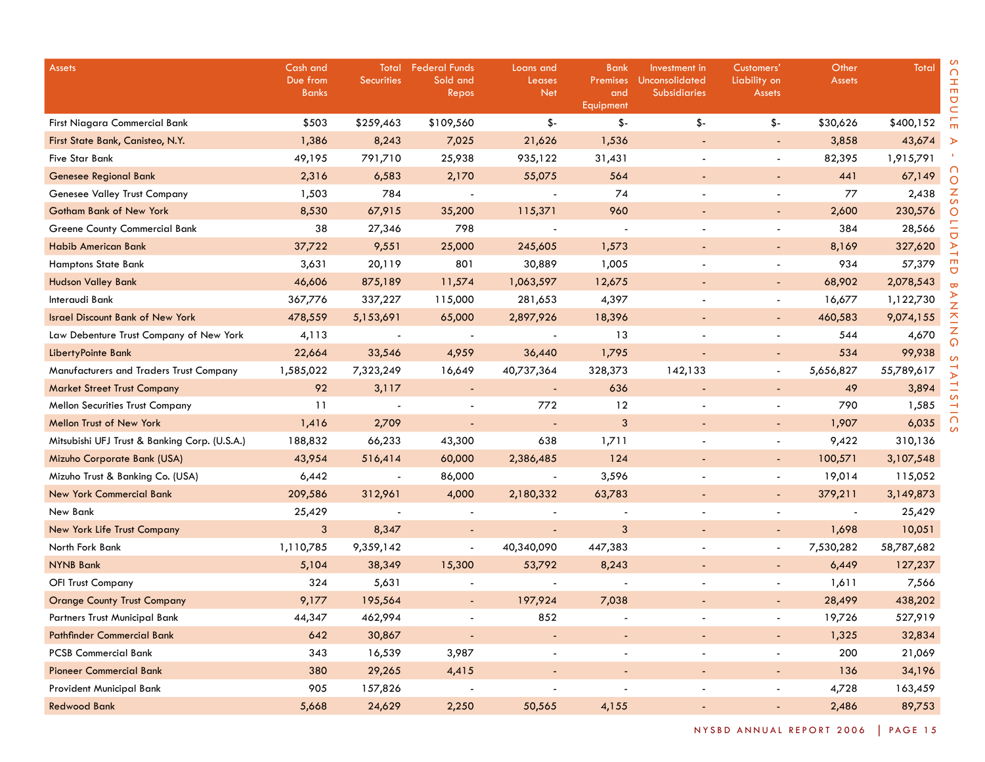| <b>Assets</b>                                 | Cash and<br>Due from<br><b>Banks</b> | Total<br><b>Securities</b> | <b>Federal Funds</b><br>Sold and<br>Repos | Loans and<br>Leases<br><b>Net</b> | Bank<br>Premises<br>and<br>Equipment | Investment in<br>Unconsolidated<br>Subsidiaries | Customers'<br>Liability on<br><b>Assets</b> | Other<br><b>Assets</b> | Total      |
|-----------------------------------------------|--------------------------------------|----------------------------|-------------------------------------------|-----------------------------------|--------------------------------------|-------------------------------------------------|---------------------------------------------|------------------------|------------|
| First Niagara Commercial Bank                 | \$503                                | \$259,463                  | \$109,560                                 | $$-$                              | \$-                                  | \$-                                             | \$-                                         | \$30,626               | \$400,152  |
| First State Bank, Canisteo, N.Y.              | 1,386                                | 8,243                      | 7,025                                     | 21,626                            | 1,536                                |                                                 | $\overline{\phantom{a}}$                    | 3,858                  | 43,674     |
| <b>Five Star Bank</b>                         | 49,195                               | 791,710                    | 25,938                                    | 935,122                           | 31,431                               |                                                 |                                             | 82,395                 | 1,915,791  |
| <b>Genesee Regional Bank</b>                  | 2,316                                | 6,583                      | 2,170                                     | 55,075                            | 564                                  |                                                 |                                             | 441                    | 67,149     |
| Genesee Valley Trust Company                  | 1,503                                | 784                        | $\overline{\phantom{a}}$                  | $\overline{\phantom{a}}$          | 74                                   |                                                 |                                             | 77                     | 2,438      |
| <b>Gotham Bank of New York</b>                | 8,530                                | 67,915                     | 35,200                                    | 115,371                           | 960                                  |                                                 |                                             | 2,600                  | 230,576    |
| Greene County Commercial Bank                 | 38                                   | 27,346                     | 798                                       |                                   |                                      |                                                 |                                             | 384                    | 28,566     |
| Habib American Bank                           | 37,722                               | 9,551                      | 25,000                                    | 245,605                           | 1,573                                |                                                 |                                             | 8,169                  | 327,620    |
| <b>Hamptons State Bank</b>                    | 3,631                                | 20,119                     | 801                                       | 30,889                            | 1,005                                |                                                 |                                             | 934                    | 57,379     |
| <b>Hudson Valley Bank</b>                     | 46,606                               | 875,189                    | 11,574                                    | 1,063,597                         | 12,675                               |                                                 | $\overline{\phantom{a}}$                    | 68,902                 | 2,078,543  |
| Interaudi Bank                                | 367,776                              | 337,227                    | 115,000                                   | 281,653                           | 4,397                                |                                                 |                                             | 16,677                 | 1,122,730  |
| <b>Israel Discount Bank of New York</b>       | 478,559                              | 5,153,691                  | 65,000                                    | 2,897,926                         | 18,396                               |                                                 |                                             | 460,583                | 9,074,155  |
| Law Debenture Trust Company of New York       | 4,113                                | $\blacksquare$             | $\overline{\phantom{a}}$                  |                                   | 13                                   |                                                 |                                             | 544                    | 4,670      |
| LibertyPointe Bank                            | 22,664                               | 33,546                     | 4,959                                     | 36,440                            | 1,795                                |                                                 |                                             | 534                    | 99,938     |
| Manufacturers and Traders Trust Company       | 1,585,022                            | 7,323,249                  | 16,649                                    | 40,737,364                        | 328,373                              | 142,133                                         | $\overline{\phantom{a}}$                    | 5,656,827              | 55,789,617 |
| <b>Market Street Trust Company</b>            | 92                                   | 3,117                      | $\blacksquare$                            | $\overline{\phantom{a}}$          | 636                                  | ٠                                               |                                             | 49                     | 3,894      |
| <b>Mellon Securities Trust Company</b>        | 11                                   |                            |                                           | 772                               | 12                                   |                                                 |                                             | 790                    | 1,585      |
| <b>Mellon Trust of New York</b>               | 1,416                                | 2,709                      | $\blacksquare$                            |                                   | 3                                    |                                                 |                                             | 1,907                  | 6,035      |
| Mitsubishi UFJ Trust & Banking Corp. (U.S.A.) | 188,832                              | 66,233                     | 43,300                                    | 638                               | 1,711                                |                                                 |                                             | 9,422                  | 310,136    |
| Mizuho Corporate Bank (USA)                   | 43,954                               | 516,414                    | 60,000                                    | 2,386,485                         | 124                                  |                                                 |                                             | 100,571                | 3,107,548  |
| Mizuho Trust & Banking Co. (USA)              | 6,442                                | $\overline{\phantom{a}}$   | 86,000                                    | $\blacksquare$                    | 3,596                                |                                                 | $\blacksquare$                              | 19,014                 | 115,052    |
| <b>New York Commercial Bank</b>               | 209,586                              | 312,961                    | 4,000                                     | 2,180,332                         | 63,783                               |                                                 |                                             | 379,211                | 3,149,873  |
| New Bank                                      | 25,429                               |                            |                                           |                                   |                                      |                                                 |                                             |                        | 25,429     |
| New York Life Trust Company                   | 3                                    | 8,347                      | $\overline{\phantom{a}}$                  | $\overline{\phantom{a}}$          | 3                                    |                                                 |                                             | 1,698                  | 10,051     |
| North Fork Bank                               | 1,110,785                            | 9,359,142                  |                                           | 40,340,090                        | 447,383                              |                                                 |                                             | 7,530,282              | 58,787,682 |
| <b>NYNB Bank</b>                              | 5,104                                | 38,349                     | 15,300                                    | 53,792                            | 8,243                                |                                                 |                                             | 6,449                  | 127,237    |
| <b>OFI Trust Company</b>                      | 324                                  | 5,631                      |                                           |                                   |                                      |                                                 |                                             | 1,611                  | 7,566      |
| <b>Orange County Trust Company</b>            | 9,177                                | 195,564                    |                                           | 197,924                           | 7,038                                |                                                 |                                             | 28,499                 | 438,202    |
| Partners Trust Municipal Bank                 | 44,347                               | 462,994                    | $\overline{\phantom{a}}$                  | 852                               |                                      | $\overline{\phantom{a}}$                        | $\overline{\phantom{a}}$                    | 19,726                 | 527,919    |
| <b>Pathfinder Commercial Bank</b>             | 642                                  | 30,867                     |                                           | $\overline{\phantom{a}}$          | $\overline{\phantom{a}}$             | $\overline{\phantom{a}}$                        | $\blacksquare$                              | 1,325                  | 32,834     |
| <b>PCSB Commercial Bank</b>                   | 343                                  | 16,539                     | 3,987                                     | $\overline{\phantom{a}}$          |                                      | $\overline{\phantom{a}}$                        | $\overline{\phantom{a}}$                    | 200                    | 21,069     |
| <b>Pioneer Commercial Bank</b>                | 380                                  | 29,265                     | 4,415                                     | $\overline{\phantom{a}}$          |                                      | $\overline{\phantom{a}}$                        | ٠                                           | 136                    | 34,196     |
| Provident Municipal Bank                      | 905                                  | 157,826                    |                                           | $\overline{\phantom{a}}$          | $\overline{\phantom{a}}$             | $\overline{\phantom{a}}$                        | $\overline{\phantom{a}}$                    | 4,728                  | 163,459    |
| <b>Redwood Bank</b>                           | 5,668                                | 24,629                     | 2,250                                     | 50,565                            | 4,155                                | $\blacksquare$                                  | $\blacksquare$                              | 2,486                  | 89,753     |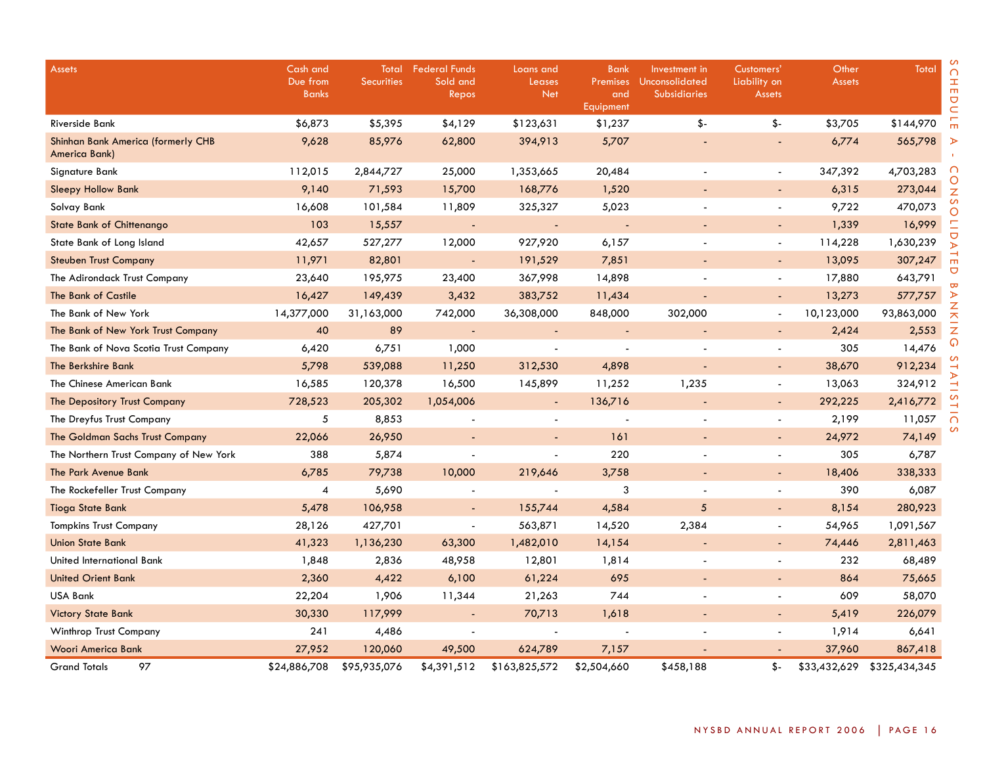| <b>Assets</b>                                       | Cash and<br>Due from<br><b>Banks</b> | Total<br><b>Securities</b> | <b>Federal Funds</b><br>Sold and<br>Repos | Loans and<br>Leases<br><b>Net</b> | <b>Bank</b><br><b>Premises</b><br>and<br>Equipment | Investment in<br>Unconsolidated<br><b>Subsidiaries</b> | Customers'<br>Liability on<br><b>Assets</b> | Other<br><b>Assets</b> | Total         | $\cap$<br>H<br>$\overline{C}$<br>$\subset$ |
|-----------------------------------------------------|--------------------------------------|----------------------------|-------------------------------------------|-----------------------------------|----------------------------------------------------|--------------------------------------------------------|---------------------------------------------|------------------------|---------------|--------------------------------------------|
| Riverside Bank                                      | \$6,873                              | \$5,395                    | \$4,129                                   | \$123,631                         | \$1,237                                            | \$-                                                    | $\frac{2}{3}$                               | \$3,705                | \$144,970     | $\overline{m}$                             |
| Shinhan Bank America (formerly CHB<br>America Bank) | 9,628                                | 85,976                     | 62,800                                    | 394,913                           | 5,707                                              |                                                        |                                             | 6,774                  | 565,798       | $\triangleright$                           |
| Signature Bank                                      | 112,015                              | 2,844,727                  | 25,000                                    | 1,353,665                         | 20,484                                             |                                                        | $\overline{\phantom{a}}$                    | 347,392                | 4,703,283     | $\cap$                                     |
| <b>Sleepy Hollow Bank</b>                           | 9,140                                | 71,593                     | 15,700                                    | 168,776                           | 1,520                                              |                                                        |                                             | 6,315                  | 273,044       | O<br>Z                                     |
| Solvay Bank                                         | 16,608                               | 101,584                    | 11,809                                    | 325,327                           | 5,023                                              |                                                        |                                             | 9,722                  | 470,073       | S<br>Ō                                     |
| <b>State Bank of Chittenango</b>                    | 103                                  | 15,557                     | $\overline{\phantom{a}}$                  | $\sim$                            | $\overline{\phantom{a}}$                           |                                                        | $\sim$                                      | 1,339                  | 16,999        | Ξ                                          |
| State Bank of Long Island                           | 42,657                               | 527,277                    | 12,000                                    | 927,920                           | 6,157                                              |                                                        | $\sim$                                      | 114,228                | 1,630,239     | U<br>У                                     |
| <b>Steuben Trust Company</b>                        | 11,971                               | 82,801                     |                                           | 191,529                           | 7,851                                              |                                                        |                                             | 13,095                 | 307,247       | $\vec{r}$                                  |
| The Adirondack Trust Company                        | 23,640                               | 195,975                    | 23,400                                    | 367,998                           | 14,898                                             |                                                        | $\sim$                                      | 17,880                 | 643,791       | ヮ<br>B                                     |
| The Bank of Castile                                 | 16,427                               | 149,439                    | 3,432                                     | 383,752                           | 11,434                                             |                                                        |                                             | 13,273                 | 577,757       | ⋗                                          |
| The Bank of New York                                | 14,377,000                           | 31,163,000                 | 742,000                                   | 36,308,000                        | 848,000                                            | 302,000                                                |                                             | 10,123,000             | 93,863,000    | $\mathbf{\bar{z}}$<br>ᄎ                    |
| The Bank of New York Trust Company                  | 40                                   | 89                         |                                           |                                   |                                                    |                                                        |                                             | 2,424                  | 2,553         | Z                                          |
| The Bank of Nova Scotia Trust Company               | 6,420                                | 6,751                      | 1,000                                     | $\blacksquare$                    | $\overline{\phantom{a}}$                           |                                                        |                                             | 305                    | 14,476        | ଜ                                          |
| The Berkshire Bank                                  | 5,798                                | 539,088                    | 11,250                                    | 312,530                           | 4,898                                              |                                                        |                                             | 38,670                 | 912,234       |                                            |
| The Chinese American Bank                           | 16,585                               | 120,378                    | 16,500                                    | 145,899                           | 11,252                                             | 1,235                                                  |                                             | 13,063                 | 324,912       | ۳                                          |
| The Depository Trust Company                        | 728,523                              | 205,302                    | 1,054,006                                 | $\blacksquare$                    | 136,716                                            |                                                        | $\sim$                                      | 292,225                | 2,416,772     |                                            |
| The Dreyfus Trust Company                           | 5                                    | 8,853                      |                                           |                                   | $\sim$                                             |                                                        | $\overline{\phantom{a}}$                    | 2,199                  | 11,057        | $\Omega$                                   |
| The Goldman Sachs Trust Company                     | 22,066                               | 26,950                     |                                           |                                   | 161                                                |                                                        |                                             | 24,972                 | 74,149        |                                            |
| The Northern Trust Company of New York              | 388                                  | 5,874                      |                                           | $\overline{a}$                    | 220                                                |                                                        |                                             | 305                    | 6,787         |                                            |
| The Park Avenue Bank                                | 6,785                                | 79,738                     | 10,000                                    | 219,646                           | 3,758                                              |                                                        | $\sim$                                      | 18,406                 | 338,333       |                                            |
| The Rockefeller Trust Company                       | 4                                    | 5,690                      |                                           |                                   | 3                                                  |                                                        |                                             | 390                    | 6,087         |                                            |
| <b>Tioga State Bank</b>                             | 5,478                                | 106,958                    |                                           | 155,744                           | 4,584                                              | 5                                                      |                                             | 8,154                  | 280,923       |                                            |
| <b>Tompkins Trust Company</b>                       | 28,126                               | 427,701                    | $\blacksquare$                            | 563,871                           | 14,520                                             | 2,384                                                  | $\sim$                                      | 54,965                 | 1,091,567     |                                            |
| <b>Union State Bank</b>                             | 41,323                               | 1,136,230                  | 63,300                                    | 1,482,010                         | 14,154                                             |                                                        | $\sim$                                      | 74,446                 | 2,811,463     |                                            |
| United International Bank                           | 1,848                                | 2,836                      | 48,958                                    | 12,801                            | 1,814                                              |                                                        |                                             | 232                    | 68,489        |                                            |
| <b>United Orient Bank</b>                           | 2,360                                | 4,422                      | 6,100                                     | 61,224                            | 695                                                |                                                        |                                             | 864                    | 75,665        |                                            |
| USA Bank                                            | 22,204                               | 1,906                      | 11,344                                    | 21,263                            | 744                                                |                                                        |                                             | 609                    | 58,070        |                                            |
| <b>Victory State Bank</b>                           | 30,330                               | 117,999                    | $\overline{\phantom{a}}$                  | 70,713                            | 1,618                                              |                                                        |                                             | 5,419                  | 226,079       |                                            |
| <b>Winthrop Trust Company</b>                       | 241                                  | 4,486                      |                                           |                                   |                                                    |                                                        |                                             | 1,914                  | 6,641         |                                            |
| <b>Woori America Bank</b>                           | 27,952                               | 120,060                    | 49,500                                    | 624,789                           | 7,157                                              |                                                        |                                             | 37,960                 | 867,418       |                                            |
| 97<br><b>Grand Totals</b>                           | \$24,886,708                         | \$95,935,076               | \$4,391,512                               | \$163,825,572                     | \$2,504,660                                        | \$458,188                                              | \$-                                         | \$33,432,629           | \$325,434,345 |                                            |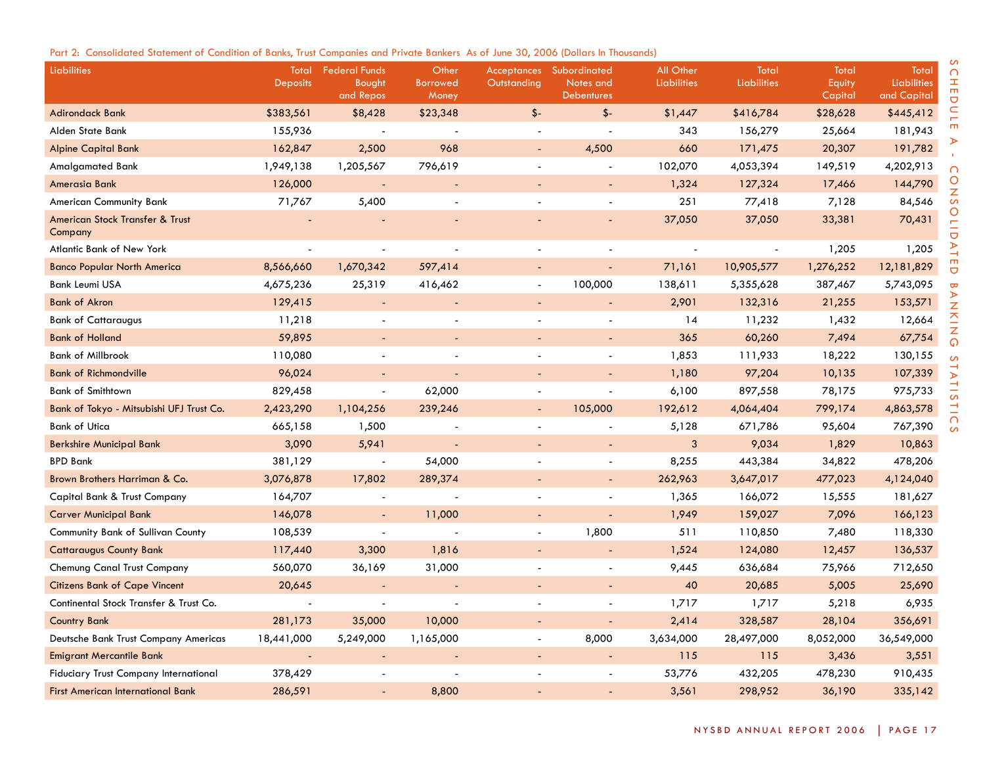|  |  |  |  |  |  | Part 2: Consolidated Statement of Condition of Banks, Trust Companies and Private Bankers As of June 30, 2006 (Dollars In Thousands) |  |  |  |  |
|--|--|--|--|--|--|--------------------------------------------------------------------------------------------------------------------------------------|--|--|--|--|
|--|--|--|--|--|--|--------------------------------------------------------------------------------------------------------------------------------------|--|--|--|--|

| Liabilities                                  | Total<br><b>Deposits</b> | <b>Federal Funds</b><br>Bought<br>and Repos | Other<br><b>Borrowed</b><br>Money | Outstanding | <b>Acceptances</b> Subordinated<br>Notes and<br><b>Debentures</b> | All Other<br>Liabilities | Total<br>Liabilities | Total<br>Equity<br>Capital | Total<br>Liabilities<br>and Capital |
|----------------------------------------------|--------------------------|---------------------------------------------|-----------------------------------|-------------|-------------------------------------------------------------------|--------------------------|----------------------|----------------------------|-------------------------------------|
| <b>Adirondack Bank</b>                       | \$383,561                | \$8,428                                     | \$23,348                          | $$ -$       | $$ -$                                                             | \$1,447                  | \$416,784            | \$28,628                   | \$445,412                           |
| Alden State Bank                             | 155,936                  |                                             |                                   |             |                                                                   | 343                      | 156,279              | 25,664                     | 181,943                             |
| <b>Alpine Capital Bank</b>                   | 162,847                  | 2,500                                       | 968                               |             | 4,500                                                             | 660                      | 171,475              | 20,307                     | 191,782                             |
| <b>Amalgamated Bank</b>                      | 1,949,138                | 1,205,567                                   | 796,619                           |             |                                                                   | 102,070                  | 4,053,394            | 149,519                    | 4,202,913                           |
| Amerasia Bank                                | 126,000                  | <b>.</b>                                    |                                   |             |                                                                   | 1,324                    | 127,324              | 17,466                     | 144,790                             |
| American Community Bank                      | 71,767                   | 5,400                                       |                                   |             |                                                                   | 251                      | 77,418               | 7,128                      | 84,546                              |
| American Stock Transfer & Trust<br>Company   |                          |                                             |                                   |             |                                                                   | 37,050                   | 37,050               | 33,381                     | 70,431                              |
| Atlantic Bank of New York                    |                          |                                             |                                   |             |                                                                   |                          |                      | 1,205                      | 1,205                               |
| <b>Banco Popular North America</b>           | 8,566,660                | 1,670,342                                   | 597,414                           |             |                                                                   | 71,161                   | 10,905,577           | 1,276,252                  | 12,181,829                          |
| <b>Bank Leumi USA</b>                        | 4,675,236                | 25,319                                      | 416,462                           |             | 100,000                                                           | 138,611                  | 5,355,628            | 387,467                    | 5,743,095                           |
| <b>Bank of Akron</b>                         | 129,415                  | $\overline{a}$                              |                                   |             |                                                                   | 2,901                    | 132,316              | 21,255                     | 153,571                             |
| <b>Bank of Cattaraugus</b>                   | 11,218                   |                                             |                                   |             |                                                                   | 14                       | 11,232               | 1,432                      | 12,664                              |
| <b>Bank of Holland</b>                       | 59,895                   |                                             |                                   |             |                                                                   | 365                      | 60,260               | 7,494                      | 67,754                              |
| <b>Bank of Millbrook</b>                     | 110,080                  |                                             |                                   |             | $\blacksquare$                                                    | 1,853                    | 111,933              | 18,222                     | 130,155                             |
| <b>Bank of Richmondville</b>                 | 96,024                   |                                             |                                   |             |                                                                   | 1,180                    | 97,204               | 10,135                     | 107,339                             |
| <b>Bank of Smithtown</b>                     | 829,458                  | $\blacksquare$                              | 62,000                            |             | $\blacksquare$                                                    | 6,100                    | 897,558              | 78,175                     | 975,733                             |
| Bank of Tokyo - Mitsubishi UFJ Trust Co.     | 2,423,290                | 1,104,256                                   | 239,246                           |             | 105,000                                                           | 192,612                  | 4,064,404            | 799,174                    | 4,863,578                           |
| <b>Bank of Utica</b>                         | 665,158                  | 1,500                                       |                                   |             |                                                                   | 5,128                    | 671,786              | 95,604                     | 767,390                             |
| <b>Berkshire Municipal Bank</b>              | 3,090                    | 5,941                                       |                                   |             | $\overline{\phantom{a}}$                                          | 3                        | 9,034                | 1,829                      | 10,863                              |
| <b>BPD Bank</b>                              | 381,129                  | $\overline{\phantom{a}}$                    | 54,000                            |             | $\blacksquare$                                                    | 8,255                    | 443,384              | 34,822                     | 478,206                             |
| Brown Brothers Harriman & Co.                | 3,076,878                | 17,802                                      | 289,374                           |             |                                                                   | 262,963                  | 3,647,017            | 477,023                    | 4,124,040                           |
| Capital Bank & Trust Company                 | 164,707                  | $\blacksquare$                              |                                   |             |                                                                   | 1,365                    | 166,072              | 15,555                     | 181,627                             |
| <b>Carver Municipal Bank</b>                 | 146,078                  | $\overline{\phantom{a}}$                    | 11,000                            |             | $\overline{a}$                                                    | 1,949                    | 159,027              | 7,096                      | 166,123                             |
| Community Bank of Sullivan County            | 108,539                  | $\blacksquare$                              |                                   |             | 1,800                                                             | 511                      | 110,850              | 7,480                      | 118,330                             |
| <b>Cattaraugus County Bank</b>               | 117,440                  | 3,300                                       | 1,816                             |             | ÷.                                                                | 1,524                    | 124,080              | 12,457                     | 136,537                             |
| Chemung Canal Trust Company                  | 560,070                  | 36,169                                      | 31,000                            |             | $\overline{a}$                                                    | 9,445                    | 636,684              | 75,966                     | 712,650                             |
| <b>Citizens Bank of Cape Vincent</b>         | 20,645                   |                                             |                                   |             |                                                                   | 40                       | 20,685               | 5,005                      | 25,690                              |
| Continental Stock Transfer & Trust Co.       |                          |                                             |                                   |             | ÷,                                                                | 1,717                    | 1,717                | 5,218                      | 6,935                               |
| <b>Country Bank</b>                          | 281,173                  | 35,000                                      | 10,000                            |             |                                                                   | 2,414                    | 328,587              | 28,104                     | 356,691                             |
| Deutsche Bank Trust Company Americas         | 18,441,000               | 5,249,000                                   | 1,165,000                         |             | 8,000                                                             | 3,634,000                | 28,497,000           | 8,052,000                  | 36,549,000                          |
| <b>Emigrant Mercantile Bank</b>              |                          | $\overline{\phantom{a}}$                    |                                   |             |                                                                   | 115                      | 115                  | 3,436                      | 3,551                               |
| <b>Fiduciary Trust Company International</b> | 378,429                  |                                             |                                   |             |                                                                   | 53,776                   | 432,205              | 478,230                    | 910,435                             |
| <b>First American International Bank</b>     | 286,591                  |                                             | 8,800                             |             |                                                                   | 3,561                    | 298,952              | 36,190                     | 335,142                             |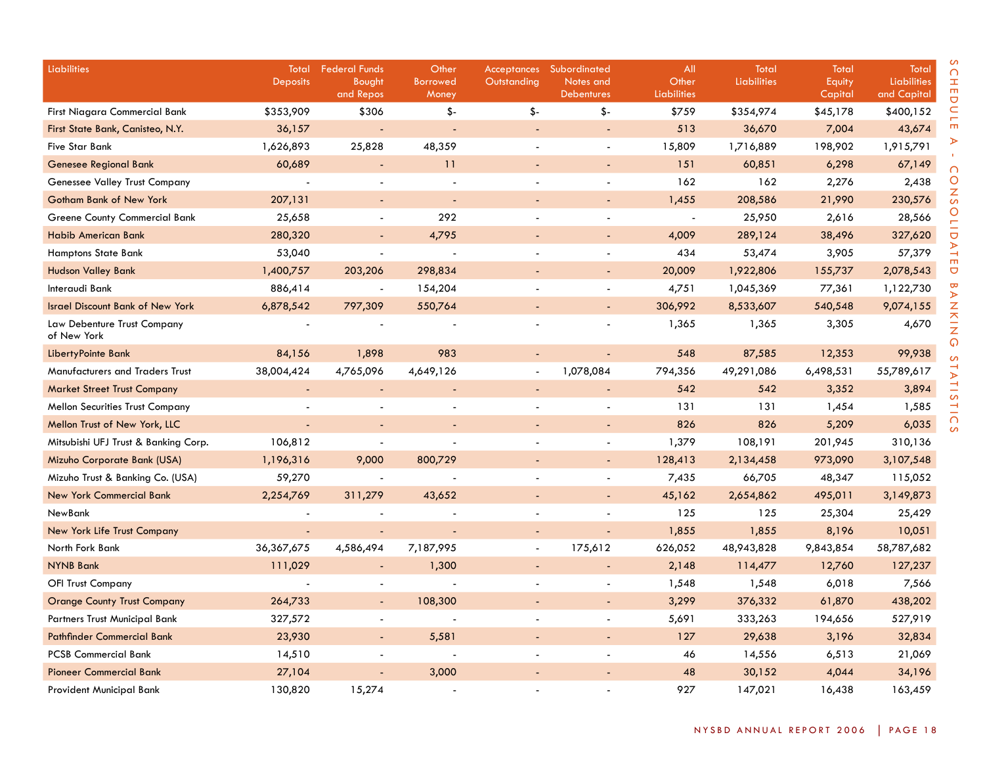| Liabilities                                | Total<br><b>Deposits</b> | <b>Federal Funds</b><br>Bought | Other<br><b>Borrowed</b> | Outstanding | Acceptances Subordinated<br>Notes and | All<br>Other             | Total<br><b>Liabilities</b> | Total             | Total<br><b>Liabilities</b> |
|--------------------------------------------|--------------------------|--------------------------------|--------------------------|-------------|---------------------------------------|--------------------------|-----------------------------|-------------------|-----------------------------|
|                                            |                          | and Repos                      | Money                    |             | <b>Debentures</b>                     | Liabilities              |                             | Equity<br>Capital | and Capital                 |
| <b>First Niagara Commercial Bank</b>       | \$353,909                | \$306                          | \$-                      | \$-         | \$-                                   | \$759                    | \$354,974                   | \$45,178          | \$400,152                   |
| First State Bank, Canisteo, N.Y.           | 36,157                   | ÷,                             | $\sim$                   |             | ÷,                                    | 513                      | 36,670                      | 7,004             | 43,674                      |
| <b>Five Star Bank</b>                      | 1,626,893                | 25,828                         | 48,359                   |             | $\overline{a}$                        | 15,809                   | 1,716,889                   | 198,902           | 1,915,791                   |
| <b>Genesee Regional Bank</b>               | 60,689                   | $\blacksquare$                 | 11                       |             |                                       | 151                      | 60,851                      | 6,298             | 67,149                      |
| Genessee Valley Trust Company              |                          |                                |                          |             |                                       | 162                      | 162                         | 2,276             | 2,438                       |
| <b>Gotham Bank of New York</b>             | 207,131                  |                                | ÷                        |             | $\blacksquare$                        | 1,455                    | 208,586                     | 21,990            | 230,576                     |
| Greene County Commercial Bank              | 25,658                   | $\sim$                         | 292                      |             |                                       | $\overline{\phantom{a}}$ | 25,950                      | 2,616             | 28,566                      |
| <b>Habib American Bank</b>                 | 280,320                  | $\sim$                         | 4,795                    |             | $\overline{a}$                        | 4,009                    | 289,124                     | 38,496            | 327,620                     |
| <b>Hamptons State Bank</b>                 | 53,040                   |                                |                          |             | $\blacksquare$                        | 434                      | 53,474                      | 3,905             | 57,379                      |
| <b>Hudson Valley Bank</b>                  | 1,400,757                | 203,206                        | 298,834                  |             | ÷                                     | 20,009                   | 1,922,806                   | 155,737           | 2,078,543                   |
| Interaudi Bank                             | 886,414                  |                                | 154,204                  |             |                                       | 4,751                    | 1,045,369                   | 77,361            | 1,122,730                   |
| <b>Israel Discount Bank of New York</b>    | 6,878,542                | 797,309                        | 550,764                  |             |                                       | 306,992                  | 8,533,607                   | 540,548           | 9,074,155                   |
| Law Debenture Trust Company<br>of New York |                          |                                |                          |             |                                       | 1,365                    | 1,365                       | 3,305             | 4,670                       |
| LibertyPointe Bank                         | 84,156                   | 1,898                          | 983                      |             | ÷,                                    | 548                      | 87,585                      | 12,353            | 99,938                      |
| Manufacturers and Traders Trust            | 38,004,424               | 4,765,096                      | 4,649,126                |             | 1,078,084                             | 794,356                  | 49,291,086                  | 6,498,531         | 55,789,617                  |
| <b>Market Street Trust Company</b>         |                          |                                | $\overline{\phantom{a}}$ |             |                                       | 542                      | 542                         | 3,352             | 3,894                       |
| <b>Mellon Securities Trust Company</b>     |                          |                                |                          |             |                                       | 131                      | 131                         | 1,454             | 1,585                       |
| Mellon Trust of New York, LLC              |                          |                                |                          |             | $\blacksquare$                        | 826                      | 826                         | 5,209             | 6,035                       |
| Mitsubishi UFJ Trust & Banking Corp.       | 106,812                  |                                |                          |             |                                       | 1,379                    | 108,191                     | 201,945           | 310,136                     |
| Mizuho Corporate Bank (USA)                | 1,196,316                | 9,000                          | 800,729                  |             |                                       | 128,413                  | 2,134,458                   | 973,090           | 3,107,548                   |
| Mizuho Trust & Banking Co. (USA)           | 59,270                   |                                |                          |             | $\overline{\phantom{a}}$              | 7,435                    | 66,705                      | 48,347            | 115,052                     |
| <b>New York Commercial Bank</b>            | 2,254,769                | 311,279                        | 43,652                   |             | $\overline{a}$                        | 45,162                   | 2,654,862                   | 495,011           | 3,149,873                   |
| NewBank                                    |                          |                                |                          |             | ÷,                                    | 125                      | 125                         | 25,304            | 25,429                      |
| New York Life Trust Company                |                          | $\sim$                         |                          |             | $\blacksquare$                        | 1,855                    | 1,855                       | 8,196             | 10,051                      |
| North Fork Bank                            | 36, 367, 675             | 4,586,494                      | 7,187,995                |             | 175,612                               | 626,052                  | 48,943,828                  | 9,843,854         | 58,787,682                  |
| <b>NYNB Bank</b>                           | 111,029                  | $\blacksquare$                 | 1,300                    |             | $\overline{a}$                        | 2,148                    | 114,477                     | 12,760            | 127,237                     |
| <b>OFI Trust Company</b>                   |                          |                                |                          |             | $\blacksquare$                        | 1,548                    | 1,548                       | 6,018             | 7,566                       |
| <b>Orange County Trust Company</b>         | 264,733                  | $\blacksquare$                 | 108,300                  |             | $\blacksquare$                        | 3,299                    | 376,332                     | 61,870            | 438,202                     |
| Partners Trust Municipal Bank              | 327,572                  |                                |                          |             |                                       | 5,691                    | 333,263                     | 194,656           | 527,919                     |
| <b>Pathfinder Commercial Bank</b>          | 23,930                   | $\sim$                         | 5,581                    |             |                                       | 127                      | 29,638                      | 3,196             | 32,834                      |
| <b>PCSB Commercial Bank</b>                | 14,510                   |                                |                          |             |                                       | 46                       | 14,556                      | 6,513             | 21,069                      |
| <b>Pioneer Commercial Bank</b>             | 27,104                   |                                | 3,000                    |             |                                       | 48                       | 30,152                      | 4,044             | 34,196                      |
| Provident Municipal Bank                   | 130,820                  | 15,274                         |                          |             |                                       | 927                      | 147,021                     | 16,438            | 163,459                     |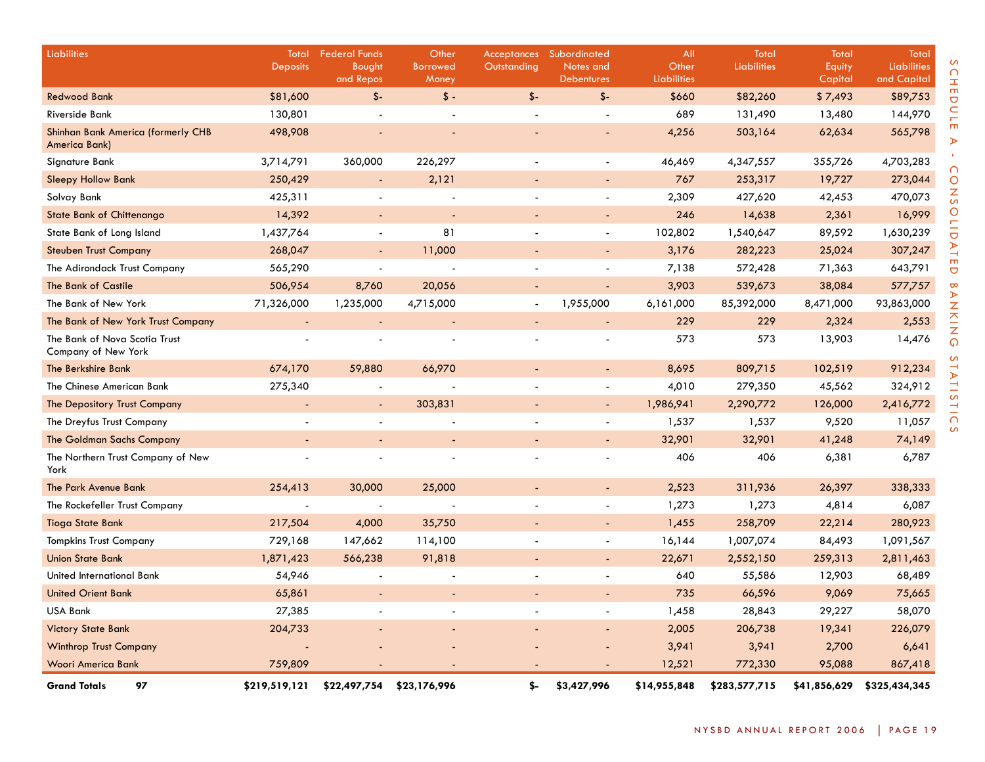| <b>Liabilities</b>                                   | Total<br><b>Deposits</b> | <b>Federal Funds</b><br>Bought | Other<br><b>Borrowed</b> | Outstanding   | Acceptances Subordinated<br>Notes and | All<br>Other       | Total<br><b>Liabilities</b> | Total<br>Equity | <b>Total</b><br>Liabilities |
|------------------------------------------------------|--------------------------|--------------------------------|--------------------------|---------------|---------------------------------------|--------------------|-----------------------------|-----------------|-----------------------------|
|                                                      |                          | and Repos                      | Money                    |               | <b>Debentures</b>                     | <b>Liabilities</b> |                             | Capital         | and Capital                 |
| <b>Redwood Bank</b>                                  | \$81,600                 | $$-$                           | $\frac{1}{2}$            | $\mathsf{\$}$ | $$ -$                                 | \$660              | \$82,260                    | \$7,493         | \$89,753                    |
| <b>Riverside Bank</b>                                | 130,801                  |                                |                          |               |                                       | 689                | 131,490                     | 13,480          | 144,970                     |
| Shinhan Bank America (formerly CHB<br>America Bank)  | 498,908                  |                                |                          |               |                                       | 4,256              | 503,164                     | 62,634          | 565,798                     |
| Signature Bank                                       | 3,714,791                | 360,000                        | 226,297                  |               |                                       | 46,469             | 4,347,557                   | 355,726         | 4,703,283                   |
| <b>Sleepy Hollow Bank</b>                            | 250,429                  | $\overline{\phantom{a}}$       | 2,121                    |               |                                       | 767                | 253,317                     | 19,727          | 273,044                     |
| Solvay Bank                                          | 425,311                  | $\overline{\phantom{a}}$       |                          |               | $\blacksquare$                        | 2,309              | 427,620                     | 42,453          | 470,073                     |
| <b>State Bank of Chittenango</b>                     | 14,392                   | $\overline{\phantom{a}}$       | ÷,                       |               | $\blacksquare$                        | 246                | 14,638                      | 2,361           | 16,999                      |
| State Bank of Long Island                            | 1,437,764                | $\overline{\phantom{a}}$       | 81                       |               |                                       | 102,802            | 1,540,647                   | 89,592          | 1,630,239                   |
| <b>Steuben Trust Company</b>                         | 268,047                  | $\overline{\phantom{a}}$       | 11,000                   |               | $\blacksquare$                        | 3,176              | 282,223                     | 25,024          | 307,247                     |
| The Adirondack Trust Company                         | 565,290                  | $\overline{\phantom{a}}$       |                          |               | $\overline{\phantom{a}}$              | 7,138              | 572,428                     | 71,363          | 643,791                     |
| The Bank of Castile                                  | 506,954                  | 8,760                          | 20,056                   |               | $\blacksquare$                        | 3,903              | 539,673                     | 38,084          | 577,757                     |
| The Bank of New York                                 | 71,326,000               | 1,235,000                      | 4,715,000                |               | 1,955,000                             | 6,161,000          | 85,392,000                  | 8,471,000       | 93,863,000                  |
| The Bank of New York Trust Company                   |                          | $\sim$                         |                          |               |                                       | 229                | 229                         | 2,324           | 2,553                       |
| The Bank of Nova Scotia Trust<br>Company of New York |                          |                                |                          |               |                                       | 573                | 573                         | 13,903          | 14,476                      |
| The Berkshire Bank                                   | 674,170                  | 59,880                         | 66,970                   |               |                                       | 8,695              | 809,715                     | 102,519         | 912,234                     |
| The Chinese American Bank                            | 275,340                  |                                |                          |               | $\blacksquare$                        | 4,010              | 279,350                     | 45,562          | 324,912                     |
| The Depository Trust Company                         | $\overline{\phantom{a}}$ | $\overline{\phantom{a}}$       | 303,831                  |               | $\sim$                                | 1,986,941          | 2,290,772                   | 126,000         | 2,416,772                   |
| The Dreyfus Trust Company                            |                          |                                |                          |               | $\blacksquare$                        | 1,537              | 1,537                       | 9,520           | 11,057                      |
| <b>The Goldman Sachs Company</b>                     |                          | $\blacksquare$                 | $\blacksquare$           |               | $\blacksquare$                        | 32,901             | 32,901                      | 41,248          | 74,149                      |
| The Northern Trust Company of New<br>York            |                          | $\overline{a}$                 |                          |               |                                       | 406                | 406                         | 6,381           | 6,787                       |
| The Park Avenue Bank                                 | 254,413                  | 30,000                         | 25,000                   |               |                                       | 2,523              | 311,936                     | 26,397          | 338,333                     |
| The Rockefeller Trust Company                        |                          |                                |                          |               | $\blacksquare$                        | 1,273              | 1,273                       | 4,814           | 6,087                       |
| <b>Tioga State Bank</b>                              | 217,504                  | 4,000                          | 35,750                   |               |                                       | 1,455              | 258,709                     | 22,214          | 280,923                     |
| <b>Tompkins Trust Company</b>                        | 729,168                  | 147,662                        | 114,100                  |               | $\blacksquare$                        | 16,144             | 1,007,074                   | 84,493          | 1,091,567                   |
| <b>Union State Bank</b>                              | 1,871,423                | 566,238                        | 91,818                   |               |                                       | 22,671             | 2,552,150                   | 259,313         | 2,811,463                   |
| United International Bank                            | 54,946                   |                                |                          |               |                                       | 640                | 55,586                      | 12,903          | 68,489                      |
| <b>United Orient Bank</b>                            | 65,861                   |                                |                          |               |                                       | 735                | 66,596                      | 9,069           | 75,665                      |
| <b>USA Bank</b>                                      | 27,385                   |                                |                          |               |                                       | 1,458              | 28,843                      | 29,227          | 58,070                      |
| <b>Victory State Bank</b>                            | 204,733                  |                                |                          |               |                                       | 2,005              | 206,738                     | 19,341          | 226,079                     |
| <b>Winthrop Trust Company</b>                        |                          |                                |                          |               |                                       | 3,941              | 3,941                       | 2,700           | 6,641                       |
| <b>Woori America Bank</b>                            | 759,809                  |                                |                          |               |                                       | 12,521             | 772,330                     | 95,088          | 867,418                     |
| 97<br><b>Grand Totals</b>                            | \$219,519,121            | \$22,497,754                   | \$23,176,996             | \$-           | \$3,427,996                           | \$14,955,848       | \$283,577,715               | \$41,856,629    | \$325,434,345               |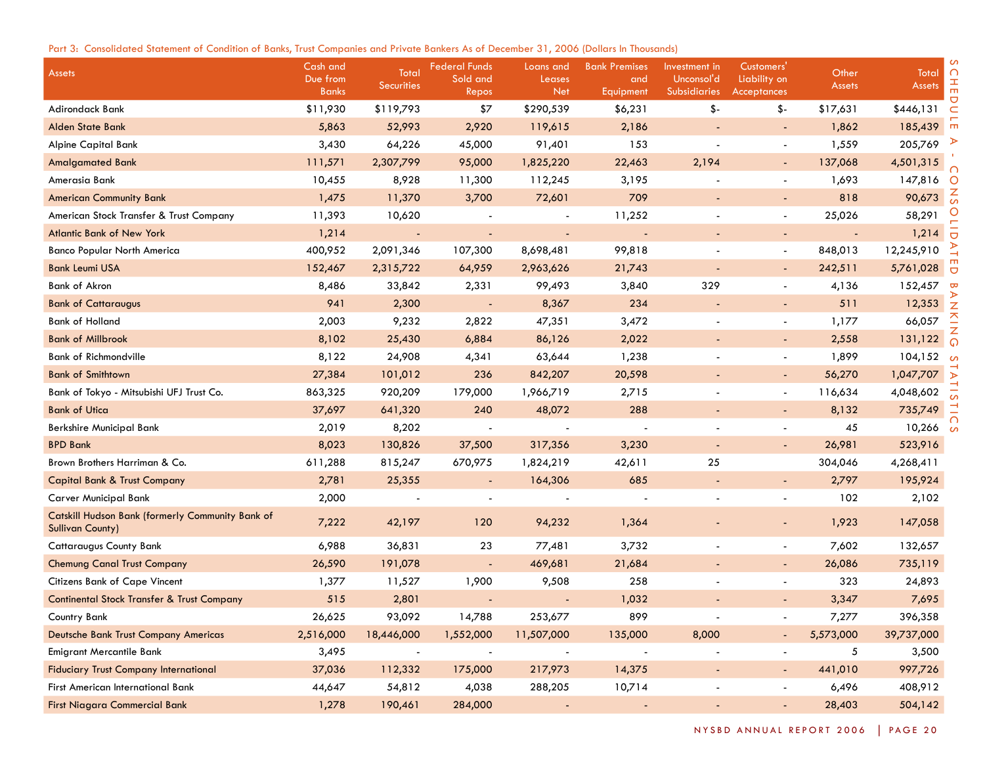# Part 3: Consolidated Statement of Condition of Banks, Trust Companies and Private Bankers As of December 31, 2006 (Dollars In Thousands)

| <b>Assets</b>                                                               | Cash and<br>Due from<br><b>Banks</b> | Total<br><b>Securities</b> | <b>Federal Funds</b><br>Sold and<br>Repos | Loans and<br>Leases<br><b>Net</b> | <b>Bank Premises</b><br>and<br>Equipment | Investment in<br>Unconsol'd<br><b>Subsidiaries</b> | Customers'<br>Liability on<br><b>Acceptances</b> | Other<br><b>Assets</b>   | ി<br>Total<br><b>Assets</b> |
|-----------------------------------------------------------------------------|--------------------------------------|----------------------------|-------------------------------------------|-----------------------------------|------------------------------------------|----------------------------------------------------|--------------------------------------------------|--------------------------|-----------------------------|
| Adirondack Bank                                                             | \$11,930                             | \$119,793                  | \$7                                       | \$290,539                         | \$6,231                                  | \$-                                                | \$-                                              | \$17,631                 | \$446,131                   |
| <b>Alden State Bank</b>                                                     | 5,863                                | 52,993                     | 2,920                                     | 119,615                           | 2,186                                    |                                                    | $\sim$                                           | 1,862                    | 185,439                     |
| <b>Alpine Capital Bank</b>                                                  | 3,430                                | 64,226                     | 45,000                                    | 91,401                            | 153                                      | $\blacksquare$                                     | $\blacksquare$                                   | 1,559                    | 205,769                     |
| <b>Amalgamated Bank</b>                                                     | 111,571                              | 2,307,799                  | 95,000                                    | 1,825,220                         | 22,463                                   | 2,194                                              | $\blacksquare$                                   | 137,068                  | 4,501,315                   |
| Amerasia Bank                                                               | 10,455                               | 8,928                      | 11,300                                    | 112,245                           | 3,195                                    |                                                    | $\blacksquare$                                   | 1,693                    | 147,816<br>O                |
| <b>American Community Bank</b>                                              | 1,475                                | 11,370                     | 3,700                                     | 72,601                            | 709                                      | $\overline{\phantom{a}}$                           |                                                  | 818                      | 90,673                      |
| American Stock Transfer & Trust Company                                     | 11,393                               | 10,620                     |                                           |                                   | 11,252                                   |                                                    | $\blacksquare$                                   | 25,026                   | 58,291                      |
| <b>Atlantic Bank of New York</b>                                            | 1,214                                |                            |                                           |                                   |                                          |                                                    |                                                  | $\overline{\phantom{a}}$ | 1,214                       |
| <b>Banco Popular North America</b>                                          | 400,952                              | 2,091,346                  | 107,300                                   | 8,698,481                         | 99,818                                   |                                                    |                                                  | 848,013                  | 12,245,910                  |
| <b>Bank Leumi USA</b>                                                       | 152,467                              | 2,315,722                  | 64,959                                    | 2,963,626                         | 21,743                                   | $\overline{\phantom{a}}$                           | $\sim$                                           | 242,511                  | 5,761,028<br>$\Box$         |
| <b>Bank of Akron</b>                                                        | 8,486                                | 33,842                     | 2,331                                     | 99,493                            | 3,840                                    | 329                                                | $\blacksquare$                                   | 4,136                    | 152,457                     |
| <b>Bank of Cattaraugus</b>                                                  | 941                                  | 2,300                      |                                           | 8,367                             | 234                                      |                                                    |                                                  | 511                      | 12,353                      |
| <b>Bank of Holland</b>                                                      | 2,003                                | 9,232                      | 2,822                                     | 47,351                            | 3,472                                    |                                                    | $\overline{\phantom{a}}$                         | 1,177                    | 66,057                      |
| <b>Bank of Millbrook</b>                                                    | 8,102                                | 25,430                     | 6,884                                     | 86,126                            | 2,022                                    | $\overline{\phantom{a}}$                           | $\overline{\phantom{a}}$                         | 2,558                    | 131,122                     |
| <b>Bank of Richmondville</b>                                                | 8,122                                | 24,908                     | 4,341                                     | 63,644                            | 1,238                                    |                                                    | $\overline{\phantom{a}}$                         | 1,899                    | 104,152<br>്ഗ               |
| <b>Bank of Smithtown</b>                                                    | 27,384                               | 101,012                    | 236                                       | 842,207                           | 20,598                                   |                                                    | $\overline{\phantom{a}}$                         | 56,270                   | 1,047,707                   |
| Bank of Tokyo - Mitsubishi UFJ Trust Co.                                    | 863,325                              | 920,209                    | 179,000                                   | 1,966,719                         | 2,715                                    |                                                    | $\overline{\phantom{a}}$                         | 116,634                  | 4,048,602                   |
| <b>Bank of Utica</b>                                                        | 37,697                               | 641,320                    | 240                                       | 48,072                            | 288                                      |                                                    |                                                  | 8,132                    | 735,749                     |
| Berkshire Municipal Bank                                                    | 2,019                                | 8,202                      |                                           |                                   |                                          |                                                    |                                                  | 45                       | 10,266                      |
| <b>BPD Bank</b>                                                             | 8,023                                | 130,826                    | 37,500                                    | 317,356                           | 3,230                                    | $\overline{\phantom{a}}$                           |                                                  | 26,981                   | 523,916                     |
| Brown Brothers Harriman & Co.                                               | 611,288                              | 815,247                    | 670,975                                   | 1,824,219                         | 42,611                                   | 25                                                 |                                                  | 304,046                  | 4,268,411                   |
| <b>Capital Bank &amp; Trust Company</b>                                     | 2,781                                | 25,355                     | $\overline{\phantom{a}}$                  | 164,306                           | 685                                      |                                                    | $\overline{\phantom{a}}$                         | 2,797                    | 195,924                     |
| <b>Carver Municipal Bank</b>                                                | 2,000                                |                            |                                           |                                   |                                          |                                                    |                                                  | 102                      | 2,102                       |
| Catskill Hudson Bank (formerly Community Bank of<br><b>Sullivan County)</b> | 7,222                                | 42,197                     | 120                                       | 94,232                            | 1,364                                    |                                                    |                                                  | 1,923                    | 147,058                     |
| <b>Cattaraugus County Bank</b>                                              | 6,988                                | 36,831                     | 23                                        | 77,481                            | 3,732                                    |                                                    | $\overline{\phantom{a}}$                         | 7,602                    | 132,657                     |
| <b>Chemung Canal Trust Company</b>                                          | 26,590                               | 191,078                    |                                           | 469,681                           | 21,684                                   |                                                    | $\overline{\phantom{a}}$                         | 26,086                   | 735,119                     |
| Citizens Bank of Cape Vincent                                               | 1,377                                | 11,527                     | 1,900                                     | 9,508                             | 258                                      |                                                    |                                                  | 323                      | 24,893                      |
| <b>Continental Stock Transfer &amp; Trust Company</b>                       | 515                                  | 2,801                      |                                           |                                   | 1,032                                    |                                                    |                                                  | 3,347                    | 7,695                       |
| Country Bank                                                                | 26,625                               | 93,092                     | 14,788                                    | 253,677                           | 899                                      |                                                    |                                                  | 7,277                    | 396,358                     |
| Deutsche Bank Trust Company Americas                                        | 2,516,000                            | 18,446,000                 | 1,552,000                                 | 11,507,000                        | 135,000                                  | 8,000                                              |                                                  | 5,573,000                | 39,737,000                  |
| Emigrant Mercantile Bank                                                    | 3,495                                | $\overline{\phantom{a}}$   | $\overline{\phantom{a}}$                  | $\blacksquare$                    | $\overline{\phantom{a}}$                 | $\blacksquare$                                     | $\overline{\phantom{a}}$                         | 5                        | 3,500                       |
| <b>Fiduciary Trust Company International</b>                                | 37,036                               | 112,332                    | 175,000                                   | 217,973                           | 14,375                                   | $\blacksquare$                                     | $\sim$                                           | 441,010                  | 997,726                     |
| First American International Bank                                           | 44,647                               | 54,812                     | 4,038                                     | 288,205                           | 10,714                                   |                                                    | $\overline{\phantom{a}}$                         | 6,496                    | 408,912                     |
| First Niagara Commercial Bank                                               | 1,278                                | 190,461                    | 284,000                                   |                                   | $\blacksquare$                           | $\blacksquare$                                     | $\sim$                                           | 28,403                   | 504,142                     |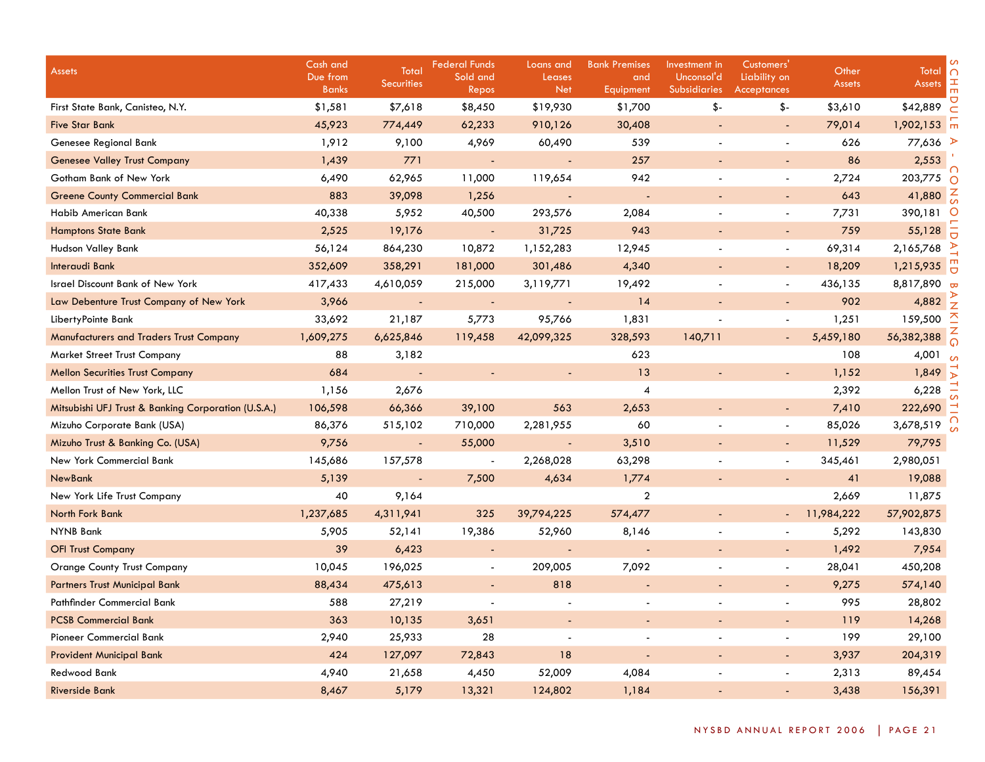| <b>Assets</b>                                       | Cash and<br>Due from<br><b>Banks</b> | Total<br><b>Securities</b> | <b>Federal Funds</b><br>Sold and<br>Repos | Loans and<br>Leases<br><b>Net</b> | <b>Bank Premises</b><br>and<br>Equipment | Investment in<br>Unconsol'd<br><b>Subsidiaries</b> | Customers'<br>Liability on<br><b>Acceptances</b> | Other<br><b>Assets</b> | Total<br>$\cap$<br>工<br><b>Assets</b> |
|-----------------------------------------------------|--------------------------------------|----------------------------|-------------------------------------------|-----------------------------------|------------------------------------------|----------------------------------------------------|--------------------------------------------------|------------------------|---------------------------------------|
| First State Bank, Canisteo, N.Y.                    | \$1,581                              | \$7,618                    | \$8,450                                   | \$19,930                          | \$1,700                                  | \$-                                                | \$-                                              | \$3,610                | \$42,889                              |
| <b>Five Star Bank</b>                               | 45,923                               | 774,449                    | 62,233                                    | 910,126                           | 30,408                                   |                                                    | $\overline{\phantom{a}}$                         | 79,014                 | $1,902,153$ $\pi$                     |
| Genesee Regional Bank                               | 1,912                                | 9,100                      | 4,969                                     | 60,490                            | 539                                      | $\blacksquare$                                     | $\overline{\phantom{a}}$                         | 626                    | 77,636 ₽                              |
| <b>Genesee Valley Trust Company</b>                 | 1,439                                | 771                        | $\blacksquare$                            | $\sim$                            | 257                                      |                                                    |                                                  | 86                     | 2,553                                 |
| Gotham Bank of New York                             | 6,490                                | 62,965                     | 11,000                                    | 119,654                           | 942                                      |                                                    | $\sim$                                           | 2,724                  | 203,775<br>∩                          |
| <b>Greene County Commercial Bank</b>                | 883                                  | 39,098                     | 1,256                                     | $\sim$                            | $\overline{\phantom{a}}$                 |                                                    |                                                  | 643                    | 41,880                                |
| Habib American Bank                                 | 40,338                               | 5,952                      | 40,500                                    | 293,576                           | 2,084                                    |                                                    | $\blacksquare$                                   | 7,731                  | 390,181                               |
| <b>Hamptons State Bank</b>                          | 2,525                                | 19,176                     | $\blacksquare$                            | 31,725                            | 943                                      |                                                    |                                                  | 759                    | 55,128                                |
| Hudson Valley Bank                                  | 56,124                               | 864,230                    | 10,872                                    | 1,152,283                         | 12,945                                   |                                                    |                                                  | 69,314                 | 2,165,768                             |
| Interaudi Bank                                      | 352,609                              | 358,291                    | 181,000                                   | 301,486                           | 4,340                                    |                                                    | $\overline{a}$                                   | 18,209                 | 1,215,935                             |
| <b>Israel Discount Bank of New York</b>             | 417,433                              | 4,610,059                  | 215,000                                   | 3,119,771                         | 19,492                                   |                                                    | $\blacksquare$                                   | 436,135                | 8,817,890                             |
| Law Debenture Trust Company of New York             | 3,966                                |                            |                                           |                                   | 14                                       |                                                    |                                                  | 902                    | 4,882                                 |
| LibertyPointe Bank                                  | 33,692                               | 21,187                     | 5,773                                     | 95,766                            | 1,831                                    |                                                    |                                                  | 1,251                  | 159,500                               |
| <b>Manufacturers and Traders Trust Company</b>      | 1,609,275                            | 6,625,846                  | 119,458                                   | 42,099,325                        | 328,593                                  | 140,711                                            |                                                  | 5,459,180              | 56,382,388                            |
| <b>Market Street Trust Company</b>                  | 88                                   | 3,182                      |                                           |                                   | 623                                      |                                                    |                                                  | 108                    | 4,001                                 |
| <b>Mellon Securities Trust Company</b>              | 684                                  | $\sim$                     |                                           |                                   | 13                                       |                                                    |                                                  | 1,152                  | 1,849                                 |
| Mellon Trust of New York, LLC                       | 1,156                                | 2,676                      |                                           |                                   | $\overline{4}$                           |                                                    |                                                  | 2,392                  | 6,228                                 |
| Mitsubishi UFJ Trust & Banking Corporation (U.S.A.) | 106,598                              | 66,366                     | 39,100                                    | 563                               | 2,653                                    |                                                    | $\overline{\phantom{a}}$                         | 7,410                  | 222,690                               |
| Mizuho Corporate Bank (USA)                         | 86,376                               | 515,102                    | 710,000                                   | 2,281,955                         | 60                                       |                                                    | $\sim$                                           | 85,026                 | 3,678,519                             |
| Mizuho Trust & Banking Co. (USA)                    | 9,756                                | $\blacksquare$             | 55,000                                    |                                   | 3,510                                    |                                                    |                                                  | 11,529                 | 79,795                                |
| New York Commercial Bank                            | 145,686                              | 157,578                    |                                           | 2,268,028                         | 63,298                                   |                                                    |                                                  | 345,461                | 2,980,051                             |
| <b>NewBank</b>                                      | 5,139                                |                            | 7,500                                     | 4,634                             | 1,774                                    |                                                    |                                                  | 41                     | 19,088                                |
| New York Life Trust Company                         | 40                                   | 9,164                      |                                           |                                   | $\overline{2}$                           |                                                    |                                                  | 2,669                  | 11,875                                |
| North Fork Bank                                     | 1,237,685                            | 4,311,941                  | 325                                       | 39,794,225                        | 574,477                                  |                                                    | $\sim$                                           | 11,984,222             | 57,902,875                            |
| <b>NYNB Bank</b>                                    | 5,905                                | 52,141                     | 19,386                                    | 52,960                            | 8,146                                    | $\blacksquare$                                     | $\blacksquare$                                   | 5,292                  | 143,830                               |
| <b>OFI Trust Company</b>                            | 39                                   | 6,423                      | $\blacksquare$                            |                                   | $\blacksquare$                           |                                                    | $\blacksquare$                                   | 1,492                  | 7,954                                 |
| <b>Orange County Trust Company</b>                  | 10,045                               | 196,025                    | $\blacksquare$                            | 209,005                           | 7,092                                    | $\blacksquare$                                     | $\sim$                                           | 28,041                 | 450,208                               |
| <b>Partners Trust Municipal Bank</b>                | 88,434                               | 475,613                    | $\blacksquare$                            | 818                               | $\blacksquare$                           |                                                    | $\blacksquare$                                   | 9,275                  | 574,140                               |
| Pathfinder Commercial Bank                          | 588                                  | 27,219                     |                                           |                                   | $\blacksquare$                           | $\blacksquare$                                     | $\overline{\phantom{a}}$                         | 995                    | 28,802                                |
| <b>PCSB Commercial Bank</b>                         | 363                                  | 10,135                     | 3,651                                     |                                   |                                          |                                                    |                                                  | 119                    | 14,268                                |
| Pioneer Commercial Bank                             | 2,940                                | 25,933                     | 28                                        |                                   | $\overline{a}$                           | $\overline{a}$                                     | $\sim$                                           | 199                    | 29,100                                |
| <b>Provident Municipal Bank</b>                     | 424                                  | 127,097                    | 72,843                                    | 18                                |                                          |                                                    |                                                  | 3,937                  | 204,319                               |
| <b>Redwood Bank</b>                                 | 4,940                                | 21,658                     | 4,450                                     | 52,009                            | 4,084                                    |                                                    |                                                  | 2,313                  | 89,454                                |
| <b>Riverside Bank</b>                               | 8,467                                | 5,179                      | 13,321                                    | 124,802                           | 1,184                                    |                                                    |                                                  | 3,438                  | 156,391                               |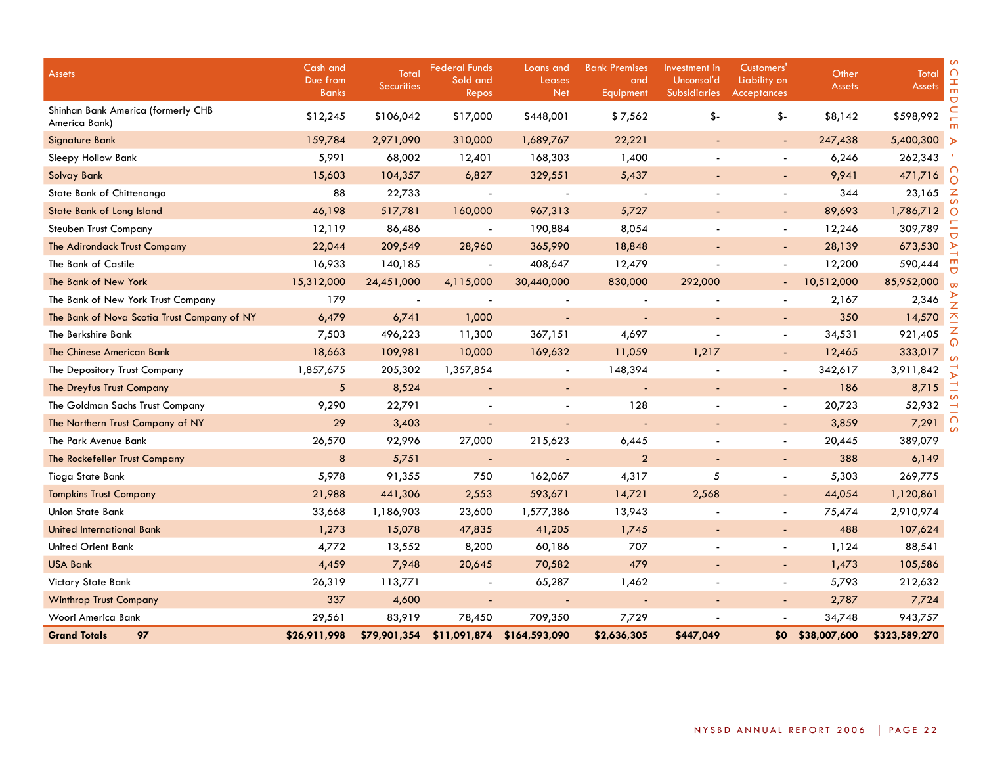| <b>Assets</b>                                       | Cash and<br>Due from<br><b>Banks</b> | Total<br><b>Securities</b> | <b>Federal Funds</b><br>Sold and<br>Repos | Loans and<br>Leases<br><b>Net</b> | <b>Bank Premises</b><br>and<br>Equipment | Investment in<br>Unconsol'd<br><b>Subsidiaries</b> | Customers'<br>Liability on<br>Acceptances | Other<br><b>Assets</b> | Total<br><b>Assets</b> | $\cap$<br>H<br>m<br>Ō |
|-----------------------------------------------------|--------------------------------------|----------------------------|-------------------------------------------|-----------------------------------|------------------------------------------|----------------------------------------------------|-------------------------------------------|------------------------|------------------------|-----------------------|
| Shinhan Bank America (formerly CHB<br>America Bank) | \$12,245                             | \$106,042                  | \$17,000                                  | \$448,001                         | \$7,562                                  | \$-                                                | \$-                                       | \$8,142                | \$598,992              |                       |
| Signature Bank                                      | 159,784                              | 2,971,090                  | 310,000                                   | 1,689,767                         | 22,221                                   | $\blacksquare$                                     | $\overline{\phantom{a}}$                  | 247,438                | 5,400,300 >            |                       |
| Sleepy Hollow Bank                                  | 5,991                                | 68,002                     | 12,401                                    | 168,303                           | 1,400                                    |                                                    | $\overline{\phantom{a}}$                  | 6,246                  | 262,343                |                       |
| <b>Solvay Bank</b>                                  | 15,603                               | 104,357                    | 6,827                                     | 329,551                           | 5,437                                    |                                                    | $\overline{\phantom{a}}$                  | 9,941                  | 471,716                |                       |
| State Bank of Chittenango                           | 88                                   | 22,733                     |                                           |                                   |                                          |                                                    | $\blacksquare$                            | 344                    | 23,165                 | z                     |
| State Bank of Long Island                           | 46,198                               | 517,781                    | 160,000                                   | 967,313                           | 5,727                                    |                                                    | $\blacksquare$                            | 89,693                 | 1,786,712              | O                     |
| <b>Steuben Trust Company</b>                        | 12,119                               | 86,486                     |                                           | 190,884                           | 8,054                                    |                                                    |                                           | 12,246                 | 309,789                |                       |
| The Adirondack Trust Company                        | 22,044                               | 209,549                    | 28,960                                    | 365,990                           | 18,848                                   |                                                    | $\overline{\phantom{a}}$                  | 28,139                 | 673,530                |                       |
| The Bank of Castile                                 | 16,933                               | 140,185                    |                                           | 408,647                           | 12,479                                   |                                                    |                                           | 12,200                 | 590,444                | m                     |
| The Bank of New York                                | 15,312,000                           | 24,451,000                 | 4,115,000                                 | 30,440,000                        | 830,000                                  | 292,000                                            |                                           | 10,512,000             | 85,952,000             |                       |
| The Bank of New York Trust Company                  | 179                                  |                            |                                           |                                   |                                          |                                                    |                                           | 2,167                  | 2,346                  |                       |
| The Bank of Nova Scotia Trust Company of NY         | 6,479                                | 6,741                      | 1,000                                     |                                   |                                          |                                                    | $\blacksquare$                            | 350                    | 14,570                 |                       |
| The Berkshire Bank                                  | 7,503                                | 496,223                    | 11,300                                    | 367,151                           | 4,697                                    |                                                    | $\overline{a}$                            | 34,531                 | 921,405                |                       |
| The Chinese American Bank                           | 18,663                               | 109,981                    | 10,000                                    | 169,632                           | 11,059                                   | 1,217                                              | $\sim$                                    | 12,465                 | 333,017                |                       |
| The Depository Trust Company                        | 1,857,675                            | 205,302                    | 1,357,854                                 | $\blacksquare$                    | 148,394                                  |                                                    | $\overline{a}$                            | 342,617                | 3,911,842              |                       |
| The Dreyfus Trust Company                           | $\sqrt{5}$                           | 8,524                      | $\overline{\phantom{a}}$                  | $\overline{\phantom{a}}$          | $\sim$                                   |                                                    | $\overline{\phantom{a}}$                  | 186                    | 8,715                  |                       |
| The Goldman Sachs Trust Company                     | 9,290                                | 22,791                     |                                           |                                   | 128                                      |                                                    | $\blacksquare$                            | 20,723                 | 52,932                 |                       |
| The Northern Trust Company of NY                    | 29                                   | 3,403                      |                                           |                                   |                                          |                                                    | $\overline{a}$                            | 3,859                  | 7,291                  |                       |
| The Park Avenue Bank                                | 26,570                               | 92,996                     | 27,000                                    | 215,623                           | 6,445                                    |                                                    | $\blacksquare$                            | 20,445                 | 389,079                |                       |
| The Rockefeller Trust Company                       | 8                                    | 5,751                      |                                           |                                   | $\overline{2}$                           | $\blacksquare$                                     | $\overline{\phantom{a}}$                  | 388                    | 6,149                  |                       |
| Tioga State Bank                                    | 5,978                                | 91,355                     | 750                                       | 162,067                           | 4,317                                    | 5                                                  | $\overline{a}$                            | 5,303                  | 269,775                |                       |
| <b>Tompkins Trust Company</b>                       | 21,988                               | 441,306                    | 2,553                                     | 593,671                           | 14,721                                   | 2,568                                              | $\overline{\phantom{a}}$                  | 44,054                 | 1,120,861              |                       |
| <b>Union State Bank</b>                             | 33,668                               | 1,186,903                  | 23,600                                    | 1,577,386                         | 13,943                                   |                                                    | $\overline{\phantom{a}}$                  | 75,474                 | 2,910,974              |                       |
| <b>United International Bank</b>                    | 1,273                                | 15,078                     | 47,835                                    | 41,205                            | 1,745                                    |                                                    | $\overline{\phantom{a}}$                  | 488                    | 107,624                |                       |
| <b>United Orient Bank</b>                           | 4,772                                | 13,552                     | 8,200                                     | 60,186                            | 707                                      |                                                    | $\blacksquare$                            | 1,124                  | 88,541                 |                       |
| <b>USA Bank</b>                                     | 4,459                                | 7,948                      | 20,645                                    | 70,582                            | 479                                      |                                                    | $\overline{\phantom{a}}$                  | 1,473                  | 105,586                |                       |
| Victory State Bank                                  | 26,319                               | 113,771                    |                                           | 65,287                            | 1,462                                    |                                                    | $\overline{\phantom{a}}$                  | 5,793                  | 212,632                |                       |
| <b>Winthrop Trust Company</b>                       | 337                                  | 4,600                      | ÷,                                        |                                   |                                          | $\overline{\phantom{a}}$                           | $\blacksquare$                            | 2,787                  | 7,724                  |                       |
| Woori America Bank                                  | 29,561                               | 83,919                     | 78,450                                    | 709,350                           | 7,729                                    |                                                    |                                           | 34,748                 | 943,757                |                       |
| <b>Grand Totals</b><br>97                           | \$26,911,998                         | \$79,901,354               | \$11,091,874                              | \$164,593,090                     | \$2,636,305                              | \$447,049                                          | \$0                                       | \$38,007,600           | \$323,589,270          |                       |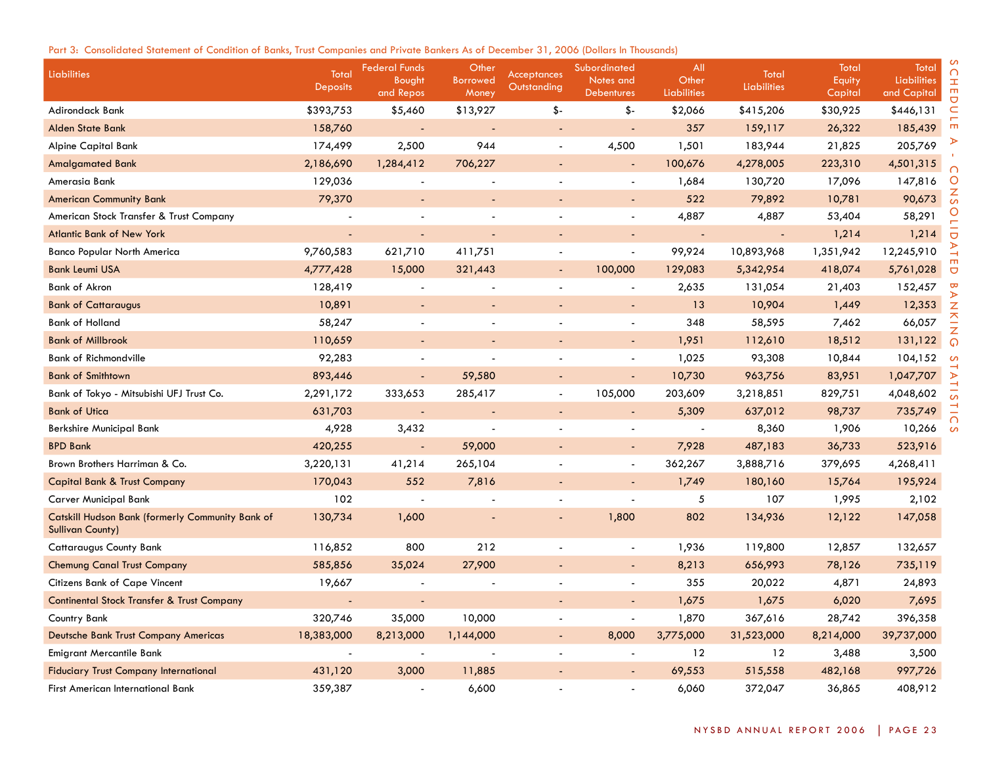# Part 3: Consolidated Statement of Condition of Banks, Trust Companies and Private Bankers As of December 31, 2006 (Dollars In Thousands)

| Liabilities                                                                        | Total<br>Deposits | <b>Federal Funds</b><br>Bought<br>and Repos | Other<br><b>Borrowed</b><br>Money | Acceptances<br>Outstanding | Subordinated<br>Notes and<br><b>Debentures</b> | All<br>Other<br><b>Liabilities</b> | Total<br><b>Liabilities</b> | Total<br>Equity<br>Capital | Total<br><b>Liabilities</b><br>and Capital | ∩<br>工<br>$\mathbf{m}$       |
|------------------------------------------------------------------------------------|-------------------|---------------------------------------------|-----------------------------------|----------------------------|------------------------------------------------|------------------------------------|-----------------------------|----------------------------|--------------------------------------------|------------------------------|
| Adirondack Bank                                                                    | \$393,753         | \$5,460                                     | \$13,927                          | $$-$                       | $$-$                                           | \$2,066                            | \$415,206                   | \$30,925                   | \$446,131                                  | $\overline{a}$<br>C          |
| <b>Alden State Bank</b>                                                            | 158,760           |                                             |                                   |                            |                                                | 357                                | 159,117                     | 26,322                     | 185,439                                    | m                            |
| <b>Alpine Capital Bank</b>                                                         | 174,499           | 2,500                                       | 944                               | $\overline{\phantom{a}}$   | 4,500                                          | 1,501                              | 183,944                     | 21,825                     | 205,769                                    |                              |
| <b>Amalgamated Bank</b>                                                            | 2,186,690         | 1,284,412                                   | 706,227                           |                            | $\blacksquare$                                 | 100,676                            | 4,278,005                   | 223,310                    | 4,501,315                                  | ∩                            |
| Amerasia Bank                                                                      | 129,036           |                                             |                                   |                            | $\blacksquare$                                 | 1,684                              | 130,720                     | 17,096                     | 147,816                                    | $\circ$                      |
| <b>American Community Bank</b>                                                     | 79,370            |                                             |                                   |                            | $\blacksquare$                                 | 522                                | 79,892                      | 10,781                     | 90,673                                     | $\frac{z}{s}$                |
| American Stock Transfer & Trust Company                                            |                   |                                             |                                   |                            |                                                | 4,887                              | 4,887                       | 53,404                     | 58,291                                     | O                            |
| <b>Atlantic Bank of New York</b>                                                   |                   |                                             |                                   |                            |                                                |                                    |                             | 1,214                      | 1,214                                      | $\overline{C}$               |
| <b>Banco Popular North America</b>                                                 | 9,760,583         | 621,710                                     | 411,751                           |                            | $\blacksquare$                                 | 99,924                             | 10,893,968                  | 1,351,942                  | 12,245,910                                 |                              |
| <b>Bank Leumi USA</b>                                                              | 4,777,428         | 15,000                                      | 321,443                           |                            | 100,000                                        | 129,083                            | 5,342,954                   | 418,074                    | 5,761,028                                  | $\overline{C}$               |
| <b>Bank of Akron</b>                                                               | 128,419           |                                             |                                   |                            | $\overline{\phantom{a}}$                       | 2,635                              | 131,054                     | 21,403                     | 152,457                                    | $\overline{\mathbf{c}}$<br>⋗ |
| <b>Bank of Cattaraugus</b>                                                         | 10,891            |                                             |                                   |                            | $\omega$                                       | 13                                 | 10,904                      | 1,449                      | 12,353                                     | Z                            |
| <b>Bank of Holland</b>                                                             | 58,247            |                                             |                                   |                            | $\sim$                                         | 348                                | 58,595                      | 7,462                      | 66,057                                     | $\overline{\triangle}$<br>Z  |
| <b>Bank of Millbrook</b>                                                           | 110,659           |                                             |                                   |                            | $\blacksquare$                                 | 1,951                              | 112,610                     | 18,512                     | 131,122                                    | $\Omega$                     |
| <b>Bank of Richmondville</b>                                                       | 92,283            |                                             |                                   |                            | $\blacksquare$                                 | 1,025                              | 93,308                      | 10,844                     | 104,152                                    | $\mathcal{L}$                |
| <b>Bank of Smithtown</b>                                                           | 893,446           |                                             | 59,580                            |                            |                                                | 10,730                             | 963,756                     | 83,951                     | 1,047,707                                  | ⋗                            |
| Bank of Tokyo - Mitsubishi UFJ Trust Co.                                           | 2,291,172         | 333,653                                     | 285,417                           | $\overline{\phantom{a}}$   | 105,000                                        | 203,609                            | 3,218,851                   | 829,751                    | 4,048,602                                  | 5                            |
| <b>Bank of Utica</b>                                                               | 631,703           |                                             |                                   |                            | $\blacksquare$                                 | 5,309                              | 637,012                     | 98,737                     | 735,749                                    |                              |
| Berkshire Municipal Bank                                                           | 4,928             | 3,432                                       |                                   |                            | $\blacksquare$                                 |                                    | 8,360                       | 1,906                      | 10,266                                     | $\mathcal{L}$                |
| <b>BPD Bank</b>                                                                    | 420,255           |                                             | 59,000                            |                            | $\blacksquare$                                 | 7,928                              | 487,183                     | 36,733                     | 523,916                                    |                              |
| Brown Brothers Harriman & Co.                                                      | 3,220,131         | 41,214                                      | 265,104                           |                            |                                                | 362,267                            | 3,888,716                   | 379,695                    | 4,268,411                                  |                              |
| <b>Capital Bank &amp; Trust Company</b>                                            | 170,043           | 552                                         | 7,816                             |                            | $\blacksquare$                                 | 1,749                              | 180,160                     | 15,764                     | 195,924                                    |                              |
| Carver Municipal Bank                                                              | 102               |                                             |                                   |                            |                                                | 5                                  | 107                         | 1,995                      | 2,102                                      |                              |
| <b>Catskill Hudson Bank (formerly Community Bank of</b><br><b>Sullivan County)</b> | 130,734           | 1,600                                       |                                   |                            | 1,800                                          | 802                                | 134,936                     | 12,122                     | 147,058                                    |                              |
| <b>Cattaraugus County Bank</b>                                                     | 116,852           | 800                                         | 212                               |                            | $\blacksquare$                                 | 1,936                              | 119,800                     | 12,857                     | 132,657                                    |                              |
| <b>Chemung Canal Trust Company</b>                                                 | 585,856           | 35,024                                      | 27,900                            |                            | $\overline{\phantom{a}}$                       | 8,213                              | 656,993                     | 78,126                     | 735,119                                    |                              |
| <b>Citizens Bank of Cape Vincent</b>                                               | 19,667            |                                             |                                   |                            | $\overline{a}$                                 | 355                                | 20,022                      | 4,871                      | 24,893                                     |                              |
| <b>Continental Stock Transfer &amp; Trust Company</b>                              |                   |                                             |                                   |                            |                                                | 1,675                              | 1,675                       | 6,020                      | 7,695                                      |                              |
| Country Bank                                                                       | 320,746           | 35,000                                      | 10,000                            |                            | $\blacksquare$                                 | 1,870                              | 367,616                     | 28,742                     | 396,358                                    |                              |
| Deutsche Bank Trust Company Americas                                               | 18,383,000        | 8,213,000                                   | 1,144,000                         | $\blacksquare$             | 8,000                                          | 3,775,000                          | 31,523,000                  | 8,214,000                  | 39,737,000                                 |                              |
| <b>Emigrant Mercantile Bank</b>                                                    |                   |                                             |                                   |                            |                                                | 12                                 | 12                          | 3,488                      | 3,500                                      |                              |
| <b>Fiduciary Trust Company International</b>                                       | 431,120           | 3,000                                       | 11,885                            |                            |                                                | 69,553                             | 515,558                     | 482,168                    | 997,726                                    |                              |
| First American International Bank                                                  | 359,387           |                                             | 6,600                             |                            |                                                | 6,060                              | 372,047                     | 36,865                     | 408,912                                    |                              |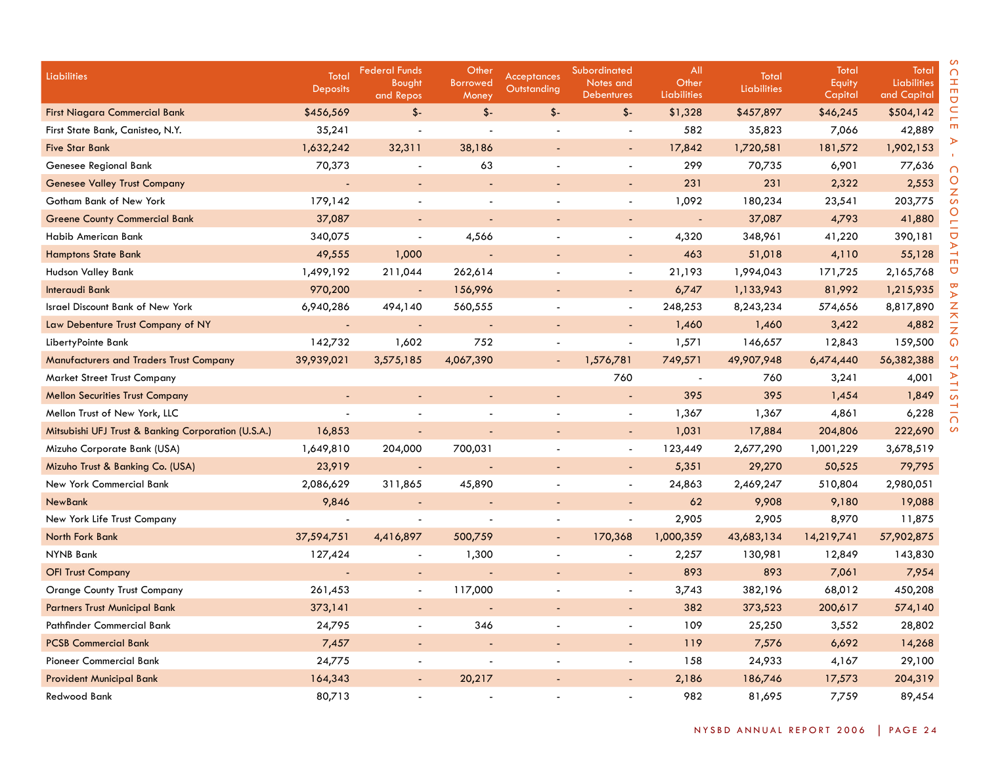| <b>Liabilities</b>                                  | Total<br><b>Deposits</b> | <b>Federal Funds</b><br>Bought<br>and Repos | Other<br><b>Borrowed</b><br>Money | <b>Acceptances</b><br><b>Outstanding</b> | Subordinated<br>Notes and<br><b>Debentures</b> | All<br>Other<br>Liabilities | Total<br><b>Liabilities</b> | Total<br>Equity<br>Capital | Total<br>Liabilities<br>and Capital |
|-----------------------------------------------------|--------------------------|---------------------------------------------|-----------------------------------|------------------------------------------|------------------------------------------------|-----------------------------|-----------------------------|----------------------------|-------------------------------------|
| <b>First Niagara Commercial Bank</b>                | \$456,569                | $$ -$                                       | $$-$                              | $$-$                                     | $$-$                                           | \$1,328                     | \$457,897                   | \$46,245                   | \$504,142                           |
| First State Bank, Canisteo, N.Y.                    | 35,241                   | $\overline{a}$                              | $\overline{a}$                    |                                          | $\overline{a}$                                 | 582                         | 35,823                      | 7,066                      | 42,889                              |
| <b>Five Star Bank</b>                               | 1,632,242                | 32,311                                      | 38,186                            |                                          | $\blacksquare$                                 | 17,842                      | 1,720,581                   | 181,572                    | 1,902,153                           |
| Genesee Regional Bank                               | 70,373                   |                                             | 63                                |                                          | $\blacksquare$                                 | 299                         | 70,735                      | 6,901                      | 77,636                              |
| <b>Genesee Valley Trust Company</b>                 |                          | $\blacksquare$                              |                                   |                                          | $\blacksquare$                                 | 231                         | 231                         | 2,322                      | 2,553                               |
| Gotham Bank of New York                             | 179,142                  |                                             | $\overline{a}$                    |                                          | $\overline{\phantom{a}}$                       | 1,092                       | 180,234                     | 23,541                     | 203,775                             |
| <b>Greene County Commercial Bank</b>                | 37,087                   | $\sim$                                      | L,                                | $\blacksquare$                           | $\blacksquare$                                 | $\omega$                    | 37,087                      | 4,793                      | 41,880                              |
| Habib American Bank                                 | 340,075                  | $\overline{a}$                              | 4,566                             |                                          | $\blacksquare$                                 | 4,320                       | 348,961                     | 41,220                     | 390,181                             |
| <b>Hamptons State Bank</b>                          | 49,555                   | 1,000                                       | ä,                                | $\blacksquare$                           | $\blacksquare$                                 | 463                         | 51,018                      | 4,110                      | 55,128                              |
| Hudson Valley Bank                                  | 1,499,192                | 211,044                                     | 262,614                           |                                          | $\blacksquare$                                 | 21,193                      | 1,994,043                   | 171,725                    | 2,165,768                           |
| Interaudi Bank                                      | 970,200                  | $\blacksquare$                              | 156,996                           |                                          | $\overline{a}$                                 | 6,747                       | 1,133,943                   | 81,992                     | 1,215,935                           |
| <b>Israel Discount Bank of New York</b>             | 6,940,286                | 494,140                                     | 560,555                           |                                          | $\blacksquare$                                 | 248,253                     | 8,243,234                   | 574,656                    | 8,817,890                           |
| Law Debenture Trust Company of NY                   | $\blacksquare$           | $\omega$                                    | $\overline{a}$                    |                                          | $\overline{a}$                                 | 1,460                       | 1,460                       | 3,422                      | 4,882                               |
| LibertyPointe Bank                                  | 142,732                  | 1,602                                       | 752                               |                                          | $\overline{a}$                                 | 1,571                       | 146,657                     | 12,843                     | 159,500                             |
| <b>Manufacturers and Traders Trust Company</b>      | 39,939,021               | 3,575,185                                   | 4,067,390                         |                                          | 1,576,781                                      | 749,571                     | 49,907,948                  | 6,474,440                  | 56,382,388                          |
| <b>Market Street Trust Company</b>                  |                          |                                             |                                   |                                          | 760                                            |                             | 760                         | 3,241                      | 4,001                               |
| <b>Mellon Securities Trust Company</b>              | $\blacksquare$           |                                             |                                   | $\blacksquare$                           |                                                | 395                         | 395                         | 1,454                      | 1,849                               |
| Mellon Trust of New York, LLC                       |                          |                                             |                                   | $\overline{\phantom{a}}$                 | $\blacksquare$                                 | 1,367                       | 1,367                       | 4,861                      | 6,228                               |
| Mitsubishi UFJ Trust & Banking Corporation (U.S.A.) | 16,853                   | $\blacksquare$                              |                                   |                                          | $\overline{\phantom{a}}$                       | 1,031                       | 17,884                      | 204,806                    | 222,690                             |
| Mizuho Corporate Bank (USA)                         | 1,649,810                | 204,000                                     | 700,031                           | $\blacksquare$                           | $\blacksquare$                                 | 123,449                     | 2,677,290                   | 1,001,229                  | 3,678,519                           |
| Mizuho Trust & Banking Co. (USA)                    | 23,919                   | $\blacksquare$                              |                                   |                                          | $\blacksquare$                                 | 5,351                       | 29,270                      | 50,525                     | 79,795                              |
| New York Commercial Bank                            | 2,086,629                | 311,865                                     | 45,890                            | $\blacksquare$                           | $\blacksquare$                                 | 24,863                      | 2,469,247                   | 510,804                    | 2,980,051                           |
| <b>NewBank</b>                                      | 9,846                    | $\overline{\phantom{a}}$                    |                                   |                                          |                                                | 62                          | 9,908                       | 9,180                      | 19,088                              |
| New York Life Trust Company                         | $\overline{\phantom{a}}$ | $\blacksquare$                              | $\overline{\phantom{a}}$          |                                          | L,                                             | 2,905                       | 2,905                       | 8,970                      | 11,875                              |
| North Fork Bank                                     | 37,594,751               | 4,416,897                                   | 500,759                           | $\blacksquare$                           | 170,368                                        | 1,000,359                   | 43,683,134                  | 14,219,741                 | 57,902,875                          |
| <b>NYNB Bank</b>                                    | 127,424                  |                                             | 1,300                             |                                          |                                                | 2,257                       | 130,981                     | 12,849                     | 143,830                             |
| <b>OFI Trust Company</b>                            | $\overline{a}$           | $\sim$                                      | $\sim$                            | $\blacksquare$                           | $\blacksquare$                                 | 893                         | 893                         | 7,061                      | 7,954                               |
| <b>Orange County Trust Company</b>                  | 261,453                  | $\sim$                                      | 117,000                           |                                          | $\overline{a}$                                 | 3,743                       | 382,196                     | 68,012                     | 450,208                             |
| <b>Partners Trust Municipal Bank</b>                | 373,141                  | $\blacksquare$                              |                                   | $\overline{\phantom{a}}$                 | $\blacksquare$                                 | 382                         | 373,523                     | 200,617                    | 574,140                             |
| Pathfinder Commercial Bank                          | 24,795                   | $\blacksquare$                              | 346                               |                                          | $\blacksquare$                                 | 109                         | 25,250                      | 3,552                      | 28,802                              |
| <b>PCSB Commercial Bank</b>                         | 7,457                    | $\sim$                                      |                                   | $\blacksquare$                           | $\blacksquare$                                 | 119                         | 7,576                       | 6,692                      | 14,268                              |
| Pioneer Commercial Bank                             | 24,775                   |                                             |                                   |                                          | $\overline{\phantom{a}}$                       | 158                         | 24,933                      | 4,167                      | 29,100                              |
| <b>Provident Municipal Bank</b>                     | 164,343                  | $\blacksquare$                              | 20,217                            |                                          |                                                | 2,186                       | 186,746                     | 17,573                     | 204,319                             |
| Redwood Bank                                        | 80,713                   |                                             |                                   |                                          |                                                | 982                         | 81,695                      | 7,759                      | 89,454                              |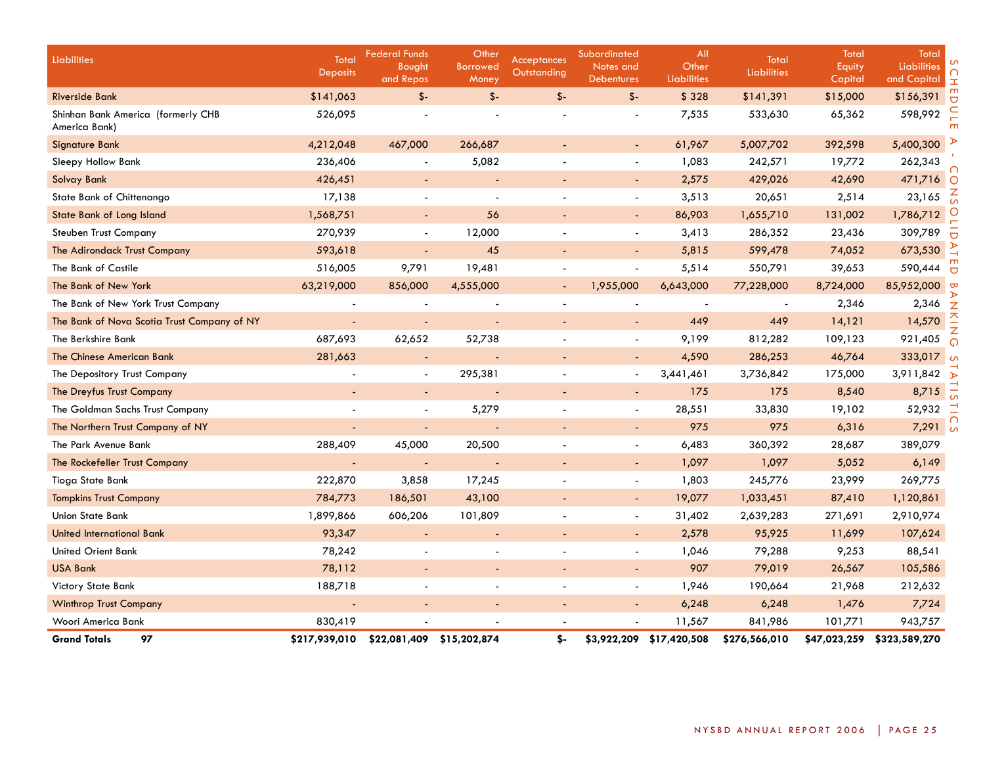| Liabilities                                         | Total<br><b>Deposits</b> | <b>Federal Funds</b><br>Bought<br>and Repos | Other<br><b>Borrowed</b><br>Money | <b>Acceptances</b><br>Outstanding | Subordinated<br>Notes and<br><b>Debentures</b> | All<br>Other<br><b>Liabilities</b> | Total<br><b>Liabilities</b> | Total<br>Equity<br>Capital | Total<br>Liabilities<br>and Capital | <b>I</b>                |
|-----------------------------------------------------|--------------------------|---------------------------------------------|-----------------------------------|-----------------------------------|------------------------------------------------|------------------------------------|-----------------------------|----------------------------|-------------------------------------|-------------------------|
| <b>Riverside Bank</b>                               | \$141,063                | $$-$                                        | $$-$                              | $$-$                              | $$ -$                                          | \$328                              | \$141,391                   | \$15,000                   | \$156,391                           | Ō                       |
| Shinhan Bank America (formerly CHB<br>America Bank) | 526,095                  |                                             |                                   |                                   |                                                | 7,535                              | 533,630                     | 65,362                     | 598,992                             |                         |
| <b>Signature Bank</b>                               | 4,212,048                | 467,000                                     | 266,687                           |                                   | $\blacksquare$                                 | 61,967                             | 5,007,702                   | 392,598                    | 5,400,300                           |                         |
| Sleepy Hollow Bank                                  | 236,406                  |                                             | 5,082                             |                                   | $\overline{\phantom{a}}$                       | 1,083                              | 242,571                     | 19,772                     | 262,343                             |                         |
| Solvay Bank                                         | 426,451                  | ٠                                           |                                   |                                   | $\blacksquare$                                 | 2,575                              | 429,026                     | 42,690                     | 471,716                             | $\circ$                 |
| State Bank of Chittenango                           | 17,138                   |                                             |                                   |                                   | $\blacksquare$                                 | 3,513                              | 20,651                      | 2,514                      | 23,165                              |                         |
| State Bank of Long Island                           | 1,568,751                | $\blacksquare$                              | 56                                |                                   | $\blacksquare$                                 | 86,903                             | 1,655,710                   | 131,002                    | 1,786,712                           |                         |
| <b>Steuben Trust Company</b>                        | 270,939                  | $\blacksquare$                              | 12,000                            |                                   | $\blacksquare$                                 | 3,413                              | 286,352                     | 23,436                     | 309,789                             |                         |
| The Adirondack Trust Company                        | 593,618                  | ٠                                           | 45                                |                                   | $\overline{\phantom{a}}$                       | 5,815                              | 599,478                     | 74,052                     | 673,530                             |                         |
| The Bank of Castile                                 | 516,005                  | 9,791                                       | 19,481                            |                                   | $\overline{\phantom{a}}$                       | 5,514                              | 550,791                     | 39,653                     | 590,444                             |                         |
| The Bank of New York                                | 63,219,000               | 856,000                                     | 4,555,000                         | $\overline{\phantom{a}}$          | 1,955,000                                      | 6,643,000                          | 77,228,000                  | 8,724,000                  | 85,952,000                          | $\mathbf{\overline{v}}$ |
| The Bank of New York Trust Company                  | $\blacksquare$           | $\overline{\phantom{a}}$                    | $\overline{\phantom{a}}$          | $\blacksquare$                    | $\overline{\phantom{a}}$                       |                                    | $\sim$                      | 2,346                      | 2,346                               | $\overline{z}$          |
| The Bank of Nova Scotia Trust Company of NY         |                          |                                             |                                   |                                   | $\blacksquare$                                 | 449                                | 449                         | 14,121                     | 14,570                              |                         |
| The Berkshire Bank                                  | 687,693                  | 62,652                                      | 52,738                            |                                   | $\blacksquare$                                 | 9,199                              | 812,282                     | 109,123                    | 921,405                             |                         |
| The Chinese American Bank                           | 281,663                  | $\overline{\phantom{a}}$                    |                                   |                                   | $\blacksquare$                                 | 4,590                              | 286,253                     | 46,764                     | 333,017                             |                         |
| The Depository Trust Company                        |                          | $\sim$                                      | 295,381                           |                                   | $\blacksquare$                                 | 3,441,461                          | 3,736,842                   | 175,000                    | 3,911,842                           |                         |
| The Dreyfus Trust Company                           |                          | ٠                                           |                                   |                                   | $\overline{\phantom{a}}$                       | 175                                | 175                         | 8,540                      | 8,715                               |                         |
| The Goldman Sachs Trust Company                     |                          |                                             | 5,279                             |                                   |                                                | 28,551                             | 33,830                      | 19,102                     | 52,932                              |                         |
| The Northern Trust Company of NY                    |                          | ÷,                                          |                                   | $\overline{\phantom{a}}$          | $\overline{\phantom{a}}$                       | 975                                | 975                         | 6,316                      | $7,291$ %                           | $\cap$                  |
| The Park Avenue Bank                                | 288,409                  | 45,000                                      | 20,500                            |                                   | $\overline{\phantom{a}}$                       | 6,483                              | 360,392                     | 28,687                     | 389,079                             |                         |
| The Rockefeller Trust Company                       | $\overline{\phantom{a}}$ |                                             |                                   |                                   | $\overline{\phantom{a}}$                       | 1,097                              | 1,097                       | 5,052                      | 6,149                               |                         |
| Tioga State Bank                                    | 222,870                  | 3,858                                       | 17,245                            |                                   | $\blacksquare$                                 | 1,803                              | 245,776                     | 23,999                     | 269,775                             |                         |
| <b>Tompkins Trust Company</b>                       | 784,773                  | 186,501                                     | 43,100                            |                                   | $\overline{\phantom{a}}$                       | 19,077                             | 1,033,451                   | 87,410                     | 1,120,861                           |                         |
| Union State Bank                                    | 1,899,866                | 606,206                                     | 101,809                           |                                   | $\overline{\phantom{a}}$                       | 31,402                             | 2,639,283                   | 271,691                    | 2,910,974                           |                         |
| <b>United International Bank</b>                    | 93,347                   |                                             | $\blacksquare$                    |                                   | $\blacksquare$                                 | 2,578                              | 95,925                      | 11,699                     | 107,624                             |                         |
| <b>United Orient Bank</b>                           | 78,242                   |                                             |                                   |                                   | $\blacksquare$                                 | 1,046                              | 79,288                      | 9,253                      | 88,541                              |                         |
| <b>USA Bank</b>                                     | 78,112                   |                                             |                                   |                                   | $\blacksquare$                                 | 907                                | 79,019                      | 26,567                     | 105,586                             |                         |
| Victory State Bank                                  | 188,718                  |                                             |                                   |                                   | $\blacksquare$                                 | 1,946                              | 190,664                     | 21,968                     | 212,632                             |                         |
| <b>Winthrop Trust Company</b>                       |                          | $\overline{\phantom{a}}$                    | $\overline{\phantom{a}}$          |                                   | $\blacksquare$                                 | 6,248                              | 6,248                       | 1,476                      | 7,724                               |                         |
| Woori America Bank                                  | 830,419                  |                                             |                                   |                                   |                                                | 11,567                             | 841,986                     | 101,771                    | 943,757                             |                         |
| <b>Grand Totals</b><br>97                           | \$217,939,010            | \$22,081,409                                | \$15,202,874                      | \$-                               |                                                | \$3,922,209 \$17,420,508           | \$276,566,010               | \$47,023,259               | \$323,589,270                       |                         |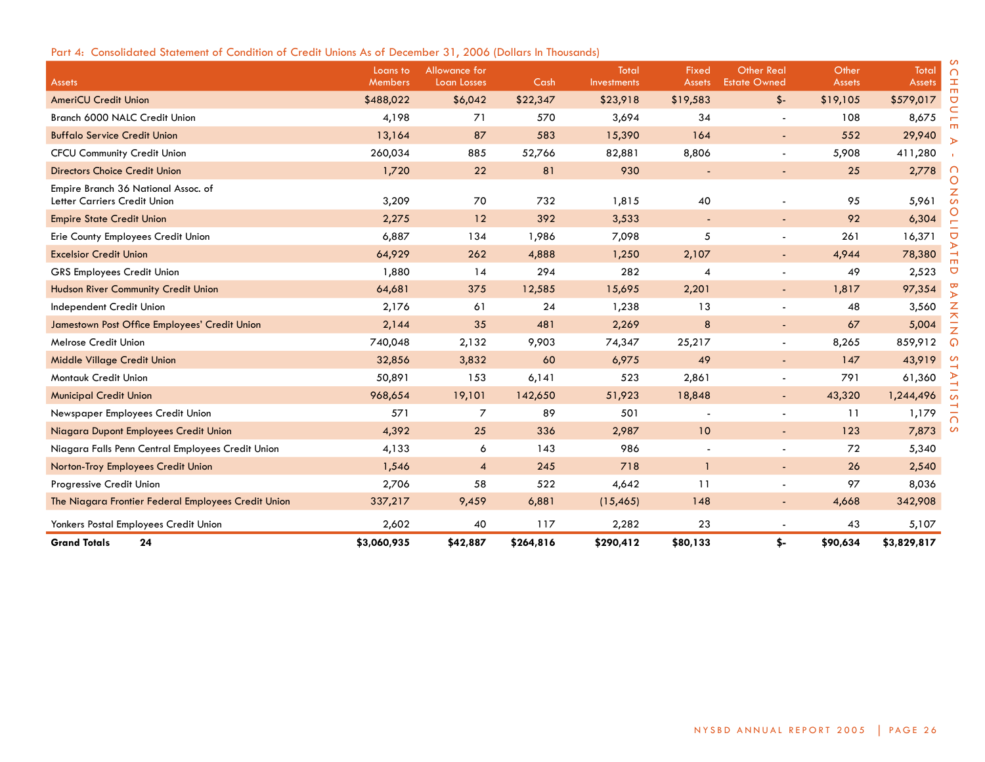# Part 4: Consolidated Statement of Condition of Credit Unions As of December 31, 2006 (Dollars In Thousands)

| <b>Assets</b>                                                       | Loans to<br>Members | Allowance for<br>Loan Losses | Cash      | Total<br><b>Investments</b> | Fixed<br>Assets | <b>Other Real</b><br><b>Estate Owned</b> | Other<br><b>Assets</b> | Total<br><b>Assets</b> | ∩<br>工                       |
|---------------------------------------------------------------------|---------------------|------------------------------|-----------|-----------------------------|-----------------|------------------------------------------|------------------------|------------------------|------------------------------|
| <b>AmeriCU Credit Union</b>                                         | \$488,022           | \$6,042                      | \$22,347  | \$23,918                    | \$19,583        | $$ -$                                    | \$19,105               | \$579,017              | $\blacksquare$<br>$\bigcirc$ |
| Branch 6000 NALC Credit Union                                       | 4,198               | 71                           | 570       | 3,694                       | 34              | $\blacksquare$                           | 108                    | 8,675                  |                              |
| <b>Buffalo Service Credit Union</b>                                 | 13,164              | 87                           | 583       | 15,390                      | 164             |                                          | 552                    | 29,940                 |                              |
| <b>CFCU Community Credit Union</b>                                  | 260,034             | 885                          | 52,766    | 82,881                      | 8,806           | $\overline{\phantom{a}}$                 | 5,908                  | 411,280                |                              |
| <b>Directors Choice Credit Union</b>                                | 1,720               | 22                           | 81        | 930                         |                 | $\overline{\phantom{a}}$                 | 25                     | 2,778                  |                              |
| Empire Branch 36 National Assoc. of<br>Letter Carriers Credit Union | 3,209               | 70                           | 732       | 1,815                       | 40              |                                          | 95                     | 5,961                  | O<br>$\mathcal{L}$           |
| <b>Empire State Credit Union</b>                                    | 2,275               | 12                           | 392       | 3,533                       |                 | $\blacksquare$                           | 92                     | 6,304                  |                              |
| Erie County Employees Credit Union                                  | 6,887               | 134                          | 1,986     | 7,098                       | 5               | $\overline{\phantom{0}}$                 | 261                    | 16,371                 | $\overline{C}$               |
| <b>Excelsior Credit Union</b>                                       | 64,929              | 262                          | 4,888     | 1,250                       | 2,107           | $\blacksquare$                           | 4,944                  | 78,380                 |                              |
| <b>GRS Employees Credit Union</b>                                   | 1,880               | 14                           | 294       | 282                         | 4               | $\blacksquare$                           | 49                     | 2,523                  | Ō                            |
| Hudson River Community Credit Union                                 | 64,681              | 375                          | 12,585    | 15,695                      | 2,201           | $\overline{\phantom{a}}$                 | 1,817                  | 97,354                 | ъ                            |
| Independent Credit Union                                            | 2,176               | 61                           | 24        | 1,238                       | 13              |                                          | 48                     | 3,560                  | z                            |
| Jamestown Post Office Employees' Credit Union                       | 2,144               | 35                           | 481       | 2,269                       | 8               |                                          | 67                     | 5,004                  | ᄌ<br>$\overline{z}$          |
| Melrose Credit Union                                                | 740,048             | 2,132                        | 9,903     | 74,347                      | 25,217          | $\blacksquare$                           | 8,265                  | 859,912                | ດ                            |
| Middle Village Credit Union                                         | 32,856              | 3,832                        | 60        | 6,975                       | 49              | $\overline{\phantom{a}}$                 | 147                    | 43,919                 |                              |
| Montauk Credit Union                                                | 50,891              | 153                          | 6,141     | 523                         | 2,861           | $\blacksquare$                           | 791                    | 61,360                 |                              |
| <b>Municipal Credit Union</b>                                       | 968,654             | 19,101                       | 142,650   | 51,923                      | 18,848          | $\blacksquare$                           | 43,320                 | 1,244,496              |                              |
| Newspaper Employees Credit Union                                    | 571                 | 7                            | 89        | 501                         |                 | $\blacksquare$                           | 11                     | 1,179                  |                              |
| Niagara Dupont Employees Credit Union                               | 4,392               | 25                           | 336       | 2,987                       | 10              |                                          | 123                    | 7,873                  | $\sigma$                     |
| Niagara Falls Penn Central Employees Credit Union                   | 4,133               | 6                            | 143       | 986                         |                 |                                          | 72                     | 5,340                  |                              |
| Norton-Troy Employees Credit Union                                  | 1,546               | $\boldsymbol{A}$             | 245       | 718                         | $\mathbf{1}$    | $\blacksquare$                           | 26                     | 2,540                  |                              |
| Progressive Credit Union                                            | 2,706               | 58                           | 522       | 4,642                       | 11              |                                          | 97                     | 8,036                  |                              |
| The Niagara Frontier Federal Employees Credit Union                 | 337,217             | 9,459                        | 6,881     | (15, 465)                   | 148             | $\blacksquare$                           | 4,668                  | 342,908                |                              |
| Yonkers Postal Employees Credit Union                               | 2,602               | 40                           | 117       | 2,282                       | 23              |                                          | 43                     | 5,107                  |                              |
| <b>Grand Totals</b><br>24                                           | \$3,060,935         | \$42,887                     | \$264,816 | \$290,412                   | \$80,133        | \$-                                      | \$90,634               | \$3,829,817            |                              |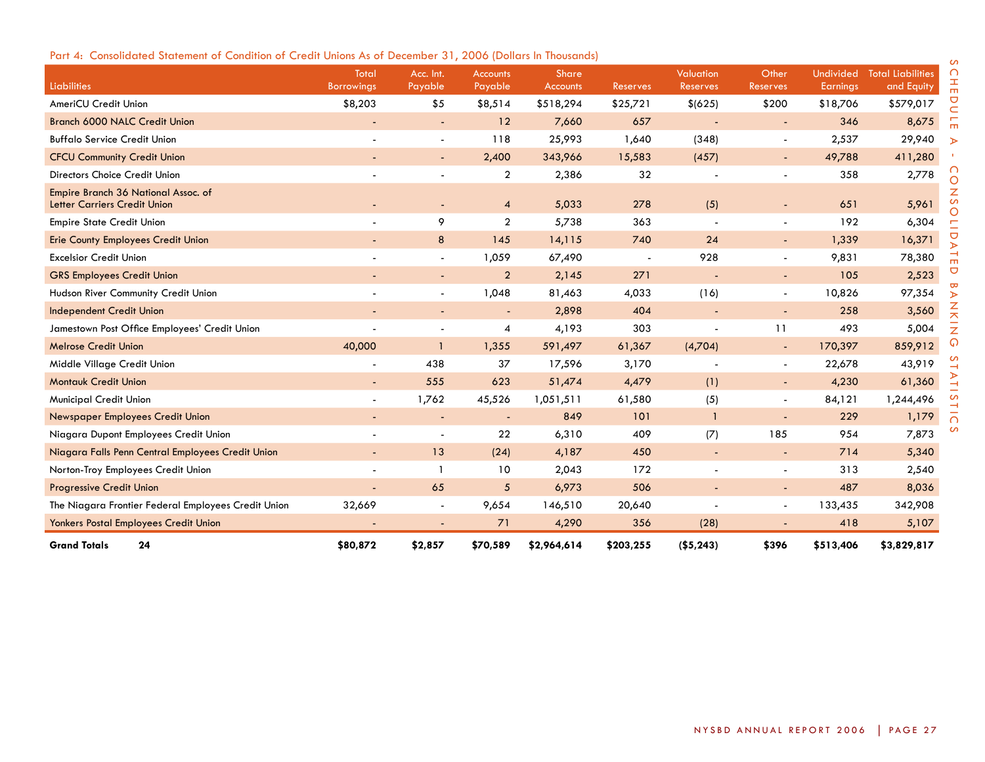| <b>Liabilities</b>                                                         | Total<br><b>Borrowings</b> | Acc. Int.<br>Payable     | <b>Accounts</b><br>Payable | <b>Share</b><br><b>Accounts</b> | <b>Reserves</b>          | <b>Valuation</b><br>Reserves | Other<br>Reserves        | <b>Earnings</b> | Undivided Total Liabilities<br>and Equity |
|----------------------------------------------------------------------------|----------------------------|--------------------------|----------------------------|---------------------------------|--------------------------|------------------------------|--------------------------|-----------------|-------------------------------------------|
| AmeriCU Credit Union                                                       | \$8,203                    | \$5                      | \$8,514                    | \$518,294                       | \$25,721                 | \$(625)                      | \$200                    | \$18,706        | \$579,017                                 |
| Branch 6000 NALC Credit Union                                              | $\overline{\phantom{a}}$   | $\sim$                   | 12                         | 7,660                           | 657                      | $\blacksquare$               | $\sim$                   | 346             | 8,675                                     |
| <b>Buffalo Service Credit Union</b>                                        | $\sim$                     | $\sim$                   | 118                        | 25,993                          | 1,640                    | (348)                        | $\blacksquare$           | 2,537           | 29,940                                    |
| <b>CFCU Community Credit Union</b>                                         |                            |                          | 2,400                      | 343,966                         | 15,583                   | (457)                        | $\overline{\phantom{a}}$ | 49,788          | 411,280                                   |
| Directors Choice Credit Union                                              |                            |                          | $\overline{2}$             | 2,386                           | 32                       |                              |                          | 358             | 2,778                                     |
| Empire Branch 36 National Assoc. of<br><b>Letter Carriers Credit Union</b> |                            | $\sim$                   | $\overline{4}$             | 5,033                           | 278                      | (5)                          | $\overline{\phantom{a}}$ | 651             | 5,961                                     |
| <b>Empire State Credit Union</b>                                           | $\overline{\phantom{a}}$   | 9                        | $\overline{2}$             | 5,738                           | 363                      |                              | $\overline{\phantom{a}}$ | 192             | 6,304                                     |
| <b>Erie County Employees Credit Union</b>                                  |                            | 8                        | 145                        | 14,115                          | 740                      | 24                           | $\blacksquare$           | 1,339           | 16,371                                    |
| <b>Excelsior Credit Union</b>                                              |                            | $\overline{\phantom{a}}$ | 1,059                      | 67,490                          | $\overline{\phantom{a}}$ | 928                          | $\blacksquare$           | 9,831           | 78,380                                    |
| <b>GRS Employees Credit Union</b>                                          |                            | $\sim$                   | $\overline{2}$             | 2,145                           | 271                      | $\overline{\phantom{a}}$     | ۰                        | 105             | 2,523                                     |
| Hudson River Community Credit Union                                        | $\overline{\phantom{a}}$   |                          | 1,048                      | 81,463                          | 4,033                    | (16)                         | $\blacksquare$           | 10,826          | 97,354                                    |
| <b>Independent Credit Union</b>                                            |                            |                          |                            | 2,898                           | 404                      |                              |                          | 258             | 3,560                                     |
| Jamestown Post Office Employees' Credit Union                              |                            | $\overline{\phantom{a}}$ | 4                          | 4,193                           | 303                      | $\overline{\phantom{a}}$     | 11                       | 493             | 5,004                                     |
| <b>Melrose Credit Union</b>                                                | 40,000                     | $\mathbf{1}$             | 1,355                      | 591,497                         | 61,367                   | (4,704)                      | $\sim$                   | 170,397         | 859,912                                   |
| Middle Village Credit Union                                                | $\blacksquare$             | 438                      | 37                         | 17,596                          | 3,170                    |                              | $\overline{\phantom{a}}$ | 22,678          | 43,919                                    |
| <b>Montauk Credit Union</b>                                                | $\blacksquare$             | 555                      | 623                        | 51,474                          | 4,479                    | (1)                          | $\overline{\phantom{a}}$ | 4,230           | 61,360                                    |
| Municipal Credit Union                                                     | $\overline{\phantom{a}}$   | 1,762                    | 45,526                     | 1,051,511                       | 61,580                   | (5)                          | $\overline{\phantom{a}}$ | 84,121          | 1,244,496                                 |
| Newspaper Employees Credit Union                                           |                            | $\overline{\phantom{a}}$ | $\overline{\phantom{a}}$   | 849                             | 101                      | $\overline{1}$               | $\overline{\phantom{a}}$ | 229             | 1,179                                     |
| Niagara Dupont Employees Credit Union                                      |                            |                          | 22                         | 6,310                           | 409                      | (7)                          | 185                      | 954             | 7,873                                     |
| Niagara Falls Penn Central Employees Credit Union                          | ÷.                         | 13                       | (24)                       | 4,187                           | 450                      | $\blacksquare$               | $\overline{\phantom{a}}$ | 714             | 5,340                                     |
| Norton-Troy Employees Credit Union                                         | $\sim$                     |                          | 10                         | 2,043                           | 172                      |                              | $\blacksquare$           | 313             | 2,540                                     |
| <b>Progressive Credit Union</b>                                            | $\blacksquare$             | 65                       | $\sqrt{5}$                 | 6,973                           | 506                      |                              | $\overline{\phantom{a}}$ | 487             | 8,036                                     |
| The Niagara Frontier Federal Employees Credit Union                        | 32,669                     |                          | 9,654                      | 146,510                         | 20,640                   |                              | $\blacksquare$           | 133,435         | 342,908                                   |
| Yonkers Postal Employees Credit Union                                      |                            |                          | 71                         | 4,290                           | 356                      | (28)                         |                          | 418             | 5,107                                     |
| <b>Grand Totals</b><br>24                                                  | \$80,872                   | \$2,857                  | \$70,589                   | \$2,964,614                     | \$203,255                | ( \$5, 243)                  | \$396                    | \$513,406       | \$3,829,817                               |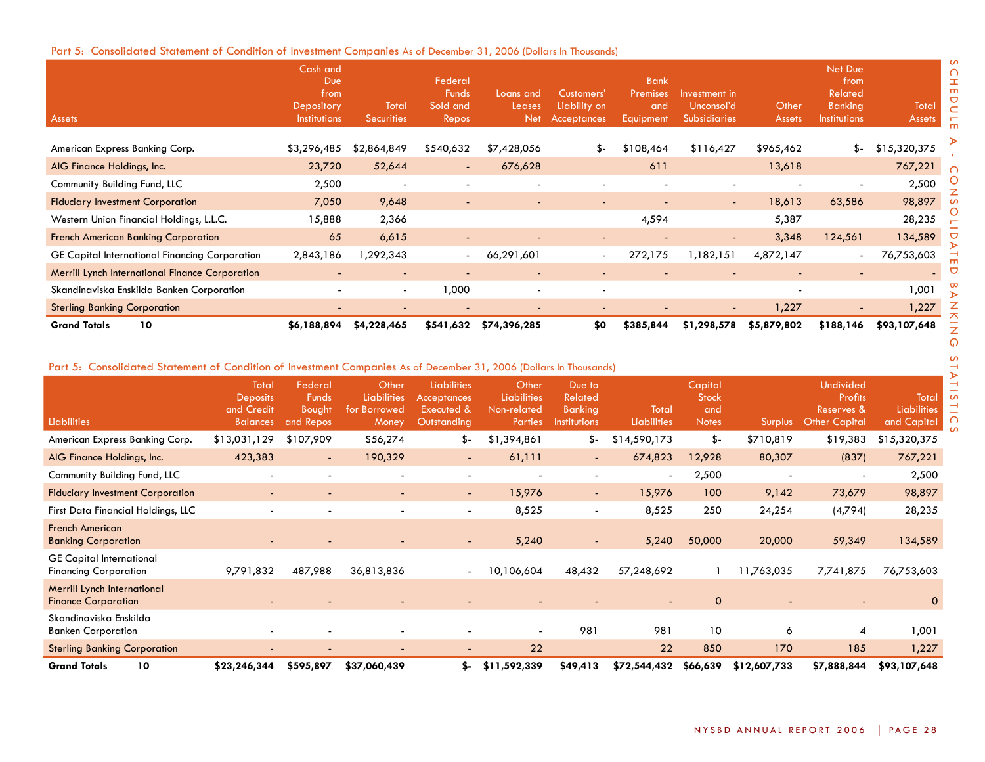# Part 5: Consolidated Statement of Condition of Investment Companies As of December 31, 2006 (Dollars In Thousands)

| <b>Assets</b>                                          | Cash and<br>Due<br>from<br>Depository<br>Institutions | Total<br><b>Securities</b> | Federal<br><b>Funds</b><br>Sold and<br>Repos | Loans and<br>Leases<br><b>Net</b> | Customers'<br>Liability on<br><b>Acceptances</b> | <b>Bank</b><br>Premises<br><b>and</b><br>Equipment | Investment in<br>Unconsol'd<br><b>Subsidiaries</b> | Other<br><b>Assets</b>   | Net Due<br>from<br>Related<br><b>Banking</b><br><b>Institutions</b> | Total<br><b>Assets</b> |
|--------------------------------------------------------|-------------------------------------------------------|----------------------------|----------------------------------------------|-----------------------------------|--------------------------------------------------|----------------------------------------------------|----------------------------------------------------|--------------------------|---------------------------------------------------------------------|------------------------|
| American Express Banking Corp.                         | \$3,296,485                                           | \$2,864,849                | \$540,632                                    | \$7,428,056                       | \$-                                              | \$108,464                                          | \$116,427                                          | \$965,462                | \$-                                                                 | \$15,320,375           |
| AIG Finance Holdings, Inc.                             | 23,720                                                | 52,644                     | $\sim$                                       | 676,628                           |                                                  | 611                                                |                                                    | 13,618                   |                                                                     | 767,221                |
| Community Building Fund, LLC                           | 2,500                                                 | $\overline{\phantom{a}}$   | $\overline{\phantom{a}}$                     |                                   |                                                  |                                                    |                                                    |                          | $\overline{\phantom{a}}$                                            | 2,500                  |
| <b>Fiduciary Investment Corporation</b>                | 7,050                                                 | 9,648                      | $\overline{\phantom{a}}$                     |                                   | $\overline{\phantom{a}}$                         | $\overline{\phantom{a}}$                           | $\sim$                                             | 18,613                   | 63,586                                                              | 98,897                 |
| Western Union Financial Holdings, L.L.C.               | 15,888                                                | 2,366                      |                                              |                                   |                                                  | 4,594                                              |                                                    | 5,387                    |                                                                     | 28,235                 |
| <b>French American Banking Corporation</b>             | 65                                                    | 6,615                      | $\overline{\phantom{a}}$                     |                                   | $\overline{\phantom{a}}$                         |                                                    |                                                    | 3,348                    | 124,561                                                             | 134,589                |
| GE Capital International Financing Corporation         | 2,843,186                                             | ,292,343                   | $\overline{\phantom{0}}$                     | 66,291,601                        | $\overline{\phantom{a}}$                         | 272,175                                            | 1,182,151                                          | 4,872,147                | $\overline{\phantom{a}}$                                            | 76,753,603             |
| <b>Merrill Lynch International Finance Corporation</b> | $\overline{\phantom{0}}$                              | $\overline{\phantom{a}}$   |                                              | $\overline{\phantom{a}}$          | $\overline{\phantom{a}}$                         | $\overline{\phantom{a}}$                           |                                                    | $\overline{\phantom{a}}$ | $\overline{\phantom{a}}$                                            |                        |
| Skandinaviska Enskilda Banken Corporation              |                                                       | $\overline{\phantom{a}}$   | 1,000                                        | $\overline{\phantom{0}}$          | $\overline{\phantom{a}}$                         |                                                    |                                                    | ٠                        |                                                                     | 1,001                  |
| <b>Sterling Banking Corporation</b>                    |                                                       |                            |                                              |                                   | $\overline{\phantom{0}}$                         |                                                    |                                                    | 1,227                    |                                                                     | 1,227                  |
| 10<br><b>Grand Totals</b>                              | \$6,188,894                                           | \$4,228,465                | \$541,632                                    | \$74,396,285                      | \$0                                              | \$385,844                                          | \$1,298,578                                        | \$5,879,802              | \$188,146                                                           | \$93,107,648           |

# Part 5: Consolidated Statement of Condition of Investment Companies As of December 31, 2006 (Dollars In Thousands)

| <b>Liabilities</b>                                              | Total<br><b>Deposits</b><br>and Credit<br><b>Balances</b> | Federal<br><b>Funds</b><br><b>Bought</b><br>and Repos | Other<br><b>Liabilities</b><br>for Borrowed<br>Money | <b>Liabilities</b><br><b>Acceptances</b><br>Executed &<br>Outstanding | Other<br>Liabilities<br>Non-related<br><b>Parties</b> | Due to<br>Related<br><b>Banking</b><br>Institutions | Total<br><b>Liabilities</b> | Capital<br><b>Stock</b><br>and<br><b>Notes</b> | <b>Surplus</b> | <b>Undivided</b><br><b>Profits</b><br>Reserves &<br><b>Other Capital</b> | Total<br><b>Liabilities</b><br>and Capital |
|-----------------------------------------------------------------|-----------------------------------------------------------|-------------------------------------------------------|------------------------------------------------------|-----------------------------------------------------------------------|-------------------------------------------------------|-----------------------------------------------------|-----------------------------|------------------------------------------------|----------------|--------------------------------------------------------------------------|--------------------------------------------|
| American Express Banking Corp.                                  | \$13,031,129                                              | \$107,909                                             | \$56,274                                             | \$-                                                                   | \$1,394,861                                           | \$-                                                 | \$14,590,173                | \$-                                            | \$710,819      | \$19,383                                                                 | \$15,320,375                               |
| AIG Finance Holdings, Inc.                                      | 423,383                                                   | $\sim$                                                | 190,329                                              | $\overline{\phantom{a}}$                                              | 61,111                                                | $\sim$                                              | 674,823                     | 12,928                                         | 80,307         | (837)                                                                    | 767,221                                    |
| Community Building Fund, LLC                                    |                                                           |                                                       |                                                      | $\blacksquare$                                                        | $\overline{\phantom{a}}$                              |                                                     | $\overline{\phantom{0}}$    | 2,500                                          |                | $\overline{\phantom{a}}$                                                 | 2,500                                      |
| <b>Fiduciary Investment Corporation</b>                         |                                                           |                                                       |                                                      | $\overline{\phantom{a}}$                                              | 15,976                                                | ٠                                                   | 15,976                      | 100                                            | 9,142          | 73,679                                                                   | 98,897                                     |
| First Data Financial Holdings, LLC                              |                                                           |                                                       |                                                      | $\overline{\phantom{a}}$                                              | 8,525                                                 | $\overline{\phantom{0}}$                            | 8,525                       | 250                                            | 24,254         | (4,794)                                                                  | 28,235                                     |
| <b>French American</b><br><b>Banking Corporation</b>            |                                                           |                                                       |                                                      | $\qquad \qquad \blacksquare$                                          | 5,240                                                 |                                                     | 5,240                       | 50,000                                         | 20,000         | 59,349                                                                   | 134,589                                    |
| <b>GE Capital International</b><br><b>Financing Corporation</b> | 9,791,832                                                 | 487,988                                               | 36,813,836                                           | $\blacksquare$                                                        | 10,106,604                                            | 48,432                                              | 57,248,692                  |                                                | 11,763,035     | 7,741,875                                                                | 76,753,603                                 |
| Merrill Lynch International<br><b>Finance Corporation</b>       |                                                           |                                                       |                                                      |                                                                       |                                                       |                                                     |                             | $\mathbf 0$                                    |                |                                                                          | $\mathbf 0$                                |
| Skandinaviska Enskilda<br><b>Banken Corporation</b>             |                                                           |                                                       |                                                      |                                                                       |                                                       | 981                                                 | 981                         | 10                                             | 6              | 4                                                                        | 1,001                                      |
| <b>Sterling Banking Corporation</b>                             |                                                           |                                                       |                                                      | $\overline{\phantom{a}}$                                              | 22                                                    |                                                     | 22                          | 850                                            | 170            | 185                                                                      | 1,227                                      |
| <b>Grand Totals</b><br>10                                       | \$23,246,344                                              | \$595,897                                             | \$37,060,439                                         | s-                                                                    | \$11,592,339                                          | \$49,413                                            | \$72,544,432                | \$66,639                                       | \$12,607,733   | \$7,888,844                                                              | \$93,107,648                               |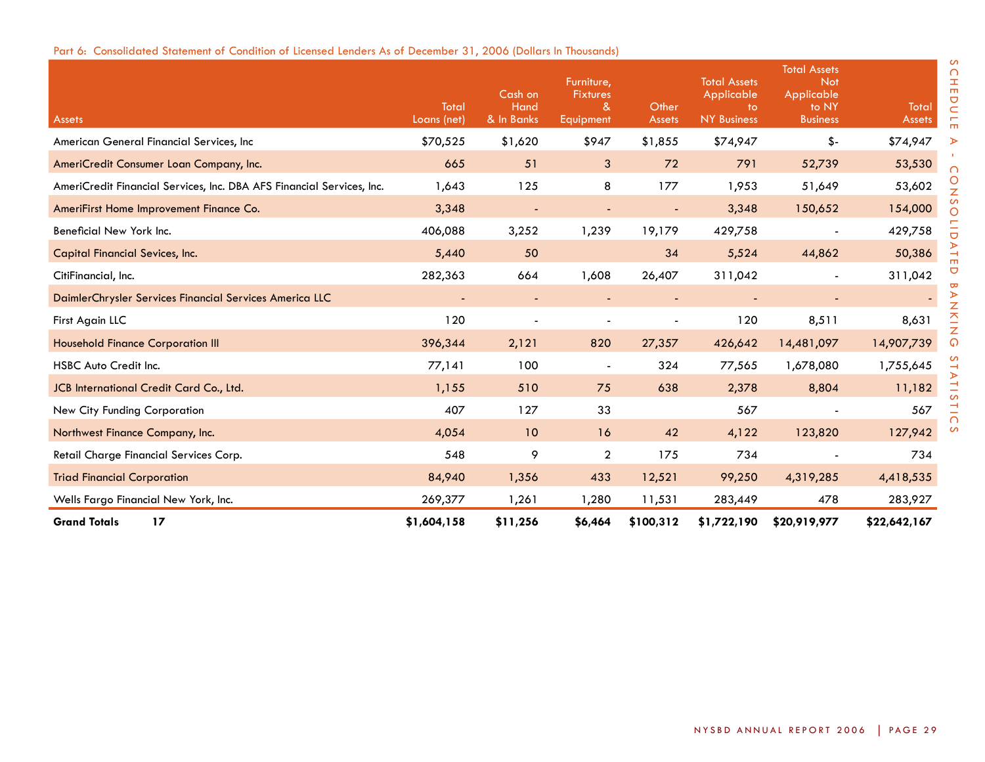|  | Part 6: Consolidated Statement of Condition of Licensed Lenders As of December 31, 2006 (Dollars In Thousands) |  |  |  |  |  |
|--|----------------------------------------------------------------------------------------------------------------|--|--|--|--|--|
|--|----------------------------------------------------------------------------------------------------------------|--|--|--|--|--|

| Assets                                                                | Total<br>Loans (net) | Cash on<br>Hand<br>& In Banks | Furniture,<br><b>Fixtures</b><br>$\alpha$<br>Equipment | Other<br><b>Assets</b> | <b>Total Assets</b><br>Applicable<br>to:<br><b>NY Business</b> | <b>Total Assets</b><br><b>Not</b><br>Applicable<br>to NY<br><b>Business</b> | Total<br><b>Assets</b> |
|-----------------------------------------------------------------------|----------------------|-------------------------------|--------------------------------------------------------|------------------------|----------------------------------------------------------------|-----------------------------------------------------------------------------|------------------------|
| American General Financial Services, Inc.                             | \$70,525             | \$1,620                       | \$947                                                  | \$1,855                | \$74,947                                                       | \$-                                                                         | \$74,947               |
| AmeriCredit Consumer Loan Company, Inc.                               | 665                  | 51                            | 3                                                      | 72                     | 791                                                            | 52,739                                                                      | 53,530                 |
| AmeriCredit Financial Services, Inc. DBA AFS Financial Services, Inc. | 1,643                | 125                           | 8                                                      | 177                    | 1,953                                                          | 51,649                                                                      | 53,602                 |
| AmeriFirst Home Improvement Finance Co.                               | 3,348                | $\blacksquare$                | $\blacksquare$                                         | $\blacksquare$         | 3,348                                                          | 150,652                                                                     | 154,000                |
| Beneficial New York Inc.                                              | 406,088              | 3,252                         | 1,239                                                  | 19,179                 | 429,758                                                        |                                                                             | 429,758                |
| <b>Capital Financial Sevices, Inc.</b>                                | 5,440                | 50                            |                                                        | 34                     | 5,524                                                          | 44,862                                                                      | 50,386                 |
| CitiFinancial, Inc.                                                   | 282,363              | 664                           | 1,608                                                  | 26,407                 | 311,042                                                        |                                                                             | 311,042                |
| DaimlerChrysler Services Financial Services America LLC               |                      |                               |                                                        |                        |                                                                |                                                                             |                        |
| First Again LLC                                                       | 120                  |                               |                                                        |                        | 120                                                            | 8,511                                                                       | 8,631                  |
| <b>Household Finance Corporation III</b>                              | 396,344              | 2,121                         | 820                                                    | 27,357                 | 426,642                                                        | 14,481,097                                                                  | 14,907,739             |
| <b>HSBC Auto Credit Inc.</b>                                          | 77,141               | 100                           | $\blacksquare$                                         | 324                    | 77,565                                                         | 1,678,080                                                                   | 1,755,645              |
| JCB International Credit Card Co., Ltd.                               | 1,155                | 510                           | 75                                                     | 638                    | 2,378                                                          | 8,804                                                                       | 11,182                 |
| New City Funding Corporation                                          | 407                  | 127                           | 33                                                     |                        | 567                                                            |                                                                             | 567                    |
| Northwest Finance Company, Inc.                                       | 4,054                | 10                            | 16                                                     | 42                     | 4,122                                                          | 123,820                                                                     | 127,942                |
| Retail Charge Financial Services Corp.                                | 548                  | 9                             | $\overline{2}$                                         | 175                    | 734                                                            |                                                                             | 734                    |
| <b>Triad Financial Corporation</b>                                    | 84,940               | 1,356                         | 433                                                    | 12,521                 | 99,250                                                         | 4,319,285                                                                   | 4,418,535              |
| Wells Fargo Financial New York, Inc.                                  | 269,377              | 1,261                         | 1,280                                                  | 11,531                 | 283,449                                                        | 478                                                                         | 283,927                |
| <b>Grand Totals</b><br>17                                             | \$1,604,158          | \$11,256                      | \$6,464                                                | \$100,312              | \$1,722,190                                                    | \$20,919,977                                                                | \$22,642,167           |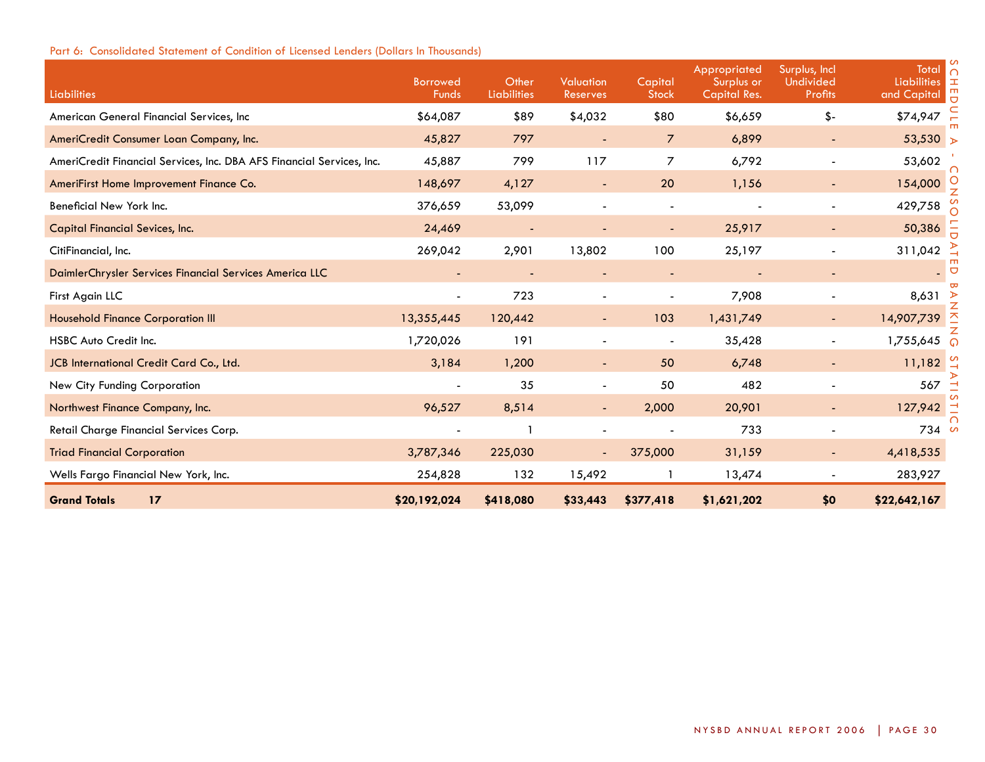| Liabilities                                                           | <b>Borrowed</b><br><b>Funds</b> | Other<br>Liabilities | <b>Valuation</b><br>Reserves | Capital<br><b>Stock</b>  | Appropriated<br>Surplus or<br>Capital Res. | Surplus, Incl<br>Undivided<br><b>Profits</b> | Total n<br><b>Liabilities</b><br>∣≖<br>m<br>and Capital |
|-----------------------------------------------------------------------|---------------------------------|----------------------|------------------------------|--------------------------|--------------------------------------------|----------------------------------------------|---------------------------------------------------------|
| American General Financial Services, Inc                              | \$64,087                        | \$89                 | \$4,032                      | \$80                     | \$6,659                                    | $$-$                                         | \$74,947                                                |
| AmeriCredit Consumer Loan Company, Inc.                               | 45,827                          | 797                  |                              | $\overline{7}$           | 6,899                                      |                                              | 53,530 $\triangleright$                                 |
| AmeriCredit Financial Services, Inc. DBA AFS Financial Services, Inc. | 45,887                          | 799                  | 117                          | 7                        | 6,792                                      |                                              | 53,602                                                  |
| AmeriFirst Home Improvement Finance Co.                               | 148,697                         | 4,127                | $\blacksquare$               | 20                       | 1,156                                      | $\blacksquare$                               | 154,000                                                 |
| Beneficial New York Inc.                                              | 376,659                         | 53,099               |                              | $\overline{\phantom{a}}$ |                                            |                                              | 429,758                                                 |
| <b>Capital Financial Sevices, Inc.</b>                                | 24,469                          |                      |                              |                          | 25,917                                     |                                              | 50,386                                                  |
| CitiFinancial, Inc.                                                   | 269,042                         | 2,901                | 13,802                       | 100                      | 25,197                                     |                                              | 311,042                                                 |
| DaimlerChrysler Services Financial Services America LLC               |                                 |                      | $\blacksquare$               | $\blacksquare$           |                                            | $\blacksquare$                               | $\sigma$                                                |
| First Again LLC                                                       |                                 | 723                  |                              |                          | 7,908                                      |                                              | 8,631                                                   |
| <b>Household Finance Corporation III</b>                              | 13,355,445                      | 120,442              |                              | 103                      | 1,431,749                                  |                                              | z<br>즈<br>14,907,739                                    |
| <b>HSBC Auto Credit Inc.</b>                                          | 1,720,026                       | 191                  |                              |                          | 35,428                                     |                                              | 1,755,645                                               |
| JCB International Credit Card Co., Ltd.                               | 3,184                           | 1,200                |                              | 50                       | 6,748                                      |                                              | 11,182                                                  |
| New City Funding Corporation                                          |                                 | 35                   |                              | 50                       | 482                                        |                                              | 567                                                     |
| Northwest Finance Company, Inc.                                       | 96,527                          | 8,514                | $\blacksquare$               | 2,000                    | 20,901                                     | $\blacksquare$                               | 127,942                                                 |
| Retail Charge Financial Services Corp.                                |                                 |                      |                              |                          | 733                                        |                                              | 734<br>ഗ                                                |
| <b>Triad Financial Corporation</b>                                    | 3,787,346                       | 225,030              |                              | 375,000                  | 31,159                                     | $\overline{\phantom{0}}$                     | 4,418,535                                               |
| Wells Fargo Financial New York, Inc.                                  | 254,828                         | 132                  | 15,492                       |                          | 13,474                                     |                                              | 283,927                                                 |
| <b>Grand Totals</b><br>17                                             | \$20,192,024                    | \$418,080            | \$33,443                     | \$377,418                | \$1,621,202                                | \$0                                          | \$22,642,167                                            |

# Part 6: Consolidated Statement of Condition of Licensed Lenders (Dollars In Thousands)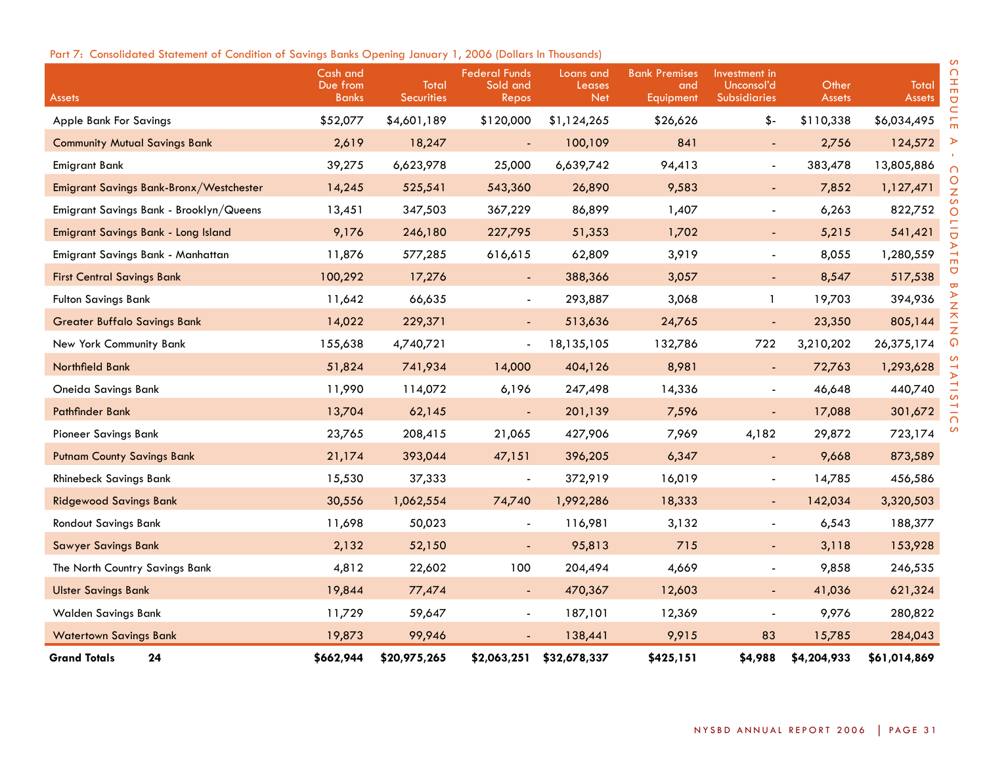# Part 7: Consolidated Statement of Condition of Savings Banks Opening January 1, 2006 (Dollars In Thousands)

| <b>Assets</b>                           | Cash and<br>Due from<br><b>Banks</b> | Total<br><b>Securities</b> | <b>Federal Funds</b><br>Sold and<br>Repos | Loans and<br>Leases<br><b>Net</b> | <b>Bank Premises</b><br>and<br>Equipment | Investment in<br>Unconsol'd<br><b>Subsidiaries</b> | Other<br><b>Assets</b> | <b>Total</b><br><b>Assets</b> |
|-----------------------------------------|--------------------------------------|----------------------------|-------------------------------------------|-----------------------------------|------------------------------------------|----------------------------------------------------|------------------------|-------------------------------|
| <b>Apple Bank For Savings</b>           | \$52,077                             | \$4,601,189                | \$120,000                                 | \$1,124,265                       | \$26,626                                 | $$-$                                               | \$110,338              | \$6,034,495                   |
| <b>Community Mutual Savings Bank</b>    | 2,619                                | 18,247                     | $\blacksquare$                            | 100,109                           | 841                                      | $\blacksquare$                                     | 2,756                  | 124,572                       |
| <b>Emigrant Bank</b>                    | 39,275                               | 6,623,978                  | 25,000                                    | 6,639,742                         | 94,413                                   | $\blacksquare$                                     | 383,478                | 13,805,886                    |
| Emigrant Savings Bank-Bronx/Westchester | 14,245                               | 525,541                    | 543,360                                   | 26,890                            | 9,583                                    | $\blacksquare$                                     | 7,852                  | 1,127,471                     |
| Emigrant Savings Bank - Brooklyn/Queens | 13,451                               | 347,503                    | 367,229                                   | 86,899                            | 1,407                                    | $\blacksquare$                                     | 6,263                  | 822,752                       |
| Emigrant Savings Bank - Long Island     | 9,176                                | 246,180                    | 227,795                                   | 51,353                            | 1,702                                    | $\blacksquare$                                     | 5,215                  | 541,421                       |
| Emigrant Savings Bank - Manhattan       | 11,876                               | 577,285                    | 616,615                                   | 62,809                            | 3,919                                    | $\blacksquare$                                     | 8,055                  | 1,280,559                     |
| <b>First Central Savings Bank</b>       | 100,292                              | 17,276                     | $\blacksquare$                            | 388,366                           | 3,057                                    | $\blacksquare$                                     | 8,547                  | 517,538                       |
| <b>Fulton Savings Bank</b>              | 11,642                               | 66,635                     | $\overline{\phantom{a}}$                  | 293,887                           | 3,068                                    | $\mathbf{1}$                                       | 19,703                 | 394,936                       |
| <b>Greater Buffalo Savings Bank</b>     | 14,022                               | 229,371                    | $\blacksquare$                            | 513,636                           | 24,765                                   |                                                    | 23,350                 | 805,144                       |
| New York Community Bank                 | 155,638                              | 4,740,721                  | $\overline{\phantom{a}}$                  | 18,135,105                        | 132,786                                  | 722                                                | 3,210,202              | 26,375,174                    |
| Northfield Bank                         | 51,824                               | 741,934                    | 14,000                                    | 404,126                           | 8,981                                    | ÷,                                                 | 72,763                 | 1,293,628                     |
| Oneida Savings Bank                     | 11,990                               | 114,072                    | 6,196                                     | 247,498                           | 14,336                                   | $\overline{\phantom{a}}$                           | 46,648                 | 440,740                       |
| <b>Pathfinder Bank</b>                  | 13,704                               | 62,145                     | $\overline{\phantom{a}}$                  | 201,139                           | 7,596                                    | $\blacksquare$                                     | 17,088                 | 301,672                       |
| <b>Pioneer Savings Bank</b>             | 23,765                               | 208,415                    | 21,065                                    | 427,906                           | 7,969                                    | 4,182                                              | 29,872                 | 723,174                       |
| <b>Putnam County Savings Bank</b>       | 21,174                               | 393,044                    | 47,151                                    | 396,205                           | 6,347                                    | $\blacksquare$                                     | 9,668                  | 873,589                       |
| <b>Rhinebeck Savings Bank</b>           | 15,530                               | 37,333                     | $\frac{1}{2}$                             | 372,919                           | 16,019                                   | $\blacksquare$                                     | 14,785                 | 456,586                       |
| <b>Ridgewood Savings Bank</b>           | 30,556                               | 1,062,554                  | 74,740                                    | 1,992,286                         | 18,333                                   | $\sim$                                             | 142,034                | 3,320,503                     |
| <b>Rondout Savings Bank</b>             | 11,698                               | 50,023                     | $\blacksquare$                            | 116,981                           | 3,132                                    | $\blacksquare$                                     | 6,543                  | 188,377                       |
| <b>Sawyer Savings Bank</b>              | 2,132                                | 52,150                     | $\qquad \qquad \blacksquare$              | 95,813                            | 715                                      | $\blacksquare$                                     | 3,118                  | 153,928                       |
| The North Country Savings Bank          | 4,812                                | 22,602                     | 100                                       | 204,494                           | 4,669                                    | $\blacksquare$                                     | 9,858                  | 246,535                       |
| <b>Ulster Savings Bank</b>              | 19,844                               | 77,474                     | $\blacksquare$                            | 470,367                           | 12,603                                   | ÷,                                                 | 41,036                 | 621,324                       |
| <b>Walden Savings Bank</b>              | 11,729                               | 59,647                     | $\overline{\phantom{0}}$                  | 187,101                           | 12,369                                   | $\blacksquare$                                     | 9,976                  | 280,822                       |
| <b>Watertown Savings Bank</b>           | 19,873                               | 99,946                     |                                           | 138,441                           | 9,915                                    | 83                                                 | 15,785                 | 284,043                       |
| 24<br><b>Grand Totals</b>               | \$662,944                            | \$20,975,265               | \$2,063,251                               | \$32,678,337                      | \$425,151                                | \$4,988                                            | \$4,204,933            | \$61,014,869                  |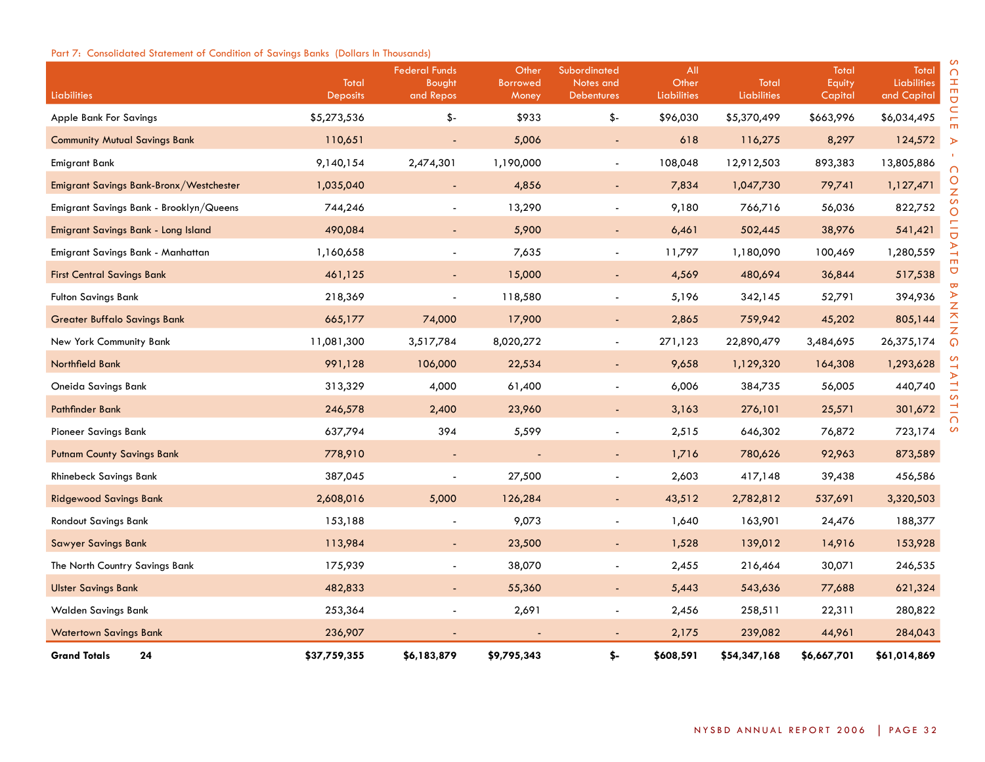# Part 7: Consolidated Statement of Condition of Savings Banks (Dollars In Thousands)

| Liabilities                             | Total<br><b>Deposits</b> | <b>Federal Funds</b><br>Bought<br>and Repos | Other<br><b>Borrowed</b><br>Money | Subordinated<br>Notes and<br><b>Debentures</b> | All<br>Other<br><b>Liabilities</b> | Total<br><b>Liabilities</b> | Total<br>Equity<br>Capital | Total<br>Liabilities<br>and Capital |
|-----------------------------------------|--------------------------|---------------------------------------------|-----------------------------------|------------------------------------------------|------------------------------------|-----------------------------|----------------------------|-------------------------------------|
| Apple Bank For Savings                  | \$5,273,536              | \$-                                         | \$933                             | \$-                                            | \$96,030                           | \$5,370,499                 | \$663,996                  | \$6,034,495                         |
| <b>Community Mutual Savings Bank</b>    | 110,651                  |                                             | 5,006                             | $\blacksquare$                                 | 618                                | 116,275                     | 8,297                      | 124,572                             |
| Emigrant Bank                           | 9,140,154                | 2,474,301                                   | 1,190,000                         | $\blacksquare$                                 | 108,048                            | 12,912,503                  | 893,383                    | 13,805,886                          |
| Emigrant Savings Bank-Bronx/Westchester | 1,035,040                | $\blacksquare$                              | 4,856                             | Ξ                                              | 7,834                              | 1,047,730                   | 79,741                     | 1,127,471                           |
| Emigrant Savings Bank - Brooklyn/Queens | 744,246                  |                                             | 13,290                            | ÷,                                             | 9,180                              | 766,716                     | 56,036                     | 822,752                             |
| Emigrant Savings Bank - Long Island     | 490,084                  |                                             | 5,900                             | $\blacksquare$                                 | 6,461                              | 502,445                     | 38,976                     | 541,421                             |
| Emigrant Savings Bank - Manhattan       | 1,160,658                | $\blacksquare$                              | 7,635                             | $\blacksquare$                                 | 11,797                             | 1,180,090                   | 100,469                    | 1,280,559                           |
| <b>First Central Savings Bank</b>       | 461,125                  | $\sim$                                      | 15,000                            | $\blacksquare$                                 | 4,569                              | 480,694                     | 36,844                     | 517,538                             |
| <b>Fulton Savings Bank</b>              | 218,369                  |                                             | 118,580                           | $\overline{\phantom{a}}$                       | 5,196                              | 342,145                     | 52,791                     | 394,936                             |
| <b>Greater Buffalo Savings Bank</b>     | 665,177                  | 74,000                                      | 17,900                            | $\blacksquare$                                 | 2,865                              | 759,942                     | 45,202                     | 805,144                             |
| New York Community Bank                 | 11,081,300               | 3,517,784                                   | 8,020,272                         | $\blacksquare$                                 | 271,123                            | 22,890,479                  | 3,484,695                  | 26,375,174                          |
| Northfield Bank                         | 991,128                  | 106,000                                     | 22,534                            | $\overline{\phantom{a}}$                       | 9,658                              | 1,129,320                   | 164,308                    | 1,293,628                           |
| Oneida Savings Bank                     | 313,329                  | 4,000                                       | 61,400                            | $\blacksquare$                                 | 6,006                              | 384,735                     | 56,005                     | 440,740                             |
| Pathfinder Bank                         | 246,578                  | 2,400                                       | 23,960                            | $\overline{\phantom{a}}$                       | 3,163                              | 276,101                     | 25,571                     | 301,672                             |
| <b>Pioneer Savings Bank</b>             | 637,794                  | 394                                         | 5,599                             | $\overline{a}$                                 | 2,515                              | 646,302                     | 76,872                     | 723,174                             |
| <b>Putnam County Savings Bank</b>       | 778,910                  | $\blacksquare$                              |                                   | $\blacksquare$                                 | 1,716                              | 780,626                     | 92,963                     | 873,589                             |
| <b>Rhinebeck Savings Bank</b>           | 387,045                  | $\blacksquare$                              | 27,500                            | $\blacksquare$                                 | 2,603                              | 417,148                     | 39,438                     | 456,586                             |
| <b>Ridgewood Savings Bank</b>           | 2,608,016                | 5,000                                       | 126,284                           | $\blacksquare$                                 | 43,512                             | 2,782,812                   | 537,691                    | 3,320,503                           |
| Rondout Savings Bank                    | 153,188                  |                                             | 9,073                             | $\overline{\phantom{a}}$                       | 1,640                              | 163,901                     | 24,476                     | 188,377                             |
| <b>Sawyer Savings Bank</b>              | 113,984                  | $\blacksquare$                              | 23,500                            | ÷,                                             | 1,528                              | 139,012                     | 14,916                     | 153,928                             |
| The North Country Savings Bank          | 175,939                  |                                             | 38,070                            | $\overline{\phantom{a}}$                       | 2,455                              | 216,464                     | 30,071                     | 246,535                             |
| <b>Ulster Savings Bank</b>              | 482,833                  | $\blacksquare$                              | 55,360                            | $\overline{\phantom{a}}$                       | 5,443                              | 543,636                     | 77,688                     | 621,324                             |
| Walden Savings Bank                     | 253,364                  | $\overline{\phantom{a}}$                    | 2,691                             | $\overline{\phantom{a}}$                       | 2,456                              | 258,511                     | 22,311                     | 280,822                             |
| <b>Watertown Savings Bank</b>           | 236,907                  |                                             |                                   | $\overline{\phantom{a}}$                       | 2,175                              | 239,082                     | 44,961                     | 284,043                             |
| <b>Grand Totals</b><br>24               | \$37,759,355             | \$6,183,879                                 | \$9,795,343                       | \$-                                            | \$608,591                          | \$54,347,168                | \$6,667,701                | \$61,014,869                        |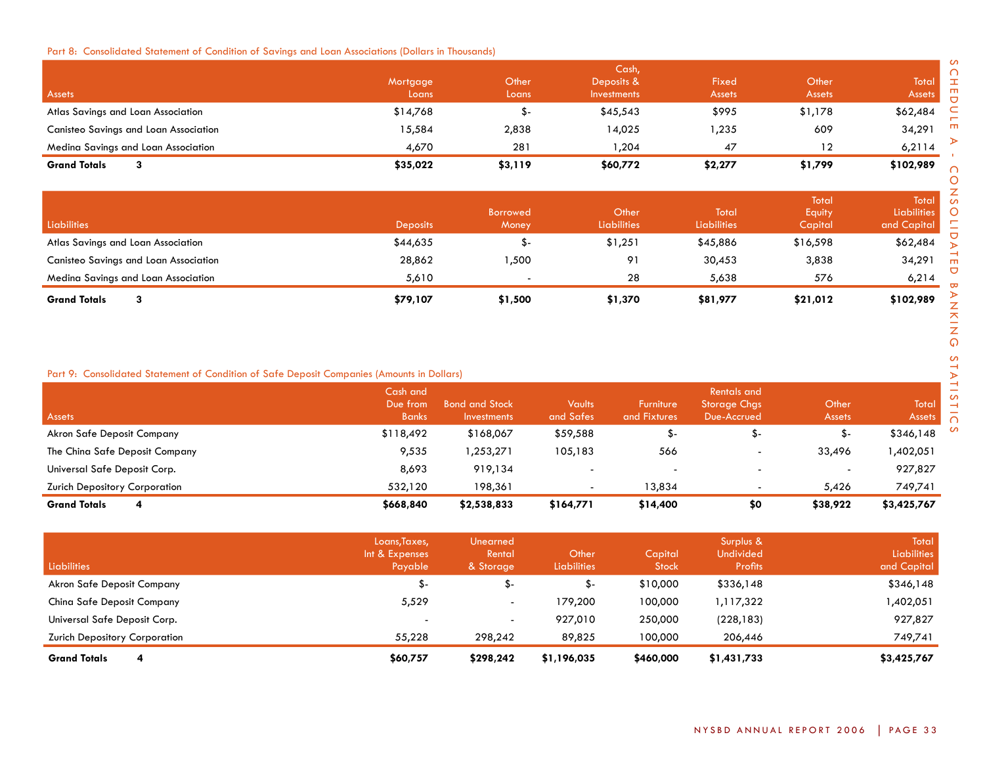## Part 8: Consolidated Statement of Condition of Savings and Loan Associations (Dollars in Thousands)

|                                              |          |         | Cash,              |               |               |               |
|----------------------------------------------|----------|---------|--------------------|---------------|---------------|---------------|
|                                              | Mortgage | Other   | Deposits &         | Fixed         | Other         | Total         |
| <b>Assets</b>                                | Loans    | Loans   | <b>Investments</b> | <b>Assets</b> | <b>Assets</b> | <b>Assets</b> |
| Atlas Savings and Loan Association           | \$14,768 | - ה.    | \$45,543           | \$995         | \$1,178       | \$62,484      |
| <b>Canisteo Savings and Loan Association</b> | 15,584   | 2,838   | 14,025             | ,235          | 609           | 34,291        |
| Medina Savings and Loan Association          | 4,670    | 281     | 204,               | 47            | 12            | 6,2114        |
| <b>Grand Totals</b>                          | \$35,022 | \$3,119 | \$60,772           | \$2,277       | \$1,799       | \$102,989     |

| Liabilities                                  | <b>Deposits</b> | <b>Borrowed</b><br>Money | Other<br><b>Liabilities</b> | Total<br><b>Liabilities</b> | Total<br>Equity<br>Capital | <b>Total</b><br><b>Liabilities</b><br>and Capital |
|----------------------------------------------|-----------------|--------------------------|-----------------------------|-----------------------------|----------------------------|---------------------------------------------------|
| Atlas Savings and Loan Association           | \$44,635        | .ა -                     | \$1,251                     | \$45,886                    | \$16,598                   | \$62,484                                          |
| <b>Canisteo Savings and Loan Association</b> | 28,862          | ,500                     | 91                          | 30,453                      | 3,838                      | 34,291                                            |
| Medina Savings and Loan Association          | 5,610           |                          | 28                          | 5,638                       | 576                        | 6,214                                             |
| <b>Grand Totals</b><br>3                     | \$79,107        | \$1,500                  | \$1,370                     | \$81,977                    | \$21,012                   | \$102,989                                         |

## Part 9: Consolidated Statement of Condition of Safe Deposit Companies (Amounts in Dollars)

| Assets                               | Cash and<br>Due from<br><b>Banks</b> | <b>Bond and Stock</b><br><b>Investments</b> | <b>Vaults</b><br>and Safes | <b>Furniture</b><br>and Fixtures | <b>Rentals and</b><br><b>Storage Chgs</b><br>Due-Accrued | Other<br><b>Assets</b> | Total<br><b>Assets</b> |
|--------------------------------------|--------------------------------------|---------------------------------------------|----------------------------|----------------------------------|----------------------------------------------------------|------------------------|------------------------|
| Akron Safe Deposit Company           | \$118,492                            | \$168,067                                   | \$59,588                   |                                  |                                                          | ა-                     | \$346,148              |
| The China Safe Deposit Company       | 9,535                                | 1,253,271                                   | 105,183                    | 566                              |                                                          | 33,496                 | ,402,051               |
| Universal Safe Deposit Corp.         | 8,693                                | 919.134                                     | $\overline{\phantom{a}}$   |                                  |                                                          | -                      | 927,827                |
| <b>Zurich Depository Corporation</b> | 532.120                              | 198.361                                     | $\overline{\phantom{0}}$   | 13.834                           |                                                          | 5,426                  | 749,741                |
| <b>Grand Totals</b><br>4             | \$668,840                            | \$2,538,833                                 | \$164,771                  | \$14,400                         | \$0                                                      | \$38,922               | \$3,425,767            |

| <b>Liabilities</b>                   | Loans, Taxes,<br>Int & Expenses<br>Payable | Unearned<br>Rental<br>& Storage | Other<br><b>Liabilities</b> | Capital<br><b>Stock</b> | Surplus &<br><b>Undivided</b><br>Profits | Total<br><b>Liabilities</b><br>and Capital |
|--------------------------------------|--------------------------------------------|---------------------------------|-----------------------------|-------------------------|------------------------------------------|--------------------------------------------|
| Akron Safe Deposit Company           | ა-                                         | \$-                             | \$-                         | \$10,000                | \$336,148                                | \$346,148                                  |
| China Safe Deposit Company           | 5,529                                      | $\overline{\phantom{0}}$        | 179,200                     | 100,000                 | 1,117,322                                | 1,402,051                                  |
| Universal Safe Deposit Corp.         | $\overline{\phantom{0}}$                   | $\overline{\phantom{0}}$        | 927,010                     | 250,000                 | (228, 183)                               | 927,827                                    |
| <b>Zurich Depository Corporation</b> | 55,228                                     | 298,242                         | 89,825                      | 100,000                 | 206,446                                  | 749,741                                    |
| <b>Grand Totals</b><br>4             | \$60,757                                   | \$298,242                       | \$1,196,035                 | \$460,000               | \$1,431,733                              | \$3,425,767                                |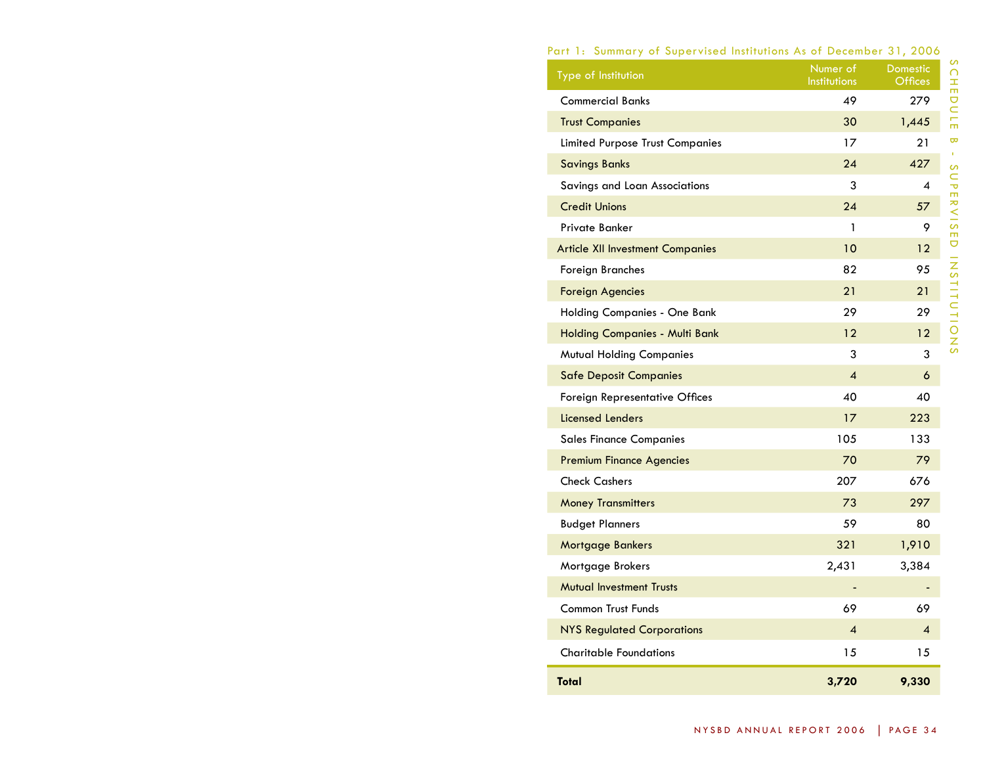# Part 1: Summary of Supervised Institutions As of December 31, 2006

| Type of Institution                     | Numer of<br>Institutions | <b>Domestic</b><br><b>Offices</b> |
|-----------------------------------------|--------------------------|-----------------------------------|
| <b>Commercial Banks</b>                 | 49                       | 279                               |
| <b>Trust Companies</b>                  | 30                       | 1,445                             |
| <b>Limited Purpose Trust Companies</b>  | 17                       | 21                                |
| <b>Savings Banks</b>                    | 24                       | 427                               |
| Savings and Loan Associations           | 3                        | 4                                 |
| <b>Credit Unions</b>                    | 24                       | 57                                |
| Private Banker                          | 1                        | 9                                 |
| <b>Article XII Investment Companies</b> | 10                       | 12                                |
| Foreign Branches                        | 82                       | 95                                |
| <b>Foreign Agencies</b>                 | 21                       | 21                                |
| Holding Companies - One Bank            | 29                       | 29                                |
| <b>Holding Companies - Multi Bank</b>   | 12                       | 12                                |
| <b>Mutual Holding Companies</b>         | 3                        | 3                                 |
| <b>Safe Deposit Companies</b>           | $\overline{\mathcal{A}}$ | 6                                 |
| Foreign Representative Offices          | 40                       | 40                                |
| <b>Licensed Lenders</b>                 | 17                       | 223                               |
| <b>Sales Finance Companies</b>          | 105                      | 133                               |
| <b>Premium Finance Agencies</b>         | 70                       | 79                                |
| <b>Check Cashers</b>                    | 207                      | 676                               |
| <b>Money Transmitters</b>               | 73                       | 297                               |
| <b>Budget Planners</b>                  | 59                       | 80                                |
| <b>Mortgage Bankers</b>                 | 321                      | 1,910                             |
| Mortgage Brokers                        | 2,431                    | 3,384                             |
| <b>Mutual Investment Trusts</b>         |                          |                                   |
| <b>Common Trust Funds</b>               | 69                       | 69                                |
| <b>NYS Regulated Corporations</b>       | 4                        | 4                                 |
| <b>Charitable Foundations</b>           | 15                       | 15                                |
| <b>Total</b>                            | 3,720                    | 9,330                             |

schedule B - supervised ins

 $\bar{\mathbf{w}}$  $\mathbf{u}$ 

SCHEDULE

t i t u t i ons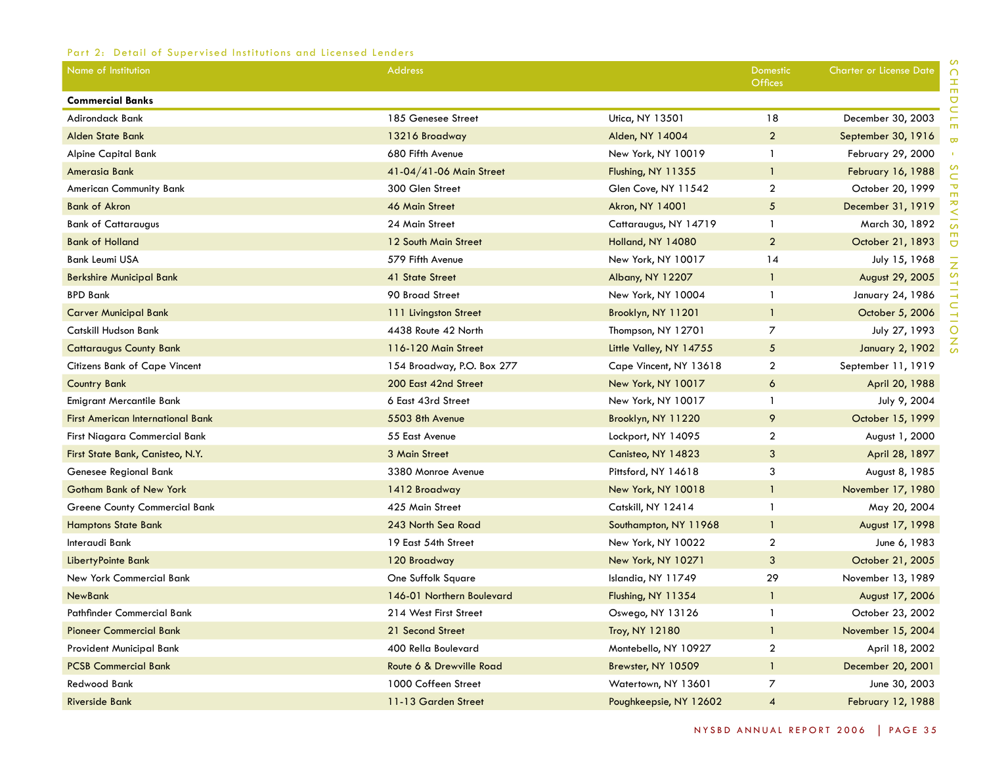# Part 2: Detail of Supervised Institutions and Licensed Lenders

| Name of Institution                      | <b>Address</b>             |                         | <b>Domestic</b><br><b>Offices</b> | <b>Charter or License Date</b> |
|------------------------------------------|----------------------------|-------------------------|-----------------------------------|--------------------------------|
| <b>Commercial Banks</b>                  |                            |                         |                                   |                                |
| <b>Adirondack Bank</b>                   | 185 Genesee Street         | Utica, NY 13501         | 18                                | December 30, 2003              |
| <b>Alden State Bank</b>                  | 13216 Broadway             | Alden, NY 14004         | $\overline{2}$                    | September 30, 1916             |
| Alpine Capital Bank                      | 680 Fifth Avenue           | New York, NY 10019      | $\mathbf{1}$                      | February 29, 2000              |
| <b>Amerasia Bank</b>                     | 41-04/41-06 Main Street    | Flushing, NY 11355      | $\mathbf{1}$                      | February 16, 1988              |
| American Community Bank                  | 300 Glen Street            | Glen Cove, NY 11542     | $\mathbf{2}$                      | October 20, 1999               |
| <b>Bank of Akron</b>                     | 46 Main Street             | Akron, NY 14001         | $\sqrt{5}$                        | December 31, 1919              |
| <b>Bank of Cattaraugus</b>               | 24 Main Street             | Cattaraugus, NY 14719   | $\mathbf{1}$                      | March 30, 1892                 |
| <b>Bank of Holland</b>                   | 12 South Main Street       | Holland, NY 14080       | $\overline{2}$                    | October 21, 1893               |
| <b>Bank Leumi USA</b>                    | 579 Fifth Avenue           | New York, NY 10017      | 14                                | July 15, 1968                  |
| <b>Berkshire Municipal Bank</b>          | 41 State Street            | Albany, NY 12207        | $\mathbf{1}$                      | August 29, 2005                |
| <b>BPD Bank</b>                          | 90 Broad Street            | New York, NY 10004      | $\mathbf{1}$                      | January 24, 1986               |
| <b>Carver Municipal Bank</b>             | 111 Livingston Street      | Brooklyn, NY 11201      | $\mathbf{1}$                      | October 5, 2006                |
| Catskill Hudson Bank                     | 4438 Route 42 North        | Thompson, NY 12701      | $\overline{7}$                    | July 27, 1993                  |
| <b>Cattaraugus County Bank</b>           | 116-120 Main Street        | Little Valley, NY 14755 | 5                                 | <b>January 2, 1902</b>         |
| Citizens Bank of Cape Vincent            | 154 Broadway, P.O. Box 277 | Cape Vincent, NY 13618  | $\overline{2}$                    | September 11, 1919             |
| <b>Country Bank</b>                      | 200 East 42nd Street       | New York, NY 10017      | 6                                 | April 20, 1988                 |
| Emigrant Mercantile Bank                 | 6 East 43rd Street         | New York, NY 10017      | $\mathbf{1}$                      | July 9, 2004                   |
| <b>First American International Bank</b> | 5503 8th Avenue            | Brooklyn, NY 11220      | 9                                 | October 15, 1999               |
| First Niagara Commercial Bank            | 55 East Avenue             | Lockport, NY 14095      | $\mathbf{2}$                      | August 1, 2000                 |
| First State Bank, Canisteo, N.Y.         | 3 Main Street              | Canisteo, NY 14823      | 3                                 | April 28, 1897                 |
| Genesee Regional Bank                    | 3380 Monroe Avenue         | Pittsford, NY 14618     | 3                                 | August 8, 1985                 |
| <b>Gotham Bank of New York</b>           | 1412 Broadway              | New York, NY 10018      | $\mathbf{1}$                      | November 17, 1980              |
| <b>Greene County Commercial Bank</b>     | 425 Main Street            | Catskill, NY 12414      | 1                                 | May 20, 2004                   |
| <b>Hamptons State Bank</b>               | 243 North Sea Road         | Southampton, NY 11968   | $\mathbf{1}$                      | August 17, 1998                |
| Interaudi Bank                           | 19 East 54th Street        | New York, NY 10022      | $\boldsymbol{2}$                  | June 6, 1983                   |
| LibertyPointe Bank                       | 120 Broadway               | New York, NY 10271      | 3                                 | October 21, 2005               |
| New York Commercial Bank                 | One Suffolk Square         | Islandia, NY 11749      | 29                                | November 13, 1989              |
| <b>NewBank</b>                           | 146-01 Northern Boulevard  | Flushing, NY 11354      | $\mathbf{1}$                      | August 17, 2006                |
| Pathfinder Commercial Bank               | 214 West First Street      | Oswego, NY 13126        | $\mathbf{1}$                      | October 23, 2002               |
| <b>Pioneer Commercial Bank</b>           | 21 Second Street           | Troy, NY 12180          | $\mathbf{1}$                      | November 15, 2004              |
| Provident Municipal Bank                 | 400 Rella Boulevard        | Montebello, NY 10927    | $\overline{2}$                    | April 18, 2002                 |
| <b>PCSB Commercial Bank</b>              | Route 6 & Drewville Road   | Brewster, NY 10509      | $\mathbf{1}$                      | December 20, 2001              |
| Redwood Bank                             | 1000 Coffeen Street        | Watertown, NY 13601     | $\overline{7}$                    | June 30, 2003                  |
| <b>Riverside Bank</b>                    | 11-13 Garden Street        | Poughkeepsie, NY 12602  | $\overline{A}$                    | February 12, 1988              |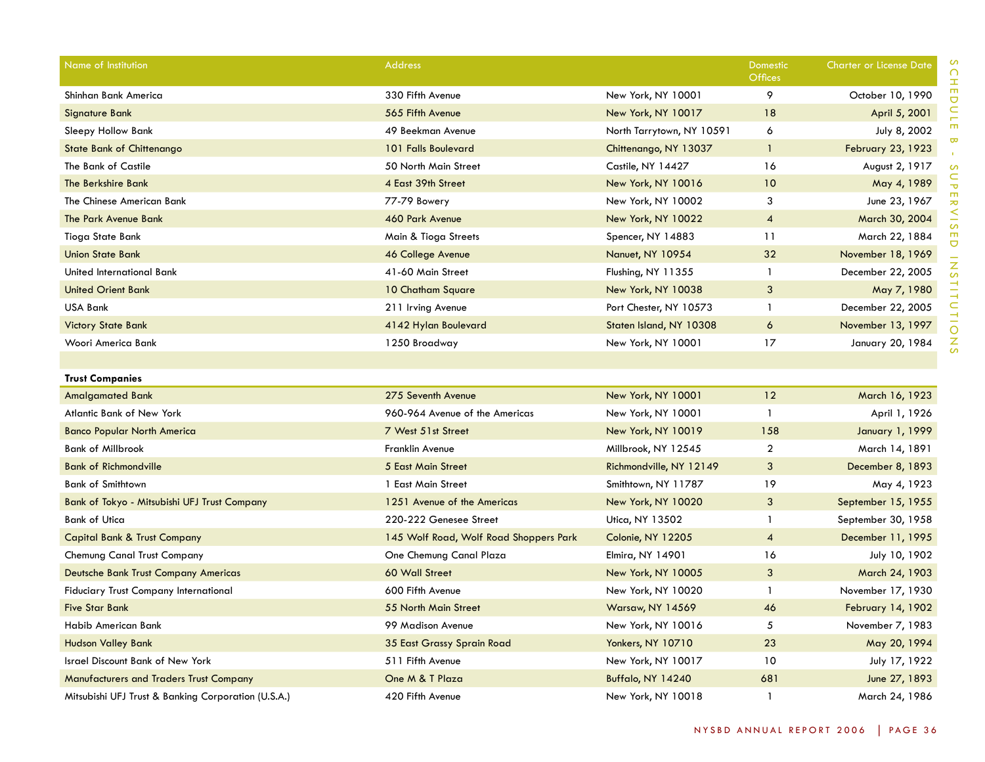| Name of Institution                                 | <b>Address</b>                         |                           | Domestic<br>Offices     | <b>Charter or License Date</b> |
|-----------------------------------------------------|----------------------------------------|---------------------------|-------------------------|--------------------------------|
| Shinhan Bank America                                | 330 Fifth Avenue                       | New York, NY 10001        | 9                       | October 10, 1990               |
| Signature Bank                                      | 565 Fifth Avenue                       | New York, NY 10017        | 18                      | April 5, 2001                  |
| Sleepy Hollow Bank                                  | 49 Beekman Avenue                      | North Tarrytown, NY 10591 | 6                       | July 8, 2002                   |
| <b>State Bank of Chittenango</b>                    | 101 Falls Boulevard                    | Chittenango, NY 13037     | $\mathbf{1}$            | <b>February 23, 1923</b>       |
| The Bank of Castile                                 | 50 North Main Street                   | Castile, NY 14427         | 16                      | August 2, 1917                 |
| The Berkshire Bank                                  | 4 East 39th Street                     | New York, NY 10016        | 10                      | May 4, 1989                    |
| The Chinese American Bank                           | 77-79 Bowery                           | New York, NY 10002        | 3                       | June 23, 1967                  |
| The Park Avenue Bank                                | 460 Park Avenue                        | New York, NY 10022        | $\overline{\mathbf{4}}$ | March 30, 2004                 |
| Tioga State Bank                                    | Main & Tioga Streets                   | Spencer, NY 14883         | 11                      | March 22, 1884                 |
| <b>Union State Bank</b>                             | 46 College Avenue                      | Nanuet, NY 10954          | 32                      | November 18, 1969              |
| United International Bank                           | 41-60 Main Street                      | Flushing, NY 11355        | $\mathbf{1}$            | December 22, 2005              |
| <b>United Orient Bank</b>                           | 10 Chatham Square                      | New York, NY 10038        | 3                       | May 7, 1980                    |
| <b>USA Bank</b>                                     | 211 Irving Avenue                      | Port Chester, NY 10573    | $\mathbf{1}$            | December 22, 2005              |
| <b>Victory State Bank</b>                           | 4142 Hylan Boulevard                   | Staten Island, NY 10308   | 6                       | November 13, 1997              |
| Woori America Bank                                  | 1250 Broadway                          | New York, NY 10001        | 17                      | January 20, 1984               |
|                                                     |                                        |                           |                         |                                |
| <b>Trust Companies</b>                              |                                        |                           |                         |                                |
| <b>Amalgamated Bank</b>                             | 275 Seventh Avenue                     | New York, NY 10001        | 12                      | March 16, 1923                 |
| <b>Atlantic Bank of New York</b>                    | 960-964 Avenue of the Americas         | New York, NY 10001        | $\mathbf{1}$            | April 1, 1926                  |
| <b>Banco Popular North America</b>                  | 7 West 51st Street                     | New York, NY 10019        | 158                     | January 1, 1999                |
| <b>Bank of Millbrook</b>                            | Franklin Avenue                        | Millbrook, NY 12545       | $\overline{a}$          | March 14, 1891                 |
| <b>Bank of Richmondville</b>                        | <b>5 East Main Street</b>              | Richmondville, NY 12149   | 3                       | December 8, 1893               |
| <b>Bank of Smithtown</b>                            | 1 East Main Street                     | Smithtown, NY 11787       | 19                      | May 4, 1923                    |
| Bank of Tokyo - Mitsubishi UFJ Trust Company        | 1251 Avenue of the Americas            | New York, NY 10020        | $\mathbf{3}$            | September 15, 1955             |
| <b>Bank of Utica</b>                                | 220-222 Genesee Street                 | Utica, NY 13502           | $\mathbf{1}$            | September 30, 1958             |
| <b>Capital Bank &amp; Trust Company</b>             | 145 Wolf Road, Wolf Road Shoppers Park | Colonie, NY 12205         | $\overline{4}$          | December 11, 1995              |
| Chemung Canal Trust Company                         | One Chemung Canal Plaza                | Elmira, NY 14901          | 16                      | July 10, 1902                  |
| Deutsche Bank Trust Company Americas                | 60 Wall Street                         | <b>New York, NY 10005</b> | 3                       | March 24, 1903                 |
| <b>Fiduciary Trust Company International</b>        | 600 Fifth Avenue                       | New York, NY 10020        | $\mathbf{1}$            | November 17, 1930              |
| <b>Five Star Bank</b>                               | 55 North Main Street                   | <b>Warsaw, NY 14569</b>   | 46                      | <b>February 14, 1902</b>       |
| Habib American Bank                                 | 99 Madison Avenue                      | New York, NY 10016        | 5                       | November 7, 1983               |
| <b>Hudson Valley Bank</b>                           | 35 East Grassy Sprain Road             | <b>Yonkers, NY 10710</b>  | 23                      | May 20, 1994                   |
| <b>Israel Discount Bank of New York</b>             | 511 Fifth Avenue                       | New York, NY 10017        | 10                      | July 17, 1922                  |
| <b>Manufacturers and Traders Trust Company</b>      | One M & T Plaza                        | Buffalo, NY 14240         | 681                     | June 27, 1893                  |
| Mitsubishi UFJ Trust & Banking Corporation (U.S.A.) | 420 Fifth Avenue                       | New York, NY 10018        | $\mathbf{1}$            | March 24, 1986                 |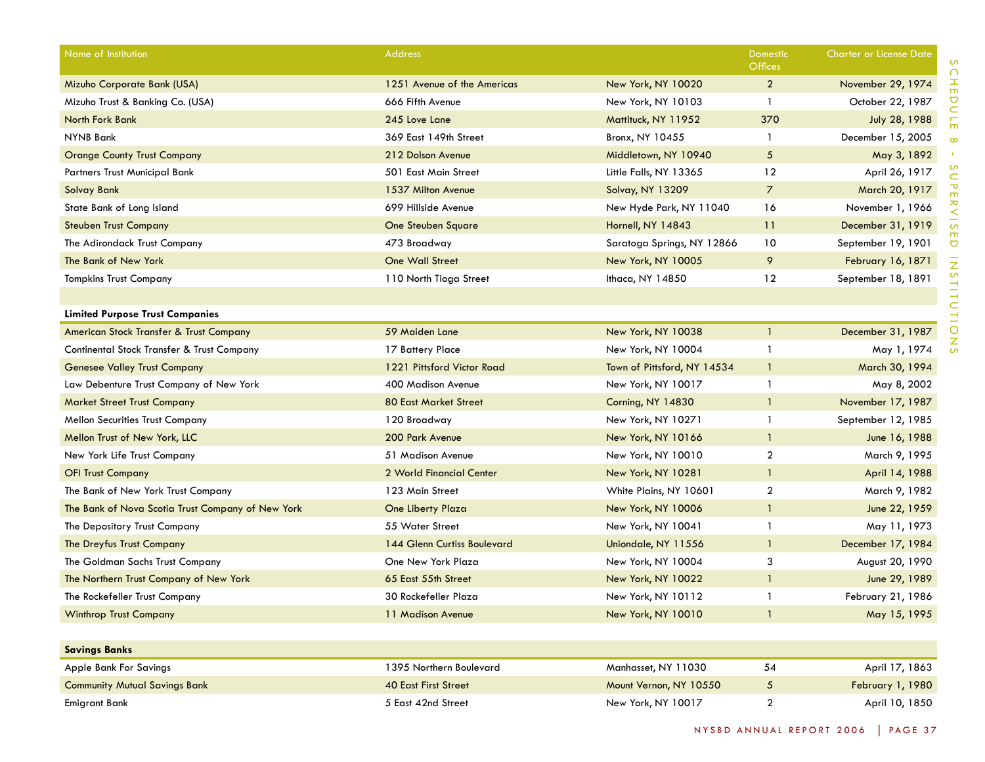| Name of Institution                               | Address                      |                             | Domestic<br><b>Offices</b> | <b>Charter or License Date</b> |
|---------------------------------------------------|------------------------------|-----------------------------|----------------------------|--------------------------------|
| Mizuho Corporate Bank (USA)                       | 1251 Avenue of the Americas  | New York, NY 10020          | $\overline{2}$             | November 29, 1974              |
| Mizuho Trust & Banking Co. (USA)                  | 666 Fifth Avenue             | New York, NY 10103          | -1                         | October 22, 1987               |
| North Fork Bank                                   | 245 Love Lane                | Mattituck, NY 11952         | 370                        | July 28, 1988                  |
| NYNB Bank                                         | 369 East 149th Street        | Bronx, NY 10455             | $\mathbf{1}$               | December 15, 2005              |
| <b>Orange County Trust Company</b>                | 212 Dolson Avenue            | Middletown, NY 10940        | $\overline{5}$             | May 3, 1892                    |
| Partners Trust Municipal Bank                     | 501 East Main Street         | Little Falls, NY 13365      | 12                         | April 26, 1917                 |
| <b>Solvay Bank</b>                                | 1537 Milton Avenue           | <b>Solvay, NY 13209</b>     | $\overline{7}$             | March 20, 1917                 |
| State Bank of Long Island                         | 699 Hillside Avenue          | New Hyde Park, NY 11040     | 16                         | November 1, 1966               |
| <b>Steuben Trust Company</b>                      | <b>One Steuben Square</b>    | Hornell, NY 14843           | 11                         | December 31, 1919              |
| The Adirondack Trust Company                      | 473 Broadway                 | Saratoga Springs, NY 12866  | 10                         | September 19, 1901             |
| The Bank of New York                              | One Wall Street              | New York, NY 10005          | 9                          | February 16, 1871              |
| <b>Tompkins Trust Company</b>                     | 110 North Tioga Street       | Ithaca, NY 14850            | 12                         | September 18, 1891             |
|                                                   |                              |                             |                            |                                |
| <b>Limited Purpose Trust Companies</b>            |                              |                             |                            |                                |
| American Stock Transfer & Trust Company           | 59 Maiden Lane               | New York, NY 10038          | $\mathbf{1}$               | December 31, 1987              |
| Continental Stock Transfer & Trust Company        | 17 Battery Place             | New York, NY 10004          | $\mathbf{1}$               | May 1, 1974                    |
| <b>Genesee Valley Trust Company</b>               | 1221 Pittsford Victor Road   | Town of Pittsford, NY 14534 | $\mathbf{1}$               | March 30, 1994                 |
| Law Debenture Trust Company of New York           | 400 Madison Avenue           | New York, NY 10017          | $\mathbf{1}$               | May 8, 2002                    |
| <b>Market Street Trust Company</b>                | <b>80 East Market Street</b> | Corning, NY 14830           | $\mathbf{1}$               | November 17, 1987              |
| <b>Mellon Securities Trust Company</b>            | 120 Broadway                 | New York, NY 10271          | $\mathbf{1}$               | September 12, 1985             |
| Mellon Trust of New York, LLC                     | 200 Park Avenue              | New York, NY 10166          | $\mathbf{1}$               | June 16, 1988                  |
| New York Life Trust Company                       | 51 Madison Avenue            | New York, NY 10010          | $\overline{2}$             | March 9, 1995                  |
| <b>OFI Trust Company</b>                          | 2 World Financial Center     | New York, NY 10281          | $\mathbf{1}$               | April 14, 1988                 |
| The Bank of New York Trust Company                | 123 Main Street              | White Plains, NY 10601      | $\overline{2}$             | March 9, 1982                  |
| The Bank of Nova Scotia Trust Company of New York | One Liberty Plaza            | New York, NY 10006          | $\mathbf{1}$               | June 22, 1959                  |
| The Depository Trust Company                      | 55 Water Street              | New York, NY 10041          | $\mathbf{1}$               | May 11, 1973                   |
| The Dreyfus Trust Company                         | 144 Glenn Curtiss Boulevard  | Uniondale, NY 11556         | $\mathbf{1}$               | December 17, 1984              |
| The Goldman Sachs Trust Company                   | One New York Plaza           | New York, NY 10004          | 3                          | August 20, 1990                |
| The Northern Trust Company of New York            | 65 East 55th Street          | New York, NY 10022          | $\mathbf{1}$               | June 29, 1989                  |
| The Rockefeller Trust Company                     | 30 Rockefeller Plaza         | New York, NY 10112          | -1                         | February 21, 1986              |
| <b>Winthrop Trust Company</b>                     | 11 Madison Avenue            | New York, NY 10010          | $\mathbf{1}$               | May 15, 1995                   |
|                                                   |                              |                             |                            |                                |
| <b>Savings Banks</b>                              |                              |                             |                            |                                |
| Apple Bank For Savings                            | 1395 Northern Boulevard      | Manhasset, NY 11030         | 54                         | April 17, 1863                 |
| <b>Community Mutual Savings Bank</b>              | <b>40 East First Street</b>  | Mount Vernon, NY 10550      | $\overline{5}$             | February 1, 1980               |
| <b>Emigrant Bank</b>                              | 5 East 42nd Street           | New York, NY 10017          | $\overline{a}$             | April 10, 1850                 |

SCHEDULE schedule B - supervised ins  $\bar{\mathbf{w}}$  $\bar{r}$ t i t u t i ons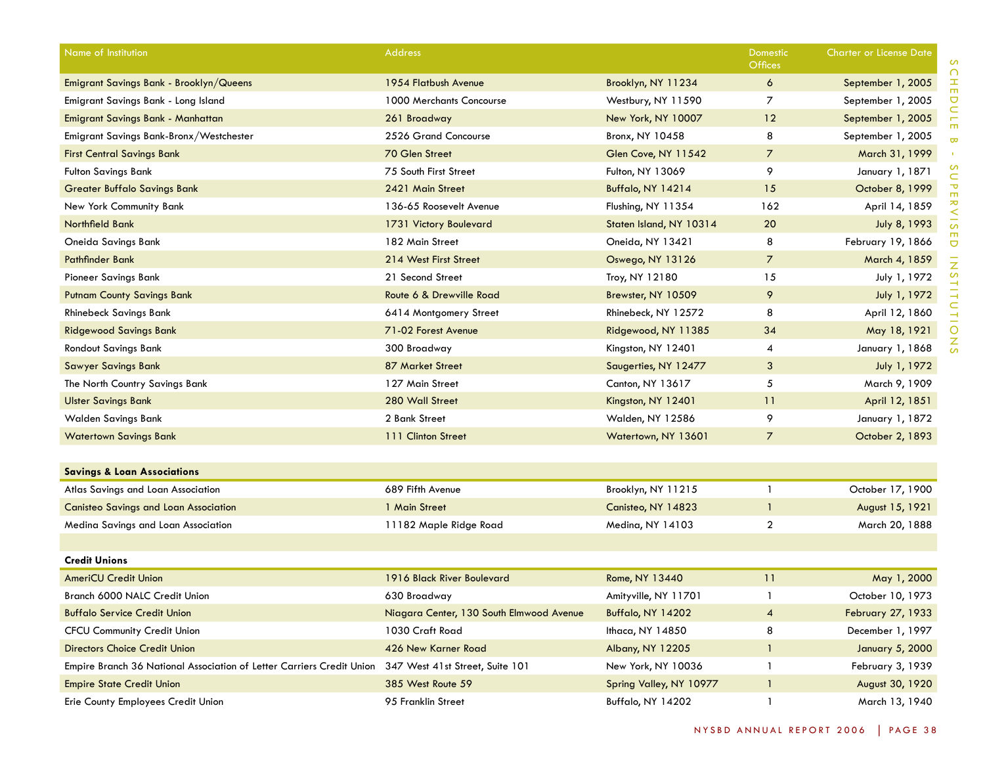| Name of Institution                                                   | <b>Address</b>                           |                         | Domestic<br><b>Offices</b> | <b>Charter or License Date</b> |
|-----------------------------------------------------------------------|------------------------------------------|-------------------------|----------------------------|--------------------------------|
| Emigrant Savings Bank - Brooklyn/Queens                               | 1954 Flatbush Avenue                     | Brooklyn, NY 11234      | 6                          | September 1, 2005              |
| Emigrant Savings Bank - Long Island                                   | 1000 Merchants Concourse                 | Westbury, NY 11590      | $\overline{7}$             | September 1, 2005              |
| Emigrant Savings Bank - Manhattan                                     | 261 Broadway                             | New York, NY 10007      | 12                         | September 1, 2005              |
| Emigrant Savings Bank-Bronx/Westchester                               | 2526 Grand Concourse                     | Bronx, NY 10458         | 8                          | September 1, 2005              |
| <b>First Central Savings Bank</b>                                     | 70 Glen Street                           | Glen Cove, NY 11542     | $\overline{7}$             | March 31, 1999                 |
| <b>Fulton Savings Bank</b>                                            | 75 South First Street                    | Fulton, NY 13069        | 9                          | January 1, 1871                |
| <b>Greater Buffalo Savings Bank</b>                                   | 2421 Main Street                         | Buffalo, NY 14214       | 15                         | October 8, 1999                |
| New York Community Bank                                               | 136-65 Roosevelt Avenue                  | Flushing, NY 11354      | 162                        | April 14, 1859                 |
| Northfield Bank                                                       | 1731 Victory Boulevard                   | Staten Island, NY 10314 | 20                         | July 8, 1993                   |
| Oneida Savings Bank                                                   | 182 Main Street                          | Oneida, NY 13421        | 8                          | February 19, 1866              |
| <b>Pathfinder Bank</b>                                                | 214 West First Street                    | Oswego, NY 13126        | $\overline{7}$             | March 4, 1859                  |
| Pioneer Savings Bank                                                  | 21 Second Street                         | Troy, NY 12180          | 15                         | July 1, 1972                   |
| <b>Putnam County Savings Bank</b>                                     | Route 6 & Drewville Road                 | Brewster, NY 10509      | 9                          | July 1, 1972                   |
| <b>Rhinebeck Savings Bank</b>                                         | 6414 Montgomery Street                   | Rhinebeck, NY 12572     | 8                          | April 12, 1860                 |
| <b>Ridgewood Savings Bank</b>                                         | 71-02 Forest Avenue                      | Ridgewood, NY 11385     | 34                         | May 18, 1921                   |
| Rondout Savings Bank                                                  | 300 Broadway                             | Kingston, NY 12401      | 4                          | January 1, 1868                |
| <b>Sawyer Savings Bank</b>                                            | 87 Market Street                         | Saugerties, NY 12477    | 3                          | July 1, 1972                   |
| The North Country Savings Bank                                        | 127 Main Street                          | Canton, NY 13617        | 5                          | March 9, 1909                  |
| <b>Ulster Savings Bank</b>                                            | 280 Wall Street                          | Kingston, NY 12401      | 11                         | April 12, 1851                 |
| Walden Savings Bank                                                   | 2 Bank Street                            | Walden, NY 12586        | 9                          | January 1, 1872                |
| <b>Watertown Savings Bank</b>                                         | 111 Clinton Street                       | Watertown, NY 13601     | $\overline{7}$             | October 2, 1893                |
| <b>Savings &amp; Loan Associations</b>                                |                                          |                         |                            |                                |
| Atlas Savings and Loan Association                                    | 689 Fifth Avenue                         | Brooklyn, NY 11215      | $\mathbf{1}$               | October 17, 1900               |
| <b>Canisteo Savings and Loan Association</b>                          | 1 Main Street                            | Canisteo, NY 14823      | $\mathbf{1}$               | August 15, 1921                |
| Medina Savings and Loan Association                                   | 11182 Maple Ridge Road                   | Medina, NY 14103        | $\overline{a}$             | March 20, 1888                 |
|                                                                       |                                          |                         |                            |                                |
| <b>Credit Unions</b>                                                  |                                          |                         |                            |                                |
| <b>AmeriCU Credit Union</b>                                           | 1916 Black River Boulevard               | Rome, NY 13440          | 11                         | May 1, 2000                    |
| Branch 6000 NALC Credit Union                                         | 630 Broadway                             | Amityville, NY 11701    | $\mathbf{1}$               | October 10, 1973               |
| <b>Buffalo Service Credit Union</b>                                   | Niagara Center, 130 South Elmwood Avenue | Buffalo, NY 14202       | $\overline{4}$             | February 27, 1933              |
| <b>CFCU Community Credit Union</b>                                    | 1030 Craft Road                          | Ithaca, NY 14850        | 8                          | December 1, 1997               |
| <b>Directors Choice Credit Union</b>                                  | 426 New Karner Road                      | Albany, NY 12205        | $\mathbf{1}$               | January 5, 2000                |
| Empire Branch 36 National Association of Letter Carriers Credit Union | 347 West 41st Street, Suite 101          | New York, NY 10036      | $\mathbf{1}$               | February 3, 1939               |
| <b>Empire State Credit Union</b>                                      | 385 West Route 59                        | Spring Valley, NY 10977 | $\mathbf{1}$               | August 30, 1920                |
| Erie County Employees Credit Union                                    | 95 Franklin Street                       | Buffalo, NY 14202       | -1                         | March 13, 1940                 |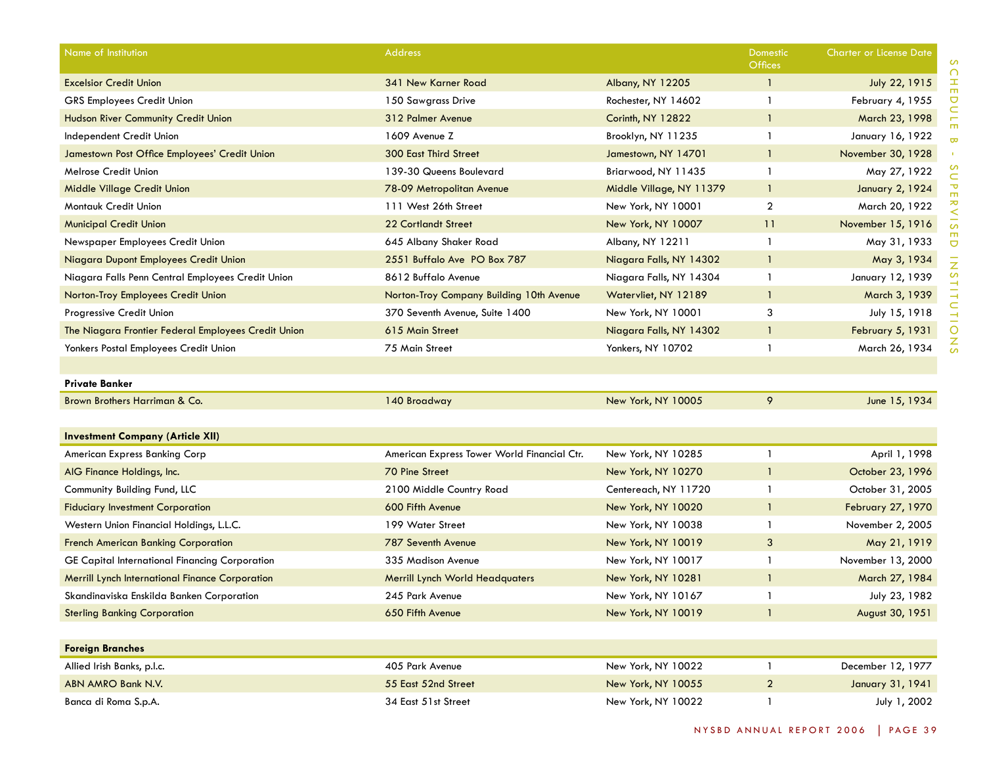| Name of Institution                                 | <b>Address</b>                              |                          | Domestic<br><b>Offices</b> | <b>Charter or License Date</b> |
|-----------------------------------------------------|---------------------------------------------|--------------------------|----------------------------|--------------------------------|
| <b>Excelsior Credit Union</b>                       | 341 New Karner Road                         | Albany, NY 12205         | $\mathbf{1}$               | July 22, 1915                  |
| <b>GRS Employees Credit Union</b>                   | 150 Sawgrass Drive                          | Rochester, NY 14602      | $\mathbf{1}$               | February 4, 1955               |
| Hudson River Community Credit Union                 | 312 Palmer Avenue                           | Corinth, NY 12822        | $\mathbf{1}$               | March 23, 1998                 |
| Independent Credit Union                            | 1609 Avenue Z                               | Brooklyn, NY 11235       | $\mathbf{1}$               | January 16, 1922               |
| Jamestown Post Office Employees' Credit Union       | <b>300 East Third Street</b>                | Jamestown, NY 14701      | $\mathbf{1}$               | November 30, 1928              |
| Melrose Credit Union                                | 139-30 Queens Boulevard                     | Briarwood, NY 11435      | $\mathbf{1}$               | May 27, 1922                   |
| Middle Village Credit Union                         | 78-09 Metropolitan Avenue                   | Middle Village, NY 11379 | -1                         | January 2, 1924                |
| Montauk Credit Union                                | 111 West 26th Street                        | New York, NY 10001       | $\overline{2}$             | March 20, 1922                 |
| <b>Municipal Credit Union</b>                       | <b>22 Cortlandt Street</b>                  | New York, NY 10007       | 11                         | November 15, 1916              |
| Newspaper Employees Credit Union                    | 645 Albany Shaker Road                      | Albany, NY 12211         | $\mathbf{1}$               | May 31, 1933                   |
| Niagara Dupont Employees Credit Union               | 2551 Buffalo Ave PO Box 787                 | Niagara Falls, NY 14302  | $\mathbf{1}$               | May 3, 1934                    |
| Niagara Falls Penn Central Employees Credit Union   | 8612 Buffalo Avenue                         | Niagara Falls, NY 14304  | $\mathbf{1}$               | January 12, 1939               |
| Norton-Troy Employees Credit Union                  | Norton-Troy Company Building 10th Avenue    | Watervliet, NY 12189     | $\mathbf{1}$               | March 3, 1939                  |
| Progressive Credit Union                            | 370 Seventh Avenue, Suite 1400              | New York, NY 10001       | 3                          | July 15, 1918                  |
| The Niagara Frontier Federal Employees Credit Union | 615 Main Street                             | Niagara Falls, NY 14302  | -1                         | February 5, 1931               |
| Yonkers Postal Employees Credit Union               | 75 Main Street                              | Yonkers, NY 10702        | -1                         | March 26, 1934                 |
|                                                     |                                             |                          |                            |                                |
| <b>Private Banker</b>                               |                                             |                          |                            |                                |
| Brown Brothers Harriman & Co.                       | 140 Broadway                                | New York, NY 10005       | 9                          | June 15, 1934                  |
|                                                     |                                             |                          |                            |                                |
| <b>Investment Company (Article XII)</b>             |                                             |                          |                            |                                |
| American Express Banking Corp                       | American Express Tower World Financial Ctr. | New York, NY 10285       | $\mathbf{1}$               | April 1, 1998                  |
| AIG Finance Holdings, Inc.                          | 70 Pine Street                              | New York, NY 10270       | $\mathbf{1}$               | October 23, 1996               |
| Community Building Fund, LLC                        | 2100 Middle Country Road                    | Centereach, NY 11720     | $\mathbf{1}$               | October 31, 2005               |
| <b>Fiduciary Investment Corporation</b>             | 600 Fifth Avenue                            | New York, NY 10020       | $\mathbf{1}$               | February 27, 1970              |
| Western Union Financial Holdings, L.L.C.            | 199 Water Street                            | New York, NY 10038       | $\mathbf{1}$               | November 2, 2005               |
| <b>French American Banking Corporation</b>          | 787 Seventh Avenue                          | New York, NY 10019       | 3                          | May 21, 1919                   |
| GE Capital International Financing Corporation      | 335 Madison Avenue                          | New York, NY 10017       | $\mathbf{1}$               | November 13, 2000              |
| Merrill Lynch International Finance Corporation     | <b>Merrill Lynch World Headquaters</b>      | New York, NY 10281       | $\mathbf{1}$               | March 27, 1984                 |
| Skandinaviska Enskilda Banken Corporation           | 245 Park Avenue                             | New York, NY 10167       | -1                         | July 23, 1982                  |
| <b>Sterling Banking Corporation</b>                 | 650 Fifth Avenue                            | New York, NY 10019       | -1                         | August 30, 1951                |
|                                                     |                                             |                          |                            |                                |
| <b>Foreign Branches</b>                             |                                             |                          |                            |                                |
| Allied Irish Banks, p.l.c.                          | 405 Park Avenue                             | New York, NY 10022       | $\mathbf{1}$               | December 12, 1977              |
| ABN AMRO Bank N.V.                                  | 55 East 52nd Street                         | New York, NY 10055       | $\overline{2}$             | January 31, 1941               |
| Banca di Roma S.p.A.                                | 34 East 51st Street                         | New York, NY 10022       | $\mathbf{1}$               | July 1, 2002                   |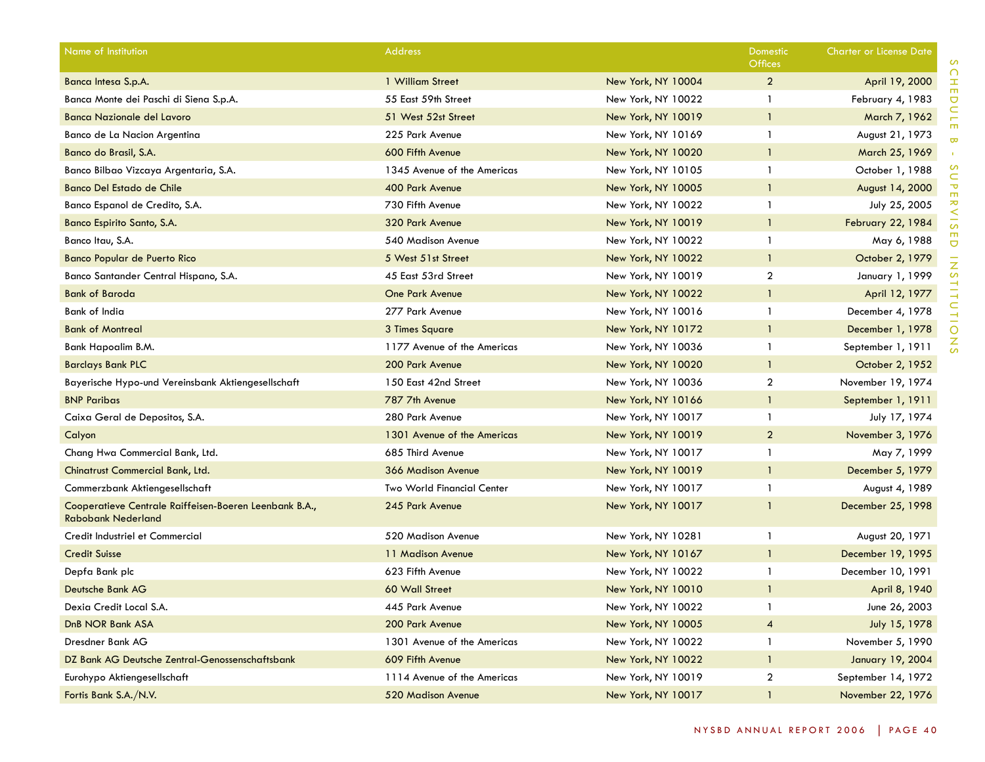| Name of Institution                                                                 | <b>Address</b>              |                    | Domestic<br><b>Offices</b> | Charter or License Date |
|-------------------------------------------------------------------------------------|-----------------------------|--------------------|----------------------------|-------------------------|
| Banca Intesa S.p.A.                                                                 | 1 William Street            | New York, NY 10004 | 2                          | April 19, 2000          |
| Banca Monte dei Paschi di Siena S.p.A.                                              | 55 East 59th Street         | New York, NY 10022 | $\mathbf{1}$               | February 4, 1983        |
| <b>Banca Nazionale del Lavoro</b>                                                   | 51 West 52st Street         | New York, NY 10019 | $\mathbf{1}$               | March 7, 1962           |
| Banco de La Nacion Argentina                                                        | 225 Park Avenue             | New York, NY 10169 | $\mathbf{1}$               | August 21, 1973         |
| Banco do Brasil, S.A.                                                               | 600 Fifth Avenue            | New York, NY 10020 | $\mathbf{1}$               | March 25, 1969          |
| Banco Bilbao Vizcaya Argentaria, S.A.                                               | 1345 Avenue of the Americas | New York, NY 10105 | -1                         | October 1, 1988         |
| Banco Del Estado de Chile                                                           | 400 Park Avenue             | New York, NY 10005 | $\mathbf{1}$               | August 14, 2000         |
| Banco Espanol de Credito, S.A.                                                      | 730 Fifth Avenue            | New York, NY 10022 | -1                         | July 25, 2005           |
| Banco Espirito Santo, S.A.                                                          | 320 Park Avenue             | New York, NY 10019 | $\mathbf{1}$               | February 22, 1984       |
| Banco Itau, S.A.                                                                    | 540 Madison Avenue          | New York, NY 10022 | $\mathbf{1}$               | May 6, 1988             |
| <b>Banco Popular de Puerto Rico</b>                                                 | 5 West 51st Street          | New York, NY 10022 | $\mathbf{1}$               | October 2, 1979         |
| Banco Santander Central Hispano, S.A.                                               | 45 East 53rd Street         | New York, NY 10019 | $\overline{2}$             | January 1, 1999         |
| <b>Bank of Baroda</b>                                                               | <b>One Park Avenue</b>      | New York, NY 10022 | $\mathbf{1}$               | April 12, 1977          |
| Bank of India                                                                       | 277 Park Avenue             | New York, NY 10016 | $\mathbf{1}$               | December 4, 1978        |
| <b>Bank of Montreal</b>                                                             | 3 Times Square              | New York, NY 10172 | $\mathbf{1}$               | December 1, 1978        |
| Bank Hapoalim B.M.                                                                  | 1177 Avenue of the Americas | New York, NY 10036 | $\mathbf{1}$               | September 1, 1911       |
| <b>Barclays Bank PLC</b>                                                            | 200 Park Avenue             | New York, NY 10020 | $\mathbf{1}$               | October 2, 1952         |
| Bayerische Hypo-und Vereinsbank Aktiengesellschaft                                  | 150 East 42nd Street        | New York, NY 10036 | $\overline{2}$             | November 19, 1974       |
| <b>BNP Paribas</b>                                                                  | 787 7th Avenue              | New York, NY 10166 | $\mathbf{1}$               | September 1, 1911       |
| Caixa Geral de Depositos, S.A.                                                      | 280 Park Avenue             | New York, NY 10017 | $\mathbf{1}$               | July 17, 1974           |
| Calyon                                                                              | 1301 Avenue of the Americas | New York, NY 10019 | $\overline{2}$             | November 3, 1976        |
| Chang Hwa Commercial Bank, Ltd.                                                     | 685 Third Avenue            | New York, NY 10017 | $\mathbf{1}$               | May 7, 1999             |
| Chinatrust Commercial Bank, Ltd.                                                    | 366 Madison Avenue          | New York, NY 10019 | $\mathbf{1}$               | December 5, 1979        |
| Commerzbank Aktiengesellschaft                                                      | Two World Financial Center  | New York, NY 10017 | $\mathbf{1}$               | August 4, 1989          |
| Cooperatieve Centrale Raiffeisen-Boeren Leenbank B.A.,<br><b>Rabobank Nederland</b> | 245 Park Avenue             | New York, NY 10017 | -1                         | December 25, 1998       |
| Credit Industriel et Commercial                                                     | 520 Madison Avenue          | New York, NY 10281 | -1                         | August 20, 1971         |
| <b>Credit Suisse</b>                                                                | 11 Madison Avenue           | New York, NY 10167 | $\mathbf{1}$               | December 19, 1995       |
| Depfa Bank plc                                                                      | 623 Fifth Avenue            | New York, NY 10022 | -1                         | December 10, 1991       |
| Deutsche Bank AG                                                                    | 60 Wall Street              | New York, NY 10010 | -1                         | April 8, 1940           |
| Dexia Credit Local S.A.                                                             | 445 Park Avenue             | New York, NY 10022 | -1                         | June 26, 2003           |
| DnB NOR Bank ASA                                                                    | 200 Park Avenue             | New York, NY 10005 | $\overline{4}$             | July 15, 1978           |
| Dresdner Bank AG                                                                    | 1301 Avenue of the Americas | New York, NY 10022 | $\mathbf{1}$               | November 5, 1990        |
| DZ Bank AG Deutsche Zentral-Genossenschaftsbank                                     | 609 Fifth Avenue            | New York, NY 10022 | $\mathbf{1}$               | January 19, 2004        |
| Eurohypo Aktiengesellschaft                                                         | 1114 Avenue of the Americas | New York, NY 10019 | $\overline{a}$             | September 14, 1972      |
| Fortis Bank S.A./N.V.                                                               | 520 Madison Avenue          | New York, NY 10017 |                            | November 22, 1976       |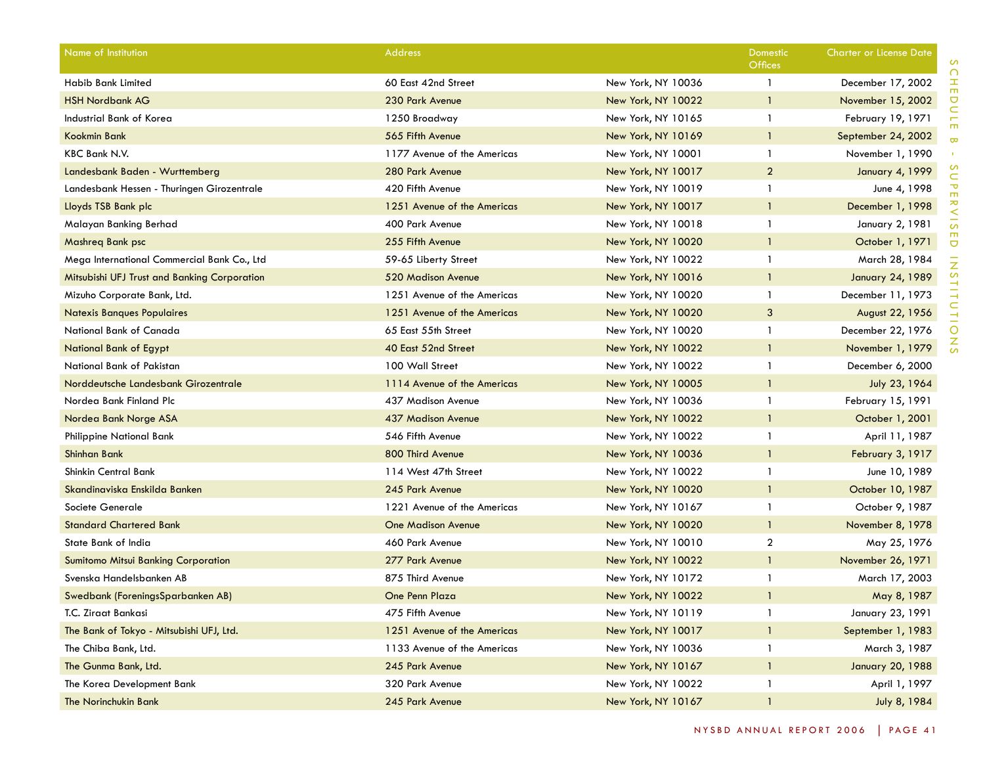| Name of Institution                          | <b>Address</b>              |                    | <b>Domestic</b><br>Offices | <b>Charter or License Date</b> |
|----------------------------------------------|-----------------------------|--------------------|----------------------------|--------------------------------|
| <b>Habib Bank Limited</b>                    | 60 East 42nd Street         | New York, NY 10036 | $\mathbf{1}$               | December 17, 2002              |
| <b>HSH Nordbank AG</b>                       | 230 Park Avenue             | New York, NY 10022 | $\mathbf{1}$               | November 15, 2002              |
| Industrial Bank of Korea                     | 1250 Broadway               | New York, NY 10165 | $\mathbf{1}$               | February 19, 1971              |
| Kookmin Bank                                 | 565 Fifth Avenue            | New York, NY 10169 | $\mathbf{1}$               | September 24, 2002             |
| KBC Bank N.V.                                | 1177 Avenue of the Americas | New York, NY 10001 | $\mathbf{1}$               | November 1, 1990               |
| Landesbank Baden - Wurttemberg               | 280 Park Avenue             | New York, NY 10017 | $\overline{2}$             | <b>January 4, 1999</b>         |
| Landesbank Hessen - Thuringen Girozentrale   | 420 Fifth Avenue            | New York, NY 10019 | $\mathbf{1}$               | June 4, 1998                   |
| Lloyds TSB Bank plc                          | 1251 Avenue of the Americas | New York, NY 10017 | $\mathbf{1}$               | December 1, 1998               |
| Malayan Banking Berhad                       | 400 Park Avenue             | New York, NY 10018 | $\mathbf{1}$               | January 2, 1981                |
| Mashreg Bank psc                             | 255 Fifth Avenue            | New York, NY 10020 | $\mathbf{1}$               | October 1, 1971                |
| Mega International Commercial Bank Co., Ltd  | 59-65 Liberty Street        | New York, NY 10022 | $\mathbf{1}$               | March 28, 1984                 |
| Mitsubishi UFJ Trust and Banking Corporation | 520 Madison Avenue          | New York, NY 10016 | $\mathbf{1}$               | <b>January 24, 1989</b>        |
| Mizuho Corporate Bank, Ltd.                  | 1251 Avenue of the Americas | New York, NY 10020 | $\mathbf{1}$               | December 11, 1973              |
| <b>Natexis Banques Populaires</b>            | 1251 Avenue of the Americas | New York, NY 10020 | 3                          | August 22, 1956                |
| National Bank of Canada                      | 65 East 55th Street         | New York, NY 10020 | -1                         | December 22, 1976              |
| National Bank of Egypt                       | 40 East 52nd Street         | New York, NY 10022 | $\mathbf{1}$               | November 1, 1979               |
| National Bank of Pakistan                    | 100 Wall Street             | New York, NY 10022 | $\mathbf{1}$               | December 6, 2000               |
| Norddeutsche Landesbank Girozentrale         | 1114 Avenue of the Americas | New York, NY 10005 | $\mathbf{1}$               | July 23, 1964                  |
| Nordea Bank Finland Plc                      | 437 Madison Avenue          | New York, NY 10036 | $\mathbf{1}$               | February 15, 1991              |
| Nordea Bank Norge ASA                        | 437 Madison Avenue          | New York, NY 10022 | $\mathbf{1}$               | October 1, 2001                |
| Philippine National Bank                     | 546 Fifth Avenue            | New York, NY 10022 | $\mathbf{1}$               | April 11, 1987                 |
| <b>Shinhan Bank</b>                          | 800 Third Avenue            | New York, NY 10036 | $\mathbf{1}$               | February 3, 1917               |
| Shinkin Central Bank                         | 114 West 47th Street        | New York, NY 10022 | $\mathbf{1}$               | June 10, 1989                  |
| Skandinaviska Enskilda Banken                | 245 Park Avenue             | New York, NY 10020 | $\mathbf{1}$               | October 10, 1987               |
| Societe Generale                             | 1221 Avenue of the Americas | New York, NY 10167 | $\mathbf{1}$               | October 9, 1987                |
| <b>Standard Chartered Bank</b>               | <b>One Madison Avenue</b>   | New York, NY 10020 | $\mathbf{1}$               | November 8, 1978               |
| State Bank of India                          | 460 Park Avenue             | New York, NY 10010 | $\overline{2}$             | May 25, 1976                   |
| <b>Sumitomo Mitsui Banking Corporation</b>   | 277 Park Avenue             | New York, NY 10022 | $\mathbf{1}$               | November 26, 1971              |
| Svenska Handelsbanken AB                     | 875 Third Avenue            | New York, NY 10172 | $\mathbf{1}$               | March 17, 2003                 |
| Swedbank (ForeningsSparbanken AB)            | One Penn Plaza              | New York, NY 10022 | $\mathbf{1}$               | May 8, 1987                    |
| T.C. Ziraat Bankasi                          | 475 Fifth Avenue            | New York, NY 10119 | $\mathbf{1}$               | January 23, 1991               |
| The Bank of Tokyo - Mitsubishi UFJ, Ltd.     | 1251 Avenue of the Americas | New York, NY 10017 | $\mathbf{1}$               | September 1, 1983              |
| The Chiba Bank, Ltd.                         | 1133 Avenue of the Americas | New York, NY 10036 | $\mathbf{1}$               | March 3, 1987                  |
| The Gunma Bank, Ltd.                         | 245 Park Avenue             | New York, NY 10167 | $\mathbf{1}$               | <b>January 20, 1988</b>        |
| The Korea Development Bank                   | 320 Park Avenue             | New York, NY 10022 | $\mathbf{1}$               | April 1, 1997                  |
| The Norinchukin Bank                         | 245 Park Avenue             | New York, NY 10167 | $\overline{1}$             | July 8, 1984                   |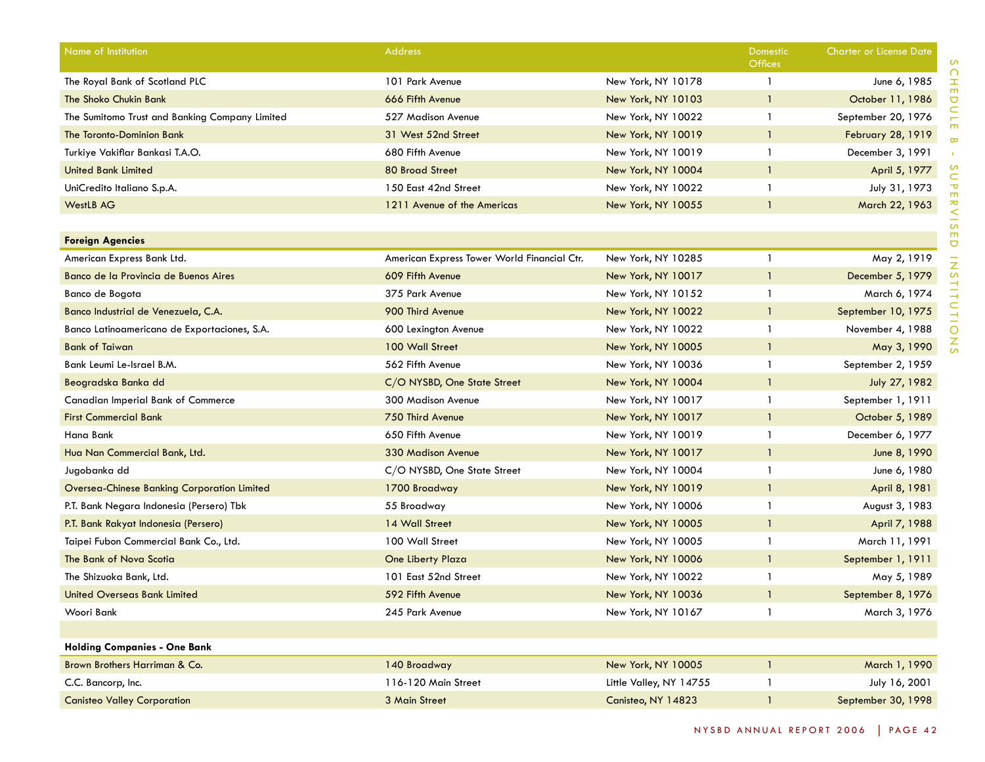| Name of Institution                            | <b>Address</b>                              |                         | Domestic<br>Offices | <b>Charter or License Date</b> |
|------------------------------------------------|---------------------------------------------|-------------------------|---------------------|--------------------------------|
| The Royal Bank of Scotland PLC                 | 101 Park Avenue                             | New York, NY 10178      | $\mathbf{1}$        | June 6, 1985                   |
| The Shoko Chukin Bank                          | 666 Fifth Avenue                            | New York, NY 10103      | $\mathbf{1}$        | October 11, 1986               |
| The Sumitomo Trust and Banking Company Limited | 527 Madison Avenue                          | New York, NY 10022      | $\mathbf{1}$        | September 20, 1976             |
| The Toronto-Dominion Bank                      | 31 West 52nd Street                         | New York, NY 10019      | -1                  | <b>February 28, 1919</b>       |
| Turkiye Vakiflar Bankasi T.A.O.                | 680 Fifth Avenue                            | New York, NY 10019      | $\mathbf{1}$        | December 3, 1991               |
| <b>United Bank Limited</b>                     | <b>80 Broad Street</b>                      | New York, NY 10004      | $\mathbf{1}$        | April 5, 1977                  |
| UniCredito Italiano S.p.A.                     | 150 East 42nd Street                        | New York, NY 10022      | $\mathbf{1}$        | July 31, 1973                  |
| <b>WestLB AG</b>                               | 1211 Avenue of the Americas                 | New York, NY 10055      | $\mathbf{1}$        | March 22, 1963                 |
|                                                |                                             |                         |                     |                                |
| <b>Foreign Agencies</b>                        |                                             |                         |                     |                                |
| American Express Bank Ltd.                     | American Express Tower World Financial Ctr. | New York, NY 10285      | $\mathbf{1}$        | May 2, 1919                    |
| Banco de la Provincia de Buenos Aires          | 609 Fifth Avenue                            | New York, NY 10017      | $\mathbf{1}$        | December 5, 1979               |
| Banco de Bogota                                | 375 Park Avenue                             | New York, NY 10152      | $\mathbf{1}$        | March 6, 1974                  |
| Banco Industrial de Venezuela, C.A.            | 900 Third Avenue                            | New York, NY 10022      | $\mathbf{1}$        | September 10, 1975             |
| Banco Latinoamericano de Exportaciones, S.A.   | 600 Lexington Avenue                        | New York, NY 10022      | -1                  | November 4, 1988               |
| <b>Bank of Taiwan</b>                          | 100 Wall Street                             | New York, NY 10005      | $\mathbf{1}$        | May 3, 1990                    |
| Bank Leumi Le-Israel B.M.                      | 562 Fifth Avenue                            | New York, NY 10036      | $\mathbf{1}$        | September 2, 1959              |
| Beogradska Banka dd                            | C/O NYSBD, One State Street                 | New York, NY 10004      | $\mathbf{1}$        | July 27, 1982                  |
| <b>Canadian Imperial Bank of Commerce</b>      | <b>300 Madison Avenue</b>                   | New York, NY 10017      | $\mathbf{1}$        | September 1, 1911              |
| <b>First Commercial Bank</b>                   | 750 Third Avenue                            | New York, NY 10017      | $\mathbf{1}$        | October 5, 1989                |
| Hana Bank                                      | 650 Fifth Avenue                            | New York, NY 10019      | $\mathbf{1}$        | December 6, 1977               |
| Hua Nan Commercial Bank, Ltd.                  | <b>330 Madison Avenue</b>                   | New York, NY 10017      | $\mathbf{1}$        | June 8, 1990                   |
| Jugobanka dd                                   | C/O NYSBD, One State Street                 | New York, NY 10004      | $\mathbf{1}$        | June 6, 1980                   |
| Oversea-Chinese Banking Corporation Limited    | 1700 Broadway                               | New York, NY 10019      | $\mathbf{1}$        | April 8, 1981                  |
| P.T. Bank Negara Indonesia (Persero) Tbk       | 55 Broadway                                 | New York, NY 10006      | $\mathbf{1}$        | August 3, 1983                 |
| P.T. Bank Rakyat Indonesia (Persero)           | 14 Wall Street                              | New York, NY 10005      | $\mathbf{1}$        | April 7, 1988                  |
| Taipei Fubon Commercial Bank Co., Ltd.         | 100 Wall Street                             | New York, NY 10005      | $\mathbf{1}$        | March 11, 1991                 |
| The Bank of Nova Scotia                        | One Liberty Plaza                           | New York, NY 10006      | $\mathbf{1}$        | September 1, 1911              |
| The Shizuoka Bank, Ltd.                        | 101 East 52nd Street                        | New York, NY 10022      | $\mathbf{1}$        | May 5, 1989                    |
| <b>United Overseas Bank Limited</b>            | 592 Fifth Avenue                            | New York, NY 10036      | $\mathbf{1}$        | September 8, 1976              |
| Woori Bank                                     | 245 Park Avenue                             | New York, NY 10167      | -1                  | March 3, 1976                  |
|                                                |                                             |                         |                     |                                |
| <b>Holding Companies - One Bank</b>            |                                             |                         |                     |                                |
| Brown Brothers Harriman & Co.                  | 140 Broadway                                | New York, NY 10005      | $\mathbf{1}$        | March 1, 1990                  |
| C.C. Bancorp, Inc.                             | 116-120 Main Street                         | Little Valley, NY 14755 | $\mathbf{1}$        | July 16, 2001                  |
| <b>Canisteo Valley Corporation</b>             | 3 Main Street                               | Canisteo, NY 14823      | $\mathbf{1}$        | September 30, 1998             |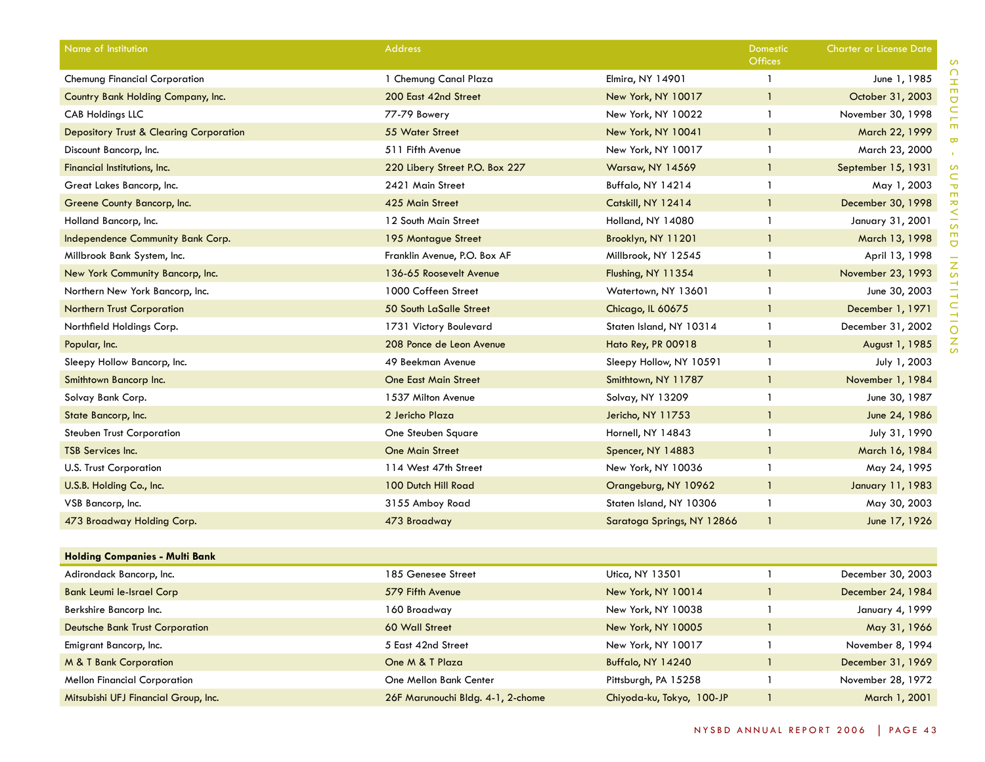| Name of Institution                                | <b>Address</b>                    |                            | Domestic<br><b>Offices</b> | Charter or License Date |
|----------------------------------------------------|-----------------------------------|----------------------------|----------------------------|-------------------------|
| <b>Chemung Financial Corporation</b>               | 1 Chemung Canal Plaza             | Elmira, NY 14901           | $\mathbf{1}$               | June 1, 1985            |
| Country Bank Holding Company, Inc.                 | 200 East 42nd Street              | New York, NY 10017         | $\mathbf{1}$               | October 31, 2003        |
| <b>CAB Holdings LLC</b>                            | 77-79 Bowery                      | New York, NY 10022         | $\mathbf{1}$               | November 30, 1998       |
| <b>Depository Trust &amp; Clearing Corporation</b> | 55 Water Street                   | New York, NY 10041         | $\mathbf{1}$               | March 22, 1999          |
| Discount Bancorp, Inc.                             | 511 Fifth Avenue                  | New York, NY 10017         | $\mathbf{1}$               | March 23, 2000          |
| Financial Institutions, Inc.                       | 220 Libery Street P.O. Box 227    | <b>Warsaw, NY 14569</b>    | $\mathbf{1}$               | September 15, 1931      |
| Great Lakes Bancorp, Inc.                          | 2421 Main Street                  | Buffalo, NY 14214          | $\mathbf{1}$               | May 1, 2003             |
| Greene County Bancorp, Inc.                        | 425 Main Street                   | Catskill, NY 12414         | $\mathbf{1}$               | December 30, 1998       |
| Holland Bancorp, Inc.                              | 12 South Main Street              | Holland, NY 14080          | $\mathbf{1}$               | January 31, 2001        |
| Independence Community Bank Corp.                  | 195 Montague Street               | Brooklyn, NY 11201         | $\mathbf{1}$               | March 13, 1998          |
| Millbrook Bank System, Inc.                        | Franklin Avenue, P.O. Box AF      | Millbrook, NY 12545        | $\mathbf{1}$               | April 13, 1998          |
| New York Community Bancorp, Inc.                   | 136-65 Roosevelt Avenue           | Flushing, NY 11354         | $\mathbf{1}$               | November 23, 1993       |
| Northern New York Bancorp, Inc.                    | 1000 Coffeen Street               | Watertown, NY 13601        | $\mathbf{1}$               | June 30, 2003           |
| <b>Northern Trust Corporation</b>                  | 50 South LaSalle Street           | Chicago, IL 60675          | $\mathbf{1}$               | December 1, 1971        |
| Northfield Holdings Corp.                          | 1731 Victory Boulevard            | Staten Island, NY 10314    | $\mathbf{1}$               | December 31, 2002       |
| Popular, Inc.                                      | 208 Ponce de Leon Avenue          | Hato Rey, PR 00918         | $\mathbf{1}$               | August 1, 1985          |
| Sleepy Hollow Bancorp, Inc.                        | 49 Beekman Avenue                 | Sleepy Hollow, NY 10591    | $\mathbf{1}$               | July 1, 2003            |
| Smithtown Bancorp Inc.                             | <b>One East Main Street</b>       | Smithtown, NY 11787        | $\mathbf{1}$               | November 1, 1984        |
| Solvay Bank Corp.                                  | 1537 Milton Avenue                | Solvay, NY 13209           | $\mathbf{1}$               | June 30, 1987           |
| State Bancorp, Inc.                                | 2 Jericho Plaza                   | Jericho, NY 11753          | $\mathbf{1}$               | June 24, 1986           |
| <b>Steuben Trust Corporation</b>                   | One Steuben Square                | Hornell, NY 14843          | $\mathbf{1}$               | July 31, 1990           |
| TSB Services Inc.                                  | <b>One Main Street</b>            | Spencer, NY 14883          | $\mathbf{1}$               | March 16, 1984          |
| U.S. Trust Corporation                             | 114 West 47th Street              | New York, NY 10036         | $\mathbf{1}$               | May 24, 1995            |
| U.S.B. Holding Co., Inc.                           | 100 Dutch Hill Road               | Orangeburg, NY 10962       | $\mathbf{1}$               | January 11, 1983        |
| VSB Bancorp, Inc.                                  | 3155 Amboy Road                   | Staten Island, NY 10306    | $\mathbf{1}$               | May 30, 2003            |
| 473 Broadway Holding Corp.                         | 473 Broadway                      | Saratoga Springs, NY 12866 | $\mathbf{1}$               | June 17, 1926           |
|                                                    |                                   |                            |                            |                         |
| <b>Holding Companies - Multi Bank</b>              |                                   |                            |                            |                         |
| Adirondack Bancorp, Inc.                           | 185 Genesee Street                | Utica, NY 13501            | $\mathbf{1}$               | December 30, 2003       |
| <b>Bank Leumi le-Israel Corp</b>                   | 579 Fifth Avenue                  | New York, NY 10014         | $\mathbf{1}$               | December 24, 1984       |
| Berkshire Bancorp Inc.                             | 160 Broadway                      | New York, NY 10038         | -1                         | January 4, 1999         |
| <b>Deutsche Bank Trust Corporation</b>             | 60 Wall Street                    | New York, NY 10005         | $\mathbf{1}$               | May 31, 1966            |
| Emigrant Bancorp, Inc.                             | 5 East 42nd Street                | New York, NY 10017         | $\mathbf{1}$               | November 8, 1994        |
| M & T Bank Corporation                             | One M & T Plaza                   | Buffalo, NY 14240          | $\mathbf{1}$               | December 31, 1969       |
| <b>Mellon Financial Corporation</b>                | One Mellon Bank Center            | Pittsburgh, PA 15258       | $\mathbf{1}$               | November 28, 1972       |
| Mitsubishi UFJ Financial Group, Inc.               | 26F Marunouchi Bldg. 4-1, 2-chome | Chiyoda-ku, Tokyo, 100-JP  | $\mathbf{1}$               | March 1, 2001           |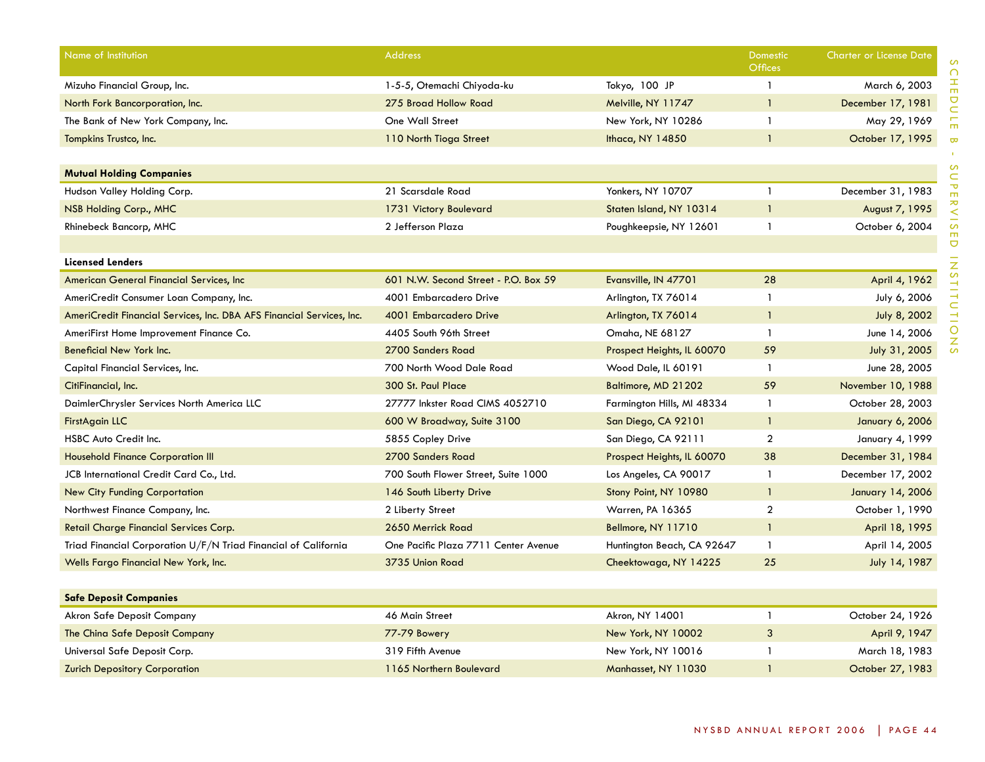| Name of Institution                                                   | <b>Address</b>                       |                            | <b>Domestic</b><br><b>Offices</b> | <b>Charter or License Date</b> |
|-----------------------------------------------------------------------|--------------------------------------|----------------------------|-----------------------------------|--------------------------------|
| Mizuho Financial Group, Inc.                                          | 1-5-5, Otemachi Chiyoda-ku           | Tokyo, 100 JP              | $\mathbf{1}$                      | March 6, 2003                  |
| North Fork Bancorporation, Inc.                                       | 275 Broad Hollow Road                | Melville, NY 11747         | $\mathbf{1}$                      | December 17, 1981              |
| The Bank of New York Company, Inc.                                    | One Wall Street                      | New York, NY 10286         | $\mathbf{1}$                      | May 29, 1969                   |
| Tompkins Trustco, Inc.                                                | 110 North Tioga Street               | Ithaca, NY 14850           | $\overline{1}$                    | October 17, 1995               |
|                                                                       |                                      |                            |                                   |                                |
| <b>Mutual Holding Companies</b>                                       |                                      |                            |                                   |                                |
| Hudson Valley Holding Corp.                                           | 21 Scarsdale Road                    | Yonkers, NY 10707          | $\mathbf{1}$                      | December 31, 1983              |
| NSB Holding Corp., MHC                                                | 1731 Victory Boulevard               | Staten Island, NY 10314    | -1                                | August 7, 1995                 |
| Rhinebeck Bancorp, MHC                                                | 2 Jefferson Plaza                    | Poughkeepsie, NY 12601     | $\mathbf{1}$                      | October 6, 2004                |
|                                                                       |                                      |                            |                                   |                                |
| <b>Licensed Lenders</b>                                               |                                      |                            |                                   |                                |
| American General Financial Services, Inc                              | 601 N.W. Second Street - P.O. Box 59 | Evansville, IN 47701       | 28                                | April 4, 1962                  |
| AmeriCredit Consumer Loan Company, Inc.                               | 4001 Embarcadero Drive               | Arlington, TX 76014        | $\mathbf{1}$                      | July 6, 2006                   |
| AmeriCredit Financial Services, Inc. DBA AFS Financial Services, Inc. | 4001 Embarcadero Drive               | Arlington, TX 76014        | $\mathbf{1}$                      | July 8, 2002                   |
| AmeriFirst Home Improvement Finance Co.                               | 4405 South 96th Street               | Omaha, NE 68127            | $\mathbf{1}$                      | June 14, 2006                  |
| Beneficial New York Inc.                                              | 2700 Sanders Road                    | Prospect Heights, IL 60070 | 59                                | July 31, 2005                  |
| Capital Financial Services, Inc.                                      | 700 North Wood Dale Road             | Wood Dale, IL 60191        | $\mathbf{1}$                      | June 28, 2005                  |
| CitiFinancial, Inc.                                                   | 300 St. Paul Place                   | Baltimore, MD 21202        | 59                                | November 10, 1988              |
| DaimlerChrysler Services North America LLC                            | 27777 Inkster Road CIMS 4052710      | Farmington Hills, MI 48334 | $\mathbf{1}$                      | October 28, 2003               |
| FirstAgain LLC                                                        | 600 W Broadway, Suite 3100           | San Diego, CA 92101        | $\mathbf{1}$                      | January 6, 2006                |
| HSBC Auto Credit Inc.                                                 | 5855 Copley Drive                    | San Diego, CA 92111        | $\overline{2}$                    | January 4, 1999                |
| <b>Household Finance Corporation III</b>                              | 2700 Sanders Road                    | Prospect Heights, IL 60070 | 38                                | December 31, 1984              |
| JCB International Credit Card Co., Ltd.                               | 700 South Flower Street, Suite 1000  | Los Angeles, CA 90017      | $\mathbf{1}$                      | December 17, 2002              |
| <b>New City Funding Corportation</b>                                  | 146 South Liberty Drive              | Stony Point, NY 10980      | $\overline{1}$                    | January 14, 2006               |
| Northwest Finance Company, Inc.                                       | 2 Liberty Street                     | Warren, PA 16365           | $\overline{2}$                    | October 1, 1990                |
| Retail Charge Financial Services Corp.                                | 2650 Merrick Road                    | Bellmore, NY 11710         | $\mathbf{1}$                      | April 18, 1995                 |
| Triad Financial Corporation U/F/N Triad Financial of California       | One Pacific Plaza 7711 Center Avenue | Huntington Beach, CA 92647 | $\mathbf{1}$                      | April 14, 2005                 |
| Wells Fargo Financial New York, Inc.                                  | 3735 Union Road                      | Cheektowaga, NY 14225      | 25                                | July 14, 1987                  |
|                                                                       |                                      |                            |                                   |                                |
| <b>Safe Deposit Companies</b>                                         |                                      |                            |                                   |                                |
| Akron Safe Deposit Company                                            | 46 Main Street                       | Akron, NY 14001            | $\mathbf{1}$                      | October 24, 1926               |
| The China Safe Deposit Company                                        | 77-79 Bowery                         | New York, NY 10002         | $\mathbf{3}$                      | April 9, 1947                  |
| Universal Safe Deposit Corp.                                          | 319 Fifth Avenue                     | New York, NY 10016         | $\mathbf{1}$                      | March 18, 1983                 |
| <b>Zurich Depository Corporation</b>                                  | 1165 Northern Boulevard              | Manhasset, NY 11030        | $\overline{1}$                    | October 27, 1983               |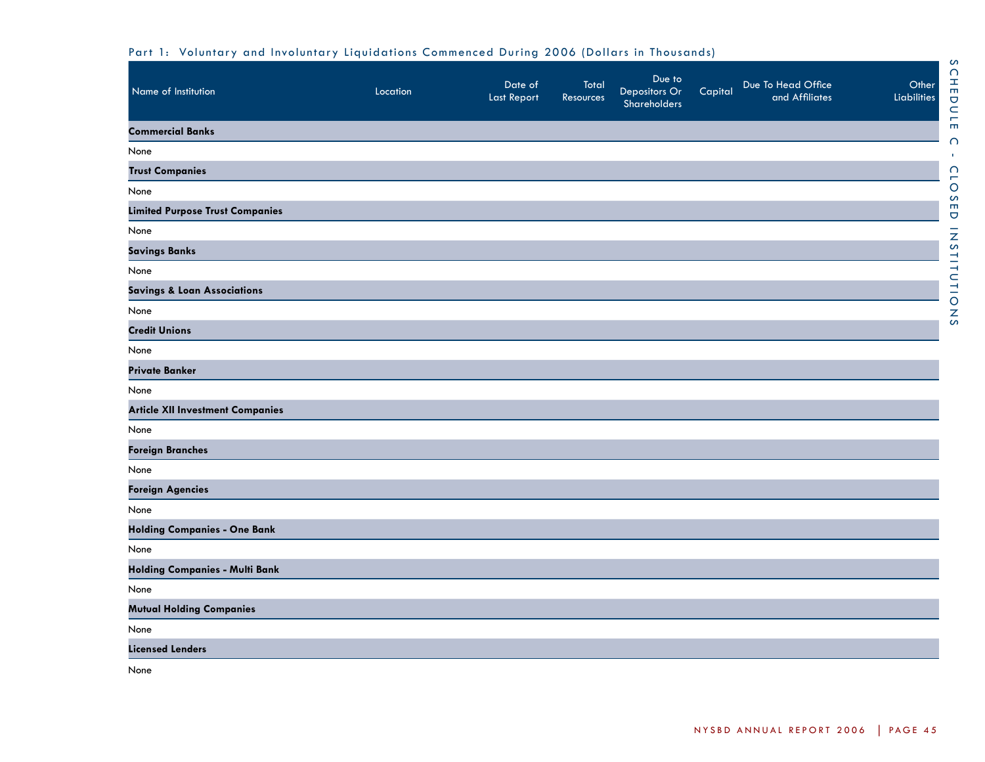| Name of Institution                     | Location | Date of<br><b>Last Report</b> | Total<br><b>Resources</b> | Due to<br>Depositors Or<br>Shareholders | Capital | Due To Head Office<br>and Affiliates | Other<br>Liabilities |
|-----------------------------------------|----------|-------------------------------|---------------------------|-----------------------------------------|---------|--------------------------------------|----------------------|
| <b>Commercial Banks</b>                 |          |                               |                           |                                         |         |                                      |                      |
| None                                    |          |                               |                           |                                         |         |                                      |                      |
| <b>Trust Companies</b>                  |          |                               |                           |                                         |         |                                      |                      |
| None                                    |          |                               |                           |                                         |         |                                      |                      |
| <b>Limited Purpose Trust Companies</b>  |          |                               |                           |                                         |         |                                      |                      |
| None                                    |          |                               |                           |                                         |         |                                      |                      |
| <b>Savings Banks</b>                    |          |                               |                           |                                         |         |                                      |                      |
| None                                    |          |                               |                           |                                         |         |                                      |                      |
| <b>Savings &amp; Loan Associations</b>  |          |                               |                           |                                         |         |                                      |                      |
| None                                    |          |                               |                           |                                         |         |                                      |                      |
| <b>Credit Unions</b>                    |          |                               |                           |                                         |         |                                      |                      |
| None                                    |          |                               |                           |                                         |         |                                      |                      |
| <b>Private Banker</b>                   |          |                               |                           |                                         |         |                                      |                      |
| None                                    |          |                               |                           |                                         |         |                                      |                      |
| <b>Article XII Investment Companies</b> |          |                               |                           |                                         |         |                                      |                      |
| None                                    |          |                               |                           |                                         |         |                                      |                      |
| <b>Foreign Branches</b>                 |          |                               |                           |                                         |         |                                      |                      |
| None                                    |          |                               |                           |                                         |         |                                      |                      |
| <b>Foreign Agencies</b>                 |          |                               |                           |                                         |         |                                      |                      |
| None                                    |          |                               |                           |                                         |         |                                      |                      |
| <b>Holding Companies - One Bank</b>     |          |                               |                           |                                         |         |                                      |                      |
| None                                    |          |                               |                           |                                         |         |                                      |                      |
| <b>Holding Companies - Multi Bank</b>   |          |                               |                           |                                         |         |                                      |                      |
| None                                    |          |                               |                           |                                         |         |                                      |                      |
| <b>Mutual Holding Companies</b>         |          |                               |                           |                                         |         |                                      |                      |
| None                                    |          |                               |                           |                                         |         |                                      |                      |
| <b>Licensed Lenders</b>                 |          |                               |                           |                                         |         |                                      |                      |
| None                                    |          |                               |                           |                                         |         |                                      |                      |

# Part 1: Voluntary and Involuntary Liquidations Commenced During 2006 (Dollars in Thousands)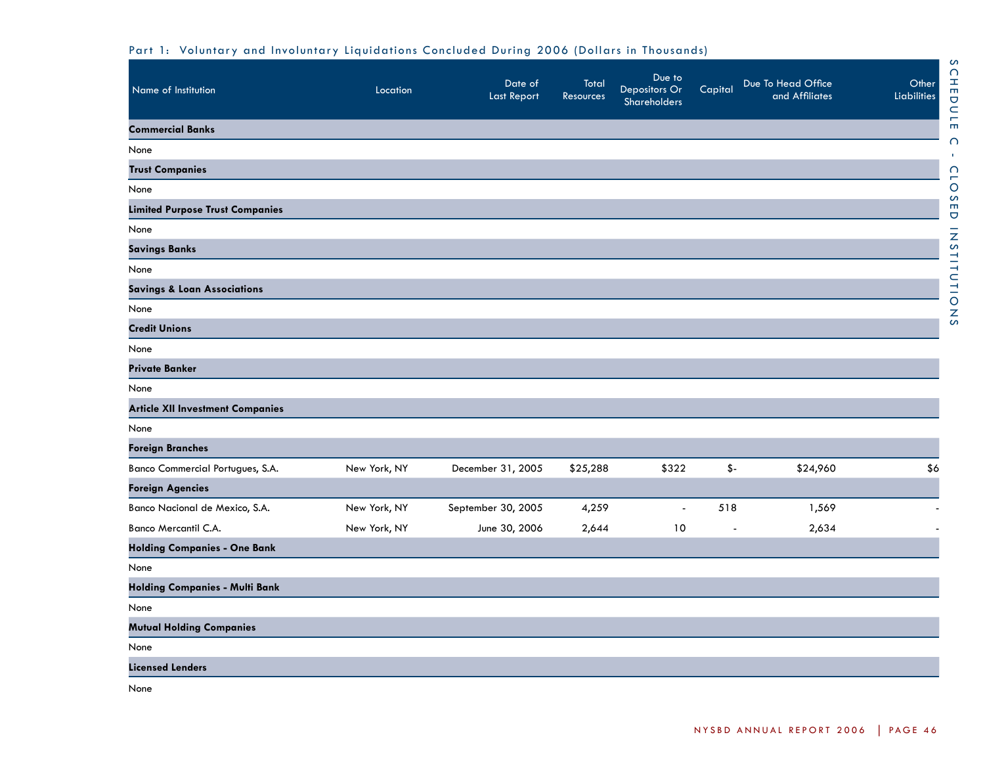| Name of Institution                     | Location     | Date of<br><b>Last Report</b> | Total<br>Resources | Due to<br>Depositors Or<br>Shareholders | Capital | Due To Head Office<br>and Affiliates | Other<br><b>Liabilities</b> |
|-----------------------------------------|--------------|-------------------------------|--------------------|-----------------------------------------|---------|--------------------------------------|-----------------------------|
| <b>Commercial Banks</b>                 |              |                               |                    |                                         |         |                                      |                             |
| None                                    |              |                               |                    |                                         |         |                                      |                             |
| <b>Trust Companies</b>                  |              |                               |                    |                                         |         |                                      |                             |
| None                                    |              |                               |                    |                                         |         |                                      |                             |
| <b>Limited Purpose Trust Companies</b>  |              |                               |                    |                                         |         |                                      |                             |
| None                                    |              |                               |                    |                                         |         |                                      |                             |
| <b>Savings Banks</b>                    |              |                               |                    |                                         |         |                                      |                             |
| None                                    |              |                               |                    |                                         |         |                                      |                             |
| <b>Savings &amp; Loan Associations</b>  |              |                               |                    |                                         |         |                                      |                             |
| None                                    |              |                               |                    |                                         |         |                                      |                             |
| <b>Credit Unions</b>                    |              |                               |                    |                                         |         |                                      |                             |
| None                                    |              |                               |                    |                                         |         |                                      |                             |
| <b>Private Banker</b>                   |              |                               |                    |                                         |         |                                      |                             |
| None                                    |              |                               |                    |                                         |         |                                      |                             |
| <b>Article XII Investment Companies</b> |              |                               |                    |                                         |         |                                      |                             |
| None                                    |              |                               |                    |                                         |         |                                      |                             |
| <b>Foreign Branches</b>                 |              |                               |                    |                                         |         |                                      |                             |
| Banco Commercial Portugues, S.A.        | New York, NY | December 31, 2005             | \$25,288           | \$322                                   | $$-$    | \$24,960                             | \$6                         |
| <b>Foreign Agencies</b>                 |              |                               |                    |                                         |         |                                      |                             |
| Banco Nacional de Mexico, S.A.          | New York, NY | September 30, 2005            | 4,259              |                                         | 518     | 1,569                                |                             |
| Banco Mercantil C.A.                    | New York, NY | June 30, 2006                 | 2,644              | 10                                      |         | 2,634                                |                             |
| <b>Holding Companies - One Bank</b>     |              |                               |                    |                                         |         |                                      |                             |
| None                                    |              |                               |                    |                                         |         |                                      |                             |
| <b>Holding Companies - Multi Bank</b>   |              |                               |                    |                                         |         |                                      |                             |
| None                                    |              |                               |                    |                                         |         |                                      |                             |
| <b>Mutual Holding Companies</b>         |              |                               |                    |                                         |         |                                      |                             |
| None                                    |              |                               |                    |                                         |         |                                      |                             |
| <b>Licensed Lenders</b>                 |              |                               |                    |                                         |         |                                      |                             |

Part 1: Voluntary and Involuntary Liquidations Concluded During 2006 (Dollars in Thousands)

None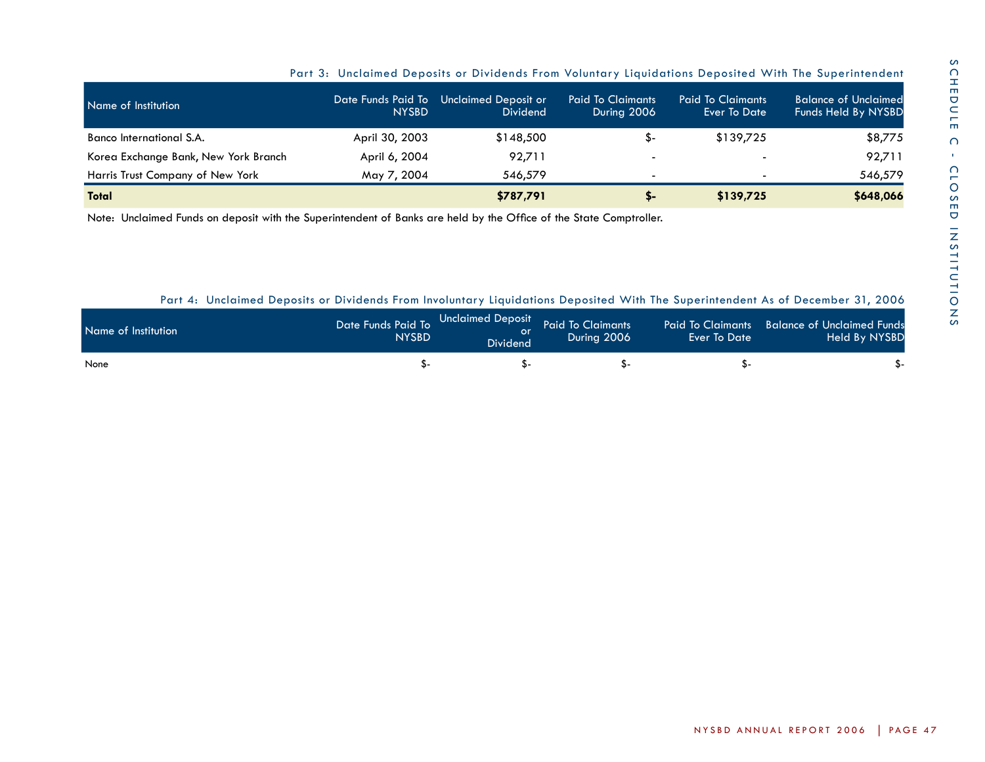| Name of Institution                  | Date Funds Paid To<br><b>NYSBD</b> | Unclaimed Deposit or<br><b>Dividend</b> | <b>Paid To Claimants</b><br>During 2006 | <b>Paid To Claimants</b><br>Ever To Date | <b>Balance of Unclaimed</b><br>Funds Held By NYSBD |
|--------------------------------------|------------------------------------|-----------------------------------------|-----------------------------------------|------------------------------------------|----------------------------------------------------|
| Banco International S.A.             | April 30, 2003                     | \$148,500                               | \$-                                     | \$139,725                                | \$8,775                                            |
| Korea Exchange Bank, New York Branch | April 6, 2004                      | 92,711                                  | $\overline{\phantom{a}}$                |                                          | 92,711                                             |
| Harris Trust Company of New York     | May 7, 2004                        | 546.579                                 |                                         |                                          | 546,579                                            |
| <b>Total</b>                         |                                    | \$787,791                               | S-                                      | \$139,725                                | \$648,066                                          |

Part 3: Unclaimed Deposits or Dividends From Voluntary Liquidations Deposited With The Superintendent

Note: Unclaimed Funds on deposit with the Superintendent of Banks are held by the Office of the State Comptroller.

Part 4: Unclaimed Deposits or Dividends From Involuntary Liquidations Deposited With The Superintendent As of December 31, 2006

| Name of Institution | <b>NYSBD</b> | <b>Dividend</b> | During 2006 | Ever To Date | Paid To Claimants Balance of Unclaimed Funds<br><b>Held By NYSBD</b> |
|---------------------|--------------|-----------------|-------------|--------------|----------------------------------------------------------------------|
| None                |              |                 |             |              |                                                                      |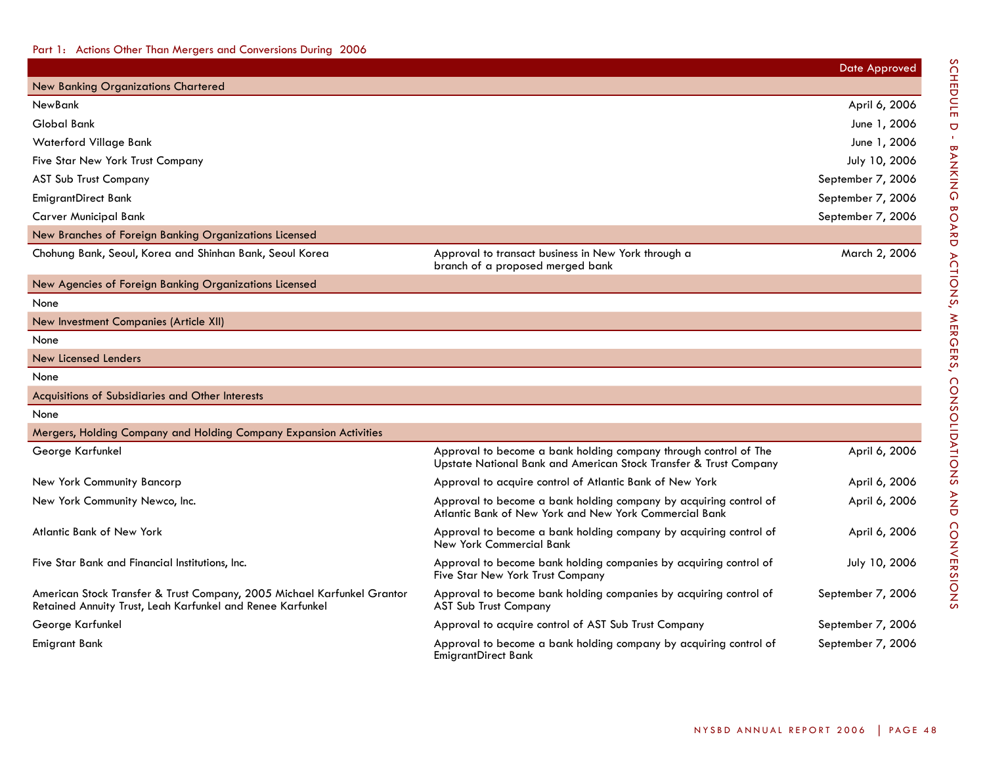|                                                                                                                                       |                                                                                                                                       | <b>Date Approved</b> |
|---------------------------------------------------------------------------------------------------------------------------------------|---------------------------------------------------------------------------------------------------------------------------------------|----------------------|
| <b>New Banking Organizations Chartered</b>                                                                                            |                                                                                                                                       |                      |
| <b>NewBank</b>                                                                                                                        |                                                                                                                                       | April 6, 2006        |
| Global Bank                                                                                                                           |                                                                                                                                       | June 1, 2006         |
| <b>Waterford Village Bank</b>                                                                                                         |                                                                                                                                       | June 1, 2006         |
| Five Star New York Trust Company                                                                                                      |                                                                                                                                       | July 10, 2006        |
| AST Sub Trust Company                                                                                                                 |                                                                                                                                       | September 7, 2006    |
| <b>EmigrantDirect Bank</b>                                                                                                            |                                                                                                                                       | September 7, 2006    |
| <b>Carver Municipal Bank</b>                                                                                                          |                                                                                                                                       | September 7, 2006    |
| New Branches of Foreign Banking Organizations Licensed                                                                                |                                                                                                                                       |                      |
| Chohung Bank, Seoul, Korea and Shinhan Bank, Seoul Korea                                                                              | Approval to transact business in New York through a<br>branch of a proposed merged bank                                               | March 2, 2006        |
| New Agencies of Foreign Banking Organizations Licensed                                                                                |                                                                                                                                       |                      |
| None                                                                                                                                  |                                                                                                                                       |                      |
| New Investment Companies (Article XII)                                                                                                |                                                                                                                                       |                      |
| None                                                                                                                                  |                                                                                                                                       |                      |
| New Licensed Lenders                                                                                                                  |                                                                                                                                       |                      |
| None                                                                                                                                  |                                                                                                                                       |                      |
| Acquisitions of Subsidiaries and Other Interests                                                                                      |                                                                                                                                       |                      |
| None                                                                                                                                  |                                                                                                                                       |                      |
| Mergers, Holding Company and Holding Company Expansion Activities                                                                     |                                                                                                                                       |                      |
| George Karfunkel                                                                                                                      | Approval to become a bank holding company through control of The<br>Upstate National Bank and American Stock Transfer & Trust Company | April 6, 2006        |
| New York Community Bancorp                                                                                                            | Approval to acquire control of Atlantic Bank of New York                                                                              | April 6, 2006        |
| New York Community Newco, Inc.                                                                                                        | Approval to become a bank holding company by acquiring control of<br>Atlantic Bank of New York and New York Commercial Bank           | April 6, 2006        |
| Atlantic Bank of New York                                                                                                             | Approval to become a bank holding company by acquiring control of<br><b>New York Commercial Bank</b>                                  | April 6, 2006        |
| Five Star Bank and Financial Institutions, Inc.                                                                                       | Approval to become bank holding companies by acquiring control of<br>Five Star New York Trust Company                                 | July 10, 2006        |
| American Stock Transfer & Trust Company, 2005 Michael Karfunkel Grantor<br>Retained Annuity Trust, Leah Karfunkel and Renee Karfunkel | Approval to become bank holding companies by acquiring control of<br><b>AST Sub Trust Company</b>                                     | September 7, 2006    |
| George Karfunkel                                                                                                                      | Approval to acquire control of AST Sub Trust Company                                                                                  | September 7, 2006    |
| Emigrant Bank                                                                                                                         | Approval to become a bank holding company by acquiring control of<br><b>EmigrantDirect Bank</b>                                       | September 7, 2006    |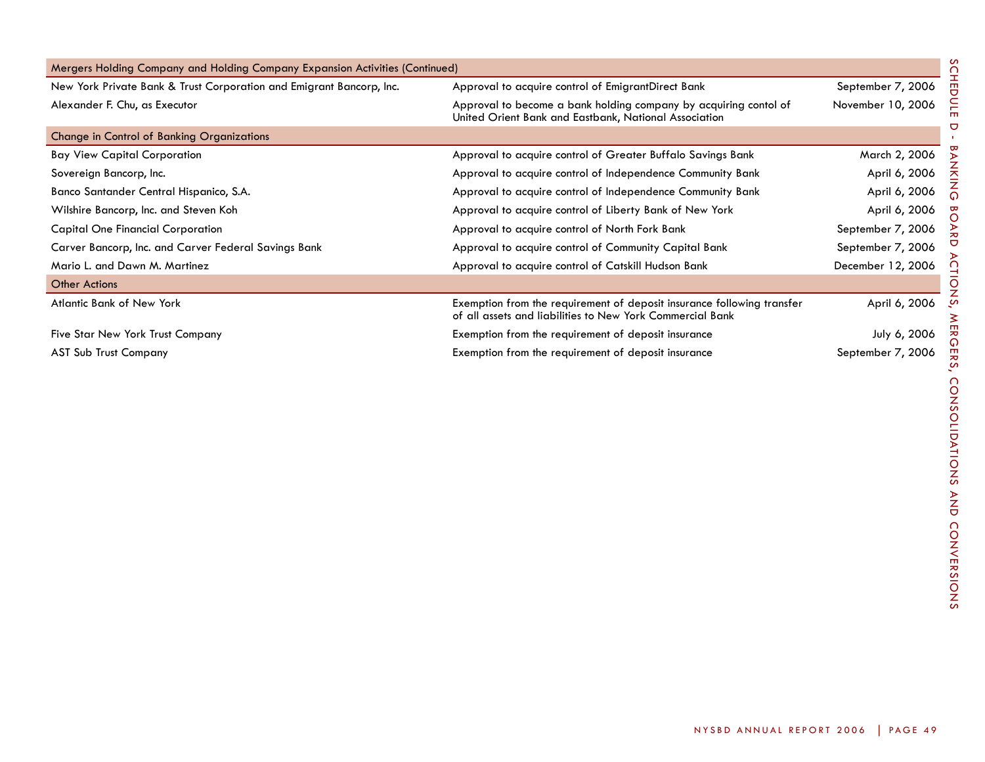| Mergers Holding Company and Holding Company Expansion Activities (Continued) |                                                                                                                                     |                   |  |  |  |
|------------------------------------------------------------------------------|-------------------------------------------------------------------------------------------------------------------------------------|-------------------|--|--|--|
| New York Private Bank & Trust Corporation and Emigrant Bancorp, Inc.         | Approval to acquire control of EmigrantDirect Bank                                                                                  | September 7, 2006 |  |  |  |
| Alexander F. Chu, as Executor                                                | Approval to become a bank holding company by acquiring contol of<br>United Orient Bank and Eastbank, National Association           | November 10, 2006 |  |  |  |
| Change in Control of Banking Organizations                                   |                                                                                                                                     |                   |  |  |  |
| <b>Bay View Capital Corporation</b>                                          | Approval to acquire control of Greater Buffalo Savings Bank                                                                         | March 2, 2006     |  |  |  |
| Sovereign Bancorp, Inc.                                                      | Approval to acquire control of Independence Community Bank                                                                          | April 6, 2006     |  |  |  |
| Banco Santander Central Hispanico, S.A.                                      | Approval to acquire control of Independence Community Bank                                                                          | April 6, 2006     |  |  |  |
| Wilshire Bancorp, Inc. and Steven Koh                                        | Approval to acquire control of Liberty Bank of New York                                                                             | April 6, 2006     |  |  |  |
| <b>Capital One Financial Corporation</b>                                     | Approval to acquire control of North Fork Bank                                                                                      | September 7, 2006 |  |  |  |
| Carver Bancorp, Inc. and Carver Federal Savings Bank                         | Approval to acquire control of Community Capital Bank                                                                               | September 7, 2006 |  |  |  |
| Mario L. and Dawn M. Martinez                                                | Approval to acquire control of Catskill Hudson Bank                                                                                 | December 12, 2006 |  |  |  |
| <b>Other Actions</b>                                                         |                                                                                                                                     |                   |  |  |  |
| <b>Atlantic Bank of New York</b>                                             | Exemption from the requirement of deposit insurance following transfer<br>of all assets and liabilities to New York Commercial Bank | April 6, 2006     |  |  |  |
| Five Star New York Trust Company                                             | Exemption from the requirement of deposit insurance                                                                                 | July 6, 2006      |  |  |  |
| <b>AST Sub Trust Company</b>                                                 | Exemption from the requirement of deposit insurance                                                                                 | September 7, 2006 |  |  |  |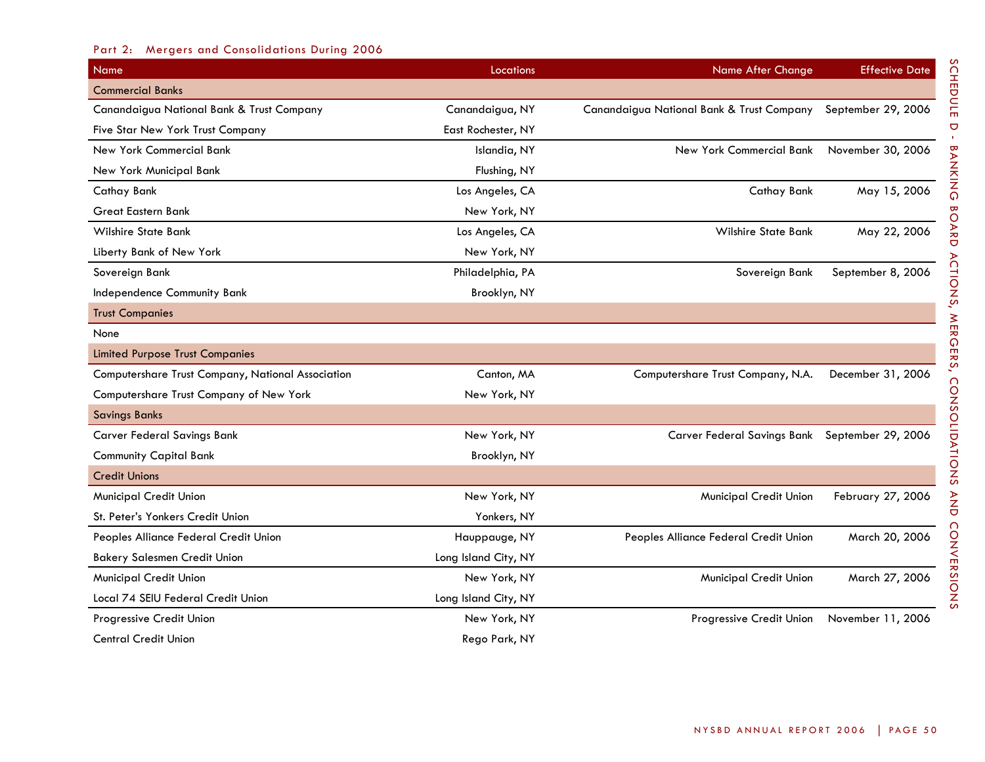# Part 2: Mergers and Consolidations During 2006

| Name                                              | Locations            | <b>Name After Change</b>                                     | <b>Effective Date</b> |
|---------------------------------------------------|----------------------|--------------------------------------------------------------|-----------------------|
| <b>Commercial Banks</b>                           |                      |                                                              |                       |
| Canandaigua National Bank & Trust Company         | Canandaigua, NY      | Canandaigua National Bank & Trust Company September 29, 2006 |                       |
| Five Star New York Trust Company                  | East Rochester, NY   |                                                              |                       |
| New York Commercial Bank                          | Islandia, NY         | New York Commercial Bank                                     | November 30, 2006     |
| New York Municipal Bank                           | Flushing, NY         |                                                              |                       |
| Cathay Bank                                       | Los Angeles, CA      | Cathay Bank                                                  | May 15, 2006          |
| <b>Great Eastern Bank</b>                         | New York, NY         |                                                              |                       |
| <b>Wilshire State Bank</b>                        | Los Angeles, CA      | <b>Wilshire State Bank</b>                                   | May 22, 2006          |
| Liberty Bank of New York                          | New York, NY         |                                                              |                       |
| Sovereign Bank                                    | Philadelphia, PA     | Sovereign Bank                                               | September 8, 2006     |
| Independence Community Bank                       | Brooklyn, NY         |                                                              |                       |
| <b>Trust Companies</b>                            |                      |                                                              |                       |
| None                                              |                      |                                                              |                       |
| <b>Limited Purpose Trust Companies</b>            |                      |                                                              |                       |
| Computershare Trust Company, National Association | Canton, MA           | Computershare Trust Company, N.A.                            | December 31, 2006     |
| Computershare Trust Company of New York           | New York, NY         |                                                              |                       |
| <b>Savings Banks</b>                              |                      |                                                              |                       |
| <b>Carver Federal Savings Bank</b>                | New York, NY         | Carver Federal Savings Bank September 29, 2006               |                       |
| <b>Community Capital Bank</b>                     | Brooklyn, NY         |                                                              |                       |
| <b>Credit Unions</b>                              |                      |                                                              |                       |
| Municipal Credit Union                            | New York, NY         | Municipal Credit Union                                       | February 27, 2006     |
| St. Peter's Yonkers Credit Union                  | Yonkers, NY          |                                                              |                       |
| Peoples Alliance Federal Credit Union             | Hauppauge, NY        | Peoples Alliance Federal Credit Union                        | March 20, 2006        |
| <b>Bakery Salesmen Credit Union</b>               | Long Island City, NY |                                                              |                       |
| <b>Municipal Credit Union</b>                     | New York, NY         | Municipal Credit Union                                       | March 27, 2006        |
| Local 74 SEIU Federal Credit Union                | Long Island City, NY |                                                              |                       |
| Progressive Credit Union                          | New York, NY         | Progressive Credit Union                                     | November 11, 2006     |
| <b>Central Credit Union</b>                       | Rego Park, NY        |                                                              |                       |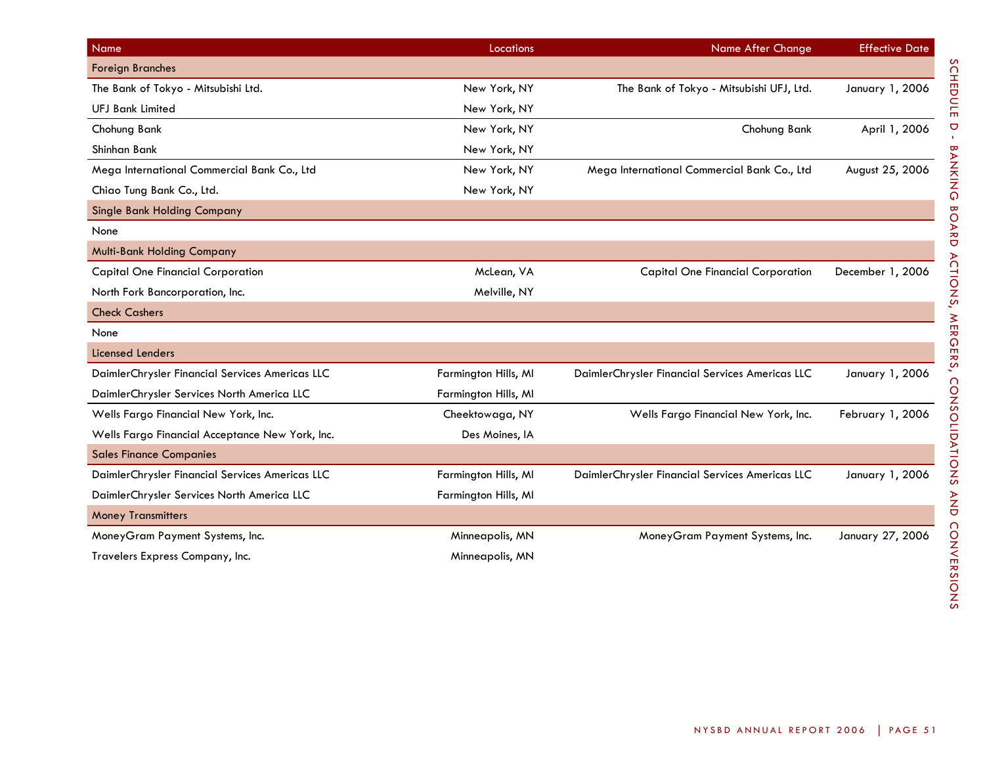| Name                                            | Locations            | <b>Name After Change</b>                        | <b>Effective Date</b> |
|-------------------------------------------------|----------------------|-------------------------------------------------|-----------------------|
| <b>Foreign Branches</b>                         |                      |                                                 |                       |
| The Bank of Tokyo - Mitsubishi Ltd.             | New York, NY         | The Bank of Tokyo - Mitsubishi UFJ, Ltd.        | January 1, 2006       |
| <b>UFJ Bank Limited</b>                         | New York, NY         |                                                 |                       |
| Chohung Bank                                    | New York, NY         | Chohung Bank                                    | April 1, 2006         |
| Shinhan Bank                                    | New York, NY         |                                                 |                       |
| Mega International Commercial Bank Co., Ltd     | New York, NY         | Mega International Commercial Bank Co., Ltd     | August 25, 2006       |
| Chiao Tung Bank Co., Ltd.                       | New York, NY         |                                                 |                       |
| <b>Single Bank Holding Company</b>              |                      |                                                 |                       |
| None                                            |                      |                                                 |                       |
| <b>Multi-Bank Holding Company</b>               |                      |                                                 |                       |
| <b>Capital One Financial Corporation</b>        | McLean, VA           | <b>Capital One Financial Corporation</b>        | December 1, 2006      |
| North Fork Bancorporation, Inc.                 | Melville, NY         |                                                 |                       |
| <b>Check Cashers</b>                            |                      |                                                 |                       |
| None                                            |                      |                                                 |                       |
| <b>Licensed Lenders</b>                         |                      |                                                 |                       |
| DaimlerChrysler Financial Services Americas LLC | Farmington Hills, MI | DaimlerChrysler Financial Services Americas LLC | January 1, 2006       |
| DaimlerChrysler Services North America LLC      | Farmington Hills, MI |                                                 |                       |
| Wells Fargo Financial New York, Inc.            | Cheektowaga, NY      | Wells Fargo Financial New York, Inc.            | February 1, 2006      |
| Wells Fargo Financial Acceptance New York, Inc. | Des Moines, IA       |                                                 |                       |
| <b>Sales Finance Companies</b>                  |                      |                                                 |                       |
| DaimlerChrysler Financial Services Americas LLC | Farmington Hills, MI | DaimlerChrysler Financial Services Americas LLC | January 1, 2006       |
| DaimlerChrysler Services North America LLC      | Farmington Hills, MI |                                                 |                       |
| <b>Money Transmitters</b>                       |                      |                                                 |                       |
| MoneyGram Payment Systems, Inc.                 | Minneapolis, MN      | MoneyGram Payment Systems, Inc.                 | January 27, 2006      |
| Travelers Express Company, Inc.                 | Minneapolis, MN      |                                                 |                       |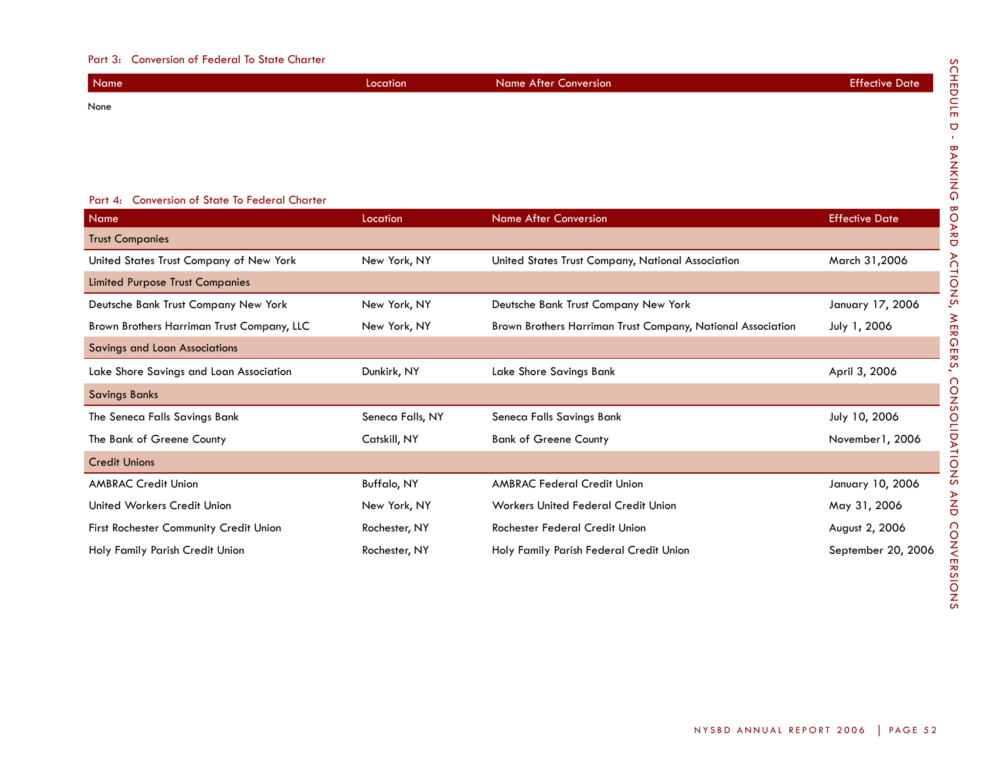## Part 3: Conversion of Federal To State Charter

| Name | Location | <b>Name After Conversion</b> | <b>Effective Date</b> |
|------|----------|------------------------------|-----------------------|
| None |          |                              |                       |
|      |          |                              |                       |
|      |          |                              |                       |
|      |          |                              |                       |

# Part 4: Conversion of State To Federal Charter

| Name                                       | Location           | Name After Conversion                                       | <b>Effective Date</b> |
|--------------------------------------------|--------------------|-------------------------------------------------------------|-----------------------|
| <b>Trust Companies</b>                     |                    |                                                             |                       |
| United States Trust Company of New York    | New York, NY       | United States Trust Company, National Association           | March 31,2006         |
| <b>Limited Purpose Trust Companies</b>     |                    |                                                             |                       |
| Deutsche Bank Trust Company New York       | New York, NY       | Deutsche Bank Trust Company New York                        | January 17, 2006      |
| Brown Brothers Harriman Trust Company, LLC | New York, NY       | Brown Brothers Harriman Trust Company, National Association | July 1, 2006          |
| Savings and Loan Associations              |                    |                                                             |                       |
| Lake Shore Savings and Loan Association    | Dunkirk, NY        | Lake Shore Savings Bank                                     | April 3, 2006         |
| <b>Savings Banks</b>                       |                    |                                                             |                       |
| The Seneca Falls Savings Bank              | Seneca Falls, NY   | Seneca Falls Savings Bank                                   | July 10, 2006         |
| The Bank of Greene County                  | Catskill, NY       | <b>Bank of Greene County</b>                                | November 1, 2006      |
| <b>Credit Unions</b>                       |                    |                                                             |                       |
| <b>AMBRAC Credit Union</b>                 | <b>Buffalo, NY</b> | <b>AMBRAC Federal Credit Union</b>                          | January 10, 2006      |
| United Workers Credit Union                | New York, NY       | <b>Workers United Federal Credit Union</b>                  | May 31, 2006          |
| First Rochester Community Credit Union     | Rochester, NY      | Rochester Federal Credit Union                              | August 2, 2006        |
| Holy Family Parish Credit Union            | Rochester, NY      | Holy Family Parish Federal Credit Union                     | September 20, 2006    |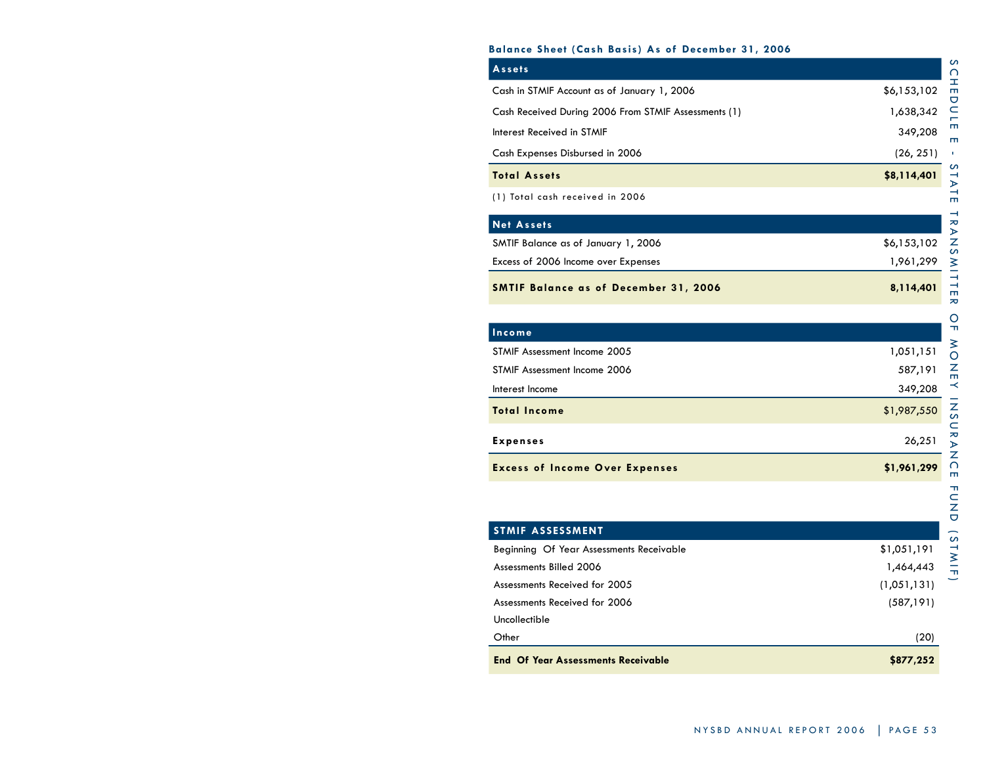## **Balance Sheet (Cash Basis) As of December 31, 2006**

| Assets                                               |             |
|------------------------------------------------------|-------------|
| Cash in STMIF Account as of January 1, 2006          | \$6,153,102 |
| Cash Received During 2006 From STMIF Assessments (1) | 1,638,342   |
| Interest Received in STMIF                           | 349,208     |
| Cash Expenses Disbursed in 2006                      | (26, 251)   |
| <b>Total Assets</b>                                  | \$8,114,401 |
| (1) Total cash received in 2006                      |             |
| <b>Net Assets</b>                                    |             |
| SMTIF Balance as of January 1, 2006                  | \$6,153,102 |
| Excess of 2006 Income over Expenses                  | 1,961,299   |
| <b>SMTIF Balance as of December 31, 2006</b>         | 8,114,401   |
|                                                      |             |
| Income                                               |             |
| STMIF Assessment Income 2005                         | 1,051,151   |
| STMIF Assessment Income 2006                         | 587,191     |
| Interest Income                                      | 349,208     |
| <b>Total Income</b>                                  | \$1,987,550 |

| <b>Excess of Income Over Expenses</b> | \$1,961,299 |  |
|---------------------------------------|-------------|--|
| Expenses                              | 26.251      |  |

| <b>STMIF ASSESSMENT</b>                   |             |
|-------------------------------------------|-------------|
| Beginning Of Year Assessments Receivable  | \$1,051,191 |
| Assessments Billed 2006                   | 1,464,443   |
| Assessments Received for 2005             | (1,051,131) |
| Assessments Received for 2006             | (587, 191)  |
| Uncollectible                             |             |
| Other                                     | (20)        |
| <b>End Of Year Assessments Receivable</b> | \$877,252   |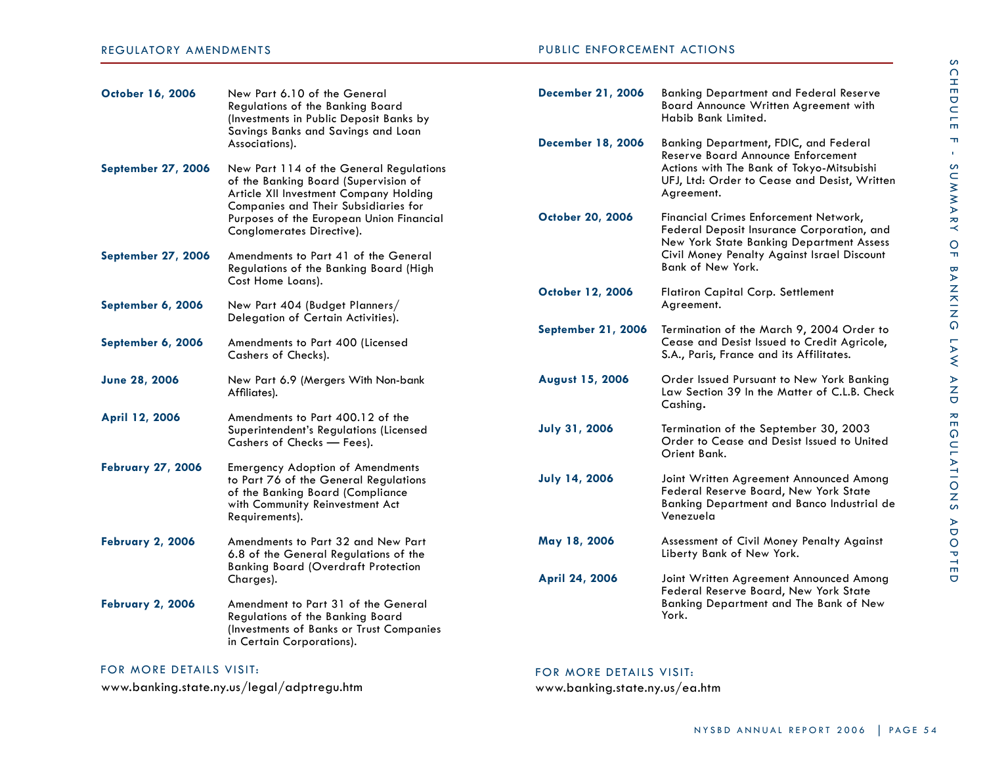# public Enforcement Actions

| <b>October 16, 2006</b>   | New Part 6.10 of the General<br>Regulations of the Banking Board<br>(Investments in Public Deposit Banks by<br>Savings Banks and Savings and Loan                         | <b>December 21, 2006</b>  | <b>Banking Department and Federal Reserve</b><br>Board Announce Written Agreement with<br>Habib Bank Limited.                               |
|---------------------------|---------------------------------------------------------------------------------------------------------------------------------------------------------------------------|---------------------------|---------------------------------------------------------------------------------------------------------------------------------------------|
|                           | Associations).                                                                                                                                                            | <b>December 18, 2006</b>  | Banking Department, FDIC, and Federal<br>Reserve Board Announce Enforcement                                                                 |
| <b>September 27, 2006</b> | New Part 114 of the General Regulations<br>of the Banking Board (Supervision of<br>Article XII Investment Company Holding<br>Companies and Their Subsidiaries for         |                           | Actions with The Bank of Tokyo-Mitsubishi<br>UFJ, Ltd: Order to Cease and Desist, Written<br>Agreement.                                     |
|                           | Purposes of the European Union Financial<br>Conglomerates Directive).                                                                                                     | October 20, 2006          | Financial Crimes Enforcement Network,<br>Federal Deposit Insurance Corporation, and<br>New York State Banking Department Assess             |
| <b>September 27, 2006</b> | Amendments to Part 41 of the General<br>Regulations of the Banking Board (High                                                                                            |                           | Civil Money Penalty Against Israel Discount<br>Bank of New York.                                                                            |
| September 6, 2006         | Cost Home Loans).<br>New Part 404 (Budget Planners/                                                                                                                       | October 12, 2006          | Flatiron Capital Corp. Settlement<br>Agreement.                                                                                             |
| September 6, 2006         | Delegation of Certain Activities).<br>Amendments to Part 400 (Licensed                                                                                                    | <b>September 21, 2006</b> | Termination of the March 9, 2004 Order to<br>Cease and Desist Issued to Credit Agricole,                                                    |
|                           | Cashers of Checks).                                                                                                                                                       |                           | S.A., Paris, France and its Affilitates.                                                                                                    |
| June 28, 2006             | New Part 6.9 (Mergers With Non-bank<br>Affiliates).                                                                                                                       | <b>August 15, 2006</b>    | Order Issued Pursuant to New York Banking<br>Law Section 39 In the Matter of C.L.B. Check<br>Cashing.                                       |
| April 12, 2006            | Amendments to Part 400.12 of the<br>Superintendent's Regulations (Licensed                                                                                                | <b>July 31, 2006</b>      | Termination of the September 30, 2003                                                                                                       |
|                           | Cashers of Checks - Fees).                                                                                                                                                |                           | Order to Cease and Desist Issued to United<br>Orient Bank.                                                                                  |
| <b>February 27, 2006</b>  | <b>Emergency Adoption of Amendments</b><br>to Part 76 of the General Regulations<br>of the Banking Board (Compliance<br>with Community Reinvestment Act<br>Requirements). | <b>July 14, 2006</b>      | Joint Written Agreement Announced Among<br>Federal Reserve Board, New York State<br>Banking Department and Banco Industrial de<br>Venezuela |
| <b>February 2, 2006</b>   | Amendments to Part 32 and New Part<br>6.8 of the General Regulations of the                                                                                               | May 18, 2006              | Assessment of Civil Money Penalty Against<br>Liberty Bank of New York.                                                                      |
|                           | <b>Banking Board (Overdraft Protection</b><br>Charges).                                                                                                                   | April 24, 2006            | Joint Written Agreement Announced Among<br>Federal Reserve Board, New York State                                                            |
| <b>February 2, 2006</b>   | Amendment to Part 31 of the General<br>Regulations of the Banking Board<br>(Investments of Banks or Trust Companies<br>in Certain Corporations).                          |                           | Banking Department and The Bank of New<br>York.                                                                                             |

# FOR MORE DETAILS VISIT:

www.banking.state.ny.us/legal/adptregu.htm

# FOR MORE DETAILS VISIT:

www.banking.state.ny.us/ea.htm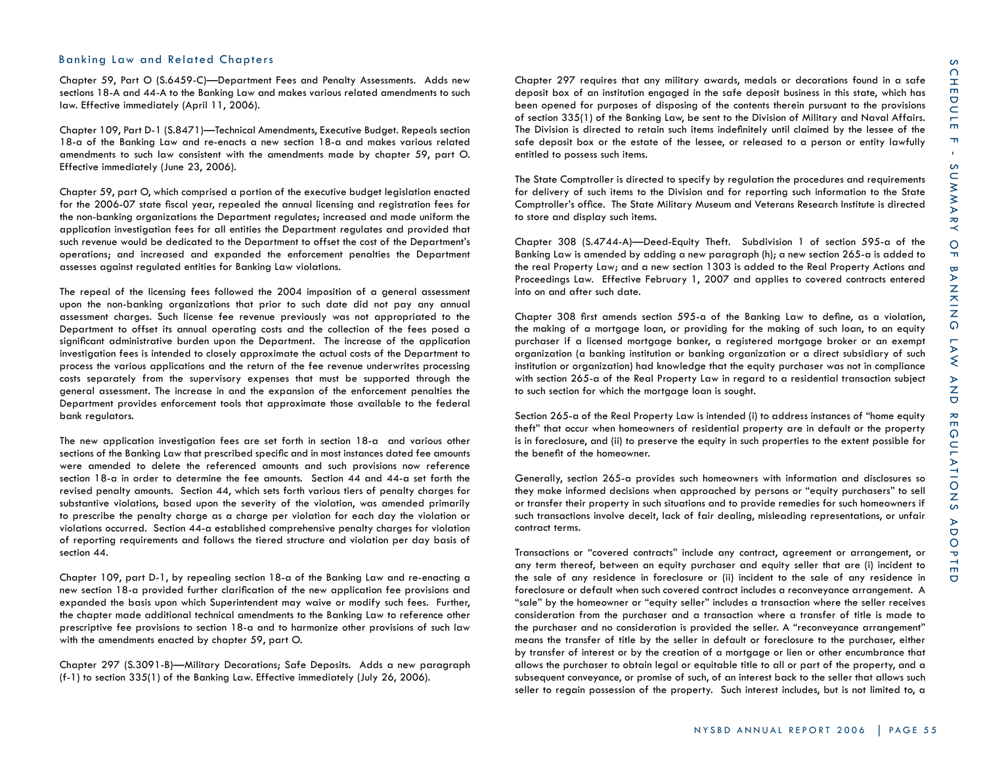## Banking Law and Related Chapters

Chapter 59, Part O (S.6459-C)—Department Fees and Penalty Assessments. Adds new sections 18-A and 44-A to the Banking Law and makes various related amendments to such law. Effective immediately (April 11, 2006).

Chapter 109, Part D-1 (S.8471)—Technical Amendments, Executive Budget. Repeals section 18-a of the Banking Law and re-enacts a new section 18-a and makes various related amendments to such law consistent with the amendments made by chapter 59, part O. Effective immediately (June 23, 2006).

Chapter 59, part O, which comprised a portion of the executive budget legislation enacted for the 2006-07 state fiscal year, repealed the annual licensing and registration fees for the non-banking organizations the Department regulates; increased and made uniform the application investigation fees for all entities the Department regulates and provided that such revenue would be dedicated to the Department to offset the cost of the Department's operations; and increased and expanded the enforcement penalties the Department assesses against regulated entities for Banking Law violations.

The repeal of the licensing fees followed the 2004 imposition of a general assessment upon the non-banking organizations that prior to such date did not pay any annual assessment charges. Such license fee revenue previously was not appropriated to the Department to offset its annual operating costs and the collection of the fees posed a significant administrative burden upon the Department. The increase of the application investigation fees is intended to closely approximate the actual costs of the Department to process the various applications and the return of the fee revenue underwrites processing costs separately from the supervisory expenses that must be supported through the general assessment. The increase in and the expansion of the enforcement penalties the Department provides enforcement tools that approximate those available to the federal bank regulators.

The new application investigation fees are set forth in section 18-a and various other sections of the Banking Law that prescribed specific and in most instances dated fee amounts were amended to delete the referenced amounts and such provisions now reference section 18-a in order to determine the fee amounts. Section 44 and 44-a set forth the revised penalty amounts. Section 44, which sets forth various tiers of penalty charges for substantive violations, based upon the severity of the violation, was amended primarily to prescribe the penalty charge as a charge per violation for each day the violation or violations occurred. Section 44-a established comprehensive penalty charges for violation of reporting requirements and follows the tiered structure and violation per day basis of section 44.

Chapter 109, part D-1, by repealing section 18-a of the Banking Law and re-enacting a new section 18-a provided further clarification of the new application fee provisions and expanded the basis upon which Superintendent may waive or modify such fees. Further, the chapter made additional technical amendments to the Banking Law to reference other prescriptive fee provisions to section 18-a and to harmonize other provisions of such law with the amendments enacted by chapter 59, part O.

Chapter 297 (S.3091-B)—Military Decorations; Safe Deposits. Adds a new paragraph (f-1) to section 335(1) of the Banking Law. Effective immediately (July 26, 2006).

Chapter 297 requires that any military awards, medals or decorations found in a safe deposit box of an institution engaged in the safe deposit business in this state, which has been opened for purposes of disposing of the contents therein pursuant to the provisions of section 335(1) of the Banking Law, be sent to the Division of Military and Naval Affairs. The Division is directed to retain such items indefinitely until claimed by the lessee of the safe deposit box or the estate of the lessee, or released to a person or entity lawfully entitled to possess such items.

The State Comptroller is directed to specify by regulation the procedures and requirements for delivery of such items to the Division and for reporting such information to the State Comptroller's office. The State Military Museum and Veterans Research Institute is directed to store and display such items.

Chapter 308 (S.4744-A)—Deed-Equity Theft. Subdivision 1 of section 595-a of the Banking Law is amended by adding a new paragraph (h); a new section 265-a is added to the real Property Law; and a new section 1303 is added to the Real Property Actions and Proceedings Law. Effective February 1, 2007 and applies to covered contracts entered into on and after such date.

Chapter 308 first amends section 595-a of the Banking Law to define, as a violation, the making of a mortgage loan, or providing for the making of such loan, to an equity purchaser if a licensed mortgage banker, a registered mortgage broker or an exempt organization (a banking institution or banking organization or a direct subsidiary of such institution or organization) had knowledge that the equity purchaser was not in compliance with section 265-a of the Real Property Law in regard to a residential transaction subject to such section for which the mortgage loan is sought.

Section 265-a of the Real Property Law is intended (i) to address instances of "home equity theft" that occur when homeowners of residential property are in default or the property is in foreclosure, and (ii) to preserve the equity in such properties to the extent possible for the benefit of the homeowner.

Generally, section 265-a provides such homeowners with information and disclosures so they make informed decisions when approached by persons or "equity purchasers" to sell or transfer their property in such situations and to provide remedies for such homeowners if such transactions involve deceit, lack of fair dealing, misleading representations, or unfair contract terms.

Transactions or "covered contracts" include any contract, agreement or arrangement, or any term thereof, between an equity purchaser and equity seller that are (i) incident to the sale of any residence in foreclosure or (ii) incident to the sale of any residence in foreclosure or default when such covered contract includes a reconveyance arrangement. A "sale" by the homeowner or "equity seller" includes a transaction where the seller receives consideration from the purchaser and a transaction where a transfer of title is made to the purchaser and no consideration is provided the seller. A "reconveyance arrangement" means the transfer of title by the seller in default or foreclosure to the purchaser, either by transfer of interest or by the creation of a mortgage or lien or other encumbrance that allows the purchaser to obtain legal or equitable title to all or part of the property, and a subsequent conveyance, or promise of such, of an interest back to the seller that allows such seller to regain possession of the property. Such interest includes, but is not limited to, a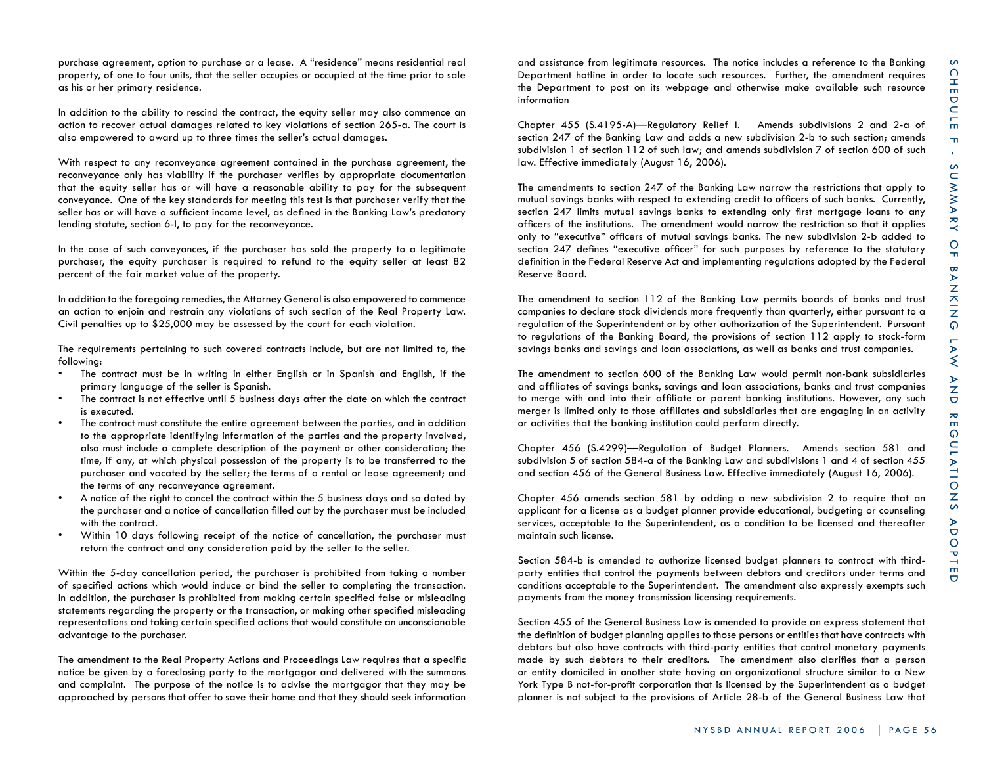purchase agreement, option to purchase or a lease. A "residence" means residential real property, of one to four units, that the seller occupies or occupied at the time prior to sale as his or her primary residence.

In addition to the ability to rescind the contract, the equity seller may also commence an action to recover actual damages related to key violations of section 265-a. The court is also empowered to award up to three times the seller's actual damages.

With respect to any reconveyance agreement contained in the purchase agreement, the reconveyance only has viability if the purchaser verifies by appropriate documentation that the equity seller has or will have a reasonable ability to pay for the subsequent conveyance. One of the key standards for meeting this test is that purchaser verify that the seller has or will have a sufficient income level, as defined in the Banking Law's predatory lending statute, section 6-l, to pay for the reconveyance.

In the case of such conveyances, if the purchaser has sold the property to a legitimate purchaser, the equity purchaser is required to refund to the equity seller at least 82 percent of the fair market value of the property.

In addition to the foregoing remedies, the Attorney General is also empowered to commence an action to enjoin and restrain any violations of such section of the Real Property Law. Civil penalties up to \$25,000 may be assessed by the court for each violation.

The requirements pertaining to such covered contracts include, but are not limited to, the following:

- The contract must be in writing in either English or in Spanish and English, if the primary language of the seller is Spanish.
- The contract is not effective until 5 business days after the date on which the contract is executed.
- The contract must constitute the entire agreement between the parties, and in addition to the appropriate identifying information of the parties and the property involved, also must include a complete description of the payment or other consideration; the time, if any, at which physical possession of the property is to be transferred to the purchaser and vacated by the seller; the terms of a rental or lease agreement; and the terms of any reconveyance agreement.
- A notice of the right to cancel the contract within the 5 business days and so dated by the purchaser and a notice of cancellation filled out by the purchaser must be included with the contract.
- Within 10 days following receipt of the notice of cancellation, the purchaser must return the contract and any consideration paid by the seller to the seller.

Within the 5-day cancellation period, the purchaser is prohibited from taking a number of specified actions which would induce or bind the seller to completing the transaction. In addition, the purchaser is prohibited from making certain specified false or misleading statements regarding the property or the transaction, or making other specified misleading representations and taking certain specified actions that would constitute an unconscionable advantage to the purchaser.

The amendment to the Real Property Actions and Proceedings Law requires that a specific notice be given by a foreclosing party to the mortgagor and delivered with the summons and complaint. The purpose of the notice is to advise the mortgagor that they may be approached by persons that offer to save their home and that they should seek information

and assistance from legitimate resources. The notice includes a reference to the Banking Department hotline in order to locate such resources. Further, the amendment requires the Department to post on its webpage and otherwise make available such resource information

Chapter 455 (S.4195-A)—Regulatory Relief I. Amends subdivisions 2 and 2-a of section 247 of the Banking Law and adds a new subdivision 2-b to such section; amends subdivision 1 of section 112 of such law; and amends subdivision 7 of section 600 of such law. Effective immediately (August 16, 2006).

The amendments to section 247 of the Banking Law narrow the restrictions that apply to mutual savings banks with respect to extending credit to officers of such banks. Currently, section 247 limits mutual savings banks to extending only first mortgage loans to any officers of the institutions. The amendment would narrow the restriction so that it applies only to "executive" officers of mutual savings banks. The new subdivision 2-b added to section 247 defines "executive officer" for such purposes by reference to the statutory definition in the Federal Reserve Act and implementing regulations adopted by the Federal Reserve Board.

The amendment to section 112 of the Banking Law permits boards of banks and trust companies to declare stock dividends more frequently than quarterly, either pursuant to a regulation of the Superintendent or by other authorization of the Superintendent. Pursuant to regulations of the Banking Board, the provisions of section 112 apply to stock-form savings banks and savings and loan associations, as well as banks and trust companies.

The amendment to section 600 of the Banking Law would permit non-bank subsidiaries and affiliates of savings banks, savings and loan associations, banks and trust companies to merge with and into their affiliate or parent banking institutions. However, any such merger is limited only to those affiliates and subsidiaries that are engaging in an activity or activities that the banking institution could perform directly.

Chapter 456 (S.4299)—Regulation of Budget Planners. Amends section 581 and subdivision 5 of section 584-a of the Banking Law and subdivisions 1 and 4 of section 455 and section 456 of the General Business Law. Effective immediately (August 16, 2006).

Chapter 456 amends section 581 by adding a new subdivision 2 to require that an applicant for a license as a budget planner provide educational, budgeting or counseling services, acceptable to the Superintendent, as a condition to be licensed and thereafter maintain such license.

Section 584-b is amended to authorize licensed budget planners to contract with thirdparty entities that control the payments between debtors and creditors under terms and conditions acceptable to the Superintendent. The amendment also expressly exempts such payments from the money transmission licensing requirements.

Section 455 of the General Business Law is amended to provide an express statement that the definition of budget planning applies to those persons or entities that have contracts with debtors but also have contracts with third-party entities that control monetary payments made by such debtors to their creditors. The amendment also clarifies that a person or entity domiciled in another state having an organizational structure similar to a New York Type B not-for-profit corporation that is licensed by the Superintendent as a budget planner is not subject to the provisions of Article 28-b of the General Business Law that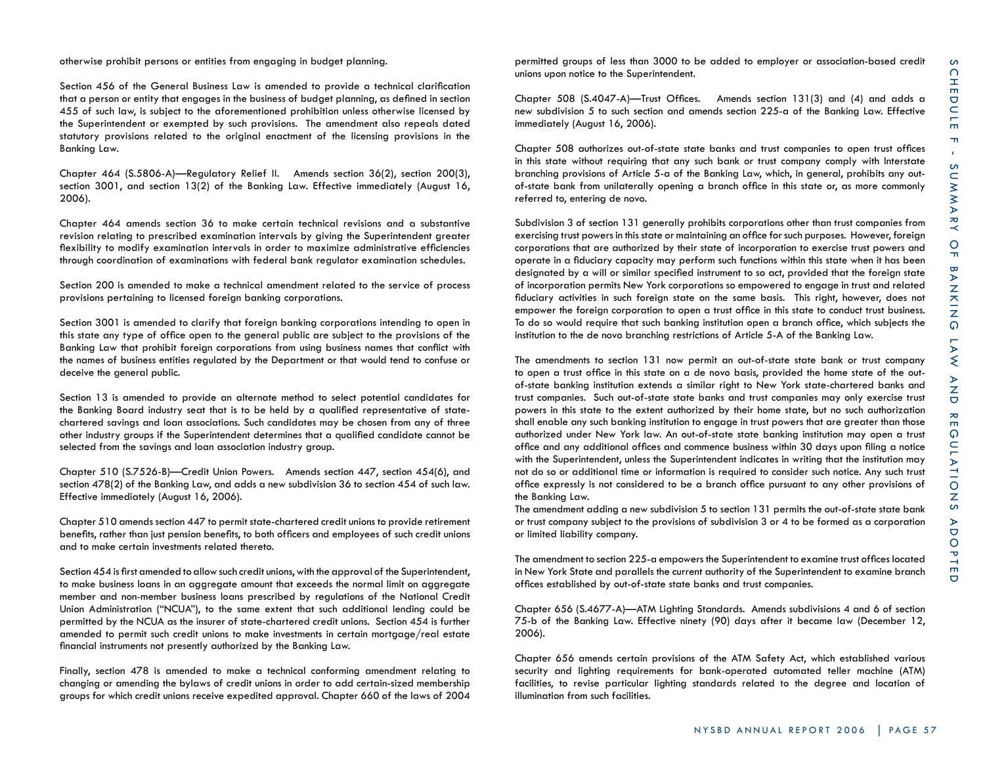otherwise prohibit persons or entities from engaging in budget planning.

Section 456 of the General Business Law is amended to provide a technical clarification that a person or entity that engages in the business of budget planning, as defined in section 455 of such law, is subject to the aforementioned prohibition unless otherwise licensed by the Superintendent or exempted by such provisions. The amendment also repeals dated statutory provisions related to the original enactment of the licensing provisions in the Banking Law.

Chapter 464 (S.5806-A)—Regulatory Relief II. Amends section 36(2), section 200(3), section 3001, and section 13(2) of the Banking Law. Effective immediately (August 16, 2006).

Chapter 464 amends section 36 to make certain technical revisions and a substantive revision relating to prescribed examination intervals by giving the Superintendent greater flexibility to modify examination intervals in order to maximize administrative efficiencies through coordination of examinations with federal bank regulator examination schedules.

Section 200 is amended to make a technical amendment related to the service of process provisions pertaining to licensed foreign banking corporations.

Section 3001 is amended to clarify that foreign banking corporations intending to open in this state any type of office open to the general public are subject to the provisions of the Banking Law that prohibit foreign corporations from using business names that conflict with the names of business entities regulated by the Department or that would tend to confuse or deceive the general public.

Section 13 is amended to provide an alternate method to select potential candidates for the Banking Board industry seat that is to be held by a qualified representative of statechartered savings and loan associations. Such candidates may be chosen from any of three other industry groups if the Superintendent determines that a qualified candidate cannot be selected from the savings and loan association industry group.

Chapter 510 (S.7526-B)—Credit Union Powers. Amends section 447, section 454(6), and section 478(2) of the Banking Law, and adds a new subdivision 36 to section 454 of such law. Effective immediately (August 16, 2006).

Chapter 510 amends section 447 to permit state-chartered credit unions to provide retirement benefits, rather than just pension benefits, to both officers and employees of such credit unions and to make certain investments related thereto.

Section 454 is first amended to allow such credit unions, with the approval of the Superintendent, to make business loans in an aggregate amount that exceeds the normal limit on aggregate member and non-member business loans prescribed by regulations of the National Credit Union Administration ("NCUA"), to the same extent that such additional lending could be permitted by the NCUA as the insurer of state-chartered credit unions. Section 454 is further amended to permit such credit unions to make investments in certain mortgage/real estate financial instruments not presently authorized by the Banking Law.

Finally, section 478 is amended to make a technical conforming amendment relating to changing or amending the bylaws of credit unions in order to add certain-sized membership groups for which credit unions receive expedited approval. Chapter 660 of the laws of 2004 permitted groups of less than 3000 to be added to employer or association-based credit unions upon notice to the Superintendent.

Chapter 508 (S.4047-A)—Trust Offices. Amends section 131(3) and (4) and adds a new subdivision 5 to such section and amends section 225-a of the Banking Law. Effective immediately (August 16, 2006).

Chapter 508 authorizes out-of-state state banks and trust companies to open trust offices in this state without requiring that any such bank or trust company comply with Interstate branching provisions of Article 5-a of the Banking Law, which, in general, prohibits any outof-state bank from unilaterally opening a branch office in this state or, as more commonly referred to, entering de novo.

Subdivision 3 of section 131 generally prohibits corporations other than trust companies from exercising trust powers in this state or maintaining an office for such purposes. However, foreign corporations that are authorized by their state of incorporation to exercise trust powers and operate in a fiduciary capacity may perform such functions within this state when it has been designated by a will or similar specified instrument to so act, provided that the foreign state of incorporation permits New York corporations so empowered to engage in trust and related fiduciary activities in such foreign state on the same basis. This right, however, does not empower the foreign corporation to open a trust office in this state to conduct trust business. To do so would require that such banking institution open a branch office, which subjects the institution to the de novo branching restrictions of Article 5-A of the Banking Law.

The amendments to section 131 now permit an out-of-state state bank or trust company to open a trust office in this state on a de novo basis, provided the home state of the outof-state banking institution extends a similar right to New York state-chartered banks and trust companies. Such out-of-state state banks and trust companies may only exercise trust powers in this state to the extent authorized by their home state, but no such authorization shall enable any such banking institution to engage in trust powers that are greater than those authorized under New York law. An out-of-state state banking institution may open a trust office and any additional offices and commence business within 30 days upon filing a notice with the Superintendent, unless the Superintendent indicates in writing that the institution may not do so or additional time or information is required to consider such notice. Any such trust office expressly is not considered to be a branch office pursuant to any other provisions of the Banking Law.

The amendment adding a new subdivision 5 to section 131 permits the out-of-state state bank or trust company subject to the provisions of subdivision 3 or 4 to be formed as a corporation or limited liability company.

The amendment to section 225-a empowers the Superintendent to examine trust offices located in New York State and parallels the current authority of the Superintendent to examine branch offices established by out-of-state state banks and trust companies.

Chapter 656 (S.4677-A)—ATM Lighting Standards. Amends subdivisions 4 and 6 of section 75-b of the Banking Law. Effective ninety (90) days after it became law (December 12, 2006).

Chapter 656 amends certain provisions of the ATM Safety Act, which established various security and lighting requirements for bank-operated automated teller machine (ATM) facilities, to revise particular lighting standards related to the degree and location of illumination from such facilities.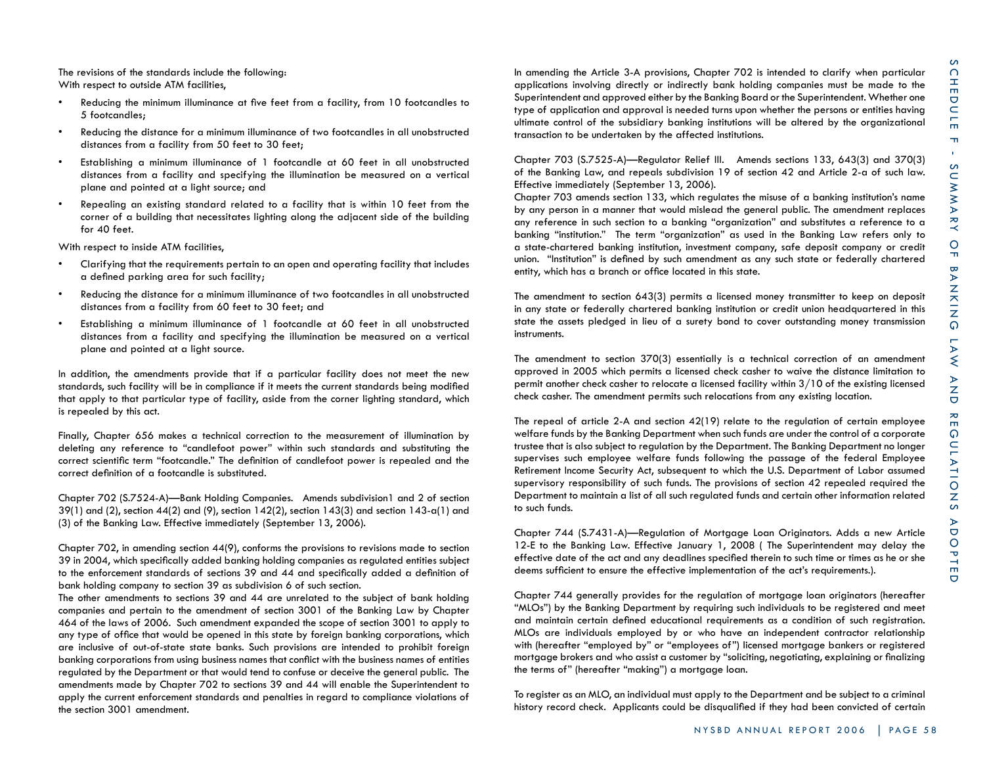The revisions of the standards include the following: With respect to outside ATM facilities,

- Reducing the minimum illuminance at five feet from a facility, from 10 footcandles to 5 footcandles;
- Reducing the distance for a minimum illuminance of two footcandles in all unobstructed distances from a facility from 50 feet to 30 feet;
- Establishing a minimum illuminance of 1 footcandle at 60 feet in all unobstructed distances from a facility and specifying the illumination be measured on a vertical plane and pointed at a light source; and
- Repealing an existing standard related to a facility that is within 10 feet from the corner of a building that necessitates lighting along the adjacent side of the building for 40 feet.

With respect to inside ATM facilities,

- Clarifying that the requirements pertain to an open and operating facility that includes a defined parking area for such facility;
- Reducing the distance for a minimum illuminance of two footcandles in all unobstructed distances from a facility from 60 feet to 30 feet; and
- Establishing a minimum illuminance of 1 footcandle at 60 feet in all unobstructed distances from a facility and specifying the illumination be measured on a vertical plane and pointed at a light source.

In addition, the amendments provide that if a particular facility does not meet the new standards, such facility will be in compliance if it meets the current standards being modified that apply to that particular type of facility, aside from the corner lighting standard, which is repealed by this act.

Finally, Chapter 656 makes a technical correction to the measurement of illumination by deleting any reference to "candlefoot power" within such standards and substituting the correct scientific term "footcandle." The definition of candlefoot power is repealed and the correct definition of a footcandle is substituted.

Chapter 702 (S.7524-A)—Bank Holding Companies. Amends subdivision1 and 2 of section  $39(1)$  and (2), section  $44(2)$  and (9), section  $142(2)$ , section  $143(3)$  and section  $143-a(1)$  and (3) of the Banking Law. Effective immediately (September 13, 2006).

Chapter 702, in amending section 44(9), conforms the provisions to revisions made to section 39 in 2004, which specifically added banking holding companies as regulated entities subject to the enforcement standards of sections 39 and 44 and specifically added a definition of bank holding company to section 39 as subdivision 6 of such section.

The other amendments to sections 39 and 44 are unrelated to the subject of bank holding companies and pertain to the amendment of section 3001 of the Banking Law by Chapter 464 of the laws of 2006. Such amendment expanded the scope of section 3001 to apply to any type of office that would be opened in this state by foreign banking corporations, which are inclusive of out-of-state state banks. Such provisions are intended to prohibit foreign banking corporations from using business names that conflict with the business names of entities regulated by the Department or that would tend to confuse or deceive the general public. The amendments made by Chapter 702 to sections 39 and 44 will enable the Superintendent to apply the current enforcement standards and penalties in regard to compliance violations of the section 3001 amendment.

In amending the Article 3-A provisions, Chapter 702 is intended to clarify when particular applications involving directly or indirectly bank holding companies must be made to the Superintendent and approved either by the Banking Board or the Superintendent. Whether one type of application and approval is needed turns upon whether the persons or entities having ultimate control of the subsidiary banking institutions will be altered by the organizational transaction to be undertaken by the affected institutions.

Chapter 703 (S.7525-A)—Regulator Relief III. Amends sections 133, 643(3) and 370(3) of the Banking Law, and repeals subdivision 19 of section 42 and Article 2-a of such law. Effective immediately (September 13, 2006).

Chapter 703 amends section 133, which regulates the misuse of a banking institution's name by any person in a manner that would mislead the general public. The amendment replaces any reference in such section to a banking "organization" and substitutes a reference to a banking "institution." The term "organization" as used in the Banking Law refers only to a state-chartered banking institution, investment company, safe deposit company or credit union. "Institution" is defined by such amendment as any such state or federally chartered entity, which has a branch or office located in this state.

The amendment to section 643(3) permits a licensed money transmitter to keep on deposit in any state or federally chartered banking institution or credit union headquartered in this state the assets pledged in lieu of a surety bond to cover outstanding money transmission instruments.

The amendment to section 370(3) essentially is a technical correction of an amendment approved in 2005 which permits a licensed check casher to waive the distance limitation to permit another check casher to relocate a licensed facility within 3/10 of the existing licensed check casher. The amendment permits such relocations from any existing location.

The repeal of article 2-A and section 42(19) relate to the regulation of certain employee welfare funds by the Banking Department when such funds are under the control of a corporate trustee that is also subject to regulation by the Department. The Banking Department no longer supervises such employee welfare funds following the passage of the federal Employee Retirement Income Security Act, subsequent to which the U.S. Department of Labor assumed supervisory responsibility of such funds. The provisions of section 42 repealed required the Department to maintain a list of all such regulated funds and certain other information related to such funds.

Chapter 744 (S.7431-A)—Regulation of Mortgage Loan Originators. Adds a new Article 12-E to the Banking Law. Effective January 1, 2008 ( The Superintendent may delay the effective date of the act and any deadlines specified therein to such time or times as he or she deems sufficient to ensure the effective implementation of the act's requirements.).

Chapter 744 generally provides for the regulation of mortgage loan originators (hereafter "MLOs") by the Banking Department by requiring such individuals to be registered and meet and maintain certain defined educational requirements as a condition of such registration. MLOs are individuals employed by or who have an independent contractor relationship with (hereafter "employed by" or "employees of") licensed mortgage bankers or registered mortgage brokers and who assist a customer by "soliciting, negotiating, explaining or finalizing the terms of" (hereafter "making") a mortgage loan.

To register as an MLO, an individual must apply to the Department and be subject to a criminal history record check. Applicants could be disqualified if they had been convicted of certain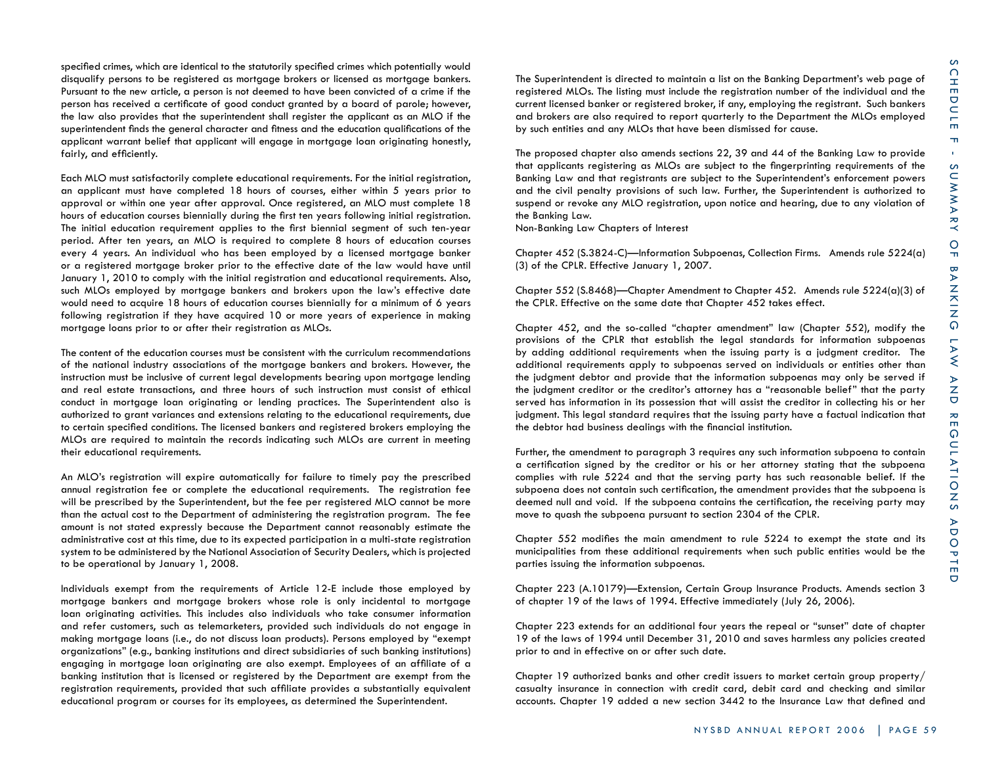specified crimes, which are identical to the statutorily specified crimes which potentially would disqualify persons to be registered as mortgage brokers or licensed as mortgage bankers. Pursuant to the new article, a person is not deemed to have been convicted of a crime if the person has received a certificate of good conduct granted by a board of parole; however, the law also provides that the superintendent shall register the applicant as an MLO if the superintendent finds the general character and fitness and the education qualifications of the applicant warrant belief that applicant will engage in mortgage loan originating honestly, fairly, and efficiently.

Each MLO must satisfactorily complete educational requirements. For the initial registration, an applicant must have completed 18 hours of courses, either within 5 years prior to approval or within one year after approval. Once registered, an MLO must complete 18 hours of education courses biennially during the first ten years following initial registration. The initial education requirement applies to the first biennial segment of such ten-year period. After ten years, an MLO is required to complete 8 hours of education courses every 4 years. An individual who has been employed by a licensed mortgage banker or a registered mortgage broker prior to the effective date of the law would have until January 1, 2010 to comply with the initial registration and educational requirements. Also, such MLOs employed by mortgage bankers and brokers upon the law's effective date would need to acquire 18 hours of education courses biennially for a minimum of 6 years following registration if they have acquired 10 or more years of experience in making mortgage loans prior to or after their registration as MLOs.

The content of the education courses must be consistent with the curriculum recommendations of the national industry associations of the mortgage bankers and brokers. However, the instruction must be inclusive of current legal developments bearing upon mortgage lending and real estate transactions, and three hours of such instruction must consist of ethical conduct in mortgage loan originating or lending practices. The Superintendent also is authorized to grant variances and extensions relating to the educational requirements, due to certain specified conditions. The licensed bankers and registered brokers employing the MLOs are required to maintain the records indicating such MLOs are current in meeting their educational requirements.

An MLO's registration will expire automatically for failure to timely pay the prescribed annual registration fee or complete the educational requirements. The registration fee will be prescribed by the Superintendent, but the fee per registered MLO cannot be more than the actual cost to the Department of administering the registration program. The fee amount is not stated expressly because the Department cannot reasonably estimate the administrative cost at this time, due to its expected participation in a multi-state registration system to be administered by the National Association of Security Dealers, which is projected to be operational by January 1, 2008.

Individuals exempt from the requirements of Article 12-E include those employed by mortgage bankers and mortgage brokers whose role is only incidental to mortgage loan originating activities. This includes also individuals who take consumer information and refer customers, such as telemarketers, provided such individuals do not engage in making mortgage loans (i.e., do not discuss loan products). Persons employed by "exempt organizations" (e.g., banking institutions and direct subsidiaries of such banking institutions) engaging in mortgage loan originating are also exempt. Employees of an affiliate of a banking institution that is licensed or registered by the Department are exempt from the registration requirements, provided that such affiliate provides a substantially equivalent educational program or courses for its employees, as determined the Superintendent.

The Superintendent is directed to maintain a list on the Banking Department's web page of registered MLOs. The listing must include the registration number of the individual and the current licensed banker or registered broker, if any, employing the registrant. Such bankers and brokers are also required to report quarterly to the Department the MLOs employed by such entities and any MLOs that have been dismissed for cause.

The proposed chapter also amends sections 22, 39 and 44 of the Banking Law to provide that applicants registering as MLOs are subject to the fingerprinting requirements of the Banking Law and that registrants are subject to the Superintendent's enforcement powers and the civil penalty provisions of such law. Further, the Superintendent is authorized to suspend or revoke any MLO registration, upon notice and hearing, due to any violation of the Banking Law.

Non-Banking Law Chapters of Interest

Chapter 452 (S.3824-C)—Information Subpoenas, Collection Firms. Amends rule 5224(a) (3) of the CPLR. Effective January 1, 2007.

Chapter 552 (S.8468)—Chapter Amendment to Chapter 452. Amends rule 5224(a)(3) of the CPLR. Effective on the same date that Chapter 452 takes effect.

Chapter 452, and the so-called "chapter amendment" law (Chapter 552), modify the provisions of the CPLR that establish the legal standards for information subpoenas by adding additional requirements when the issuing party is a judgment creditor. The additional requirements apply to subpoenas served on individuals or entities other than the judgment debtor and provide that the information subpoenas may only be served if the judgment creditor or the creditor's attorney has a "reasonable belief" that the party served has information in its possession that will assist the creditor in collecting his or her judgment. This legal standard requires that the issuing party have a factual indication that the debtor had business dealings with the financial institution.

Further, the amendment to paragraph 3 requires any such information subpoena to contain a certification signed by the creditor or his or her attorney stating that the subpoena complies with rule 5224 and that the serving party has such reasonable belief. If the subpoena does not contain such certification, the amendment provides that the subpoena is deemed null and void. If the subpoena contains the certification, the receiving party may move to quash the subpoena pursuant to section 2304 of the CPLR.

Chapter 552 modifies the main amendment to rule 5224 to exempt the state and its municipalities from these additional requirements when such public entities would be the parties issuing the information subpoenas.

Chapter 223 (A.10179)—Extension, Certain Group Insurance Products. Amends section 3 of chapter 19 of the laws of 1994. Effective immediately (July 26, 2006).

Chapter 223 extends for an additional four years the repeal or "sunset" date of chapter 19 of the laws of 1994 until December 31, 2010 and saves harmless any policies created prior to and in effective on or after such date.

Chapter 19 authorized banks and other credit issuers to market certain group property/ casualty insurance in connection with credit card, debit card and checking and similar accounts. Chapter 19 added a new section 3442 to the Insurance Law that defined and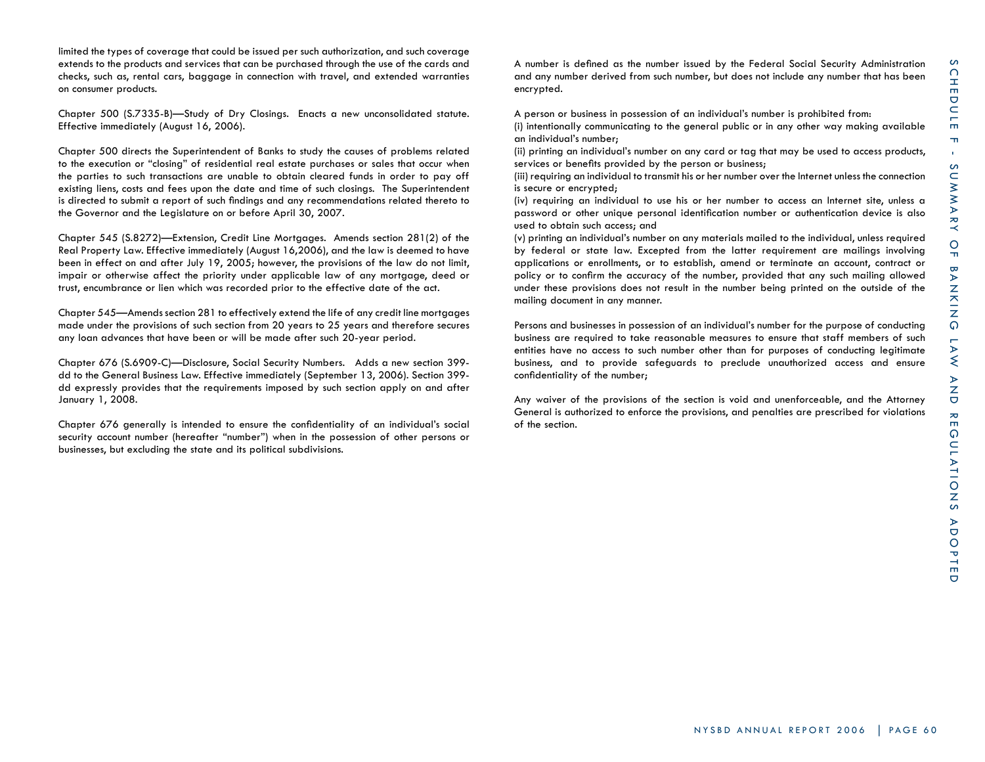limited the types of coverage that could be issued per such authorization, and such coverage extends to the products and services that can be purchased through the use of the cards and checks, such as, rental cars, baggage in connection with travel, and extended warranties on consumer products.

Chapter 500 (S.7335-B)—Study of Dry Closings. Enacts a new unconsolidated statute. Effective immediately (August 16, 2006).

Chapter 500 directs the Superintendent of Banks to study the causes of problems related to the execution or "closing" of residential real estate purchases or sales that occur when the parties to such transactions are unable to obtain cleared funds in order to pay off existing liens, costs and fees upon the date and time of such closings. The Superintendent is directed to submit a report of such findings and any recommendations related thereto to the Governor and the Legislature on or before April 30, 2007.

Chapter 545 (S.8272)—Extension, Credit Line Mortgages. Amends section 281(2) of the Real Property Law. Effective immediately (August 16,2006), and the law is deemed to have been in effect on and after July 19, 2005; however, the provisions of the law do not limit, impair or otherwise affect the priority under applicable law of any mortgage, deed or trust, encumbrance or lien which was recorded prior to the effective date of the act.

Chapter 545—Amends section 281 to effectively extend the life of any credit line mortgages made under the provisions of such section from 20 years to 25 years and therefore secures any loan advances that have been or will be made after such 20-year period.

Chapter 676 (S.6909-C)—Disclosure, Social Security Numbers. Adds a new section 399 dd to the General Business Law. Effective immediately (September 13, 2006). Section 399 dd expressly provides that the requirements imposed by such section apply on and after January 1, 2008.

Chapter 676 generally is intended to ensure the confidentiality of an individual's social security account number (hereafter "number") when in the possession of other persons or businesses, but excluding the state and its political subdivisions.

A number is defined as the number issued by the Federal Social Security Administration and any number derived from such number, but does not include any number that has been encrypted.

A person or business in possession of an individual's number is prohibited from:

(i) intentionally communicating to the general public or in any other way making available an individual's number;

(ii) printing an individual's number on any card or tag that may be used to access products, services or benefits provided by the person or business;

(iii) requiring an individual to transmit his or her number over the Internet unless the connection is secure or encrypted;

(iv) requiring an individual to use his or her number to access an Internet site, unless a password or other unique personal identification number or authentication device is also used to obtain such access; and

(v) printing an individual's number on any materials mailed to the individual, unless required by federal or state law. Excepted from the latter requirement are mailings involving applications or enrollments, or to establish, amend or terminate an account, contract or policy or to confirm the accuracy of the number, provided that any such mailing allowed under these provisions does not result in the number being printed on the outside of the mailing document in any manner.

Persons and businesses in possession of an individual's number for the purpose of conducting business are required to take reasonable measures to ensure that staff members of such entities have no access to such number other than for purposes of conducting legitimate business, and to provide safeguards to preclude unauthorized access and ensure confidentiality of the number;

Any waiver of the provisions of the section is void and unenforceable, and the Attorney General is authorized to enforce the provisions, and penalties are prescribed for violations of the section.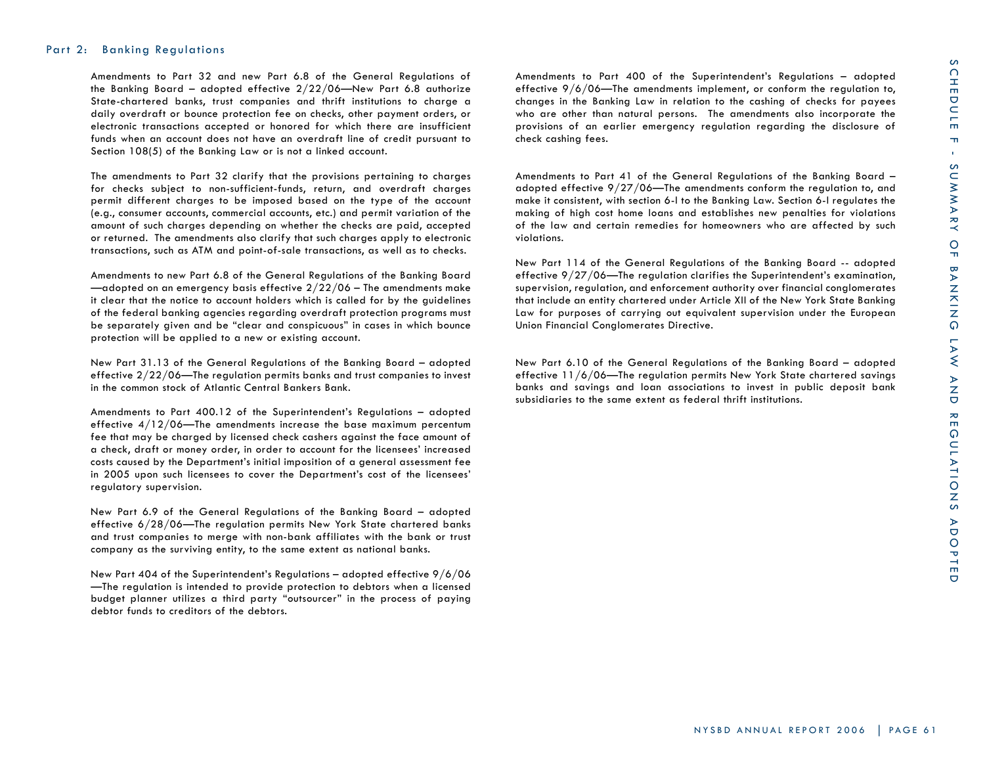## Part 2: Banking Regulations

Amendments to Part 32 and new Part 6.8 of the General Regulations of the Banking Board – adopted effective 2/22/06—New Part 6.8 authorize State-chartered banks, trust companies and thrift institutions to charge a daily overdraft or bounce protection fee on checks, other payment orders, or electronic transactions accepted or honored for which there are insufficient funds when an account does not have an overdraft line of credit pursuant to Section 108(5) of the Banking Law or is not a linked account.

The amendments to Part 32 clarify that the provisions pertaining to charges for checks subject to non-sufficient-funds, return, and overdraft charges permit different charges to be imposed based on the type of the account (e.g., consumer accounts, commercial accounts, etc.) and permit variation of the amount of such charges depending on whether the checks are paid, accepted or returned. The amendments also clarify that such charges apply to electronic transactions, such as ATM and point-of-sale transactions, as well as to checks.

Amendments to new Part 6.8 of the General Regulations of the Banking Board  $-$ adopted on an emergency basis effective  $2/22/06$  – The amendments make it clear that the notice to account holders which is called for by the guidelines of the federal banking agencies regarding overdraft protection programs must be separately given and be "clear and conspicuous" in cases in which bounce protection will be applied to a new or existing account.

New Part 31.13 of the General Regulations of the Banking Board – adopted effective 2/22/06—The regulation permits banks and trust companies to invest in the common stock of Atlantic Central Bankers Bank.

Amendments to Part 400.12 of the Superintendent's Regulations – adopted effective  $4/12/06$ —The amendments increase the base maximum percentum fee that may be charged by licensed check cashers against the face amount of a check, draft or money order, in order to account for the licensees' increased costs caused by the Department's initial imposition of a general assessment fee in 2005 upon such licensees to cover the Department's cost of the licensees' regulatory supervision.

New Part 6.9 of the General Regulations of the Banking Board – adopted effective 6/28/06—The regulation permits New York State chartered banks and trust companies to merge with non-bank affiliates with the bank or trust company as the surviving entity, to the same extent as national banks.

New Part 404 of the Superintendent's Regulations – adopted effective 9/6/06 —The regulation is intended to provide protection to debtors when a licensed budget planner utilizes a third party "outsourcer" in the process of paying debtor funds to creditors of the debtors.

Amendments to Part 400 of the Superintendent's Regulations – adopted effective 9/6/06—The amendments implement, or conform the regulation to, changes in the Banking Law in relation to the cashing of checks for payees who are other than natural persons. The amendments also incorporate the provisions of an earlier emergency regulation regarding the disclosure of check cashing fees.

Amendments to Part 41 of the General Regulations of the Banking Board – adopted effective 9/27/06—The amendments conform the regulation to, and make it consistent, with section 6-l to the Banking Law. Section 6-l regulates the making of high cost home loans and establishes new penalties for violations of the law and certain remedies for homeowners who are affected by such violations.

New Part 114 of the General Regulations of the Banking Board -- adopted effective 9/27/06—The regulation clarifies the Superintendent's examination, supervision, regulation, and enforcement authority over financial conglomerates that include an entity chartered under Article XII of the New York State Banking Law for purposes of carrying out equivalent supervision under the European Union Financial Conglomerates Directive.

New Part 6.10 of the General Regulations of the Banking Board – adopted effective 11/6/06—The regulation permits New York State chartered savings banks and savings and loan associations to invest in public deposit bank subsidiaries to the same extent as federal thrift institutions.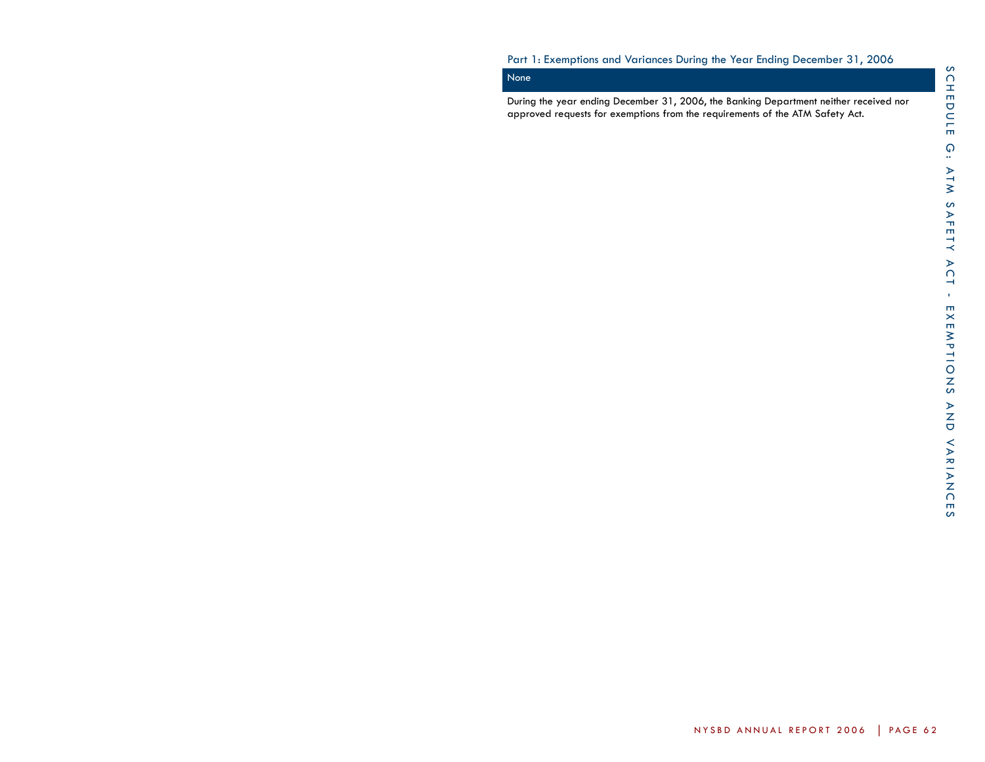## Part 1: Exemptions and Variances During the Year Ending December 31, 2006

# None

During the year ending December 31, 2006, the Banking Department neither received nor approved requests for exemptions from the requirements of the ATM Safety Act.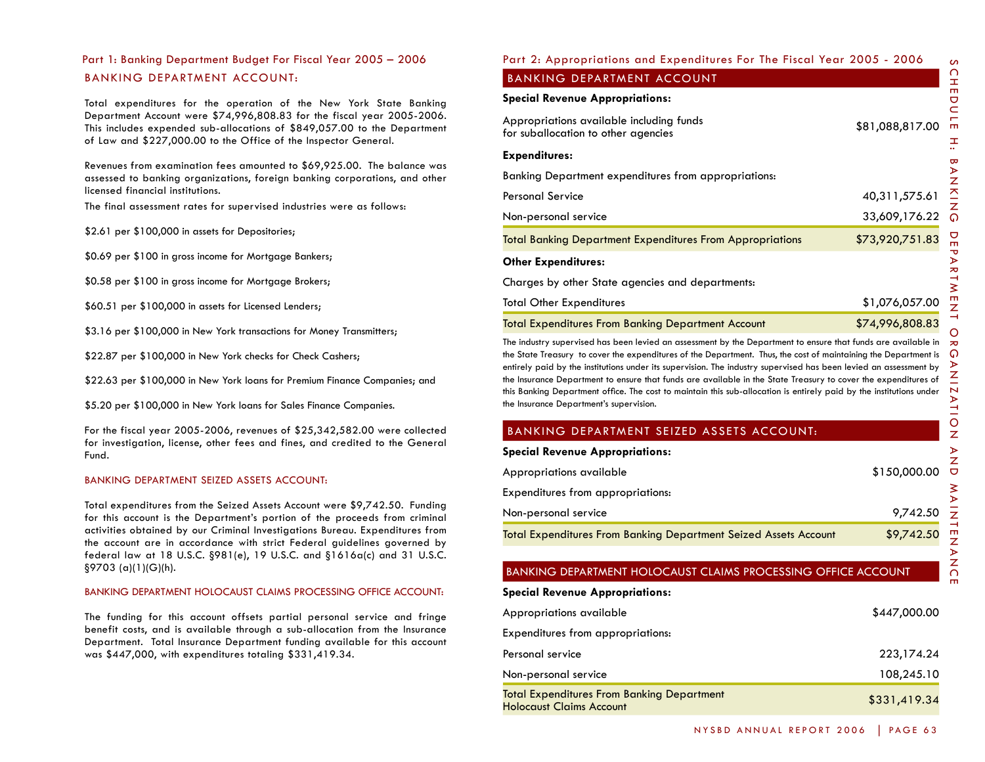# BANKING DEPARTMENT ACCOUNT: Part 1: Banking Department Budget For Fiscal Year 2005 – 2006

Total expenditures for the operation of the New York State Banking Department Account were \$74,996,808.83 for the fiscal year 2005-2006. This includes expended sub-allocations of \$849,057.00 to the Department of Law and \$227,000.00 to the Office of the Inspector General.

Revenues from examination fees amounted to \$69,925.00. The balance was assessed to banking organizations, foreign banking corporations, and other licensed financial institutions.

The final assessment rates for supervised industries were as follows:

\$2.61 per \$100,000 in assets for Depositories;

\$0.69 per \$100 in gross income for Mortgage Bankers;

\$0.58 per \$100 in gross income for Mortgage Brokers;

\$60.51 per \$100,000 in assets for Licensed Lenders;

\$3.16 per \$100,000 in New York transactions for Money Transmitters;

\$22.87 per \$100,000 in New York checks for Check Cashers;

\$22.63 per \$100,000 in New York loans for Premium Finance Companies; and

\$5.20 per \$100,000 in New York loans for Sales Finance Companies.

For the fiscal year 2005-2006, revenues of \$25,342,582.00 were collected for investigation, license, other fees and fines, and credited to the General Fund.

#### BANKING DEPARTMENT SEIZED ASSETS ACCOUNT:

Total expenditures from the Seized Assets Account were \$9,742.50. Funding for this account is the Department's portion of the proceeds from criminal activities obtained by our Criminal Investigations Bureau. Expenditures from the account are in accordance with strict Federal guidelines governed by federal law at 18 U.S.C. §981(e), 19 U.S.C. and §1616a(c) and 31 U.S.C. §9703 (a)(1)(G)(h).

#### BANKING DEPARTMENT HOLOCAUST CLAIMS PROCESSING OFFICE ACCOUNT:

The funding for this account offsets partial personal service and fringe benefit costs, and is available through a sub-allocation from the Insurance Department. Total Insurance Department funding available for this account was \$447,000, with expenditures totaling \$331,419.34.

## Part 2: Appropriations and Expenditures For The Fiscal Year 2005 - 2006

## BANKING DEPARTMENT ACCOUNT

## **Special Revenue Appropriations:**

| Appropriations available including funds<br>for suballocation to other agencies | \$81,088,817.00 |
|---------------------------------------------------------------------------------|-----------------|
| <b>Expenditures:</b>                                                            |                 |
| Banking Department expenditures from appropriations:                            |                 |
| Personal Service                                                                | 40,311,575.61   |
| Non-personal service                                                            | 33,609,176.22   |
| <b>Total Banking Department Expenditures From Appropriations</b>                | \$73,920,751.83 |
| <b>Other Expenditures:</b>                                                      |                 |
| Charges by other State agencies and departments:                                |                 |
| Total Other Expenditures                                                        | \$1,076,057.00  |
| <b>Total Expenditures From Banking Department Account</b>                       | \$74,996,808.83 |

The industry supervised has been levied an assessment by the Department to ensure that funds are available in the State Treasury to cover the expenditures of the Department. Thus, the cost of maintaining the Department is entirely paid by the institutions under its supervision. The industry supervised has been levied an assessment by the Insurance Department to ensure that funds are available in the State Treasury to cover the expenditures of this Banking Department office. The cost to maintain this sub-allocation is entirely paid by the institutions under the Insurance Department's supervision.

## BANKING DEPARTMENT SEIZED ASSETS ACCOUNT:

**Special Revenue Appropriations:**

| Appropriations available                                         | \$150,000.00 |
|------------------------------------------------------------------|--------------|
| Expenditures from appropriations:                                |              |
| Non-personal service                                             | 9,742.50     |
| Total Expenditures From Banking Department Seized Assets Account | \$9,742.50   |

## BANKING DEPARTMENT HOLOCAUST CLAIMS PROCESSING OFFICE ACCOUNT

**Special Revenue Appropriations:**

| Appropriations available                                                             | \$447,000.00 |
|--------------------------------------------------------------------------------------|--------------|
| Expenditures from appropriations:                                                    |              |
| Personal service                                                                     | 223,174.24   |
| Non-personal service                                                                 | 108,245.10   |
| <b>Total Expenditures From Banking Department</b><br><b>Holocaust Claims Account</b> | \$331,419.34 |